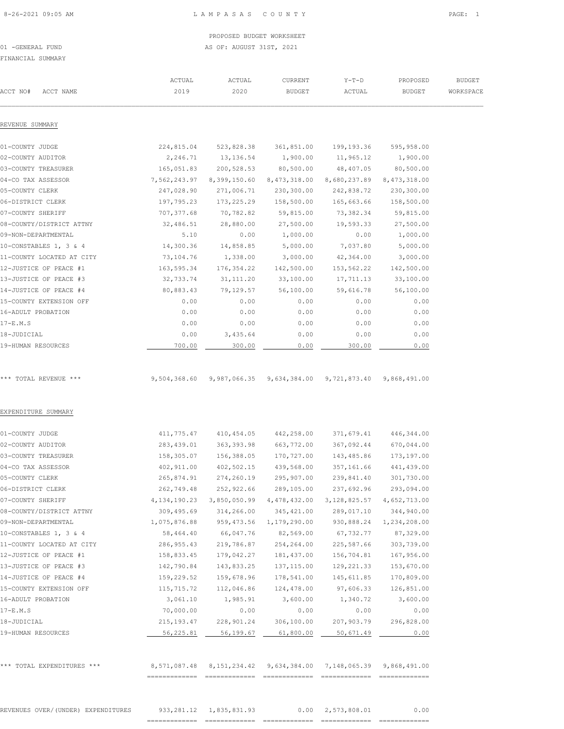01 -GENERAL FUND **AS OF: AUGUST 31ST, 2021** 

FINANCIAL SUMMARY

| ACTUAL       | ACTUAL                                                                                                                                                                                                                                                                                    | CURRENT                                                                                                                                                                                                                                                                                   | $Y-T-D$                                                                                                                                                                                                                                                                                                                           | PROPOSED                                                                                                                                                                                                                                                  | <b>BUDGET</b>                                                                                                                                                                                                                                                                                                                                   |
|--------------|-------------------------------------------------------------------------------------------------------------------------------------------------------------------------------------------------------------------------------------------------------------------------------------------|-------------------------------------------------------------------------------------------------------------------------------------------------------------------------------------------------------------------------------------------------------------------------------------------|-----------------------------------------------------------------------------------------------------------------------------------------------------------------------------------------------------------------------------------------------------------------------------------------------------------------------------------|-----------------------------------------------------------------------------------------------------------------------------------------------------------------------------------------------------------------------------------------------------------|-------------------------------------------------------------------------------------------------------------------------------------------------------------------------------------------------------------------------------------------------------------------------------------------------------------------------------------------------|
| 2019         | 2020                                                                                                                                                                                                                                                                                      | <b>BUDGET</b>                                                                                                                                                                                                                                                                             | ACTUAL                                                                                                                                                                                                                                                                                                                            | <b>BUDGET</b>                                                                                                                                                                                                                                             | WORKSPACE                                                                                                                                                                                                                                                                                                                                       |
|              |                                                                                                                                                                                                                                                                                           |                                                                                                                                                                                                                                                                                           |                                                                                                                                                                                                                                                                                                                                   |                                                                                                                                                                                                                                                           |                                                                                                                                                                                                                                                                                                                                                 |
| 224,815.04   | 523,828.38                                                                                                                                                                                                                                                                                | 361,851.00                                                                                                                                                                                                                                                                                | 199,193.36                                                                                                                                                                                                                                                                                                                        | 595,958.00                                                                                                                                                                                                                                                |                                                                                                                                                                                                                                                                                                                                                 |
| 2,246.71     | 13,136.54                                                                                                                                                                                                                                                                                 | 1,900.00                                                                                                                                                                                                                                                                                  | 11,965.12                                                                                                                                                                                                                                                                                                                         | 1,900.00                                                                                                                                                                                                                                                  |                                                                                                                                                                                                                                                                                                                                                 |
| 165,051.83   | 200,528.53                                                                                                                                                                                                                                                                                | 80,500.00                                                                                                                                                                                                                                                                                 | 48,407.05                                                                                                                                                                                                                                                                                                                         | 80,500.00                                                                                                                                                                                                                                                 |                                                                                                                                                                                                                                                                                                                                                 |
| 7,562,243.97 |                                                                                                                                                                                                                                                                                           | 8,473,318.00                                                                                                                                                                                                                                                                              |                                                                                                                                                                                                                                                                                                                                   | 8,473,318.00                                                                                                                                                                                                                                              |                                                                                                                                                                                                                                                                                                                                                 |
| 247,028.90   | 271,006.71                                                                                                                                                                                                                                                                                | 230,300.00                                                                                                                                                                                                                                                                                | 242,838.72                                                                                                                                                                                                                                                                                                                        | 230,300.00                                                                                                                                                                                                                                                |                                                                                                                                                                                                                                                                                                                                                 |
| 197,795.23   | 173,225.29                                                                                                                                                                                                                                                                                | 158,500.00                                                                                                                                                                                                                                                                                | 165,663.66                                                                                                                                                                                                                                                                                                                        | 158,500.00                                                                                                                                                                                                                                                |                                                                                                                                                                                                                                                                                                                                                 |
| 707,377.68   | 70,782.82                                                                                                                                                                                                                                                                                 | 59,815.00                                                                                                                                                                                                                                                                                 | 73,382.34                                                                                                                                                                                                                                                                                                                         | 59,815.00                                                                                                                                                                                                                                                 |                                                                                                                                                                                                                                                                                                                                                 |
| 32,486.51    | 28,880.00                                                                                                                                                                                                                                                                                 | 27,500.00                                                                                                                                                                                                                                                                                 | 19,593.33                                                                                                                                                                                                                                                                                                                         | 27,500.00                                                                                                                                                                                                                                                 |                                                                                                                                                                                                                                                                                                                                                 |
| 5.10         | 0.00                                                                                                                                                                                                                                                                                      | 1,000.00                                                                                                                                                                                                                                                                                  | 0.00                                                                                                                                                                                                                                                                                                                              | 1,000.00                                                                                                                                                                                                                                                  |                                                                                                                                                                                                                                                                                                                                                 |
| 14,300.36    | 14,858.85                                                                                                                                                                                                                                                                                 | 5,000.00                                                                                                                                                                                                                                                                                  | 7,037.80                                                                                                                                                                                                                                                                                                                          | 5,000.00                                                                                                                                                                                                                                                  |                                                                                                                                                                                                                                                                                                                                                 |
| 73,104.76    | 1,338.00                                                                                                                                                                                                                                                                                  | 3,000.00                                                                                                                                                                                                                                                                                  | 42,364.00                                                                                                                                                                                                                                                                                                                         | 3,000.00                                                                                                                                                                                                                                                  |                                                                                                                                                                                                                                                                                                                                                 |
|              |                                                                                                                                                                                                                                                                                           |                                                                                                                                                                                                                                                                                           |                                                                                                                                                                                                                                                                                                                                   |                                                                                                                                                                                                                                                           |                                                                                                                                                                                                                                                                                                                                                 |
|              |                                                                                                                                                                                                                                                                                           |                                                                                                                                                                                                                                                                                           |                                                                                                                                                                                                                                                                                                                                   |                                                                                                                                                                                                                                                           |                                                                                                                                                                                                                                                                                                                                                 |
|              |                                                                                                                                                                                                                                                                                           |                                                                                                                                                                                                                                                                                           |                                                                                                                                                                                                                                                                                                                                   |                                                                                                                                                                                                                                                           |                                                                                                                                                                                                                                                                                                                                                 |
|              |                                                                                                                                                                                                                                                                                           |                                                                                                                                                                                                                                                                                           |                                                                                                                                                                                                                                                                                                                                   |                                                                                                                                                                                                                                                           |                                                                                                                                                                                                                                                                                                                                                 |
|              |                                                                                                                                                                                                                                                                                           |                                                                                                                                                                                                                                                                                           |                                                                                                                                                                                                                                                                                                                                   |                                                                                                                                                                                                                                                           |                                                                                                                                                                                                                                                                                                                                                 |
|              |                                                                                                                                                                                                                                                                                           |                                                                                                                                                                                                                                                                                           |                                                                                                                                                                                                                                                                                                                                   |                                                                                                                                                                                                                                                           |                                                                                                                                                                                                                                                                                                                                                 |
|              |                                                                                                                                                                                                                                                                                           |                                                                                                                                                                                                                                                                                           |                                                                                                                                                                                                                                                                                                                                   |                                                                                                                                                                                                                                                           |                                                                                                                                                                                                                                                                                                                                                 |
|              |                                                                                                                                                                                                                                                                                           |                                                                                                                                                                                                                                                                                           |                                                                                                                                                                                                                                                                                                                                   |                                                                                                                                                                                                                                                           |                                                                                                                                                                                                                                                                                                                                                 |
|              |                                                                                                                                                                                                                                                                                           |                                                                                                                                                                                                                                                                                           |                                                                                                                                                                                                                                                                                                                                   |                                                                                                                                                                                                                                                           |                                                                                                                                                                                                                                                                                                                                                 |
| 9,504,368.60 |                                                                                                                                                                                                                                                                                           |                                                                                                                                                                                                                                                                                           |                                                                                                                                                                                                                                                                                                                                   | 9,868,491.00                                                                                                                                                                                                                                              |                                                                                                                                                                                                                                                                                                                                                 |
|              |                                                                                                                                                                                                                                                                                           |                                                                                                                                                                                                                                                                                           |                                                                                                                                                                                                                                                                                                                                   |                                                                                                                                                                                                                                                           |                                                                                                                                                                                                                                                                                                                                                 |
|              |                                                                                                                                                                                                                                                                                           |                                                                                                                                                                                                                                                                                           |                                                                                                                                                                                                                                                                                                                                   |                                                                                                                                                                                                                                                           |                                                                                                                                                                                                                                                                                                                                                 |
|              |                                                                                                                                                                                                                                                                                           |                                                                                                                                                                                                                                                                                           |                                                                                                                                                                                                                                                                                                                                   |                                                                                                                                                                                                                                                           |                                                                                                                                                                                                                                                                                                                                                 |
|              |                                                                                                                                                                                                                                                                                           |                                                                                                                                                                                                                                                                                           |                                                                                                                                                                                                                                                                                                                                   |                                                                                                                                                                                                                                                           |                                                                                                                                                                                                                                                                                                                                                 |
|              |                                                                                                                                                                                                                                                                                           |                                                                                                                                                                                                                                                                                           |                                                                                                                                                                                                                                                                                                                                   |                                                                                                                                                                                                                                                           |                                                                                                                                                                                                                                                                                                                                                 |
|              |                                                                                                                                                                                                                                                                                           |                                                                                                                                                                                                                                                                                           |                                                                                                                                                                                                                                                                                                                                   |                                                                                                                                                                                                                                                           |                                                                                                                                                                                                                                                                                                                                                 |
|              |                                                                                                                                                                                                                                                                                           |                                                                                                                                                                                                                                                                                           |                                                                                                                                                                                                                                                                                                                                   |                                                                                                                                                                                                                                                           |                                                                                                                                                                                                                                                                                                                                                 |
|              |                                                                                                                                                                                                                                                                                           |                                                                                                                                                                                                                                                                                           |                                                                                                                                                                                                                                                                                                                                   |                                                                                                                                                                                                                                                           |                                                                                                                                                                                                                                                                                                                                                 |
|              |                                                                                                                                                                                                                                                                                           |                                                                                                                                                                                                                                                                                           |                                                                                                                                                                                                                                                                                                                                   |                                                                                                                                                                                                                                                           |                                                                                                                                                                                                                                                                                                                                                 |
|              |                                                                                                                                                                                                                                                                                           |                                                                                                                                                                                                                                                                                           |                                                                                                                                                                                                                                                                                                                                   |                                                                                                                                                                                                                                                           |                                                                                                                                                                                                                                                                                                                                                 |
|              |                                                                                                                                                                                                                                                                                           |                                                                                                                                                                                                                                                                                           |                                                                                                                                                                                                                                                                                                                                   |                                                                                                                                                                                                                                                           |                                                                                                                                                                                                                                                                                                                                                 |
|              |                                                                                                                                                                                                                                                                                           |                                                                                                                                                                                                                                                                                           |                                                                                                                                                                                                                                                                                                                                   |                                                                                                                                                                                                                                                           |                                                                                                                                                                                                                                                                                                                                                 |
|              |                                                                                                                                                                                                                                                                                           |                                                                                                                                                                                                                                                                                           |                                                                                                                                                                                                                                                                                                                                   |                                                                                                                                                                                                                                                           |                                                                                                                                                                                                                                                                                                                                                 |
|              |                                                                                                                                                                                                                                                                                           |                                                                                                                                                                                                                                                                                           |                                                                                                                                                                                                                                                                                                                                   |                                                                                                                                                                                                                                                           |                                                                                                                                                                                                                                                                                                                                                 |
|              |                                                                                                                                                                                                                                                                                           |                                                                                                                                                                                                                                                                                           |                                                                                                                                                                                                                                                                                                                                   |                                                                                                                                                                                                                                                           |                                                                                                                                                                                                                                                                                                                                                 |
|              |                                                                                                                                                                                                                                                                                           |                                                                                                                                                                                                                                                                                           |                                                                                                                                                                                                                                                                                                                                   |                                                                                                                                                                                                                                                           |                                                                                                                                                                                                                                                                                                                                                 |
| 115,715.72   | 112,046.86                                                                                                                                                                                                                                                                                | 124,478.00                                                                                                                                                                                                                                                                                | 97,606.33                                                                                                                                                                                                                                                                                                                         | 126,851.00                                                                                                                                                                                                                                                |                                                                                                                                                                                                                                                                                                                                                 |
| 3,061.10     | 1,985.91                                                                                                                                                                                                                                                                                  | 3,600.00                                                                                                                                                                                                                                                                                  | 1,340.72                                                                                                                                                                                                                                                                                                                          | 3,600.00                                                                                                                                                                                                                                                  |                                                                                                                                                                                                                                                                                                                                                 |
| 70,000.00    | 0.00                                                                                                                                                                                                                                                                                      | 0.00                                                                                                                                                                                                                                                                                      | 0.00                                                                                                                                                                                                                                                                                                                              | 0.00                                                                                                                                                                                                                                                      |                                                                                                                                                                                                                                                                                                                                                 |
| 215, 193.47  | 228,901.24                                                                                                                                                                                                                                                                                | 306,100.00                                                                                                                                                                                                                                                                                | 207,903.79                                                                                                                                                                                                                                                                                                                        | 296,828.00                                                                                                                                                                                                                                                |                                                                                                                                                                                                                                                                                                                                                 |
| 56,225.81    | 56,199.67                                                                                                                                                                                                                                                                                 | 61,800.00                                                                                                                                                                                                                                                                                 | 50,671.49                                                                                                                                                                                                                                                                                                                         | 0.00                                                                                                                                                                                                                                                      |                                                                                                                                                                                                                                                                                                                                                 |
|              |                                                                                                                                                                                                                                                                                           |                                                                                                                                                                                                                                                                                           |                                                                                                                                                                                                                                                                                                                                   |                                                                                                                                                                                                                                                           |                                                                                                                                                                                                                                                                                                                                                 |
|              | 163,595.34<br>32,733.74<br>80,883.43<br>0.00<br>0.00<br>0.00<br>0.00<br>700.00<br>411,775.47<br>283,439.01<br>158,305.07<br>402,911.00<br>265,874.91<br>262,749.48<br>4, 134, 190. 23<br>309,495.69<br>1,075,876.88<br>58,464.40<br>286, 955.43<br>158,833.45<br>142,790.84<br>159,229.52 | 176,354.22<br>31, 111.20<br>79,129.57<br>0.00<br>0.00<br>0.00<br>3,435.64<br>300.00<br>410,454.05<br>363,393.98<br>156,388.05<br>402,502.15<br>274,260.19<br>252,922.66<br>3,850,050.99<br>314,266.00<br>959, 473.56<br>66,047.76<br>219,786.87<br>179,042.27<br>143,833.25<br>159,678.96 | 8,399,150.60<br>142,500.00<br>33,100.00<br>56,100.00<br>0.00<br>0.00<br>0.00<br>0.00<br>0.00<br>9,987,066.35 9,634,384.00<br>442,258.00<br>663,772.00<br>170,727.00<br>439,568.00<br>295,907.00<br>289,105.00<br>4,478,432.00<br>345, 421.00<br>1,179,290.00<br>82,569.00<br>254,264.00<br>181,437.00<br>137,115.00<br>178,541.00 | 153,562.22<br>17,711.13<br>59,616.78<br>0.00<br>0.00<br>0.00<br>0.00<br>300.00<br>143,485.86<br>357,161.66<br>239,841.40<br>237,692.96<br>3, 128, 825.57<br>289,017.10<br>930,888.24<br>67,732.77<br>225,587.66<br>156,704.81<br>129,221.33<br>145,611.85 | 8,680,237.89<br>142,500.00<br>33,100.00<br>56,100.00<br>0.00<br>0.00<br>0.00<br>0.00<br>0.00<br>9,721,873.40<br>371,679.41<br>446,344.00<br>367,092.44<br>670,044.00<br>173,197.00<br>441,439.00<br>301,730.00<br>293,094.00<br>4,652,713.00<br>344,940.00<br>1,234,208.00<br>87,329.00<br>303,739.00<br>167,956.00<br>153,670.00<br>170,809.00 |

REVENUES OVER/(UNDER) EXPENDITURES 933,281.12 1,835,831.93 0.00 2,573,808.01 0.00 ============= ============= ============= ============= =============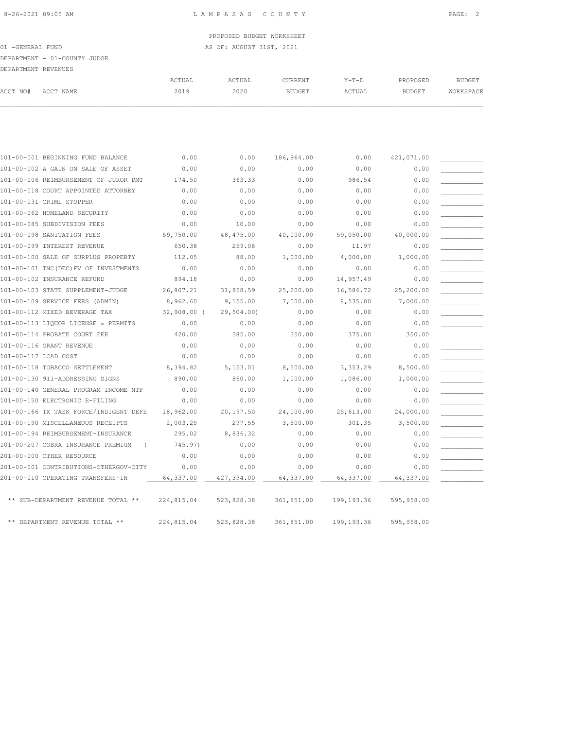| 101-00-001 BEGINNING FUND BALANCE              | 0.00          | 0.00       | 186,964.00 | 0.00        | 421,071.00 |  |
|------------------------------------------------|---------------|------------|------------|-------------|------------|--|
| 101-00-002 A GAIN ON SALE OF ASSET             | 0.00          | 0.00       | 0.00       | 0.00        | 0.00       |  |
| 101-00-006 REIMBURSEMENT OF JUROR PMT          | 174.50        | 363.33     | 0.00       | 986.54      | 0.00       |  |
| 101-00-018 COURT APPOINTED ATTORNEY            | 0.00          | 0.00       | 0.00       | 0.00        | 0.00       |  |
| 101-00-031 CRIME STOPPER                       | 0.00          | 0.00       | 0.00       | 0.00        | 0.00       |  |
| 101-00-062 HOMELAND SECURITY                   | 0.00          | 0.00       | 0.00       | 0.00        | 0.00       |  |
| 101-00-085 SUBDIVISION FEES                    | 0.00          | 10.00      | 0.00       | 0.00        | 0.00       |  |
| 101-00-098 SANITATION FEES                     | 59,750.00     | 48,475.00  | 40,000.00  | 59,050.00   | 40,000.00  |  |
| 101-00-099 INTEREST REVENUE                    | 650.38        | 259.08     | 0.00       | 11.97       | 0.00       |  |
| 101-00-100 SALE OF SURPLUS PROPERTY            | 112.05        | 88.00      | 1,000.00   | 4,000.00    | 1,000.00   |  |
| 101-00-101 INC(DEC) FV OF INVESTMENTS          | 0.00          | 0.00       | 0.00       | 0.00        | 0.00       |  |
| 101-00-102 INSURANCE REFUND                    | 894.18        | 0.00       | 0.00       | 14,957.49   | 0.00       |  |
| 101-00-103 STATE SUPPLEMENT-JUDGE              | 26,807.21     | 31,858.59  | 25,200.00  | 16,586.72   | 25,200.00  |  |
| 101-00-109 SERVICE FEES (ADMIN)                | 8,962.60      | 9,155.00   | 7,000.00   | 8,535.00    | 7,000.00   |  |
| 101-00-112 MIXED BEVERAGE TAX                  | $32,908.00$ ( | 29,504.00) | 0.00       | 0.00        | 0.00       |  |
| 101-00-113 LIOUOR LICENSE & PERMITS            | 0.00          | 0.00       | 0.00       | 0.00        | 0.00       |  |
| 101-00-114 PROBATE COURT FEE                   | 420.00        | 385.00     | 350.00     | 375.00      | 350.00     |  |
| 101-00-116 GRANT REVENUE                       | 0.00          | 0.00       | 0.00       | 0.00        | 0.00       |  |
| 101-00-117 LCAD COST                           | 0.00          | 0.00       | 0.00       | 0.00        | 0.00       |  |
| 101-00-118 TOBACCO SETTLEMENT                  | 8,394.82      | 5,153.01   | 8,500.00   | 3,353.29    | 8,500.00   |  |
| 101-00-130 911-ADDRESSING SIGNS                | 890.00        | 860.00     | 1,000.00   | 1,086.00    | 1,000.00   |  |
| 101-00-140 GENERAL PROGRAM INCOME NTF          | 0.00          | 0.00       | 0.00       | 0.00        | 0.00       |  |
| 101-00-150 ELECTRONIC E-FILING                 | 0.00          | 0.00       | 0.00       | 0.00        | 0.00       |  |
| 101-00-166 TX TASK FORCE/INDIGENT DEFE         | 18,962.00     | 20,197.50  | 24,000.00  | 25,613.00   | 24,000.00  |  |
| 101-00-190 MISCELLANEOUS RECEIPTS              | 2,003.25      | 297.55     | 3,500.00   | 301.35      | 3,500.00   |  |
| 101-00-194 REIMBURSEMENT-INSURANCE             | 295.02        | 8,836.32   | 0.00       | 0.00        | 0.00       |  |
| 101-00-207 COBRA INSURANCE PREMIUM<br>$\left($ | 745.97)       | 0.00       | 0.00       | 0.00        | 0.00       |  |
| 201-00-000 OTHER RESOURCE                      | 0.00          | 0.00       | 0.00       | 0.00        | 0.00       |  |
| 201-00-001 CONTRIBUTIONS-OTHERGOV-CITY         | 0.00          | 0.00       | 0.00       | 0.00        | 0.00       |  |
| 201-00-010 OPERATING TRANSFERS-IN              | 64,337.00     | 427,394.00 | 64,337.00  | 64,337.00   | 64,337.00  |  |
|                                                |               |            |            |             |            |  |
| ** SUB-DEPARTMENT REVENUE TOTAL **             | 224,815.04    | 523,828.38 | 361,851.00 | 199,193.36  | 595,958.00 |  |
|                                                |               |            |            |             |            |  |
| ** DEPARTMENT REVENUE TOTAL **                 | 224,815.04    | 523,828.38 | 361,851.00 | 199, 193.36 | 595,958.00 |  |

| 01 -GENERAL FUND    |                              |        | AS OF: AUGUST 31ST, 2021 |         |        |          |           |
|---------------------|------------------------------|--------|--------------------------|---------|--------|----------|-----------|
|                     | DEPARTMENT - 01-COUNTY JUDGE |        |                          |         |        |          |           |
| DEPARTMENT REVENUES |                              |        |                          |         |        |          |           |
|                     |                              | ACTUAL | ACTUAL                   | CURRENT | Y-T-D  | PROPOSED | BUDGET    |
| ACCT NO#            | ACCT NAME                    | 2019   | 2020                     | BUDGET  | ACTUAL | BUDGET   | WORKSPACE |
|                     |                              |        |                          |         |        |          |           |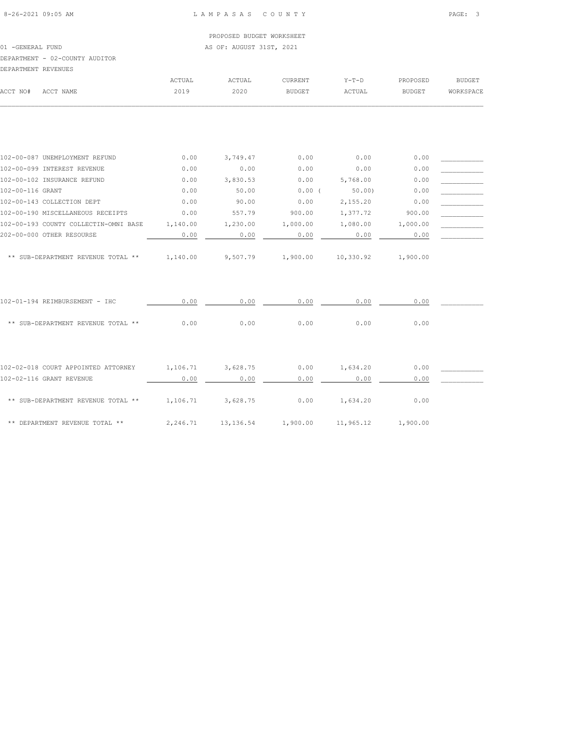01 -GENERAL FUND **AS OF: AUGUST 31ST, 2021** DEPARTMENT - 02-COUNTY AUDITOR

| DEPARTMENT REVENUES |           |        |        |               |         |          |           |
|---------------------|-----------|--------|--------|---------------|---------|----------|-----------|
|                     |           | ACTUAL | ACTUAL | CURRENT       | $Y-T-D$ | PROPOSED | BUDGET    |
| ACCT NO#            | ACCT NAME | 2019   | 2020   | <b>BUDGET</b> | ACTUAL  | BUDGET   | WORKSPACE |
|                     |           |        |        |               |         |          |           |
|                     |           |        |        |               |         |          |           |
|                     |           |        |        |               |         |          |           |
|                     |           |        |        |               |         |          |           |
|                     |           |        |        |               |         |          |           |

| 102-00-087 UNEMPLOYMENT REFUND        | 0.00     | 3,749.47             | 0.00     | 0.00      | 0.00     |  |
|---------------------------------------|----------|----------------------|----------|-----------|----------|--|
| 102-00-099 INTEREST REVENUE           | 0.00     | 0.00                 | 0.00     | 0.00      | 0.00     |  |
| 102-00-102 INSURANCE REFUND           | 0.00     | 3,830.53             | 0.00     | 5,768.00  | 0.00     |  |
| 102-00-116 GRANT                      | 0.00     | 50.00                | $0.00$ ( | 50.00     | 0.00     |  |
| 102-00-143 COLLECTION DEPT            | 0.00     | 90.00                | 0.00     | 2,155.20  | 0.00     |  |
| 102-00-190 MISCELLANEOUS RECEIPTS     | 0.00     | 557.79               | 900.00   | 1,377.72  | 900.00   |  |
| 102-00-193 COUNTY COLLECTIN-OMNI BASE | 1,140.00 | 1,230.00             | 1,000.00 | 1,080.00  | 1,000.00 |  |
| 202-00-000 OTHER RESOURSE             | 0.00     | 0.00                 | 0.00     | 0.00      | 0.00     |  |
| ** SUB-DEPARTMENT REVENUE TOTAL **    | 1,140.00 | 9,507.79             | 1,900.00 | 10,330.92 | 1,900.00 |  |
| 102-01-194 REIMBURSEMENT - IHC        | 0.00     | 0.00                 | 0.00     | 0.00      | 0.00     |  |
| ** SUB-DEPARTMENT REVENUE TOTAL **    | 0.00     | 0.00                 | 0.00     | 0.00      | 0.00     |  |
|                                       |          |                      |          |           |          |  |
| 102-02-018 COURT APPOINTED ATTORNEY   | 1,106.71 | 3,628.75             | 0.00     | 1,634.20  | 0.00     |  |
| 102-02-116 GRANT REVENUE              | 0.00     | 0.00                 | 0.00     | 0.00      | 0.00     |  |
| ** SUB-DEPARTMENT REVENUE TOTAL **    | 1,106.71 | 3,628.75             | 0.00     | 1,634.20  | 0.00     |  |
| ** DEPARTMENT REVENUE TOTAL **        | 2,246.71 | 13, 136.54 1, 900.00 |          | 11,965.12 | 1,900.00 |  |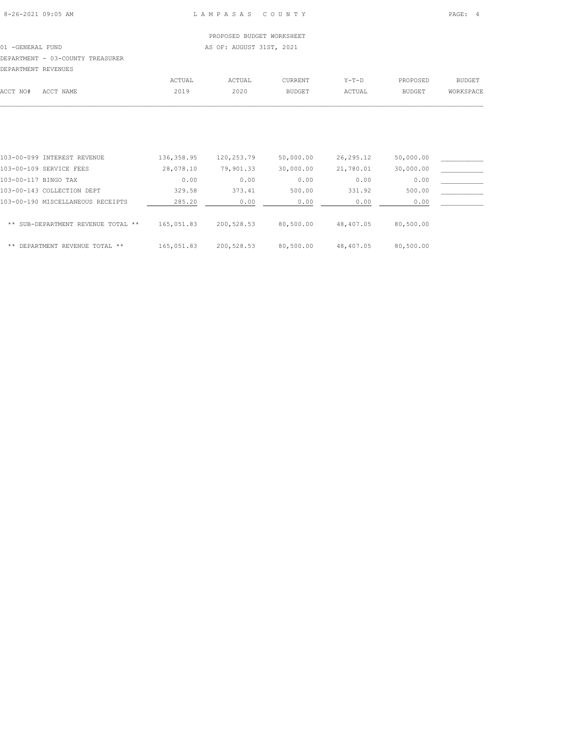## PROPOSED BUDGET WORKSHEET 01 -GENERAL FUND AS OF: AUGUST 31ST, 2021 DEPARTMENT - 03-COUNTY TREASURER DEPARTMENT REVENUES ACTUAL ACTUAL CURRENT Y-T-D PROPOSED BUDGET ACCT NO# ACCT NAME 2019 2020 BUDGET ACTUAL BUDGET WORKSPACE

| 103-00-099 INTEREST REVENUE        | 136, 358.95 | 120,253.79 | 50,000.00 | 26, 295.12 | 50,000.00 |  |
|------------------------------------|-------------|------------|-----------|------------|-----------|--|
| 103-00-109 SERVICE FEES            | 28,078.10   | 79,901.33  | 30,000.00 | 21,780.01  | 30,000.00 |  |
| 103-00-117 BINGO TAX               | 0.00        | 0.00       | 0.00      | 0.00       | 0.00      |  |
| 103-00-143 COLLECTION DEPT         | 329.58      | 373.41     | 500.00    | 331.92     | 500.00    |  |
| 103-00-190 MISCELLANEOUS RECEIPTS  | 285.20      | 0.00       | 0.00      | 0.00       | 0.00      |  |
| ** SUB-DEPARTMENT REVENUE TOTAL ** | 165,051.83  | 200,528.53 | 80,500.00 | 48,407.05  | 80,500.00 |  |
| **<br>DEPARTMENT REVENUE TOTAL **  | 165,051.83  | 200,528.53 | 80,500.00 | 48,407.05  | 80,500.00 |  |

 $\mathcal{L} = \{ \mathcal{L} = \{ \mathcal{L} = \{ \mathcal{L} = \{ \mathcal{L} = \{ \mathcal{L} = \{ \mathcal{L} = \{ \mathcal{L} = \{ \mathcal{L} = \{ \mathcal{L} = \{ \mathcal{L} = \{ \mathcal{L} = \{ \mathcal{L} = \{ \mathcal{L} = \{ \mathcal{L} = \{ \mathcal{L} = \{ \mathcal{L} = \{ \mathcal{L} = \{ \mathcal{L} = \{ \mathcal{L} = \{ \mathcal{L} = \{ \mathcal{L} = \{ \mathcal{L} = \{ \mathcal{L} = \{ \mathcal{$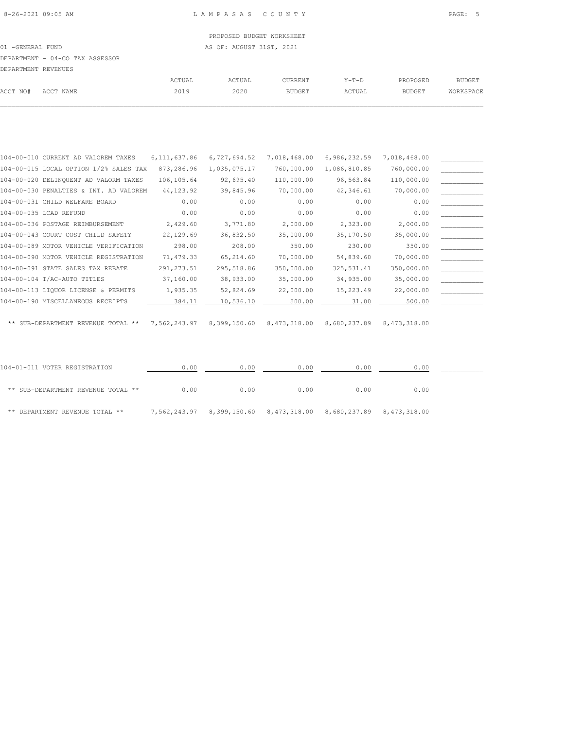$\mathcal{L} = \{ \mathcal{L} = \{ \mathcal{L} = \{ \mathcal{L} = \{ \mathcal{L} = \{ \mathcal{L} = \{ \mathcal{L} = \{ \mathcal{L} = \{ \mathcal{L} = \{ \mathcal{L} = \{ \mathcal{L} = \{ \mathcal{L} = \{ \mathcal{L} = \{ \mathcal{L} = \{ \mathcal{L} = \{ \mathcal{L} = \{ \mathcal{L} = \{ \mathcal{L} = \{ \mathcal{L} = \{ \mathcal{L} = \{ \mathcal{L} = \{ \mathcal{L} = \{ \mathcal{L} = \{ \mathcal{L} = \{ \mathcal{$ 

|                     |                                 |        | PROPOSED BUDGET WORKSHEET |         |        |               |           |
|---------------------|---------------------------------|--------|---------------------------|---------|--------|---------------|-----------|
| 01 - GENERAL FUND   |                                 |        | AS OF: AUGUST 31ST, 2021  |         |        |               |           |
|                     | DEPARTMENT - 04-CO TAX ASSESSOR |        |                           |         |        |               |           |
| DEPARTMENT REVENUES |                                 |        |                           |         |        |               |           |
|                     |                                 | ACTUAL | ACTUAL                    | CURRENT | Y-T-D  | PROPOSED      | BUDGET    |
| ACCT NO#            | ACCT NAME                       | 2019   | 2020                      | BUDGET  | ACTUAL | <b>BUDGET</b> | WORKSPACE |

| 104-00-010 CURRENT AD VALOREM TAXES    | 6,111,637.86 | 6,727,694.52 | 7,018,468.00              | 6,986,232.59 | 7,018,468.00 |  |
|----------------------------------------|--------------|--------------|---------------------------|--------------|--------------|--|
| 104-00-015 LOCAL OPTION 1/2% SALES TAX | 873,286.96   | 1,035,075.17 | 760,000.00                | 1,086,810.85 | 760,000.00   |  |
| 104-00-020 DELINQUENT AD VALORM TAXES  | 106,105.64   | 92,695.40    | 110,000.00                | 96,563.84    | 110,000.00   |  |
| 104-00-030 PENALTIES & INT. AD VALOREM | 44, 123.92   | 39,845.96    | 70,000.00                 | 42,346.61    | 70,000.00    |  |
| 104-00-031 CHILD WELFARE BOARD         | 0.00         | 0.00         | 0.00                      | 0.00         | 0.00         |  |
| 104-00-035 LCAD REFUND                 | 0.00         | 0.00         | 0.00                      | 0.00         | 0.00         |  |
| 104-00-036 POSTAGE REIMBURSEMENT       | 2,429.60     | 3,771.80     | 2,000.00                  | 2,323.00     | 2,000.00     |  |
| 104-00-043 COURT COST CHILD SAFETY     | 22,129.69    | 36,832.50    | 35,000.00                 | 35,170.50    | 35,000.00    |  |
| 104-00-089 MOTOR VEHICLE VERIFICATION  | 298.00       | 208.00       | 350.00                    | 230.00       | 350.00       |  |
| 104-00-090 MOTOR VEHICLE REGISTRATION  | 71,479.33    | 65,214.60    | 70,000.00                 | 54,839.60    | 70,000.00    |  |
| 104-00-091 STATE SALES TAX REBATE      | 291, 273.51  | 295,518.86   | 350,000.00                | 325, 531.41  | 350,000.00   |  |
| 104-00-104 T/AC-AUTO TITLES            | 37,160.00    | 38,933.00    | 35,000.00                 | 34,935.00    | 35,000.00    |  |
| 104-00-113 LIQUOR LICENSE & PERMITS    | 1,935.35     | 52,824.69    | 22,000.00                 | 15,223.49    | 22,000.00    |  |
| 104-00-190 MISCELLANEOUS RECEIPTS      | 384.11       | 10,536.10    | 500.00                    | 31.00        | 500.00       |  |
|                                        |              |              |                           |              |              |  |
| ** SUB-DEPARTMENT REVENUE TOTAL **     | 7,562,243.97 |              | 8,399,150.60 8,473,318.00 | 8,680,237.89 | 8,473,318.00 |  |
|                                        |              |              |                           |              |              |  |
|                                        |              |              |                           |              |              |  |
|                                        |              |              |                           |              |              |  |
| 104-01-011 VOTER REGISTRATION          | 0.00         | 0.00         | 0.00                      | 0.00         | 0.00         |  |
|                                        |              |              |                           |              |              |  |
| ** SUB-DEPARTMENT REVENUE TOTAL **     | 0.00         | 0.00         | 0.00                      | 0.00         | 0.00         |  |
|                                        |              |              |                           |              |              |  |

\*\* DEPARTMENT REVENUE TOTAL \*\* 7,562,243.97 8,399,150.60 8,473,318.00 8,680,237.89 8,473,318.00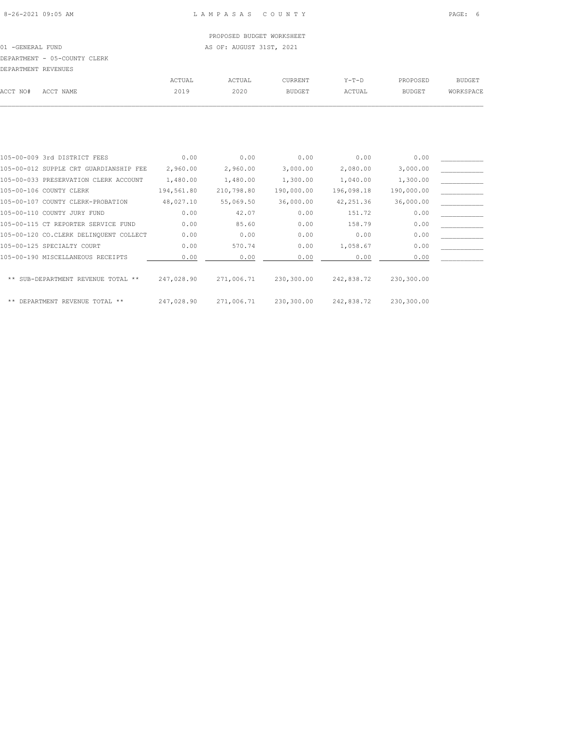PROPOSED BUDGET WORKSHEET 01 -GENERAL FUND AS OF: AUGUST 31ST, 2021 DEPARTMENT - 05-COUNTY CLERK

| DEPARTMENT REVENUES |           |        |        |               |        |               |           |
|---------------------|-----------|--------|--------|---------------|--------|---------------|-----------|
|                     |           | ACTUAL | ACTUAL | CURRENT       | Y-T-D  | PROPOSED      | BUDGET    |
| ACCT NO#            | ACCT NAME | 2019   | 2020   | <b>BUDGET</b> | ACTUAL | <b>BUDGET</b> | WORKSPACE |
|                     |           |        |        |               |        |               |           |

| 105-00-009 3rd DISTRICT FEES           | 0.00       | 0.00       | 0.00       | 0.00       | 0.00       |  |
|----------------------------------------|------------|------------|------------|------------|------------|--|
| 105-00-012 SUPPLE CRT GUARDIANSHIP FEE | 2,960.00   | 2,960.00   | 3,000.00   | 2,080.00   | 3,000.00   |  |
| 105-00-033 PRESERVATION CLERK ACCOUNT  | 1,480.00   | 1,480.00   | 1,300.00   | 1,040.00   | 1,300.00   |  |
| 105-00-106 COUNTY CLERK                | 194,561.80 | 210,798.80 | 190,000.00 | 196,098.18 | 190,000.00 |  |
| 105-00-107 COUNTY CLERK-PROBATION      | 48,027.10  | 55,069.50  | 36,000.00  | 42, 251.36 | 36,000.00  |  |
| 105-00-110 COUNTY JURY FUND            | 0.00       | 42.07      | 0.00       | 151.72     | 0.00       |  |
| 105-00-115 CT REPORTER SERVICE FUND    | 0.00       | 85.60      | 0.00       | 158.79     | 0.00       |  |
| 105-00-120 CO.CLERK DELINQUENT COLLECT | 0.00       | 0.00       | 0.00       | 0.00       | 0.00       |  |
| 105-00-125 SPECIALTY COURT             | 0.00       | 570.74     | 0.00       | 1,058.67   | 0.00       |  |
| 105-00-190 MISCELLANEOUS RECEIPTS      | 0.00       | 0.00       | 0.00       | 0.00       | 0.00       |  |
|                                        |            |            |            |            |            |  |
| ** SUB-DEPARTMENT REVENUE TOTAL **     | 247,028.90 | 271,006.71 | 230,300.00 | 242,838.72 | 230,300.00 |  |
|                                        |            |            |            |            |            |  |
| ** DEPARTMENT REVENUE TOTAL **         | 247.028.90 | 271,006.71 | 230,300.00 | 242,838.72 | 230,300.00 |  |
|                                        |            |            |            |            |            |  |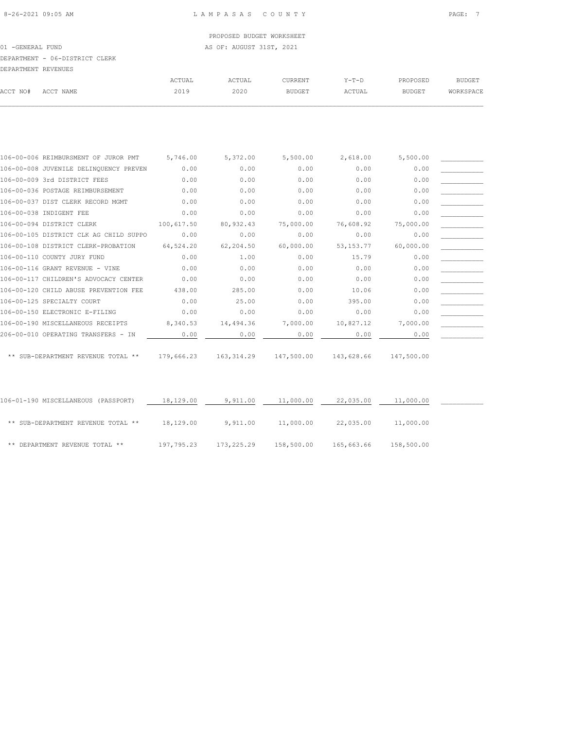01 -GENERAL FUND AS OF: AUGUST 31ST, 2021

## DEPARTMENT - 06-DISTRICT CLERK

| DEPARTMENT REVENUES |           |        |        |                |         |               |           |
|---------------------|-----------|--------|--------|----------------|---------|---------------|-----------|
|                     |           | ACTUAL | ACTUAL | <b>CURRENT</b> | $Y-T-D$ | PROPOSED      | BUDGET    |
| ACCT NO#            | ACCT NAME | 2019   | 2020   | <b>BUDGET</b>  | ACTUAL  | <b>BUDGET</b> | WORKSPACE |

| 106-00-006 REIMBURSMENT OF JUROR PMT   | 5,746.00   | 5,372.00   | 5,500.00   | 2,618.00    | 5,500.00   |  |
|----------------------------------------|------------|------------|------------|-------------|------------|--|
| 106-00-008 JUVENILE DELINQUENCY PREVEN | 0.00       | 0.00       | 0.00       | 0.00        | 0.00       |  |
| 106-00-009 3rd DISTRICT FEES           | 0.00       | 0.00       | 0.00       | 0.00        | 0.00       |  |
| 106-00-036 POSTAGE REIMBURSEMENT       | 0.00       | 0.00       | 0.00       | 0.00        | 0.00       |  |
| 106-00-037 DIST CLERK RECORD MGMT      | 0.00       | 0.00       | 0.00       | 0.00        | 0.00       |  |
| 106-00-038 INDIGENT FEE                | 0.00       | 0.00       | 0.00       | 0.00        | 0.00       |  |
| 106-00-094 DISTRICT CLERK              | 100,617.50 | 80,932.43  | 75,000.00  | 76,608.92   | 75,000.00  |  |
| 106-00-105 DISTRICT CLK AG CHILD SUPPO | 0.00       | 0.00       | 0.00       | 0.00        | 0.00       |  |
| 106-00-108 DISTRICT CLERK-PROBATION    | 64,524.20  | 62,204.50  | 60,000.00  | 53, 153. 77 | 60,000.00  |  |
| 106-00-110 COUNTY JURY FUND            | 0.00       | 1.00       | 0.00       | 15.79       | 0.00       |  |
| 106-00-116 GRANT REVENUE - VINE        | 0.00       | 0.00       | 0.00       | 0.00        | 0.00       |  |
| 106-00-117 CHILDREN'S ADVOCACY CENTER  | 0.00       | 0.00       | 0.00       | 0.00        | 0.00       |  |
| 106-00-120 CHILD ABUSE PREVENTION FEE  | 438.00     | 285.00     | 0.00       | 10.06       | 0.00       |  |
| 106-00-125 SPECIALTY COURT             | 0.00       | 25.00      | 0.00       | 395.00      | 0.00       |  |
| 106-00-150 ELECTRONIC E-FILING         | 0.00       | 0.00       | 0.00       | 0.00        | 0.00       |  |
| 106-00-190 MISCELLANEOUS RECEIPTS      | 8,340.53   | 14,494.36  | 7,000.00   | 10,827.12   | 7,000.00   |  |
| 206-00-010 OPERATING TRANSFERS - IN    | 0.00       | 0.00       | 0.00       | 0.00        | 0.00       |  |
|                                        |            |            |            |             |            |  |
| ** SUB-DEPARTMENT REVENUE TOTAL **     | 179,666.23 | 163,314.29 | 147,500.00 | 143,628.66  | 147,500.00 |  |

| 106-01-190 MISCELLANEOUS (PASSPORT) | 18,129.00  | 9,911.00   | 11,000.00  | 22,035.00  | 11,000.00  |  |
|-------------------------------------|------------|------------|------------|------------|------------|--|
| ** SUB-DEPARTMENT REVENUE TOTAL **  | 18,129.00  | 9,911.00   | 11,000.00  | 22,035.00  | 11,000.00  |  |
| ** DEPARTMENT REVENUE TOTAL **      | 197,795.23 | 173,225.29 | 158,500.00 | 165,663.66 | 158,500.00 |  |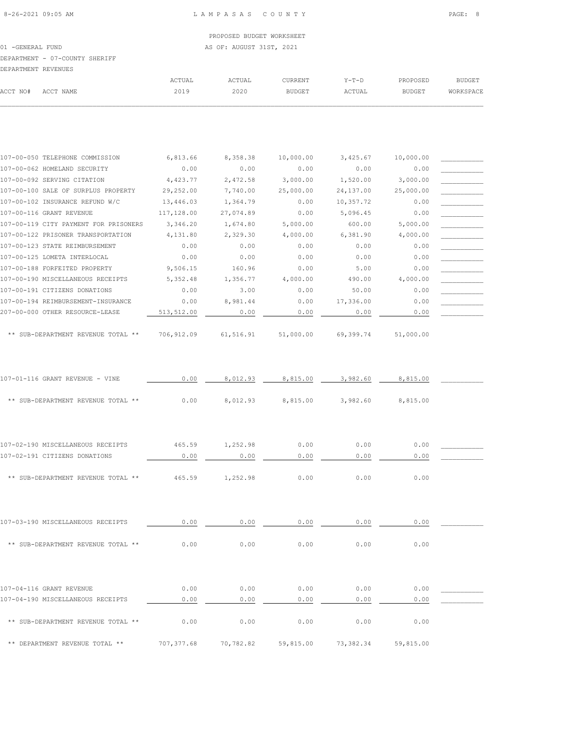| 107-00-102 INSURANCE REFUND W/C       | 13,446.03  | 1,364.79  | 0.00      | 10,357.72 | 0.00      |  |
|---------------------------------------|------------|-----------|-----------|-----------|-----------|--|
| 107-00-116 GRANT REVENUE              | 117,128.00 | 27,074.89 | 0.00      | 5,096.45  | 0.00      |  |
| 107-00-119 CITY PAYMENT FOR PRISONERS | 3,346.20   | 1,674.80  | 5,000.00  | 600.00    | 5,000.00  |  |
| 107-00-122 PRISONER TRANSPORTATION    | 4,131.80   | 2,329.30  | 4,000.00  | 6,381.90  | 4,000.00  |  |
| 107-00-123 STATE REIMBURSEMENT        | 0.00       | 0.00      | 0.00      | 0.00      | 0.00      |  |
| 107-00-125 LOMETA INTERLOCAL          | 0.00       | 0.00      | 0.00      | 0.00      | 0.00      |  |
| 107-00-188 FORFEITED PROPERTY         | 9,506.15   | 160.96    | 0.00      | 5.00      | 0.00      |  |
| 107-00-190 MISCELLANEOUS RECEIPTS     | 5,352.48   | 1,356.77  | 4,000.00  | 490.00    | 4,000.00  |  |
| 107-00-191 CITIZENS DONATIONS         | 0.00       | 3.00      | 0.00      | 50.00     | 0.00      |  |
| 107-00-194 REIMBURSEMENT-INSURANCE    | 0.00       | 8,981.44  | 0.00      | 17,336.00 | 0.00      |  |
| 207-00-000 OTHER RESOURCE-LEASE       | 513,512.00 | 0.00      | 0.00      | 0.00      | 0.00      |  |
| ** SUB-DEPARTMENT REVENUE TOTAL **    | 706,912.09 | 61,516.91 | 51,000.00 | 69,399.74 | 51,000.00 |  |
| 107-01-116 GRANT REVENUE - VINE       | 0.00       | 8,012.93  | 8,815.00  | 3,982.60  | 8,815.00  |  |
| ** SUB-DEPARTMENT REVENUE TOTAL **    | 0.00       | 8,012.93  | 8,815.00  | 3,982.60  | 8,815.00  |  |
| 107-02-190 MISCELLANEOUS RECEIPTS     | 465.59     | 1,252.98  | 0.00      | 0.00      | 0.00      |  |
| 107-02-191 CITIZENS DONATIONS         | 0.00       | 0.00      | 0.00      | 0.00      | 0.00      |  |
|                                       |            |           |           |           |           |  |
| ** SUB-DEPARTMENT REVENUE TOTAL **    | 465.59     | 1,252.98  | 0.00      | 0.00      | 0.00      |  |
|                                       |            |           |           |           |           |  |
| 107-03-190 MISCELLANEOUS RECEIPTS     | 0.00       | 0.00      | 0.00      | 0.00      | 0.00      |  |
|                                       |            |           |           |           |           |  |

| ** SUB-DEPARTMENT REVENUE TOTAL **                            | 0.00         | 0.00         | 0.00         | 0.00         | 0.00         |
|---------------------------------------------------------------|--------------|--------------|--------------|--------------|--------------|
| 107-04-116 GRANT REVENUE<br>107-04-190 MISCELLANEOUS RECEIPTS | 0.00<br>0.00 | 0.00<br>0.00 | 0.00<br>0.00 | 0.00<br>0.00 | 0.00<br>0.00 |
| ** SUB-DEPARTMENT REVENUE TOTAL **                            | 0.00         | 0.00         | 0.00         | 0.00         | 0.00         |

\*\* DEPARTMENT REVENUE TOTAL \*\* 707,377.68 70,782.82 59,815.00 73,382.34 59,815.00

| 107-00-102 INSURANCE REFUND W/C                                                                                                                                                                                                   | 13,446.03           | 1,364.79  | 0.00        | 10,357.72                                 | 0.00                     |  |
|-----------------------------------------------------------------------------------------------------------------------------------------------------------------------------------------------------------------------------------|---------------------|-----------|-------------|-------------------------------------------|--------------------------|--|
| 107-00-116 GRANT REVENUE                                                                                                                                                                                                          | 117,128.00          | 27,074.89 | 0.00        | 5,096.45                                  | 0.00                     |  |
| 107-00-119 CITY PAYMENT FOR PRISONERS                                                                                                                                                                                             | 3,346.20            | 1,674.80  | 5,000.00    | 600.00                                    | 5,000.00                 |  |
| 107-00-122 PRISONER TRANSPORTATION                                                                                                                                                                                                | 4,131.80            | 2,329.30  | 4,000.00    | 6,381.90                                  | 4,000.00                 |  |
| 107-00-123 STATE REIMBURSEMENT                                                                                                                                                                                                    | 0.00                | 0.00      | 0.00        | 0.00                                      | 0.00                     |  |
| 107-00-125 LOMETA INTERLOCAL                                                                                                                                                                                                      | 0.00                | 0.00      | 0.00        | 0.00                                      | 0.00                     |  |
| 107-00-188 FORFEITED PROPERTY                                                                                                                                                                                                     | 9,506.15            | 160.96    | 0.00        | 5.00                                      | 0.00                     |  |
| 107-00-190 MISCELLANEOUS RECEIPTS                                                                                                                                                                                                 | 5,352.48            | 1,356.77  | 4,000.00    | 490.00                                    | 4,000.00                 |  |
| 107-00-191 CITIZENS DONATIONS                                                                                                                                                                                                     | 0.00                | 3.00      | 0.00        | 50.00                                     | 0.00                     |  |
| 107-00-194 REIMBURSEMENT-INSURANCE                                                                                                                                                                                                | 0.00                | 8,981.44  | 0.00        | 17,336.00                                 | 0.00                     |  |
| 207-00-000 OTHER RESOURCE-LEASE                                                                                                                                                                                                   | 513,512.00          | 0.00      | 0.00        | 0.00                                      | 0.00                     |  |
|                                                                                                                                                                                                                                   |                     |           |             |                                           |                          |  |
| $\mathbf{1}$ . Control to the construction of the construction of the construction of the construction of the construction of the construction of the construction of the construction of the construction of the construction of | <b>FOC 010 00 -</b> |           | $-1 000 00$ | $\sim$ $\sim$ $\sim$ $\sim$ $\sim$ $\sim$ | $-1$ $0$ $0$ $0$ $0$ $0$ |  |

107-00-050 TELEPHONE COMMISSION 6,813.66 8,358.38 10,000.00 3,425.67 10,000.00 \_\_\_\_\_\_\_\_\_\_\_ 107-00-062 HOMELAND SECURITY 0.00 0.00 0.00 0.00 0.00 \_\_\_\_\_\_\_\_\_\_\_ 107-00-092 SERVING CITATION 4,423.77 2,472.58 3,000.00 1,520.00 3,000.00 \_\_\_\_\_\_\_\_\_\_\_ 107-00-100 SALE OF SURPLUS PROPERTY 29,252.00 7,740.00 25,000.00 24,137.00 25,000.00 \_\_\_\_\_\_\_\_\_\_\_

| 01 -GENERAL FUND    |                                |        | AS OF: AUGUST 31ST, 2021 |                |         |          |           |
|---------------------|--------------------------------|--------|--------------------------|----------------|---------|----------|-----------|
|                     | DEPARTMENT - 07-COUNTY SHERIFF |        |                          |                |         |          |           |
| DEPARTMENT REVENUES |                                |        |                          |                |         |          |           |
|                     |                                | ACTUAL | ACTUAL                   | <b>CURRENT</b> | $Y-T-D$ | PROPOSED | BUDGET    |
| ACCT NO#            | ACCT NAME                      | 2019   | 2020                     | <b>BUDGET</b>  | ACTUAL  | BUDGET   | WORKSPACE |
|                     |                                |        |                          |                |         |          |           |

PROPOSED BUDGET WORKSHEET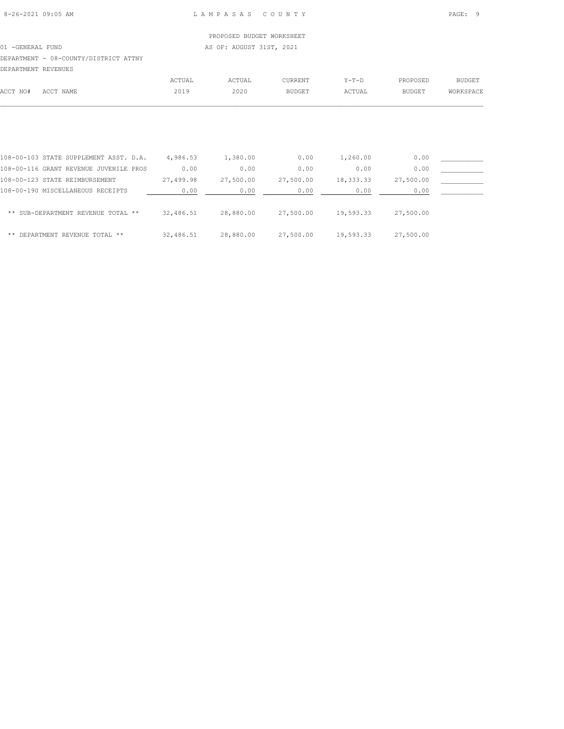## PROPOSED BUDGET WORKSHEET 01 -GENERAL FUND AS OF: AUGUST 31ST, 2021 DEPARTMENT - 08-COUNTY/DISTRICT ATTNY DEPARTMENT REVENUES

| ACCT NO# | ACCT NAME                              | ACTUAL<br>2019 | ACTUAL<br>2020 | <b>CURRENT</b><br><b>BUDGET</b> | $Y-T-D$<br>ACTUAL | PROPOSED<br><b>BUDGET</b> | <b>BUDGET</b><br>WORKSPACE |
|----------|----------------------------------------|----------------|----------------|---------------------------------|-------------------|---------------------------|----------------------------|
|          |                                        |                |                |                                 |                   |                           |                            |
|          | 108-00-103 STATE SUPPLEMENT ASST. D.A. | 4,986.53       | 1,380.00       | 0.00                            | 1,260.00          | 0.00                      |                            |
|          | 108-00-116 GRANT REVENUE JUVENILE PROS | 0.00           | 0.00           | 0.00                            | 0.00              | 0.00                      |                            |

| 108-00-123 STATE REIMBURSEMENT     | 27,499.98 | 27,500.00 | 27,500.00 | 18,333.33 | 27,500.00 |  |
|------------------------------------|-----------|-----------|-----------|-----------|-----------|--|
| 108-00-190 MISCELLANEOUS RECEIPTS  | 0.00      | 0.00      | 0.00      | 0.00      | 0.00      |  |
| ** SUB-DEPARTMENT REVENUE TOTAL ** | 32,486.51 | 28,880.00 | 27,500.00 | 19,593.33 | 27,500.00 |  |
| ** DEPARTMENT REVENUE TOTAL **     | 32,486.51 | 28,880.00 | 27,500.00 | 19,593.33 | 27,500.00 |  |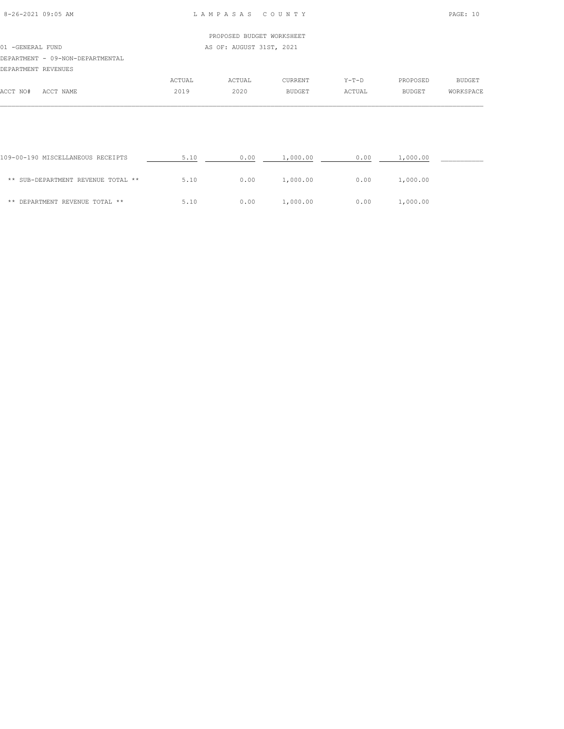| 8-26-2021 09:05 AM |  |
|--------------------|--|

8-26-2021 09:05 AM L A M P A S A S C O U N T Y PAGE: 10

|                     |                                  |        | PROPOSED BUDGET WORKSHEET |               |         |               |           |
|---------------------|----------------------------------|--------|---------------------------|---------------|---------|---------------|-----------|
| 01 -GENERAL FUND    |                                  |        | AS OF: AUGUST 31ST, 2021  |               |         |               |           |
|                     | DEPARTMENT - 09-NON-DEPARTMENTAL |        |                           |               |         |               |           |
| DEPARTMENT REVENUES |                                  |        |                           |               |         |               |           |
|                     |                                  | ACTUAL | ACTUAL                    | CURRENT       | $Y-T-D$ | PROPOSED      | BUDGET    |
| ACCT NO#            | ACCT NAME                        | 2019   | 2020                      | <b>BUDGET</b> | ACTUAL  | <b>BUDGET</b> | WORKSPACE |
|                     |                                  |        |                           |               |         |               |           |

| 109-00-190 MISCELLANEOUS RECEIPTS  | 5.10 | 0.00 | 1,000.00 | 0.00 | 1,000.00 |  |
|------------------------------------|------|------|----------|------|----------|--|
| ** SUB-DEPARTMENT REVENUE TOTAL ** | 5.10 | 0.00 | 1,000.00 | 0.00 | 1,000.00 |  |
| ** DEPARTMENT REVENUE TOTAL **     | 5.10 | 0.00 | 1,000.00 | 0.00 | 1,000.00 |  |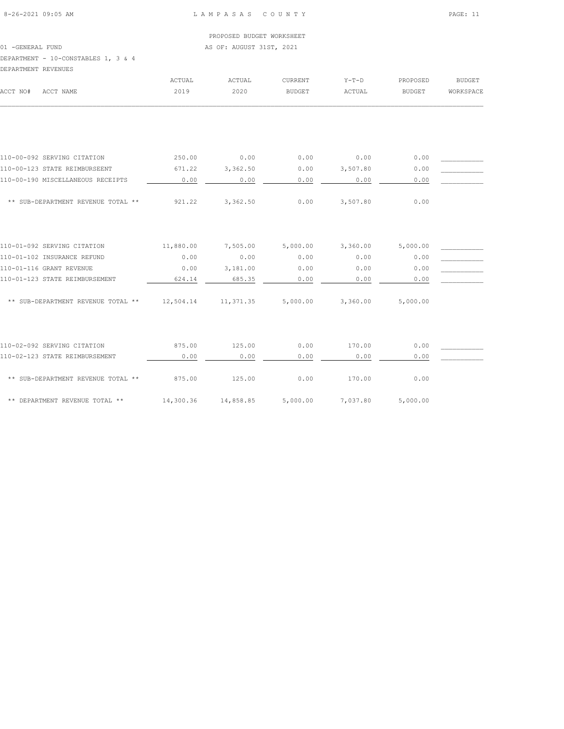|                                     |        | PROPOSED BUDGET WORKSHEET |         |         |          |               |
|-------------------------------------|--------|---------------------------|---------|---------|----------|---------------|
| 01 - GENERAL FUND                   |        | AS OF: AUGUST 31ST, 2021  |         |         |          |               |
| DEPARTMENT - 10-CONSTABLES 1, 3 & 4 |        |                           |         |         |          |               |
| DEPARTMENT REVENUES                 |        |                           |         |         |          |               |
|                                     | ACTUAL | ACTUAL                    | CURRENT | $Y-T-D$ | PROPOSED | <b>BUDGET</b> |

| ACCT NO#<br>ACCT NAME              | 2019      | 2020                           | <b>BUDGET</b> | ACTUAL   | <b>BUDGET</b> | WORKSPACE |
|------------------------------------|-----------|--------------------------------|---------------|----------|---------------|-----------|
|                                    |           |                                |               |          |               |           |
|                                    |           |                                |               |          |               |           |
| 110-00-092 SERVING CITATION        | 250.00    | 0.00                           | 0.00          | 0.00     | 0.00          |           |
| 110-00-123 STATE REIMBURSEENT      | 671.22    | 3,362.50                       | 0.00          | 3,507.80 | 0.00          |           |
| 110-00-190 MISCELLANEOUS RECEIPTS  | 0.00      | 0.00                           | 0.00          | 0.00     | 0.00          |           |
| ** SUB-DEPARTMENT REVENUE TOTAL ** | 921.22    | 3,362.50                       | 0.00          | 3,507.80 | 0.00          |           |
| 110-01-092 SERVING CITATION        | 11,880.00 | 7,505.00                       | 5,000.00      | 3,360.00 | 5,000.00      |           |
| 110-01-102 INSURANCE REFUND        | 0.00      | 0.00                           | 0.00          | 0.00     | 0.00          |           |
| 110-01-116 GRANT REVENUE           | 0.00      | 3,181.00                       | 0.00          | 0.00     | 0.00          |           |
| 110-01-123 STATE REIMBURSEMENT     | 624.14    | 685.35                         | 0.00          | 0.00     | 0.00          |           |
| ** SUB-DEPARTMENT REVENUE TOTAL ** |           | 12,504.14  11,371.35  5,000.00 |               | 3,360.00 | 5,000.00      |           |
|                                    |           |                                |               |          |               |           |
| 110-02-092 SERVING CITATION        | 875.00    | 125.00                         | 0.00          | 170.00   | 0.00          |           |
| 110-02-123 STATE REIMBURSEMENT     | 0.00      | 0.00                           | 0.00          | 0.00     | 0.00          |           |
| ** SUB-DEPARTMENT REVENUE TOTAL ** | 875.00    | 125.00                         | 0.00          | 170.00   | 0.00          |           |
| ** DEPARTMENT REVENUE TOTAL **     | 14,300.36 | 14,858.85                      | 5,000.00      | 7,037.80 | 5,000.00      |           |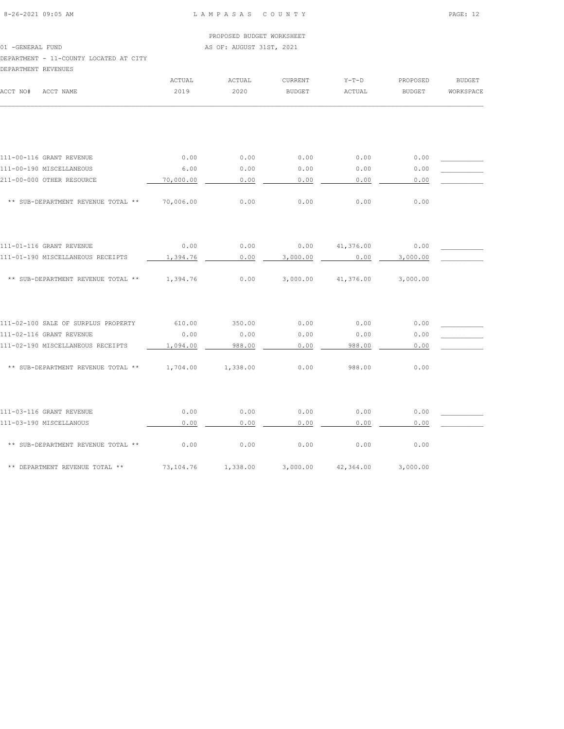PROPOSED BUDGET WORKSHEET 01 -GENERAL FUND **AS OF: AUGUST 31ST, 2021** DEPARTMENT - 11-COUNTY LOCATED AT CITY DEPARTMENT REVENUES ACTUAL ACTUAL CURRENT Y-T-D PROPOSED BUDGET

|                                             | ACTUAL    | ACTUAL   | <b>CURRENT</b> | メーエーレ     | <b><i>PROPOSED</i></b> | <b>RODGET</b> |
|---------------------------------------------|-----------|----------|----------------|-----------|------------------------|---------------|
| ACCT NO#<br>ACCT NAME                       | 2019      | 2020     | <b>BUDGET</b>  | ACTUAL    | BUDGET                 | WORKSPACE     |
|                                             |           |          |                |           |                        |               |
|                                             |           |          |                |           |                        |               |
| 111-00-116 GRANT REVENUE                    | 0.00      | 0.00     | 0.00           | 0.00      | 0.00                   |               |
| 111-00-190 MISCELLANEOUS                    | 6.00      | 0.00     | 0.00           | 0.00      | 0.00                   |               |
| 211-00-000 OTHER RESOURCE                   | 70,000.00 | 0.00     | 0.00           | 0.00      | 0.00                   |               |
| ** SUB-DEPARTMENT REVENUE TOTAL **          | 70,006.00 | 0.00     | 0.00           | 0.00      | 0.00                   |               |
|                                             |           |          |                |           |                        |               |
| 111-01-116 GRANT REVENUE                    | 0.00      | 0.00     | 0.00           | 41,376.00 | 0.00                   |               |
| 111-01-190 MISCELLANEOUS RECEIPTS           | 1,394.76  | 0.00     | 3,000.00       | 0.00      | 3,000.00               |               |
| ** SUB-DEPARTMENT REVENUE TOTAL ** 1,394.76 |           | 0.00     | 3,000.00       | 41,376.00 | 3,000.00               |               |
| 111-02-100 SALE OF SURPLUS PROPERTY         | 610.00    | 350.00   | 0.00           | 0.00      | 0.00                   |               |
| 111-02-116 GRANT REVENUE                    | 0.00      | 0.00     | 0.00           | 0.00      | 0.00                   |               |
| 111-02-190 MISCELLANEOUS RECEIPTS           | 1,094.00  | 988.00   | 0.00           | 988.00    | 0.00                   |               |
| ** SUB-DEPARTMENT REVENUE TOTAL **          | 1,704.00  | 1,338.00 | 0.00           | 988.00    | 0.00                   |               |
| 111-03-116 GRANT REVENUE                    | 0.00      | 0.00     | 0.00           | 0.00      | 0.00                   |               |
| 111-03-190 MISCELLANOUS                     | 0.00      | 0.00     | 0.00           | 0.00      | 0.00                   |               |
| ** SUB-DEPARTMENT REVENUE TOTAL **          | 0.00      | 0.00     | 0.00           | 0.00      | 0.00                   |               |
| ** DEPARTMENT REVENUE TOTAL **              | 73,104.76 | 1,338.00 | 3,000.00       | 42,364.00 | 3,000.00               |               |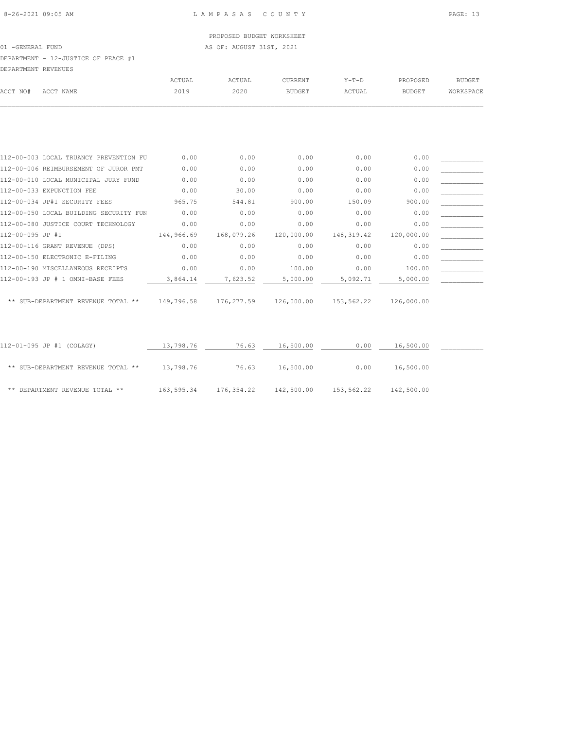PROPOSED BUDGET WORKSHEET 01 -GENERAL FUND AS OF: AUGUST 31ST, 2021

DEPARTMENT - 12-JUSTICE OF PEACE #1

DEPARTMENT REVENUES

| DEPARTMENT REVENUES |           |        |        |                |         |          |           |
|---------------------|-----------|--------|--------|----------------|---------|----------|-----------|
|                     |           | ACTUAL | ACTUAL | <b>CURRENT</b> | $Y-T-D$ | PROPOSED | BUDGET    |
| ACCT NO#            | ACCT NAME | 2019   | 2020   | BUDGET         | ACTUAL  | BUDGET   | WORKSPACE |
|                     |           |        |        |                |         |          |           |

|                  | 112-00-003 LOCAL TRUANCY PREVENTION FU | 0.00       | 0.00       | 0.00       | 0.00       | 0.00       |  |
|------------------|----------------------------------------|------------|------------|------------|------------|------------|--|
|                  | 112-00-006 REIMBURSEMENT OF JUROR PMT  | 0.00       | 0.00       | 0.00       | 0.00       | 0.00       |  |
|                  | 112-00-010 LOCAL MUNICIPAL JURY FUND   | 0.00       | 0.00       | 0.00       | 0.00       | 0.00       |  |
|                  | 112-00-033 EXPUNCTION FEE              | 0.00       | 30.00      | 0.00       | 0.00       | 0.00       |  |
|                  | 112-00-034 JP#1 SECURITY FEES          | 965.75     | 544.81     | 900.00     | 150.09     | 900.00     |  |
|                  | 112-00-050 LOCAL BUILDING SECURITY FUN | 0.00       | 0.00       | 0.00       | 0.00       | 0.00       |  |
|                  | 112-00-080 JUSTICE COURT TECHNOLOGY    | 0.00       | 0.00       | 0.00       | 0.00       | 0.00       |  |
| 112-00-095 JP #1 |                                        | 144,966.69 | 168,079.26 | 120,000.00 | 148,319.42 | 120,000.00 |  |
|                  | 112-00-116 GRANT REVENUE (DPS)         | 0.00       | 0.00       | 0.00       | 0.00       | 0.00       |  |
|                  | 112-00-150 ELECTRONIC E-FILING         | 0.00       | 0.00       | 0.00       | 0.00       | 0.00       |  |
|                  | 112-00-190 MISCELLANEOUS RECEIPTS      | 0.00       | 0.00       | 100.00     | 0.00       | 100.00     |  |
|                  | 112-00-193 JP # 1 OMNI-BASE FEES       | 3,864.14   | 7,623.52   | 5,000.00   | 5,092.71   | 5,000.00   |  |
|                  |                                        |            |            |            |            |            |  |

\*\* SUB-DEPARTMENT REVENUE TOTAL \*\* 149,796.58 176,277.59 126,000.00 153,562.22 126,000.00

| 112-01-095 JP #1 (COLAGY)          | 13,798.76  | 76.63      | 16,500.00  | 0.00       | 16,500.00  |  |
|------------------------------------|------------|------------|------------|------------|------------|--|
| ** SUB-DEPARTMENT REVENUE TOTAL ** | 13,798.76  | 76.63      | 16,500.00  | 0.00       | 16,500.00  |  |
| ** DEPARTMENT REVENUE TOTAL **     | 163,595.34 | 176,354.22 | 142,500.00 | 153,562.22 | 142,500.00 |  |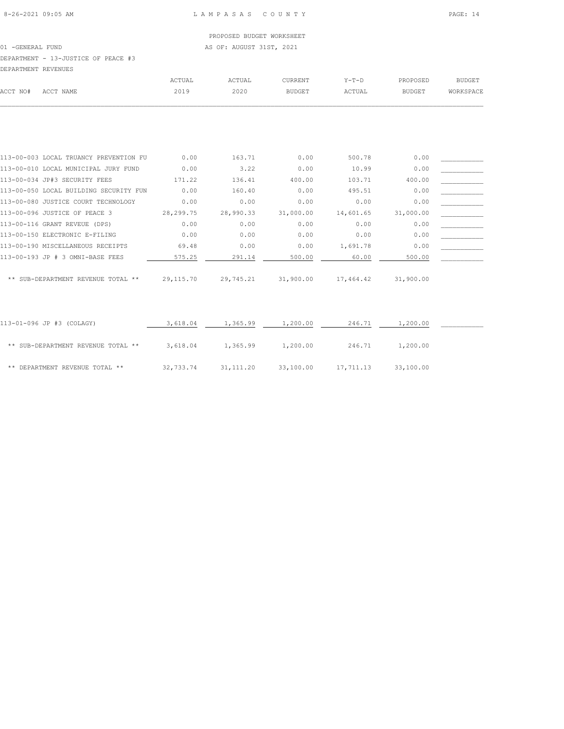PROPOSED BUDGET WORKSHEET 01 -GENERAL FUND AS OF: AUGUST 31ST, 2021 DEPARTMENT - 13-JUSTICE OF PEACE #3

DEPARTMENT REVENUES

| DEFARIMENI REVENUES |                                        |                      |           |                      |               |               |           |
|---------------------|----------------------------------------|----------------------|-----------|----------------------|---------------|---------------|-----------|
|                     |                                        | ACTUAL               | ACTUAL    | CURRENT              | $Y-T-D$       | PROPOSED      | BUDGET    |
| ACCT NO#            | ACCT NAME                              | 2019                 | 2020      | <b>BUDGET</b>        | ACTUAL        | BUDGET        | WORKSPACE |
|                     |                                        |                      |           |                      |               |               |           |
|                     |                                        |                      |           |                      |               |               |           |
|                     |                                        |                      |           |                      |               |               |           |
|                     | 113-00-003 LOCAL TRUANCY PREVENTION FU | 0.00                 | 163.71    | 0.00                 | 500.78        | 0.00          |           |
|                     | 113-00-010 LOCAL MUNICIPAL JURY FUND   | 0.00                 | 3.22      | 0.00                 | 10.99         | 0.00          |           |
|                     | 113-00-034 JP#3 SECURITY FEES          | 171.22               | 136.41    | 400.00               | 103.71        | 400.00        |           |
|                     | 113-00-050 LOCAL BUILDING SECURITY FUN | 0.00                 | 160.40    | 0.00                 | 495.51        | 0.00          |           |
|                     | 113-00-080 JUSTICE COURT TECHNOLOGY    | 0.00                 | 0.00      | 0.00                 | 0.00          | 0.00          |           |
|                     | 113-00-096 JUSTICE OF PEACE 3          | 28,299.75            | 28,990.33 | 31,000.00            | 14,601.65     | 31,000.00     |           |
|                     |                                        | $\sim$ $\sim$ $\sim$ | $\sim$ 00 | $\sim$ $\sim$ $\sim$ | $\sim$ $\sim$ | $\sim$ $\sim$ |           |

| 113-00-096 JUSTICE OF PEACE 3      | 28,299.75 | 28,990.33 | 31,000.00 | 14,601.65 | 31,000.00 |  |
|------------------------------------|-----------|-----------|-----------|-----------|-----------|--|
| 113-00-116 GRANT REVEUE (DPS)      | 0.00      | 0.00      | 0.00      | 0.00      | 0.00      |  |
| 113-00-150 ELECTRONIC E-FILING     | 0.00      | 0.00      | 0.00      | 0.00      | 0.00      |  |
| 113-00-190 MISCELLANEOUS RECEIPTS  | 69.48     | 0.00      | 0.00      | 1,691.78  | 0.00      |  |
| 113-00-193 JP # 3 OMNI-BASE FEES   | 575.25    | 291.14    | 500.00    | 60.00     | 500.00    |  |
| ** SUB-DEPARTMENT REVENUE TOTAL ** | 29,115.70 | 29,745.21 | 31,900.00 | 17,464.42 | 31,900.00 |  |
|                                    |           |           |           |           |           |  |

| 113-01-096 JP #3 (COLAGY)          | 3,618.04  | 1,365.99  | 1,200.00  | 246.71    | 1,200.00  |  |
|------------------------------------|-----------|-----------|-----------|-----------|-----------|--|
| ** SUB-DEPARTMENT REVENUE TOTAL ** | 3,618.04  | 1,365.99  | 1,200.00  | 246.71    | 1,200.00  |  |
| ** DEPARTMENT REVENUE TOTAL **     | 32,733.74 | 31,111.20 | 33,100.00 | 17,711.13 | 33,100.00 |  |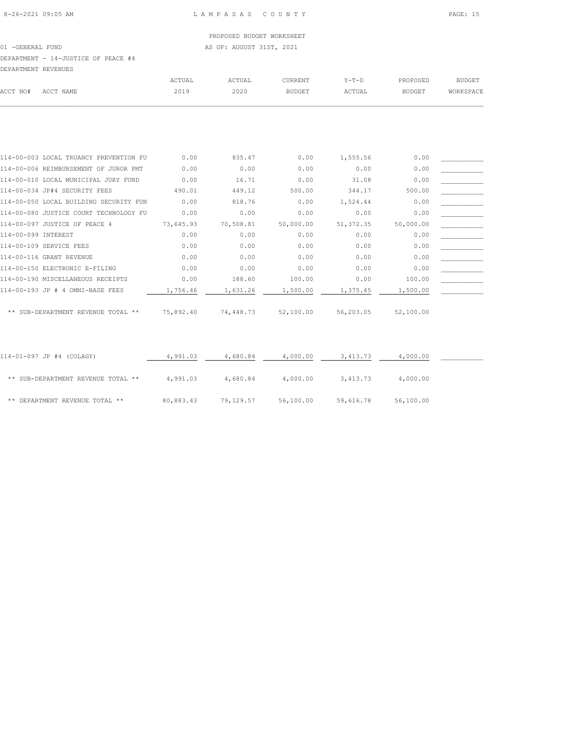01 -GENERAL FUND AS OF: AUGUST 31ST, 2021

DEPARTMENT - 14-JUSTICE OF PEACE #4

| DEPARTMENT REVENUES |           |        |        |                |         |          |           |
|---------------------|-----------|--------|--------|----------------|---------|----------|-----------|
|                     |           | ACTUAL | ACTUAL | <b>CURRENT</b> | $Y-T-D$ | PROPOSED | BUDGET    |
| ACCT NO#            | ACCT NAME | 2019   | 2020   | BUDGET         | ACTUAL  | BUDGET   | WORKSPACE |
|                     |           |        |        |                |         |          |           |

| 114-00-003 LOCAL TRUANCY PREVENTION FU | 0.00      | 835.47    | 0.00      | 1,555.56   | 0.00      |  |
|----------------------------------------|-----------|-----------|-----------|------------|-----------|--|
| 114-00-006 REIMBURSEMENT OF JUROR PMT  | 0.00      | 0.00      | 0.00      | 0.00       | 0.00      |  |
| 114-00-010 LOCAL MUNICIPAL JURY FUND   | 0.00      | 16.71     | 0.00      | 31.08      | 0.00      |  |
| 114-00-034 JP#4 SECURITY FEES          | 490.01    | 449.12    | 500.00    | 344.17     | 500.00    |  |
| 114-00-050 LOCAL BUILDING SECURITY FUN | 0.00      | 818.76    | 0.00      | 1,524.44   | 0.00      |  |
| 114-00-080 JUSTICE COURT TECHNOLOGY FU | 0.00      | 0.00      | 0.00      | 0.00       | 0.00      |  |
| 114-00-097 JUSTICE OF PEACE 4          | 73,645.93 | 70,508.81 | 50,000.00 | 51, 372.35 | 50,000.00 |  |
| 114-00-099 INTEREST                    | 0.00      | 0.00      | 0.00      | 0.00       | 0.00      |  |
| 114-00-109 SERVICE FEES                | 0.00      | 0.00      | 0.00      | 0.00       | 0.00      |  |
| 114-00-116 GRANT REVENUE               | 0.00      | 0.00      | 0.00      | 0.00       | 0.00      |  |
| 114-00-150 ELECTRONIC E-FILING         | 0.00      | 0.00      | 0.00      | 0.00       | 0.00      |  |
| 114-00-190 MISCELLANEOUS RECEIPTS      | 0.00      | 188.60    | 100.00    | 0.00       | 100.00    |  |
| 114-00-193 JP # 4 OMNI-BASE FEES       | 1,756.46  | 1,631.26  | 1,500.00  | 1,375.45   | 1,500.00  |  |
|                                        |           |           |           |            |           |  |
| ** SUB-DEPARTMENT REVENUE TOTAL **     | 75,892.40 | 74,448.73 | 52,100.00 | 56,203.05  | 52,100.00 |  |

| 114-01-097 JP #4 (COLAGY)          | 4,991.03  | 4,680.84  | 4,000.00  | 3,413.73  | 4,000.00  |  |
|------------------------------------|-----------|-----------|-----------|-----------|-----------|--|
| ** SUB-DEPARTMENT REVENUE TOTAL ** | 4,991.03  | 4,680.84  | 4,000.00  | 3,413.73  | 4,000.00  |  |
| ** DEPARTMENT REVENUE TOTAL **     | 80,883.43 | 79,129.57 | 56,100.00 | 59,616.78 | 56,100.00 |  |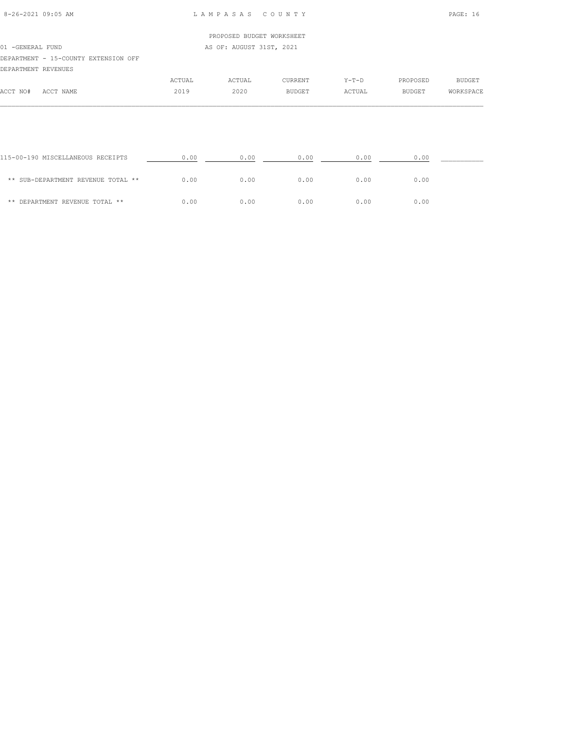|                     |                                               |        | PROPOSED BUDGET WORKSHEET |               |         |          |           |  |  |  |
|---------------------|-----------------------------------------------|--------|---------------------------|---------------|---------|----------|-----------|--|--|--|
|                     | AS OF: AUGUST 31ST, 2021<br>01 - GENERAL FUND |        |                           |               |         |          |           |  |  |  |
|                     | DEPARTMENT - 15-COUNTY EXTENSION OFF          |        |                           |               |         |          |           |  |  |  |
| DEPARTMENT REVENUES |                                               |        |                           |               |         |          |           |  |  |  |
|                     |                                               | ACTUAL | ACTUAL                    | CURRENT       | $Y-T-D$ | PROPOSED | BUDGET    |  |  |  |
| ACCT NO#            | ACCT NAME                                     | 2019   | 2020                      | <b>BUDGET</b> | ACTUAL  | BUDGET   | WORKSPACE |  |  |  |

| 115-00-190 MISCELLANEOUS RECEIPTS  | 0.00 | 0.00 | 0.00 | 0.00 | 0.00 |  |
|------------------------------------|------|------|------|------|------|--|
| ** SUB-DEPARTMENT REVENUE TOTAL ** | 0.00 | 0.00 | 0.00 | 0.00 | 0.00 |  |
| ** DEPARTMENT REVENUE TOTAL **     | 0.00 | 0.00 | 0.00 | 0.00 | 0.00 |  |

 $\mathcal{L} = \{ \mathcal{L} = \{ \mathcal{L} = \{ \mathcal{L} = \{ \mathcal{L} = \{ \mathcal{L} = \{ \mathcal{L} = \{ \mathcal{L} = \{ \mathcal{L} = \{ \mathcal{L} = \{ \mathcal{L} = \{ \mathcal{L} = \{ \mathcal{L} = \{ \mathcal{L} = \{ \mathcal{L} = \{ \mathcal{L} = \{ \mathcal{L} = \{ \mathcal{L} = \{ \mathcal{L} = \{ \mathcal{L} = \{ \mathcal{L} = \{ \mathcal{L} = \{ \mathcal{L} = \{ \mathcal{L} = \{ \mathcal{$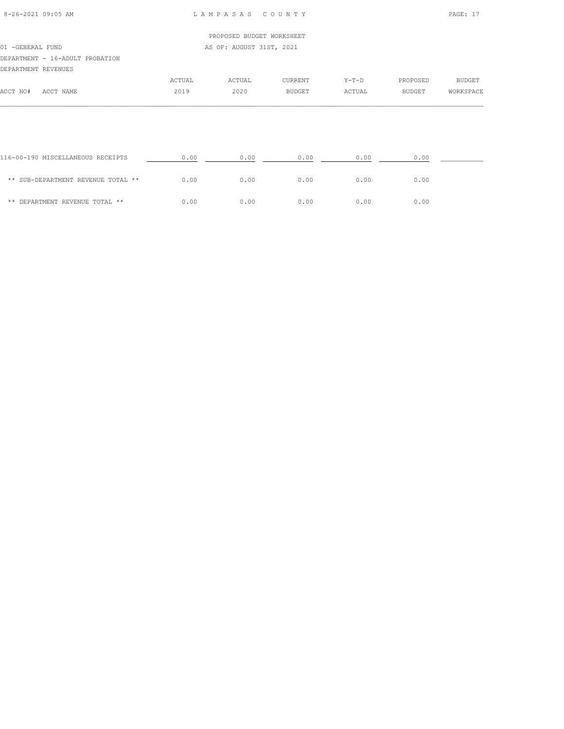| 8-26-2021 09:05 AM |  |
|--------------------|--|

## 8-26-2021 09:05 AM L A M P A S A S C O U N T Y PAGE: 17

|                                 |        | PROPOSED BUDGET WORKSHEET |                |         |               |           |
|---------------------------------|--------|---------------------------|----------------|---------|---------------|-----------|
| 01 - GENERAL FUND               |        | AS OF: AUGUST 31ST, 2021  |                |         |               |           |
| DEPARTMENT - 16-ADULT PROBATION |        |                           |                |         |               |           |
| DEPARTMENT REVENUES             |        |                           |                |         |               |           |
|                                 | ACTUAL | ACTUAL                    | <b>CURRENT</b> | $Y-T-D$ | PROPOSED      | BUDGET    |
| ACCT NO#<br>ACCT NAME           | 2019   | 2020                      | <b>BUDGET</b>  | ACTUAL  | <b>BUDGET</b> | WORKSPACE |
|                                 |        |                           |                |         |               |           |

| 116-00-190 MISCELLANEOUS RECEIPTS  | 0.00 | 0.00 | 0.00 | 0.00 | 0.00 |
|------------------------------------|------|------|------|------|------|
| ** SUB-DEPARTMENT REVENUE TOTAL ** | 0.00 | 0.00 | 0.00 | 0.00 | 0.00 |
| ** DEPARTMENT REVENUE TOTAL **     | 0.00 | 0.00 | 0.00 | 0.00 | 0.00 |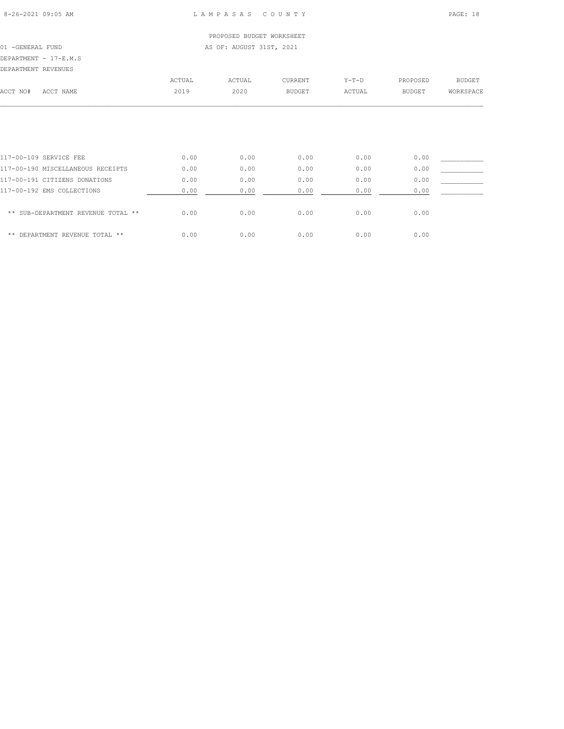PROPOSED BUDGET WORKSHEET 01 -GENERAL FUND AS OF: AUGUST 31ST, 2021

DEPARTMENT - 17-E.M.S

| DEPARTMENT REVENUES    |        |        |               |         |          |           |
|------------------------|--------|--------|---------------|---------|----------|-----------|
|                        | ACTUAL | ACTUAL | CURRENT       | $Y-T-D$ | PROPOSED | BUDGET    |
| ACCT NAME              | 2019   | 2020   | <b>BUDGET</b> | ACTUAL  | BUDGET   | WORKSPACE |
|                        |        |        |               |         |          |           |
|                        |        |        |               |         |          |           |
|                        |        |        |               |         |          |           |
|                        |        |        |               |         |          |           |
| 117-00-109 SERVICE FEE | 0.00   | 0.00   | 0.00          | 0.00    | 0.00     |           |
|                        |        |        |               |         |          |           |

| 117-00-190 MISCELLANEOUS RECEIPTS  | 0.00 | 0.00 | 0.00 | 0.00 | 0.00 |  |
|------------------------------------|------|------|------|------|------|--|
| 117-00-191 CITIZENS DONATIONS      | 0.00 | 0.00 | 0.00 | 0.00 | 0.00 |  |
| 117-00-192 EMS COLLECTIONS         | 0.00 | 0.00 | 0.00 | 0.00 | 0.00 |  |
|                                    |      |      |      |      |      |  |
| ** SUB-DEPARTMENT REVENUE TOTAL ** | 0.00 | 0.00 | 0.00 | 0.00 | 0.00 |  |
|                                    |      |      |      |      |      |  |
| ** DEPARTMENT REVENUE TOTAL **     | 0.00 | 0.00 | 0.00 | 0.00 | 0.00 |  |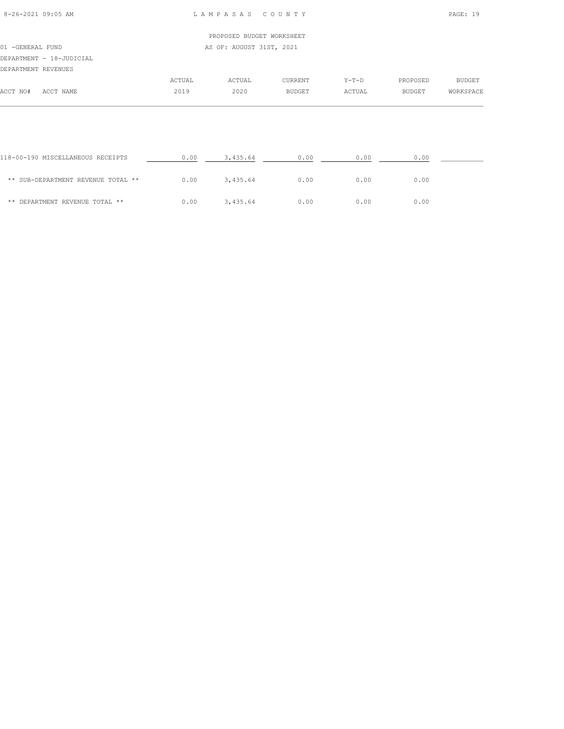| 8-26-2021 09:05 AM |  |
|--------------------|--|

## 8-26-2021 09:05 AM L A M P A S A S C O U N T Y PAGE: 19

|                   |                          |        | PROPOSED BUDGET WORKSHEET |         |         |               |           |
|-------------------|--------------------------|--------|---------------------------|---------|---------|---------------|-----------|
| 01 - GENERAL FUND |                          |        | AS OF: AUGUST 31ST, 2021  |         |         |               |           |
|                   | DEPARTMENT - 18-JUDICIAL |        |                           |         |         |               |           |
|                   | DEPARTMENT REVENUES      |        |                           |         |         |               |           |
|                   |                          | ACTUAL | ACTUAL                    | CURRENT | $Y-T-D$ | PROPOSED      | BUDGET    |
| ACCT NO#          | ACCT NAME                | 2019   | 2020                      | BUDGET  | ACTUAL  | <b>BUDGET</b> | WORKSPACE |
|                   |                          |        |                           |         |         |               |           |

| 118-00-190 MISCELLANEOUS RECEIPTS  | 0.00 | 3,435.64 | 0.00 | 0.00 | 0.00 |  |
|------------------------------------|------|----------|------|------|------|--|
| ** SUB-DEPARTMENT REVENUE TOTAL ** | 0.00 | 3,435.64 | 0.00 | 0.00 | 0.00 |  |
| ** DEPARTMENT REVENUE TOTAL **     | 0.00 | 3.435.64 | 0.00 | 0.00 | 0.00 |  |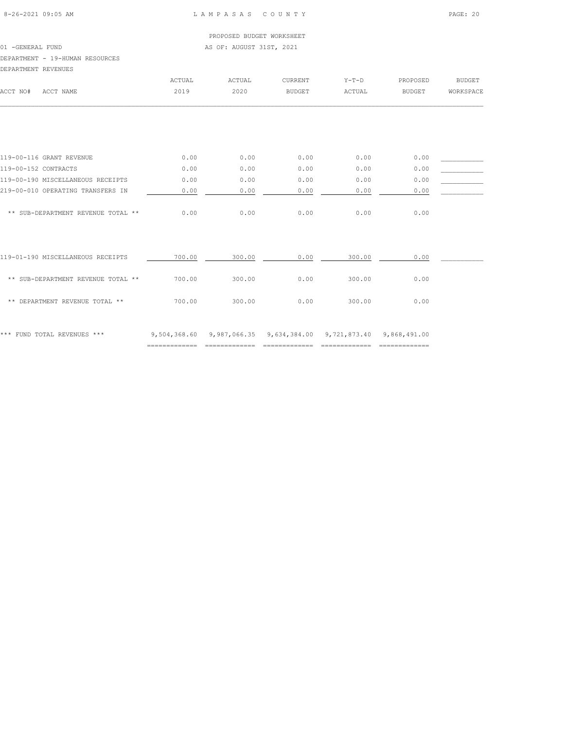01 -GENERAL FUND AS OF: AUGUST 31ST, 2021

### DEPARTMENT - 19-HUMAN RESOURCES

DEPARTMENT REVENUES

| DEPARTMENT REVENUES                |        |                                                                  |               |         |               |               |
|------------------------------------|--------|------------------------------------------------------------------|---------------|---------|---------------|---------------|
|                                    | ACTUAL | ACTUAL                                                           | CURRENT       | $Y-T-D$ | PROPOSED      | <b>BUDGET</b> |
| ACCT NAME<br>ACCT NO#              | 2019   | 2020                                                             | <b>BUDGET</b> | ACTUAL  | <b>BUDGET</b> | WORKSPACE     |
|                                    |        |                                                                  |               |         |               |               |
| 119-00-116 GRANT REVENUE           | 0.00   | 0.00                                                             | 0.00          | 0.00    | 0.00          |               |
| 119-00-152 CONTRACTS               | 0.00   | 0.00                                                             | 0.00          | 0.00    | 0.00          |               |
| 119-00-190 MISCELLANEOUS RECEIPTS  | 0.00   | 0.00                                                             | 0.00          | 0.00    | 0.00          |               |
| 219-00-010 OPERATING TRANSFERS IN  | 0.00   | 0.00                                                             | 0.00          | 0.00    | 0.00          |               |
| ** SUB-DEPARTMENT REVENUE TOTAL ** | 0.00   | 0.00                                                             | 0.00          | 0.00    | 0.00          |               |
| 119-01-190 MISCELLANEOUS RECEIPTS  | 700.00 | 300.00                                                           | 0.00          | 300.00  | 0.00          |               |
| ** SUB-DEPARTMENT REVENUE TOTAL ** | 700.00 | 300.00                                                           | 0.00          | 300.00  | 0.00          |               |
| ** DEPARTMENT REVENUE TOTAL **     | 700.00 | 300.00                                                           | 0.00          | 300.00  | 0.00          |               |
| *** FUND TOTAL REVENUES ***        |        | 9,504,368.60 9,987,066.35 9,634,384.00 9,721,873.40 9,868,491.00 |               |         |               |               |

============= ============= ============= ============= =============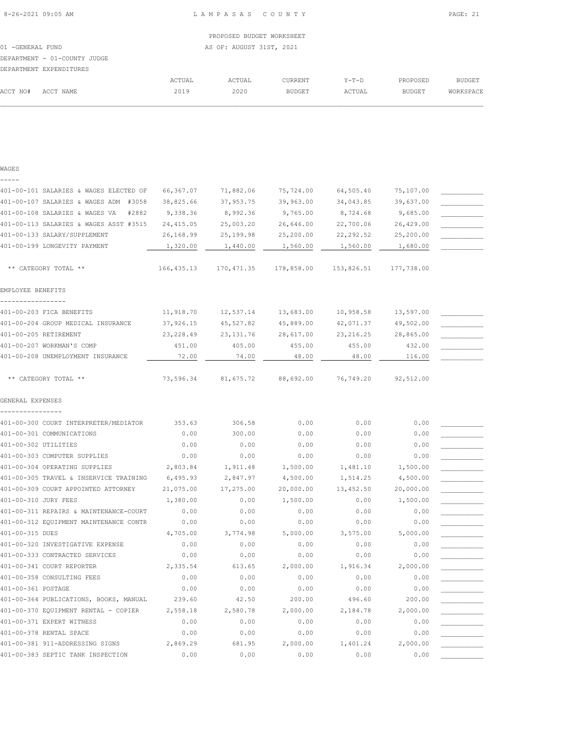ACCT NO# ACCT NAME 2019 2020 BUDGET ACTUAL BUDGET WORKSPACE  $\mathcal{L} = \{ \mathcal{L} = \{ \mathcal{L} = \{ \mathcal{L} = \{ \mathcal{L} = \{ \mathcal{L} = \{ \mathcal{L} = \{ \mathcal{L} = \{ \mathcal{L} = \{ \mathcal{L} = \{ \mathcal{L} = \{ \mathcal{L} = \{ \mathcal{L} = \{ \mathcal{L} = \{ \mathcal{L} = \{ \mathcal{L} = \{ \mathcal{L} = \{ \mathcal{L} = \{ \mathcal{L} = \{ \mathcal{L} = \{ \mathcal{L} = \{ \mathcal{L} = \{ \mathcal{L} = \{ \mathcal{L} = \{ \mathcal{$ 

| WAGES                                   |            |            |            |            |            |  |
|-----------------------------------------|------------|------------|------------|------------|------------|--|
|                                         |            |            |            |            |            |  |
| 401-00-101 SALARIES & WAGES ELECTED OF  | 66,367.07  | 71,882.06  | 75,724.00  | 64,505.40  | 75,107.00  |  |
| 401-00-107 SALARIES & WAGES ADM #3058   | 38,825.66  | 37,953.75  | 39,963.00  | 34,043.85  | 39,637.00  |  |
| 401-00-108 SALARIES & WAGES VA<br>#2882 | 9,338.36   | 8,992.36   | 9,765.00   | 8,724.68   | 9,685.00   |  |
| 401-00-113 SALARIES & WAGES ASST #3515  | 24,415.05  | 25,003.20  | 26,646.00  | 22,700.06  | 26,429.00  |  |
| 401-00-133 SALARY/SUPPLEMENT            | 26,168.99  | 25,199.98  | 25,200.00  | 22, 292.52 | 25,200.00  |  |
| 401-00-199 LONGEVITY PAYMENT            | 1,320.00   | 1,440.00   | 1,560.00   | 1,560.00   | 1,680.00   |  |
| ** CATEGORY TOTAL **                    | 166,435.13 | 170,471.35 | 178,858.00 | 153,826.51 | 177,738.00 |  |
| EMPLOYEE BENEFITS                       |            |            |            |            |            |  |
| 401-00-203 FICA BENEFITS                | 11,918.70  | 12,537.14  | 13,683.00  | 10,958.58  | 13,597.00  |  |
| 401-00-204 GROUP MEDICAL INSURANCE      | 37,926.15  | 45,527.82  | 45,889.00  | 42,071.37  | 49,502.00  |  |
| 401-00-205 RETIREMENT                   | 23, 228.49 | 23, 131.76 | 28,617.00  | 23, 216.25 | 28,865.00  |  |
| 401-00-207 WORKMAN'S COMP               | 451.00     | 405.00     | 455.00     | 455.00     | 432.00     |  |
| 401-00-208 UNEMPLOYMENT INSURANCE       | 72.00      | 74.00      | 48.00      | 48.00      | 116.00     |  |
| ** CATEGORY TOTAL **                    | 73,596.34  | 81,675.72  | 88,692.00  | 76,749.20  | 92,512.00  |  |
| GENERAL EXPENSES                        |            |            |            |            |            |  |
|                                         |            |            |            |            |            |  |
| 401-00-300 COURT INTERPRETER/MEDIATOR   | 353.63     | 306.58     | 0.00       | 0.00       | 0.00       |  |
| 401-00-301 COMMUNICATIONS               | 0.00       | 300.00     | 0.00       | 0.00       | 0.00       |  |
| 401-00-302 UTILITIES                    | 0.00       | 0.00       | 0.00       | 0.00       | 0.00       |  |
| 401-00-303 COMPUTER SUPPLIES            | 0.00       | 0.00       | 0.00       | 0.00       | 0.00       |  |
| 401-00-304 OPERATING SUPPLIES           | 2,803.84   | 1,911.48   | 1,500.00   | 1,481.10   | 1,500.00   |  |
| 401-00-305 TRAVEL & INSERVICE TRAINING  | 6,495.93   | 2,847.97   | 4,500.00   | 1,514.25   | 4,500.00   |  |
| 401-00-309 COURT APPOINTED ATTORNEY     | 21,075.00  | 17,275.00  | 20,000.00  | 13,452.50  | 20,000.00  |  |
| 401-00-310 JURY FEES                    | 1,380.00   | 0.00       | 1,500.00   | 0.00       | 1,500.00   |  |
| 401-00-311 REPAIRS & MAINTENANCE-COURT  | 0.00       | 0.00       | 0.00       | 0.00       | 0.00       |  |
| 401-00-312 EQUIPMENT MAINTENANCE CONTR  | 0.00       | 0.00       | 0.00       | 0.00       | 0.00       |  |
| 401-00-315 DUES                         | 4,705.00   | 3,774.98   | 5,000.00   | 3,575.00   | 5,000.00   |  |
| 401-00-320 INVESTIGATIVE EXPENSE        | 0.00       | 0.00       | 0.00       | 0.00       | 0.00       |  |
| 401-00-333 CONTRACTED SERVICES          | 0.00       | 0.00       | 0.00       | 0.00       | 0.00       |  |
| 401-00-341 COURT REPORTER               | 2,335.54   | 613.65     | 2,000.00   | 1,916.34   | 2,000.00   |  |
| 401-00-358 CONSULTING FEES              | 0.00       | 0.00       | 0.00       | 0.00       | 0.00       |  |
| 401-00-361 POSTAGE                      | 0.00       | 0.00       | 0.00       | 0.00       | 0.00       |  |
| 401-00-364 PUBLICATIONS, BOOKS, MANUAL  | 239.60     | 42.50      | 200.00     | 496.60     | 200.00     |  |
| 401-00-370 EQUIPMENT RENTAL - COPIER    | 2,558.18   | 2,580.78   | 2,000.00   | 2,184.78   | 2,000.00   |  |
| 401-00-371 EXPERT WITNESS               | 0.00       | 0.00       | 0.00       | 0.00       | 0.00       |  |
| 401-00-378 RENTAL SPACE                 | 0.00       | 0.00       | 0.00       | 0.00       | 0.00       |  |
| 401-00-381 911-ADDRESSING SIGNS         | 2,869.29   | 681.95     | 2,000.00   | 1,401.24   | 2,000.00   |  |
| 401-00-383 SEPTIC TANK INSPECTION       | 0.00       | 0.00       | 0.00       | 0.00       | 0.00       |  |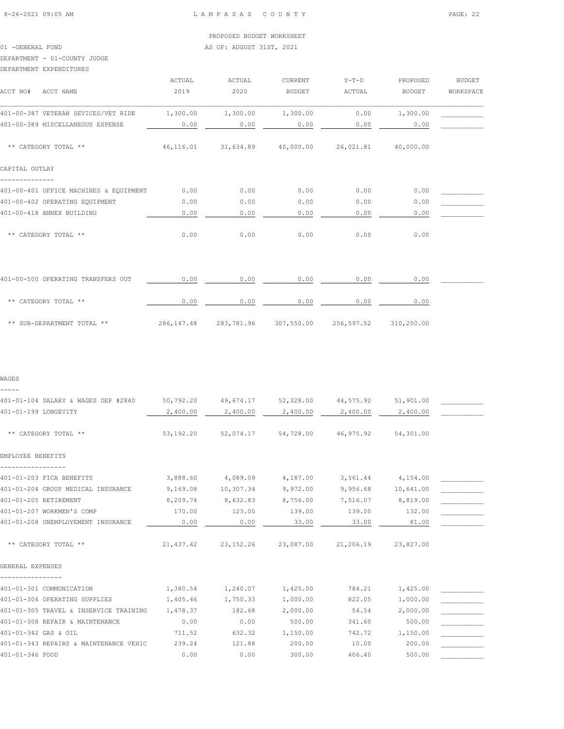## 01 -GENERAL FUND AS OF: AUGUST 31ST, 2021

## DEPARTMENT - 01-COUNTY JUDGE

### DEPARTMENT EXPENDITURES

| ACCT NO#<br>ACCT NAME                  | ACTUAL<br>2019 | <b>ACTUAL</b><br>2020 | <b>CURRENT</b><br><b>BUDGET</b> | $Y-T-D$<br><b>ACTUAL</b> | PROPOSED<br><b>BUDGET</b> | <b>BUDGET</b><br>WORKSPACE |
|----------------------------------------|----------------|-----------------------|---------------------------------|--------------------------|---------------------------|----------------------------|
| 401-00-387 VETERAN SEVICES/VET RIDE    | 1,300.00       | 1,300.00              | 1,300.00                        | 0.00                     | 1,300.00                  |                            |
| 401-00-389 MISCELLANEOUS EXPENSE       | 0.00           | 0.00                  | 0.00                            | 0.00                     | 0.00                      |                            |
| ** CATEGORY TOTAL **                   | 46,116.01      | 31,634.89             | 40,000.00                       | 26,021.81                | 40,000.00                 |                            |
| CAPITAL OUTLAY                         |                |                       |                                 |                          |                           |                            |
| 401-00-401 OFFICE MACHINES & EQUIPMENT | 0.00           | 0.00                  | 0.00                            | 0.00                     | 0.00                      |                            |
| 401-00-402 OPERATING EQUIPMENT         | 0.00           | 0.00                  | 0.00                            | 0.00                     | 0.00                      |                            |
| 401-00-418 ANNEX BUILDING              | 0.00           | 0.00                  | 0.00                            | 0.00                     | 0.00                      |                            |
| ** CATEGORY TOTAL **                   | 0.00           | 0.00                  | 0.00                            | 0.00                     | 0.00                      |                            |
| 401-00-500 OPERATING TRANSFERS OUT     | 0.00           | 0.00                  | 0.00                            | 0.00                     | 0.00                      |                            |

| TAT AA AAA AFEKTITAT TIXIMATENA AAT | .           | .          | .          |            | .          |  |
|-------------------------------------|-------------|------------|------------|------------|------------|--|
| ** CATEGORY TOTAL **                | 0.00        | 0.00       | 0.00       | 0.00       | 0.00       |  |
| ** SUB-DEPARTMENT TOTAL **          | 286, 147.48 | 283,781.96 | 307,550.00 | 256,597.52 | 310,250.00 |  |

#### WAGES

-----

| 401-01-104 SALARY & WAGES DEP #2840    | 50,792.20  | 49,674.17 | 52,328.00                                   | 44,575.92 | 51,901.00          |  |
|----------------------------------------|------------|-----------|---------------------------------------------|-----------|--------------------|--|
| 401-01-199 LONGEVITY                   | 2,400.00   | 2,400.00  | 2,400.00                                    | 2,400.00  | 2,400.00           |  |
|                                        |            |           |                                             |           |                    |  |
| ** CATEGORY TOTAL **                   | 53,192.20  |           | 52,074.17 54,728.00 46,975.92               |           | 54,301.00          |  |
|                                        |            |           |                                             |           |                    |  |
| EMPLOYEE BENEFITS                      |            |           |                                             |           |                    |  |
|                                        |            |           |                                             |           |                    |  |
| 401-01-203 FICA BENEFITS               | 3,888.60   |           | 4,089.09 4,187.00                           |           | 3,561.44 4,154.00  |  |
| 401-01-204 GROUP MEDICAL INSURANCE     | 9,169.08   |           | 10,307.34 9,972.00                          |           | 9,956.68 10,641.00 |  |
| 401-01-205 RETIREMENT                  | 8,209.74   | 8,632.83  | 8,756.00                                    | 7,516.07  | 8,819.00           |  |
| 401-01-207 WORKMEN'S COMP              | 170.00     | 123.00    | 139.00                                      | 139.00    | 132.00             |  |
| 401-01-208 UNEMPLOYEMENT INSURANCE     | 0.00       | 0.00      | 33.00                                       | 33.00     | 81.00              |  |
|                                        |            |           |                                             |           |                    |  |
| ** CATEGORY TOTAL **                   | 21, 437.42 |           | 23, 152.26 23, 087.00 21, 206.19 23, 827.00 |           |                    |  |
|                                        |            |           |                                             |           |                    |  |
| GENERAL EXPENSES                       |            |           |                                             |           |                    |  |
|                                        |            |           |                                             |           |                    |  |
| 401-01-301 COMMUNICATION               | 1,380.54   | 1,240.07  | 1,425.00                                    | 784.21    | 1,425.00           |  |
| 401-01-304 OPERATING SUPPLIES          | 1,405.46   | 1,750.33  | 1,000.00                                    | 822.05    | 1,000.00           |  |
| 401-01-305 TRAVEL & INSERVICE TRAINING | 1,478.37   | 182.68    | 2,000.00                                    | 54.54     | 2,000.00           |  |
| 401-01-308 REPAIR & MAINTENANCE        | 0.00       | 0.00      | 500.00                                      | 341.60    | 500.00             |  |
| 401-01-342 GAS & OIL                   | 711.52     | 632.32    | 1,150.00                                    | 742.72    | 1,150.00           |  |
| 401-01-343 REPAIRS & MAINTENANCE VEHIC | 239.24     | 121.88    | 200.00                                      | 10.00     | 200.00             |  |
| 401-01-346 FOOD                        | 0.00       | 0.00      | 300.00                                      | 406.40    | 500.00             |  |
|                                        |            |           |                                             |           |                    |  |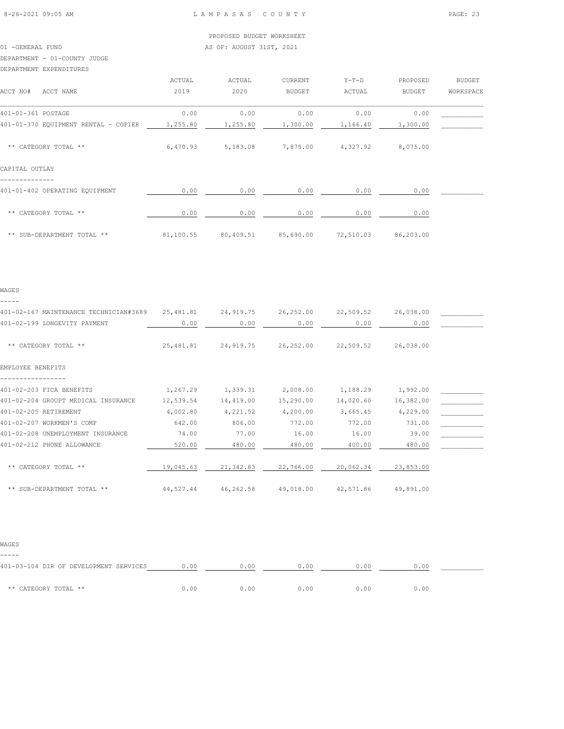## 01 -GENERAL FUND AS OF: AUGUST 31ST, 2021

#### DEPARTMENT - 01-COUNTY JUDGE

#### DEPARTMENT EXPENDITURES

|                                               | ACTUAL    | ACTUAL              | CURRENT       | $Y-T-D$   | PROPOSED  | <b>BUDGET</b> |
|-----------------------------------------------|-----------|---------------------|---------------|-----------|-----------|---------------|
| ACCT NO#<br>ACCT NAME                         | 2019      | 2020                | <b>BUDGET</b> | ACTUAL    | BUDGET    | WORKSPACE     |
|                                               |           |                     |               |           |           |               |
| 401-01-361 POSTAGE                            | 0.00      | 0.00                | 0.00          | 0.00      | 0.00      |               |
| 401-01-370 EQUIPMENT RENTAL - COPIER 1,255.80 |           | 1,255.80            | 1,300.00      | 1,166.40  | 1,300.00  |               |
|                                               |           |                     |               |           |           |               |
| ** CATEGORY TOTAL **                          | 6,470.93  | 5,183.08            | 7,875.00      | 4,327.92  | 8,075.00  |               |
|                                               |           |                     |               |           |           |               |
| CAPITAL OUTLAY                                |           |                     |               |           |           |               |
|                                               |           |                     |               |           |           |               |
| 401-01-402 OPERATING EQUIPMENT                | 0.00      | 0.00                | 0.00          | 0.00      | 0.00      |               |
|                                               |           |                     |               |           |           |               |
| ** CATEGORY TOTAL **                          | 0.00      | 0.00                | 0.00          | 0.00      | 0.00      |               |
|                                               |           |                     |               |           |           |               |
| ** SUB-DEPARTMENT TOTAL **                    | 81,100.55 | 80,409.51 85,690.00 |               | 72,510.03 | 86,203.00 |               |

### WAGES -----

| 401-02-167 MAINTENANCE TECHNICIAN#3689 | 25,481.81 | 24,919.75 | 26,252.00 | 22,509.52 | 26,038.00 |  |
|----------------------------------------|-----------|-----------|-----------|-----------|-----------|--|
| 401-02-199 LONGEVITY PAYMENT           | 0.00      | 0.00      | 0.00      | 0.00      | 0.00      |  |
| ** CATEGORY TOTAL **                   | 25,481.81 | 24,919.75 | 26,252.00 | 22,509.52 | 26,038.00 |  |
| EMPLOYEE BENEFITS                      |           |           |           |           |           |  |
| 401-02-203 FICA BENEFITS               | 1,267.29  | 1,339.31  | 2,008.00  | 1,188.29  | 1,992.00  |  |
| 401-02-204 GROUPT MEDICAL INSURANCE    | 12,539.54 | 14,419.00 | 15,290.00 | 14,020.60 | 16,382.00 |  |
| 401-02-205 RETIREMENT                  | 4,002.80  | 4,221.52  | 4,200.00  | 3,665.45  | 4,229.00  |  |
| 401-02-207 WORKMEN'S COMP              | 642.00    | 806.00    | 772.00    | 772.00    | 731.00    |  |
| 401-02-208 UNEMPLOYMENT INSURANCE      | 74.00     | 77.00     | 16.00     | 16.00     | 39.00     |  |
| 401-02-212 PHONE ALLOWANCE             | 520.00    | 480.00    | 480.00    | 400.00    | 480.00    |  |
| ** CATEGORY TOTAL **                   | 19,045.63 | 21,342.83 | 22,766.00 | 20,062.34 | 23,853.00 |  |
| ** SUB-DEPARTMENT TOTAL **             | 44,527.44 | 46,262.58 | 49,018.00 | 42,571.86 | 49,891.00 |  |

#### WAGES

-----

| 401-03-104 DIR OF DEVELOPMENT SERVICES | 0.00 | 0.00 | 0.00 | 0.00 | 0.00 |  |
|----------------------------------------|------|------|------|------|------|--|
| ** CATEGORY TOTAL **                   | 0.00 | 0.00 | 0.00 | n nn | 0.00 |  |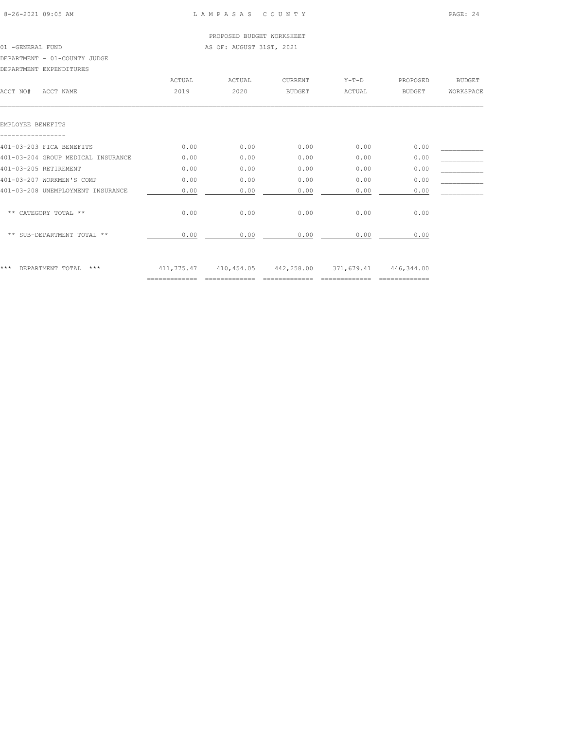PROPOSED BUDGET WORKSHEET 01 -GENERAL FUND AS OF: AUGUST 31ST, 2021

### DEPARTMENT - 01-COUNTY JUDGE

DEPARTMENT EXPENDITURES

|                                    | ACTUAL | ACTUAL                                      | <b>CURRENT</b> | $Y-T-D$ | PROPOSED      | <b>BUDGET</b> |
|------------------------------------|--------|---------------------------------------------|----------------|---------|---------------|---------------|
| ACCT NO#<br>ACCT NAME              | 2019   | 2020                                        | <b>BUDGET</b>  | ACTUAL  | <b>BUDGET</b> | WORKSPACE     |
|                                    |        |                                             |                |         |               |               |
| EMPLOYEE BENEFITS                  |        |                                             |                |         |               |               |
| 401-03-203 FICA BENEFITS           | 0.00   | 0.00                                        | 0.00           | 0.00    | 0.00          |               |
| 401-03-204 GROUP MEDICAL INSURANCE | 0.00   | 0.00                                        | 0.00           | 0.00    | 0.00          |               |
| 401-03-205 RETIREMENT              | 0.00   | 0.00                                        | 0.00           | 0.00    | 0.00          |               |
| 401-03-207 WORKMEN'S COMP          | 0.00   | 0.00                                        | 0.00           | 0.00    | 0.00          |               |
| 401-03-208 UNEMPLOYMENT INSURANCE  | 0.00   | 0.00                                        | 0.00           | 0.00    | 0.00          |               |
| ** CATEGORY TOTAL **               | 0.00   | 0.00                                        | 0.00           | 0.00    | 0.00          |               |
| ** SUB-DEPARTMENT TOTAL **         | 0.00   | 0.00                                        | 0.00           | 0.00    | 0.00          |               |
| ***<br>DEPARTMENT TOTAL ***        |        | 411,775.47 410,454.05 442,258.00 371,679.41 |                |         | 446,344.00    |               |
|                                    |        |                                             |                |         |               |               |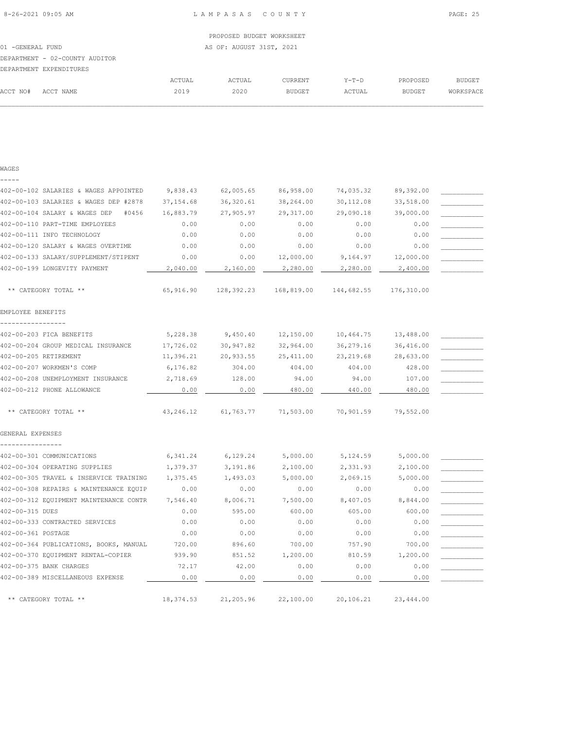|                  |                                |                          | PROPOSED BUDGET WORKSHEET |                |         |               |           |  |
|------------------|--------------------------------|--------------------------|---------------------------|----------------|---------|---------------|-----------|--|
| 01 -GENERAL FUND |                                | AS OF: AUGUST 31ST, 2021 |                           |                |         |               |           |  |
|                  | DEPARTMENT - 02-COUNTY AUDITOR |                          |                           |                |         |               |           |  |
|                  | DEPARTMENT EXPENDITURES        |                          |                           |                |         |               |           |  |
|                  |                                | ACTUAL                   | ACTUAL                    | <b>CURRENT</b> | $Y-T-D$ | PROPOSED      | BUDGET    |  |
| ACCT NO#         | ACCT NAME                      | 2019                     | 2020                      | BUDGET         | ACTUAL  | <b>BUDGET</b> | WORKSPACE |  |
|                  |                                |                          |                           |                |         |               |           |  |

### WAGES -----

| 402-00-102 SALARIES & WAGES APPOINTED  | 9,838.43   | 62,005.65  | 86,958.00  | 74,035.32  | 89,392.00  |  |
|----------------------------------------|------------|------------|------------|------------|------------|--|
| 402-00-103 SALARIES & WAGES DEP #2878  | 37, 154.68 | 36,320.61  | 38,264.00  | 30,112.08  | 33,518.00  |  |
| 402-00-104 SALARY & WAGES DEP<br>#0456 | 16,883.79  | 27,905.97  | 29, 317.00 | 29,090.18  | 39,000.00  |  |
| 402-00-110 PART-TIME EMPLOYEES         | 0.00       | 0.00       | 0.00       | 0.00       | 0.00       |  |
| 402-00-111 INFO TECHNOLOGY             | 0.00       | 0.00       | 0.00       | 0.00       | 0.00       |  |
| 402-00-120 SALARY & WAGES OVERTIME     | 0.00       | 0.00       | 0.00       | 0.00       | 0.00       |  |
| 402-00-133 SALARY/SUPPLEMENT/STIPENT   | 0.00       | 0.00       | 12,000.00  | 9,164.97   | 12,000.00  |  |
| 402-00-199 LONGEVITY PAYMENT           | 2,040.00   | 2,160.00   | 2,280.00   | 2,280.00   | 2,400.00   |  |
|                                        |            |            |            |            |            |  |
| ** CATEGORY TOTAL **                   | 65,916.90  | 128,392.23 | 168,819.00 | 144,682.55 | 176,310.00 |  |
| EMPLOYEE BENEFITS                      |            |            |            |            |            |  |
|                                        |            |            |            |            |            |  |
| 402-00-203 FICA BENEFITS               | 5,228.38   | 9,450.40   | 12,150.00  | 10,464.75  | 13,488.00  |  |
| 402-00-204 GROUP MEDICAL INSURANCE     | 17,726.02  | 30,947.82  | 32,964.00  | 36,279.16  | 36,416.00  |  |
| 402-00-205 RETIREMENT                  | 11,396.21  | 20,933.55  | 25, 411.00 | 23, 219.68 | 28,633.00  |  |
| 402-00-207 WORKMEN'S COMP              | 6,176.82   | 304.00     | 404.00     | 404.00     | 428.00     |  |
| 402-00-208 UNEMPLOYMENT INSURANCE      | 2,718.69   | 128.00     | 94.00      | 94.00      | 107.00     |  |
| 402-00-212 PHONE ALLOWANCE             | 0.00       | 0.00       | 480.00     | 440.00     | 480.00     |  |
| ** CATEGORY TOTAL **                   | 43,246.12  | 61,763.77  | 71,503.00  | 70,901.59  | 79,552.00  |  |
| GENERAL EXPENSES                       |            |            |            |            |            |  |
| 402-00-301 COMMUNICATIONS              | 6,341.24   | 6,129.24   | 5,000.00   | 5,124.59   | 5,000.00   |  |
| 402-00-304 OPERATING SUPPLIES          | 1,379.37   | 3,191.86   | 2,100.00   | 2,331.93   | 2,100.00   |  |
| 402-00-305 TRAVEL & INSERVICE TRAINING | 1,375.45   | 1,493.03   | 5,000.00   | 2,069.15   | 5,000.00   |  |
| 402-00-308 REPAIRS & MAINTENANCE EQUIP | 0.00       | 0.00       | 0.00       | 0.00       | 0.00       |  |
| 402-00-312 EQUIPMENT MAINTENANCE CONTR | 7,546.40   | 8,006.71   | 7,500.00   | 8,407.05   | 8,844.00   |  |
| 402-00-315 DUES                        | 0.00       | 595.00     | 600.00     | 605.00     | 600.00     |  |
| 402-00-333 CONTRACTED SERVICES         | 0.00       | 0.00       | 0.00       | 0.00       | 0.00       |  |
| 402-00-361 POSTAGE                     | 0.00       | 0.00       | 0.00       | 0.00       | 0.00       |  |
| 402-00-364 PUBLICATIONS, BOOKS, MANUAL | 720.00     | 896.60     | 700.00     | 757.90     | 700.00     |  |
| 402-00-370 EQUIPMENT RENTAL-COPIER     | 939.90     | 851.52     | 1,200.00   | 810.59     | 1,200.00   |  |
| 402-00-375 BANK CHARGES                | 72.17      | 42.00      | 0.00       | 0.00       | 0.00       |  |
| 402-00-389 MISCELLANEOUS EXPENSE       | 0.00       | 0.00       | 0.00       | 0.00       | 0.00       |  |
|                                        |            |            |            |            |            |  |
| ** CATEGORY TOTAL **                   | 18,374.53  | 21,205.96  | 22,100.00  | 20,106.21  | 23,444.00  |  |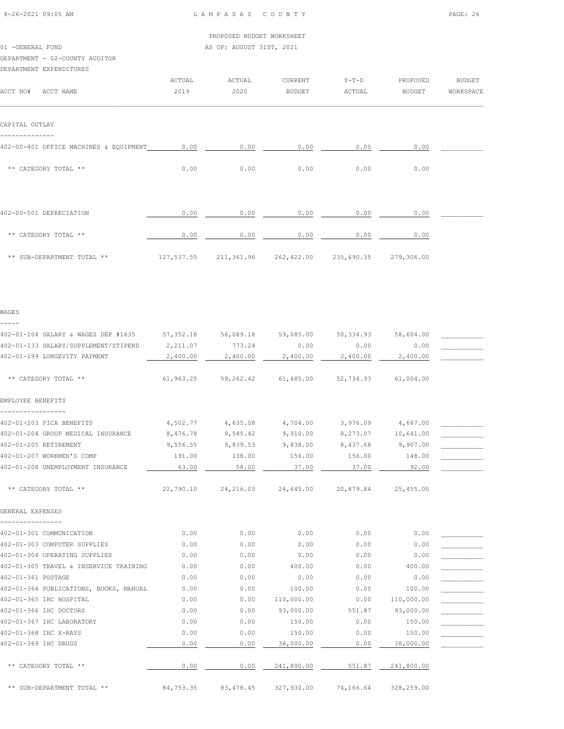01 -GENERAL FUND AS OF: AUGUST 31ST, 2021

| DEPARTMENT - 02-COUNTY AUDITOR                |            |                                  |               |           |                       |               |
|-----------------------------------------------|------------|----------------------------------|---------------|-----------|-----------------------|---------------|
| DEPARTMENT EXPENDITURES                       |            |                                  |               |           |                       |               |
|                                               | ACTUAL     | ACTUAL                           | CURRENT       | $Y-T-D$   | PROPOSED              | <b>BUDGET</b> |
| ACCT NO# ACCT NAME                            | 2019       | 2020                             | <b>BUDGET</b> | ACTUAL    | <b>BUDGET</b>         | WORKSPACE     |
| CAPITAL OUTLAY                                |            |                                  |               |           |                       |               |
| --------------                                |            |                                  |               |           |                       |               |
| 402-00-401 OFFICE MACHINES & EQUIPMENT        | 0.00       | 0.00                             | 0.00          | 0.00      | 0.00                  |               |
| ** CATEGORY TOTAL **                          | 0.00       | 0.00                             | 0.00          | 0.00      | 0.00                  |               |
|                                               |            |                                  |               |           |                       |               |
| 402-00-501 DEPRECIATION                       | 0.00       | 0.00                             | 0.00          | 0.00      | 0.00                  |               |
| ** CATEGORY TOTAL **                          | 0.00       | 0.00                             | 0.00          | 0.00      | 0.00                  |               |
| ** SUB-DEPARTMENT TOTAL **                    |            | 127,537.55 211,361.96 262,422.00 |               |           | 235,690.35 279,306.00 |               |
| WAGES                                         |            |                                  |               |           |                       |               |
| -----<br>402-01-104 SALARY & WAGES DEP #1635  | 57,352.18  | 56,089.18                        | 59,085.00     | 50,334.93 | 58,604.00             |               |
| 402-01-133 SALARY/SUPPLEMENT/STIPEND          | 2,211.07   | 773.24                           | 0.00          | 0.00      | 0.00                  |               |
| 402-01-199 LONGEVITY PAYMENT                  | 2,400.00   | 2,400.00                         | 2,400.00      | 2,400.00  | 2,400.00              |               |
| ** CATEGORY TOTAL **                          | 61, 963.25 | 59,262.42                        | 61,485.00     | 52,734.93 | 61,004.00             |               |
| EMPLOYEE BENEFITS                             |            |                                  |               |           |                       |               |
| -----------------<br>402-01-203 FICA BENEFITS | 4,502.77   | 4,635.08                         | 4,704.00      | 3,976.09  | 4,667.00              |               |
| 402-01-204 GROUP MEDICAL INSURANCE            | 8,476.78   | 9,545.42                         | 9,910.00      | 8,273.07  | 10,641.00             |               |
| 402-01-205 RETIREMENT                         | 9,556.55   | 9,839.53                         | 9,838.00      | 8,437.68  | 9,907.00              |               |
| 402-01-207 WORKMEN'S COMP                     | 191.00     | 138.00                           | 156.00        | 156.00    | 148.00                |               |
| 402-01-208 UNEMPLOYMENT INSURANCE             | 63.00      | 58.00                            | 37.00         | 37.00     | 92.00                 |               |
| ** CATEGORY TOTAL **                          | 22,790.10  | 24,216.03                        | 24,645.00     | 20,879.84 | 25,455.00             |               |
| GENERAL EXPENSES                              |            |                                  |               |           |                       |               |

| 402-01-301 COMMUNICATION               | 0.00      | 0.00      | 0.00       | 0.00      | 0.00       |  |
|----------------------------------------|-----------|-----------|------------|-----------|------------|--|
| 402-01-303 COMPUTER SUPPLIES           | 0.00      | 0.00      | 0.00       | 0.00      | 0.00       |  |
| 402-01-304 OPERATING SUPPLIES          | 0.00      | 0.00      | 0.00       | 0.00      | 0.00       |  |
| 402-01-305 TRAVEL & INSERVICE TRAINING | 0.00      | 0.00      | 400.00     | 0.00      | 400.00     |  |
| 402-01-361 POSTAGE                     | 0.00      | 0.00      | 0.00       | 0.00      | 0.00       |  |
| 402-01-364 PUBLICATIONS, BOOKS, MANUAL | 0.00      | 0.00      | 100.00     | 0.00      | 100.00     |  |
| 402-01-365 IHC HOSPITAL                | 0.00      | 0.00      | 110,000.00 | 0.00      | 110,000.00 |  |
| 402-01-366 IHC DOCTORS                 | 0.00      | 0.00      | 93,000.00  | 551.87    | 93,000.00  |  |
| 402-01-367 IHC LABORATORY              | 0.00      | 0.00      | 150.00     | 0.00      | 150.00     |  |
| 402-01-368 IHC X-RAYS                  | 0.00      | 0.00      | 150.00     | 0.00      | 150.00     |  |
| 402-01-369 IHC DRUGS                   | 0.00      | 0.00      | 38,000.00  | 0.00      | 38,000.00  |  |
|                                        |           |           |            |           |            |  |
| CATEGORY TOTAL **<br>$* *$             | 0.00      | 0.00      | 241,800.00 | 551.87    | 241,800.00 |  |
|                                        |           |           |            |           |            |  |
| ** SUB-DEPARTMENT TOTAL **             | 84,753.35 | 83,478.45 | 327,930.00 | 74,166.64 | 328,259.00 |  |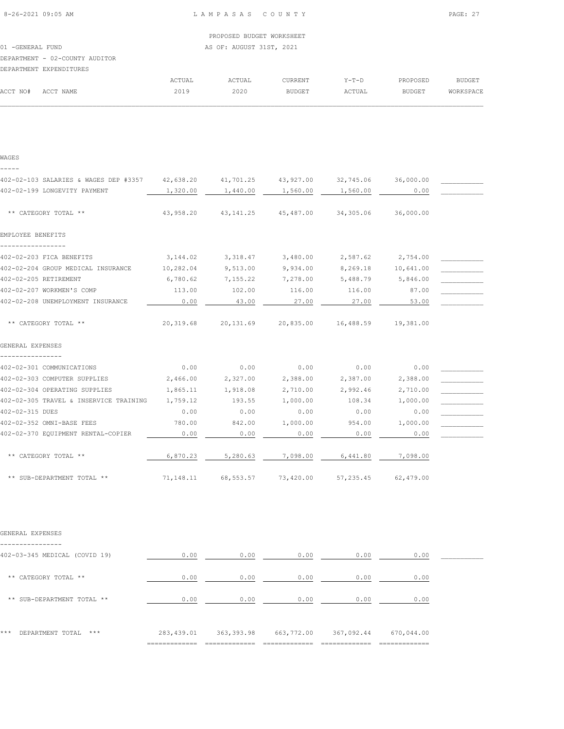|                                |        | PROPOSED BUDGET WORKSHEET |                |         |          |           |
|--------------------------------|--------|---------------------------|----------------|---------|----------|-----------|
| 01 - GENERAL FUND              |        | AS OF: AUGUST 31ST, 2021  |                |         |          |           |
| DEPARTMENT - 02-COUNTY AUDITOR |        |                           |                |         |          |           |
| DEPARTMENT EXPENDITURES        |        |                           |                |         |          |           |
|                                | ACTUAL | ACTUAL                    | <b>CURRENT</b> | $Y-T-D$ | PROPOSED | BUDGET    |
| ACCT NO#<br>ACCT NAME          | 2019   | 2020                      | BUDGET         | ACTUAL  | BUDGET   | WORKSPACE |
|                                |        |                           |                |         |          |           |

| WAGES                                                                                   |           |                                                        |          |                    |             |  |
|-----------------------------------------------------------------------------------------|-----------|--------------------------------------------------------|----------|--------------------|-------------|--|
| 402-02-103 SALARIES & WAGES DEP #3357 42,638.20 41,701.25 43,927.00 32,745.06 36,000.00 |           |                                                        |          |                    |             |  |
| 402-02-199 LONGEVITY PAYMENT                                                            | 1,320.00  | 1,440.00                                               | 1,560.00 | 1,560.00           | $\sim$ 0.00 |  |
| ** CATEGORY TOTAL **                                                                    | 43,958.20 | 43,141.25 45,487.00 34,305.06                          |          |                    | 36,000.00   |  |
| EMPLOYEE BENEFITS                                                                       |           |                                                        |          |                    |             |  |
| 402-02-203 FICA BENEFITS                                                                |           | 3, 144.02 3, 318.47 3, 480.00 2, 587.62 2, 754.00      |          |                    |             |  |
| 402-02-204 GROUP MEDICAL INSURANCE                                                      | 10,282.04 | 9,513.00                                               | 9,934.00 | 8,269.18 10,641.00 |             |  |
| 402-02-205 RETIREMENT                                                                   | 6,780.62  | 7,155.22                                               | 7,278.00 | 5,488.79 5,846.00  |             |  |
| 402-02-207 WORKMEN'S COMP                                                               | 113.00    | 102.00                                                 | 116.00   | 116.00             | 87.00       |  |
| 402-02-208 UNEMPLOYMENT INSURANCE                                                       | 0.00      | 43.00                                                  | 27.00    | 27.00              | 53.00       |  |
| ** CATEGORY TOTAL **                                                                    |           | 20,319.68 20,131.69 20,835.00 16,488.59 19,381.00      |          |                    |             |  |
| GENERAL EXPENSES                                                                        |           |                                                        |          |                    |             |  |
| 402-02-301 COMMUNICATIONS                                                               | 0.00      | 0.00                                                   | 0.00     | 0.00               | 0.00        |  |
| 402-02-303 COMPUTER SUPPLIES                                                            | 2,466.00  | 2,327.00                                               | 2,388.00 | 2,387.00           | 2,388.00    |  |
| 402-02-304 OPERATING SUPPLIES                                                           | 1,865.11  | 1,918.08                                               | 2,710.00 | 2,992.46           | 2,710.00    |  |
| 402-02-305 TRAVEL & INSERVICE TRAINING 1,759.12                                         |           | 193.55                                                 | 1,000.00 | 108.34             | 1,000.00    |  |
| 402-02-315 DUES                                                                         | 0.00      | 0.00                                                   | 0.00     | 0.00               | 0.00        |  |
| 402-02-352 OMNI-BASE FEES                                                               | 780.00    | 842.00                                                 | 1,000.00 | 954.00             | 1,000.00    |  |
| 402-02-370 EOUIPMENT RENTAL-COPIER                                                      | 0.00      | 0.00                                                   | 0.00     | 0.00               | 0.00        |  |
| ** CATEGORY TOTAL **                                                                    | 6,870.23  | 5,280.63                                               | 7,098.00 | 6,441.80           | 7,098.00    |  |
| ** SUB-DEPARTMENT TOTAL **                                                              |           | 71, 148.11 68, 553.57 73, 420.00 57, 235.45 62, 479.00 |          |                    |             |  |

GENERAL EXPENSES

---------------- 402-03-345 MEDICAL (COVID 19) 0.00 0.00 0.00 0.00 0.00 \_\_\_\_\_\_\_\_\_\_\_ \*\* CATEGORY TOTAL \*\* 0.00 0.00 0.00 0.00 0.00 \*\* SUB-DEPARTMENT TOTAL \*\* 0.00 0.00 0.00 0.00 0.00 \*\*\* DEPARTMENT TOTAL \*\*\* 283,439.01 363,393.98 663,772.00 367,092.44 670,044.00 ============= ============= ============= ============= =============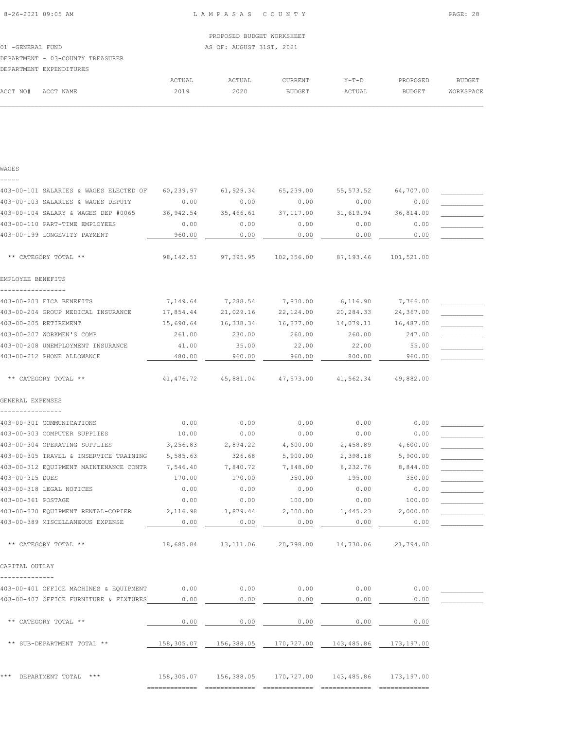|                  |                                  |                          | PROPOSED BUDGET WORKSHEET |               |         |               |           |  |  |
|------------------|----------------------------------|--------------------------|---------------------------|---------------|---------|---------------|-----------|--|--|
| 01 -GENERAL FUND |                                  | AS OF: AUGUST 31ST, 2021 |                           |               |         |               |           |  |  |
|                  | DEPARTMENT - 03-COUNTY TREASURER |                          |                           |               |         |               |           |  |  |
|                  | DEPARTMENT EXPENDITURES          |                          |                           |               |         |               |           |  |  |
|                  |                                  | ACTUAL                   | ACTUAL                    | CURRENT       | $Y-T-D$ | PROPOSED      | BUDGET    |  |  |
| ACCT NO#         | ACCT NAME                        | 2019                     | 2020                      | <b>BUDGET</b> | ACTUAL  | <b>BUDGET</b> | WORKSPACE |  |  |

 $\mathcal{L} = \{ \mathcal{L} = \{ \mathcal{L} = \{ \mathcal{L} = \{ \mathcal{L} = \{ \mathcal{L} = \{ \mathcal{L} = \{ \mathcal{L} = \{ \mathcal{L} = \{ \mathcal{L} = \{ \mathcal{L} = \{ \mathcal{L} = \{ \mathcal{L} = \{ \mathcal{L} = \{ \mathcal{L} = \{ \mathcal{L} = \{ \mathcal{L} = \{ \mathcal{L} = \{ \mathcal{L} = \{ \mathcal{L} = \{ \mathcal{L} = \{ \mathcal{L} = \{ \mathcal{L} = \{ \mathcal{L} = \{ \mathcal{$ 

|  | $\sim$ | ٠<br>т. |  |
|--|--------|---------|--|
|  |        |         |  |

| 403-00-101 SALARIES & WAGES ELECTED OF | 60,239.97  | 61,929.34   | 65,239.00                                                  | 55, 573.52 | 64,707.00  |  |
|----------------------------------------|------------|-------------|------------------------------------------------------------|------------|------------|--|
| 403-00-103 SALARIES & WAGES DEPUTY     | 0.00       | 0.00        | 0.00                                                       | 0.00       | 0.00       |  |
| 403-00-104 SALARY & WAGES DEP #0065    | 36,942.54  | 35,466.61   | 37,117.00                                                  | 31,619.94  | 36,814.00  |  |
| 403-00-110 PART-TIME EMPLOYEES         | 0.00       | 0.00        | 0.00                                                       | 0.00       | 0.00       |  |
| 403-00-199 LONGEVITY PAYMENT           | 960.00     | 0.00        | 0.00                                                       | 0.00       | 0.00       |  |
| ** CATEGORY TOTAL **                   | 98,142.51  | 97,395.95   | 102,356.00                                                 | 87,193.46  | 101,521.00 |  |
| EMPLOYEE BENEFITS                      |            |             |                                                            |            |            |  |
|                                        |            |             |                                                            |            |            |  |
| 403-00-203 FICA BENEFITS               | 7,149.64   | 7,288.54    | 7,830.00                                                   | 6,116.90   | 7,766.00   |  |
| 403-00-204 GROUP MEDICAL INSURANCE     | 17,854.44  | 21,029.16   | 22,124.00                                                  | 20,284.33  | 24,367.00  |  |
| 403-00-205 RETIREMENT                  | 15,690.64  | 16,338.34   | 16,377.00                                                  | 14,079.11  | 16,487.00  |  |
| 403-00-207 WORKMEN'S COMP              | 261.00     | 230.00      | 260.00                                                     | 260.00     | 247.00     |  |
| 403-00-208 UNEMPLOYMENT INSURANCE      | 41.00      | 35.00       | 22.00                                                      | 22.00      | 55.00      |  |
| 403-00-212 PHONE ALLOWANCE             | 480.00     | 960.00      | 960.00                                                     | 800.00     | 960.00     |  |
| ** CATEGORY TOTAL **                   | 41, 476.72 | 45,881.04   | 47,573.00                                                  | 41,562.34  | 49,882.00  |  |
| GENERAL EXPENSES                       |            |             |                                                            |            |            |  |
| 403-00-301 COMMUNICATIONS              | 0.00       | 0.00        | 0.00                                                       | 0.00       | 0.00       |  |
| 403-00-303 COMPUTER SUPPLIES           | 10.00      | 0.00        | 0.00                                                       | 0.00       | 0.00       |  |
| 403-00-304 OPERATING SUPPLIES          | 3,256.83   | 2,894.22    | 4,600.00                                                   | 2,458.89   | 4,600.00   |  |
| 403-00-305 TRAVEL & INSERVICE TRAINING | 5,585.63   | 326.68      | 5,900.00                                                   | 2,398.18   | 5,900.00   |  |
| 403-00-312 EQUIPMENT MAINTENANCE CONTR | 7,546.40   | 7,840.72    | 7,848.00                                                   | 8,232.76   | 8,844.00   |  |
| 403-00-315 DUES                        | 170.00     | 170.00      | 350.00                                                     | 195.00     | 350.00     |  |
| 403-00-318 LEGAL NOTICES               | 0.00       | 0.00        | 0.00                                                       | 0.00       | 0.00       |  |
| 403-00-361 POSTAGE                     | 0.00       | 0.00        | 100.00                                                     | 0.00       | 100.00     |  |
| 403-00-370 EQUIPMENT RENTAL-COPIER     | 2,116.98   | 1,879.44    | 2,000.00                                                   | 1,445.23   | 2,000.00   |  |
| 403-00-389 MISCELLANEOUS EXPENSE       | 0.00       | 0.00        | 0.00                                                       | 0.00       | 0.00       |  |
| ** CATEGORY TOTAL **                   | 18,685.84  | 13, 111.06  | 20,798.00                                                  | 14,730.06  | 21,794.00  |  |
| CAPITAL OUTLAY                         |            |             |                                                            |            |            |  |
| 403-00-401 OFFICE MACHINES & EQUIPMENT | 0.00       | 0.00        | 0.00                                                       | 0.00       | 0.00       |  |
| 403-00-407 OFFICE FURNITURE & FIXTURES | 0.00       | 0.00        | 0.00                                                       | 0.00       | 0.00       |  |
| ** CATEGORY TOTAL **                   | 0.00       | $0.00$ 0.00 |                                                            | 0.00       | 0.00       |  |
| ** SUB-DEPARTMENT TOTAL **             |            |             | 158,305.07  156,388.05  170,727.00  143,485.86  173,197.00 |            |            |  |
| *** DEPARTMENT TOTAL ***               |            |             | 158,305.07  156,388.05  170,727.00  143,485.86  173,197.00 |            |            |  |

============= ============= ============= ============= =============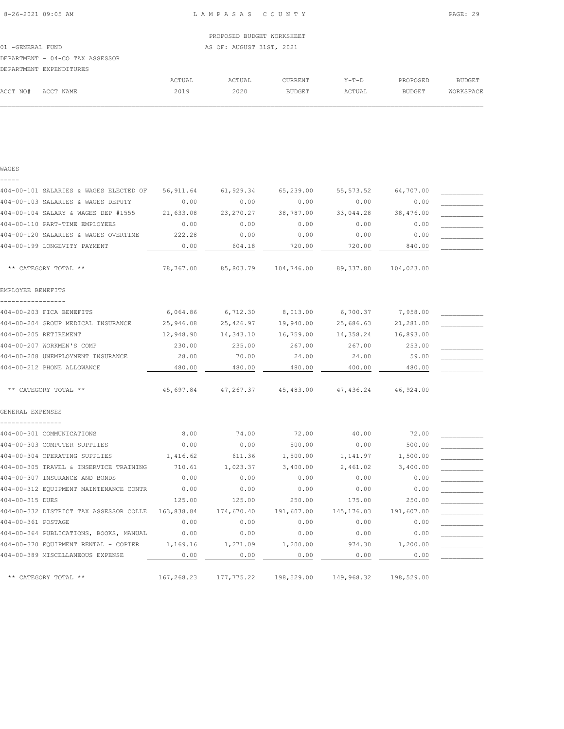|                   |                                 |        | PROPOSED BUDGET WORKSHEET |                |         |          |           |
|-------------------|---------------------------------|--------|---------------------------|----------------|---------|----------|-----------|
| 01 - GENERAL FUND |                                 |        | AS OF: AUGUST 31ST, 2021  |                |         |          |           |
|                   | DEPARTMENT - 04-CO TAX ASSESSOR |        |                           |                |         |          |           |
|                   | DEPARTMENT EXPENDITURES         |        |                           |                |         |          |           |
|                   |                                 | ACTUAL | ACTUAL                    | <b>CURRENT</b> | $Y-T-D$ | PROPOSED | BUDGET    |
| ACCT NO#          | ACCT NAME                       | 2019   | 2020                      | <b>BUDGET</b>  | ACTUAL  | BUDGET   | WORKSPACE |
|                   |                                 |        |                           |                |         |          |           |

| WAGES                                  |            |             |            |             |            |  |
|----------------------------------------|------------|-------------|------------|-------------|------------|--|
| 404-00-101 SALARIES & WAGES ELECTED OF | 56,911.64  | 61,929.34   | 65,239.00  | 55, 573.52  | 64,707.00  |  |
| 404-00-103 SALARIES & WAGES DEPUTY     | 0.00       | 0.00        | 0.00       | 0.00        | 0.00       |  |
| 404-00-104 SALARY & WAGES DEP #1555    | 21,633.08  | 23, 270. 27 | 38,787.00  | 33,044.28   | 38,476.00  |  |
| 404-00-110 PART-TIME EMPLOYEES         | 0.00       | 0.00        | 0.00       | 0.00        | 0.00       |  |
| 404-00-120 SALARIES & WAGES OVERTIME   | 222.28     | 0.00        | 0.00       | 0.00        | 0.00       |  |
| 404-00-199 LONGEVITY PAYMENT           | 0.00       | 604.18      | 720.00     | 720.00      | 840.00     |  |
| ** CATEGORY TOTAL **                   | 78,767.00  | 85,803.79   | 104,746.00 | 89,337.80   | 104,023.00 |  |
| EMPLOYEE BENEFITS                      |            |             |            |             |            |  |
| 404-00-203 FICA BENEFITS               | 6,064.86   | 6,712.30    | 8,013.00   | 6,700.37    | 7,958.00   |  |
| 404-00-204 GROUP MEDICAL INSURANCE     | 25,946.08  | 25,426.97   | 19,940.00  | 25,686.63   | 21,281.00  |  |
| 404-00-205 RETIREMENT                  | 12,948.90  | 14,343.10   | 16,759.00  | 14,358.24   | 16,893.00  |  |
| 404-00-207 WORKMEN'S COMP              | 230.00     | 235.00      | 267.00     | 267.00      | 253.00     |  |
| 404-00-208 UNEMPLOYMENT INSURANCE      | 28.00      | 70.00       | 24.00      | 24.00       | 59.00      |  |
| 404-00-212 PHONE ALLOWANCE             | 480.00     | 480.00      | 480.00     | 400.00      | 480.00     |  |
| ** CATEGORY TOTAL **                   | 45,697.84  | 47,267.37   | 45,483.00  | 47,436.24   | 46,924.00  |  |
| GENERAL EXPENSES                       |            |             |            |             |            |  |
| 404-00-301 COMMUNICATIONS              | 8.00       | 74.00       | 72.00      | 40.00       | 72.00      |  |
| 404-00-303 COMPUTER SUPPLIES           | 0.00       | 0.00        | 500.00     | 0.00        | 500.00     |  |
| 404-00-304 OPERATING SUPPLIES          | 1,416.62   | 611.36      | 1,500.00   | 1,141.97    | 1,500.00   |  |
| 404-00-305 TRAVEL & INSERVICE TRAINING | 710.61     | 1,023.37    | 3,400.00   | 2,461.02    | 3,400.00   |  |
| 404-00-307 INSURANCE AND BONDS         | 0.00       | 0.00        | 0.00       | 0.00        | 0.00       |  |
| 404-00-312 EQUIPMENT MAINTENANCE CONTR | 0.00       | 0.00        | 0.00       | 0.00        | 0.00       |  |
| 404-00-315 DUES                        | 125.00     | 125.00      | 250.00     | 175.00      | 250.00     |  |
| 404-00-332 DISTRICT TAX ASSESSOR COLLE | 163,838.84 | 174,670.40  | 191,607.00 | 145, 176.03 | 191,607.00 |  |
| 404-00-361 POSTAGE                     | 0.00       | 0.00        | 0.00       | 0.00        | 0.00       |  |
| 404-00-364 PUBLICATIONS, BOOKS, MANUAL | 0.00       | 0.00        | 0.00       | 0.00        | 0.00       |  |
| 404-00-370 EQUIPMENT RENTAL - COPIER   | 1,169.16   | 1,271.09    | 1,200.00   | 974.30      | 1,200.00   |  |
| 404-00-389 MISCELLANEOUS EXPENSE       | 0.00       | 0.00        | 0.00       | 0.00        | 0.00       |  |
| ** CATEGORY TOTAL **                   | 167,268.23 | 177,775.22  | 198,529.00 | 149,968.32  | 198,529.00 |  |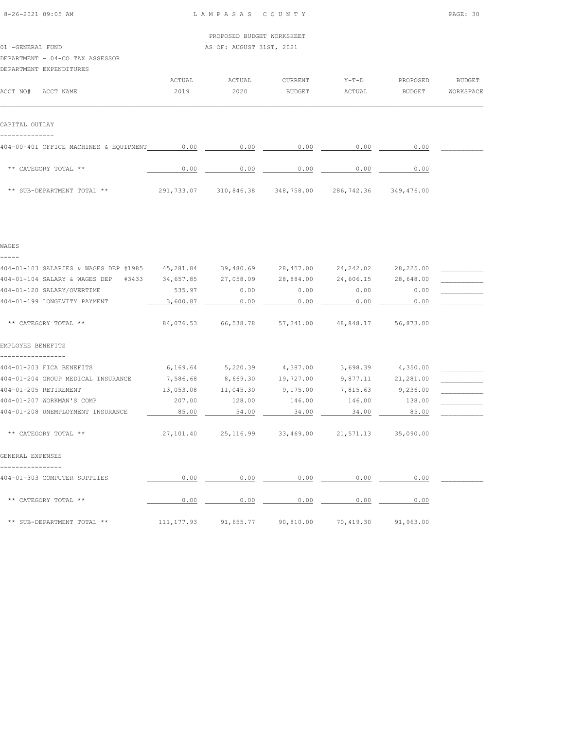|                                        |        | PROPOSED BUDGET WORKSHEET |               |         |          |           |
|----------------------------------------|--------|---------------------------|---------------|---------|----------|-----------|
| 01 -GENERAL FUND                       |        | AS OF: AUGUST 31ST, 2021  |               |         |          |           |
| DEPARTMENT - 04-CO TAX ASSESSOR        |        |                           |               |         |          |           |
| DEPARTMENT EXPENDITURES                |        |                           |               |         |          |           |
|                                        | ACTUAL | ACTUAL                    | CURRENT       | $Y-T-D$ | PROPOSED | BUDGET    |
| ACCT NO#<br>ACCT NAME                  | 2019   | 2020                      | <b>BUDGET</b> | ACTUAL  | BUDGET   | WORKSPACE |
|                                        |        |                           |               |         |          |           |
| CAPITAL OUTLAY                         |        |                           |               |         |          |           |
|                                        |        |                           |               |         |          |           |
| 404-00-401 OFFICE MACHINES & EQUIPMENT | 0.00   | 0.00                      | 0.00          | 0.00    | 0.00     |           |
|                                        |        |                           |               |         |          |           |

| ** CATEGORY TOTAL **       | 0.00       | 0.00       | 0.00       | ). 00      | 0.00       |
|----------------------------|------------|------------|------------|------------|------------|
| ** SUB-DEPARTMENT TOTAL ** | 291,733.07 | 310,846.38 | 348,758.00 | 286,742.36 | 349,476.00 |

| WAGES                                 |            |                                                       |                                         |                   |                       |  |
|---------------------------------------|------------|-------------------------------------------------------|-----------------------------------------|-------------------|-----------------------|--|
|                                       |            |                                                       |                                         |                   |                       |  |
| 404-01-103 SALARIES & WAGES DEP #1985 |            | 45,281.84 39,480.69 28,457.00                         |                                         |                   | 24, 242.02 28, 225.00 |  |
| 404-01-104 SALARY & WAGES DEP #3433   | 34,657.85  | 27,058.09                                             | 28,884.00                               |                   | 24,606.15 28,648.00   |  |
| 404-01-120 SALARY/OVERTIME            | 535.97     | 0.00                                                  | 0.00                                    | 0.00              | 0.00                  |  |
| 404-01-199 LONGEVITY PAYMENT          | 3,600.87   | 0.00                                                  | 0.00                                    | 0.00              | 0.00                  |  |
| ** CATEGORY TOTAL **                  |            | 84,076.53 66,538.78 57,341.00 48,848.17 56,873.00     |                                         |                   |                       |  |
| EMPLOYEE BENEFITS                     |            |                                                       |                                         |                   |                       |  |
| 404-01-203 FICA BENEFITS              |            | $6,169.64$ $5,220.39$ $4,387.00$                      |                                         | 3,698.39 4,350.00 |                       |  |
| 404-01-204 GROUP MEDICAL INSURANCE    | 7,586.68   | 8,669.30 19,727.00                                    |                                         |                   | 9,877.11 21,281.00    |  |
| 404-01-205 RETIREMENT                 | 13,053.08  | 11,045.30 9,175.00                                    |                                         | 7,815.63 9,236.00 |                       |  |
| 404-01-207 WORKMAN'S COMP             | 207.00     | 128.00                                                | 146.00                                  | 146.00            | 138.00                |  |
| 404-01-208 UNEMPLOYMENT INSURANCE     | 85.00      | 54.00                                                 | 34.00                                   | 34.00             | 85.00                 |  |
| ** CATEGORY TOTAL **                  |            | 27,101.40  25,116.99  33,469.00  21,571.13  35,090.00 |                                         |                   |                       |  |
| GENERAL EXPENSES                      |            |                                                       |                                         |                   |                       |  |
| 404-01-303 COMPUTER SUPPLIES          | 0.00       | 0.00                                                  | 0.00                                    | 0.00              | 0.00                  |  |
| ** CATEGORY TOTAL **                  | 0.00       | 0.00                                                  | 0.00                                    | 0.00              | 0.00                  |  |
| ** SUB-DEPARTMENT TOTAL **            | 111,177.93 |                                                       | 91,655.77 90,810.00 70,419.30 91,963.00 |                   |                       |  |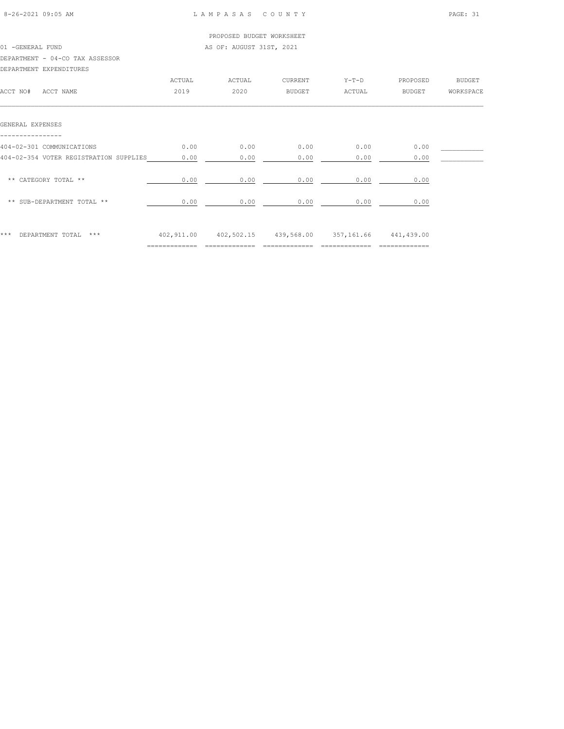|        | PROPOSED BUDGET WORKSHEET |               |                          |               |               |
|--------|---------------------------|---------------|--------------------------|---------------|---------------|
|        |                           |               |                          |               |               |
|        |                           |               |                          |               |               |
|        |                           |               |                          |               |               |
| ACTUAL | ACTUAL                    | CURRENT       | $Y-T-D$                  | PROPOSED      | <b>BUDGET</b> |
| 2019   | 2020                      | <b>BUDGET</b> | ACTUAL                   | <b>BUDGET</b> | WORKSPACE     |
|        |                           |               |                          |               |               |
| 0.00   | 0.00                      | 0.00          | 0.00                     | 0.00          |               |
| 0.00   | 0.00                      | 0.00          | 0.00                     | 0.00          |               |
| 0.00   | 0.00                      | 0.00          | 0.00                     | 0.00          |               |
| 0.00   | 0.00                      | 0.00          | 0.00                     | 0.00          |               |
|        |                           |               |                          |               |               |
|        |                           |               | AS OF: AUGUST 31ST, 2021 |               |               |

\*\*\* DEPARTMENT TOTAL \*\*\* 402,911.00 402,502.15 439,568.00 357,161.66 441,439.00 ============= ============= ============= ============= =============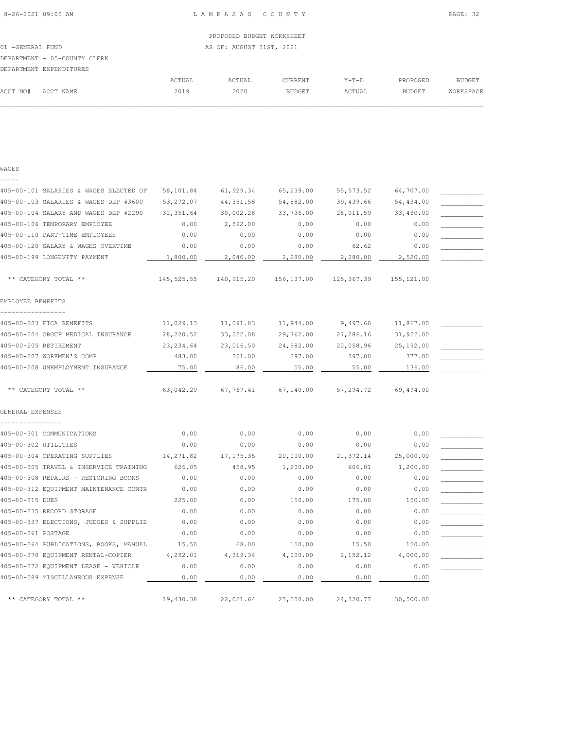$\mathcal{L} = \{ \mathcal{L} = \{ \mathcal{L} = \{ \mathcal{L} = \{ \mathcal{L} = \{ \mathcal{L} = \{ \mathcal{L} = \{ \mathcal{L} = \{ \mathcal{L} = \{ \mathcal{L} = \{ \mathcal{L} = \{ \mathcal{L} = \{ \mathcal{L} = \{ \mathcal{L} = \{ \mathcal{L} = \{ \mathcal{L} = \{ \mathcal{L} = \{ \mathcal{L} = \{ \mathcal{L} = \{ \mathcal{L} = \{ \mathcal{L} = \{ \mathcal{L} = \{ \mathcal{L} = \{ \mathcal{L} = \{ \mathcal{$ 

 PROPOSED BUDGET WORKSHEET 01 -GENERAL FUND AS OF: AUGUST 31ST, 2021 DEPARTMENT - 05-COUNTY CLERK DEPARTMENT EXPENDITURES ACTUAL ACTUAL CURRENT Y-T-D PROPOSED BUDGET ACCT NO# ACCT NAME 2019 2020 BUDGET ACTUAL BUDGET WORKSPACE

| WAGES |  |
|-------|--|
|       |  |

| 405-00-101 SALARIES & WAGES ELECTED OF        | 58,101.84  | 61,929.34  | 65,239.00  | 55, 573.52  | 64,707.00   |  |
|-----------------------------------------------|------------|------------|------------|-------------|-------------|--|
| 405-00-103 SALARIES & WAGES DEP #3600         | 53,272.07  | 44, 351.58 | 54,882.00  | 39,439.66   | 54,434.00   |  |
| 405-00-104 SALARY AND WAGES DEP #2290         | 32,351.64  | 30,002.28  | 33,736.00  | 28,011.59   | 33,460.00   |  |
| 405-00-106 TEMPORARY EMPLOYEE                 | 0.00       | 2,592.00   | 0.00       | 0.00        | 0.00        |  |
| 405-00-110 PART-TIME EMPLOYEES                | 0.00       | 0.00       | 0.00       | 0.00        | 0.00        |  |
| 405-00-120 SALARY & WAGES OVERTIME            | 0.00       | 0.00       | 0.00       | 62.62       | 0.00        |  |
| 405-00-199 LONGEVITY PAYMENT                  | 1,800.00   | 2,040.00   | 2,280.00   | 2,280.00    | 2,520.00    |  |
| ** CATEGORY TOTAL **                          | 145,525.55 | 140,915.20 | 156,137.00 | 125, 367.39 | 155, 121.00 |  |
| EMPLOYEE BENEFITS                             |            |            |            |             |             |  |
| -----------------<br>405-00-203 FICA BENEFITS | 11,029.13  | 11,091.83  | 11,944.00  | 9,497.60    | 11,867.00   |  |
| 405-00-204 GROUP MEDICAL INSURANCE            | 28,220.52  | 33,222.08  | 29,762.00  | 27,286.16   | 31,922.00   |  |
| 405-00-205 RETIREMENT                         | 23, 234.64 | 23,016.50  | 24,982.00  | 20,058.96   | 25,192.00   |  |
| 405-00-207 WORKMEN'S COMP                     | 483.00     | 351.00     | 397.00     | 397.00      | 377.00      |  |
| 405-00-208 UNEMPLOYMENT INSURANCE             | 75.00      | 86.00      | 55.00      | 55.00       | 136.00      |  |
| ** CATEGORY TOTAL **                          | 63,042.29  | 67,767.41  | 67,140.00  | 57,294.72   | 69,494.00   |  |
| GENERAL EXPENSES                              |            |            |            |             |             |  |
|                                               |            |            |            |             |             |  |
| 405-00-301 COMMUNICATIONS                     | 0.00       | 0.00       | 0.00       | 0.00        | 0.00        |  |
| 405-00-302 UTILITIES                          | 0.00       | 0.00       | 0.00       | 0.00        | 0.00        |  |
| 405-00-304 OPERATING SUPPLIES                 | 14,271.82  | 17, 175.35 | 20,000.00  | 21,372.14   | 25,000.00   |  |
| 405-00-305 TRAVEL & INSERVICE TRAINING        | 626.05     | 458.95     | 1,200.00   | 606.01      | 1,200.00    |  |
| 405-00-308 REPAIRS - RESTORING BOOKS          | 0.00       | 0.00       | 0.00       | 0.00        | 0.00        |  |
| 405-00-312 EQUIPMENT MAINTENANCE CONTR        | 0.00       | 0.00       | 0.00       | 0.00        | 0.00        |  |
| 405-00-315 DUES                               | 225.00     | 0.00       | 150.00     | 175.00      | 150.00      |  |
| 405-00-335 RECORD STORAGE                     | 0.00       | 0.00       | 0.00       | 0.00        | 0.00        |  |
| 405-00-337 ELECTIONS, JUDGES & SUPPLIE        | 0.00       | 0.00       | 0.00       | 0.00        | 0.00        |  |
| 405-00-361 POSTAGE                            | 0.00       | 0.00       | 0.00       | 0.00        | 0.00        |  |
| 405-00-364 PUBLICATIONS, BOOKS, MANUAL        | 15.50      | 68.00      | 150.00     | 15.50       | 150.00      |  |
| 405-00-370 EQUIPMENT RENTAL-COPIER            | 4,292.01   | 4,319.34   | 4,000.00   | 2,152.12    | 4,000.00    |  |
| 405-00-372 EQUIPMENT LEASE - VEHICLE          | 0.00       | 0.00       | 0.00       | 0.00        | 0.00        |  |
| 405-00-389 MISCELLANEOUS EXPENSE              | 0.00       | 0.00       | 0.00       | 0.00        | 0.00        |  |
| ** CATEGORY TOTAL **                          | 19,430.38  | 22,021.64  | 25,500.00  | 24,320.77   | 30,500.00   |  |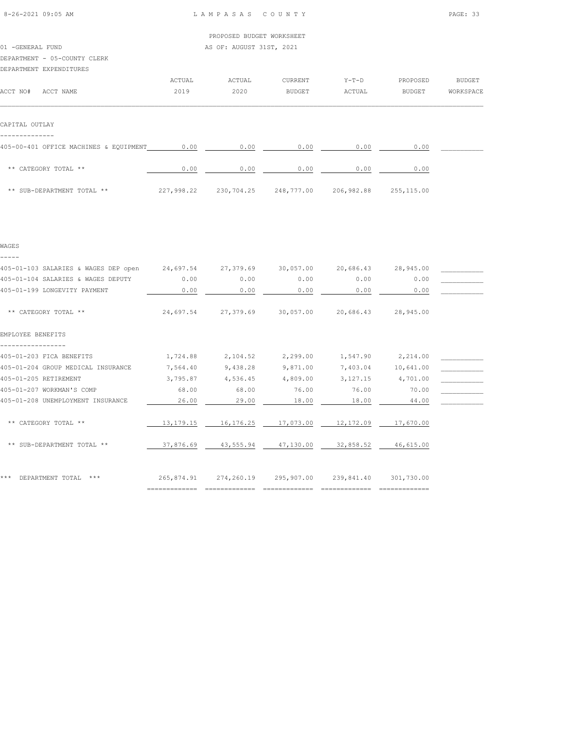|                              | PROPOSED BUDGET WORKSHEET |
|------------------------------|---------------------------|
| 01 -GENERAL FUND             | AS OF: AUGUST 31ST, 2021  |
| DEPARTMENT - 05-COUNTY CLERK |                           |

DEPARTMENT EXPENDITURES

|                                        | ACTUAL | ACTUAL | CURRENT       | $Y-T-D$ | PROPOSED | <b>BUDGET</b> |
|----------------------------------------|--------|--------|---------------|---------|----------|---------------|
| ACCT NO#<br>ACCT NAME                  | 2019   | 2020   | <b>BUDGET</b> | ACTUAL  | BUDGET   | WORKSPACE     |
|                                        |        |        |               |         |          |               |
|                                        |        |        |               |         |          |               |
| CAPITAL OUTLAY                         |        |        |               |         |          |               |
|                                        |        |        |               |         |          |               |
| 405-00-401 OFFICE MACHINES & EQUIPMENT | 0.00   | 0.00   | 0.00          | 0.00    | 0.00     |               |
|                                        |        |        |               |         |          |               |
| ** CATEGORY TOTAL **                   | 0.00   | 0.00   | 0.00          | 0.00    | 0.00     |               |
|                                        |        |        |               |         |          |               |

\*\* SUB-DEPARTMENT TOTAL \*\* 227,998.22 230,704.25 248,777.00 206,982.88 255,115.00

| WAGES                                          |                             |            |                             |                                 |                             |  |
|------------------------------------------------|-----------------------------|------------|-----------------------------|---------------------------------|-----------------------------|--|
| 405-01-103 SALARIES & WAGES DEP open 24,697.54 |                             |            | 27,379.69 30,057.00         |                                 | 20,686.43 28,945.00         |  |
| 405-01-104 SALARIES & WAGES DEPUTY             | 0.00                        | 0.00       | 0.00                        | 0.00                            | 0.00                        |  |
| 405-01-199 LONGEVITY PAYMENT                   | 0.00                        | 0.00       | 0.00                        | 0.00                            | 0.00                        |  |
| ** CATEGORY TOTAL **                           | 24,697.54                   | 27,379.69  | 30,057.00                   | 20,686.43                       | 28,945.00                   |  |
| EMPLOYEE BENEFITS                              |                             |            |                             |                                 |                             |  |
| 405-01-203 FICA BENEFITS                       | 1,724.88                    | 2,104.52   | 2,299.00                    | 1,547.90                        | 2,214.00                    |  |
| 405-01-204 GROUP MEDICAL INSURANCE             | 7,564.40                    | 9,438.28   | 9,871.00                    | 7,403.04                        | 10,641.00                   |  |
| 405-01-205 RETIREMENT                          | 3,795.87                    | 4,536.45   | 4,809.00                    | 3,127.15                        | 4,701.00                    |  |
| 405-01-207 WORKMAN'S COMP                      | 68.00                       | 68.00      | 76.00                       | 76.00                           | 70.00                       |  |
| 405-01-208 UNEMPLOYMENT INSURANCE              | 26.00                       | 29.00      | 18.00                       | 18.00                           | 44.00                       |  |
| ** CATEGORY TOTAL **                           | 13,179.15                   | 16,176.25  | 17,073.00                   | 12,172.09                       | 17,670.00                   |  |
| ** SUB-DEPARTMENT TOTAL **                     | 37,876.69                   | 43,555.94  | 47,130.00                   | 32,858.52                       | 46,615.00                   |  |
| ***<br>DEPARTMENT TOTAL<br>$***$               | 265,874.91<br>============= | 274,260.19 | 295,907.00<br>============= | 239,841.40<br>$=$ ============= | 301,730.00<br>============= |  |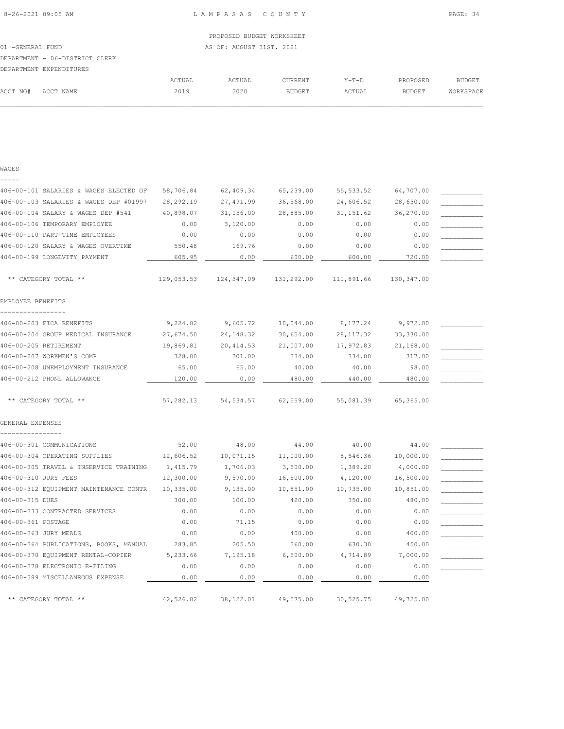|                  |                                |        | PROPOSED BUDGET WORKSHEET |                |         |          |           |
|------------------|--------------------------------|--------|---------------------------|----------------|---------|----------|-----------|
| 01 -GENERAL FUND |                                |        | AS OF: AUGUST 31ST, 2021  |                |         |          |           |
|                  | DEPARTMENT - 06-DISTRICT CLERK |        |                           |                |         |          |           |
|                  | DEPARTMENT EXPENDITURES        |        |                           |                |         |          |           |
|                  |                                | ACTUAL | ACTUAL                    | <b>CURRENT</b> | $Y-T-D$ | PROPOSED | BUDGET    |
| ACCT NO#         | ACCT NAME                      | 2019   | 2020                      | BUDGET         | ACTUAL  | BUDGET   | WORKSPACE |
|                  |                                |        |                           |                |         |          |           |

 $\mathcal{L} = \{ \mathcal{L} = \{ \mathcal{L} = \{ \mathcal{L} = \{ \mathcal{L} = \{ \mathcal{L} = \{ \mathcal{L} = \{ \mathcal{L} = \{ \mathcal{L} = \{ \mathcal{L} = \{ \mathcal{L} = \{ \mathcal{L} = \{ \mathcal{L} = \{ \mathcal{L} = \{ \mathcal{L} = \{ \mathcal{L} = \{ \mathcal{L} = \{ \mathcal{L} = \{ \mathcal{L} = \{ \mathcal{L} = \{ \mathcal{L} = \{ \mathcal{L} = \{ \mathcal{L} = \{ \mathcal{L} = \{ \mathcal{$ 

| M.<br>۰.<br>I |  |
|---------------|--|
|               |  |

| 406-00-101 SALARIES & WAGES ELECTED OF | 58,706.84  | 62,409.34  | 65,239.00  | 55, 533.52 | 64,707.00  |  |
|----------------------------------------|------------|------------|------------|------------|------------|--|
| 406-00-103 SALARIES & WAGES DEP #01997 | 28,292.19  | 27,491.99  | 36,568.00  | 24,606.52  | 28,650.00  |  |
| 406-00-104 SALARY & WAGES DEP #541     | 40,898.07  | 31,156.00  | 28,885.00  | 31, 151.62 | 36,270.00  |  |
| 406-00-106 TEMPORARY EMPLOYEE          | 0.00       | 3,120.00   | 0.00       | 0.00       | 0.00       |  |
| 406-00-110 PART-TIME EMPLOYEES         | 0.00       | 0.00       | 0.00       | 0.00       | 0.00       |  |
| 406-00-120 SALARY & WAGES OVERTIME     | 550.48     | 169.76     | 0.00       | 0.00       | 0.00       |  |
| 406-00-199 LONGEVITY PAYMENT           | 605.95     | 0.00       | 600.00     | 600.00     | 720.00     |  |
| ** CATEGORY TOTAL **                   | 129,053.53 | 124,347.09 | 131,292.00 | 111,891.66 | 130,347.00 |  |
| EMPLOYEE BENEFITS                      |            |            |            |            |            |  |
| 406-00-203 FICA BENEFITS               | 9,224.82   | 9,605.72   | 10,044.00  | 8,177.24   | 9,972.00   |  |
| 406-00-204 GROUP MEDICAL INSURANCE     | 27,674.50  | 24, 148.32 | 30,654.00  | 28, 117.32 | 33,330.00  |  |
| 406-00-205 RETIREMENT                  | 19,869.81  | 20,414.53  | 21,007.00  | 17,972.83  | 21,168.00  |  |
| 406-00-207 WORKMEN'S COMP              | 328.00     | 301.00     | 334.00     | 334.00     | 317.00     |  |
| 406-00-208 UNEMPLOYMENT INSURANCE      | 65.00      | 65.00      | 40.00      | 40.00      | 98.00      |  |
| 406-00-212 PHONE ALLOWANCE             | 120.00     | 0.00       | 480.00     | 440.00     | 480.00     |  |
| ** CATEGORY TOTAL **                   | 57,282.13  | 54,534.57  | 62,559.00  | 55,081.39  | 65,365.00  |  |
| GENERAL EXPENSES                       |            |            |            |            |            |  |
| 406-00-301 COMMUNICATIONS              | 52.00      | 48.00      | 44.00      | 40.00      | 44.00      |  |
| 406-00-304 OPERATING SUPPLIES          | 12,606.52  | 10,071.15  | 11,000.00  | 8,546.36   | 10,000.00  |  |
| 406-00-305 TRAVEL & INSERVICE TRAINING | 1,415.79   | 1,706.03   | 3,500.00   | 1,389.20   | 4,000.00   |  |
| 406-00-310 JURY FEES                   | 12,300.00  | 9,590.00   | 16,500.00  | 4,120.00   | 16,500.00  |  |
| 406-00-312 EQUIPMENT MAINTENANCE CONTR | 10,335.00  | 9,135.00   | 10,851.00  | 10,735.00  | 10,851.00  |  |
| 406-00-315 DUES                        | 300.00     | 100.00     | 420.00     | 350.00     | 480.00     |  |
| 406-00-333 CONTRACTED SERVICES         | 0.00       | 0.00       | 0.00       | 0.00       | 0.00       |  |
| 406-00-361 POSTAGE                     | 0.00       | 71.15      | 0.00       | 0.00       | 0.00       |  |
| 406-00-363 JURY MEALS                  | 0.00       | 0.00       | 400.00     | 0.00       | 400.00     |  |
| 406-00-364 PUBLICATIONS, BOOKS, MANUAL | 283.85     | 205.50     | 360.00     | 630.30     | 450.00     |  |
| 406-00-370 EQUIPMENT RENTAL-COPIER     | 5,233.66   | 7,195.18   | 6,500.00   | 4,714.89   | 7,000.00   |  |
| 406-00-378 ELECTRONIC E-FILING         | 0.00       | 0.00       | 0.00       | 0.00       | 0.00       |  |
| 406-00-389 MISCELLANEOUS EXPENSE       | 0.00       | 0.00       | 0.00       | 0.00       | 0.00       |  |
|                                        |            |            |            |            |            |  |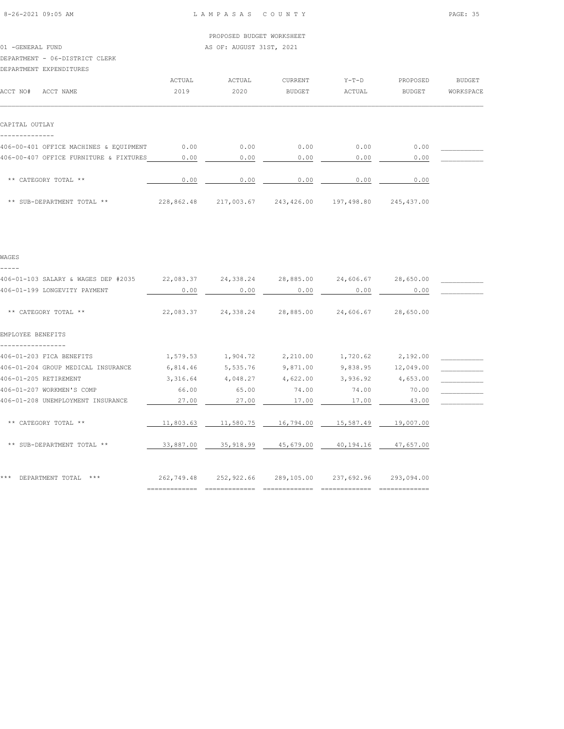#### 01 -GENERAL FUND AS OF: AUGUST 31ST, 2021

## DEPARTMENT - 06-DISTRICT CLERK

| DEPARTMENT EXPENDITURES                |            |            |               |            |               |               |
|----------------------------------------|------------|------------|---------------|------------|---------------|---------------|
|                                        | ACTUAL     | ACTUAL     | CURRENT       | $Y-T-D$    | PROPOSED      | <b>BUDGET</b> |
| ACCT NO#<br>ACCT NAME                  | 2019       | 2020       | <b>BUDGET</b> | ACTUAL     | <b>BUDGET</b> | WORKSPACE     |
|                                        |            |            |               |            |               |               |
|                                        |            |            |               |            |               |               |
| CAPITAL OUTLAY                         |            |            |               |            |               |               |
|                                        |            |            |               |            |               |               |
| 406-00-401 OFFICE MACHINES & EQUIPMENT | 0.00       | 0.00       | 0.00          | 0.00       | 0.00          |               |
| 406-00-407 OFFICE FURNITURE & FIXTURES | 0.00       | 0.00       | 0.00          | 0.00       | 0.00          |               |
|                                        |            |            |               |            |               |               |
| ** CATEGORY TOTAL **                   | 0.00       | 0.00       | 0.00          | 0.00       | 0.00          |               |
|                                        |            |            |               |            |               |               |
| ** SUB-DEPARTMENT TOTAL **             | 228,862.48 | 217,003.67 | 243,426.00    | 197,498.80 | 245,437.00    |               |

### WAGES -----

# 406-01-103 SALARY & WAGES DEP #2035 22,083.37 24,338.24 28,885.00 24,606.67 28,650.00 \_\_\_\_\_\_\_\_\_\_\_ 406-01-199 LONGEVITY PAYMENT  $0.00$   $0.00$   $0.00$   $0.00$   $0.00$   $0.00$   $0.00$   $0.00$   $0.00$   $0.00$  \*\* CATEGORY TOTAL \*\* 22,083.37 24,338.24 28,885.00 24,606.67 28,650.00 EMPLOYEE BENEFITS ----------------- 406-01-203 FICA BENEFITS  $1,579.53$   $1,904.72$   $2,210.00$   $1,720.62$   $2,192.00$   $1,000$ 406-01-204 GROUP MEDICAL INSURANCE 6,814.46 5,535.76 9,871.00 9,838.95 12,049.00 \_\_\_\_\_\_\_\_\_\_\_ 406-01-205 RETIREMENT 3,316.64 4,048.27 4,622.00 3,936.92 4,653.00 4,053.00 406-01-207 WORKMEN'S COMP 66.00 65.00 74.00 74.00 70.00 \_\_\_\_\_\_\_\_\_\_\_ 406-01-208 UNEMPLOYMENT INSURANCE  $27.00$   $27.00$   $17.00$   $17.00$   $43.00$ \*\* CATEGORY TOTAL \*\* 11,803.63 11,580.75 16,794.00 15,587.49 19,007.00 \*\* SUB-DEPARTMENT TOTAL \*\*  $\qquad 33,887.00 \qquad 35,918.99 \qquad 45,679.00 \qquad 40,194.16$  47,657.00 \*\*\* DEPARTMENT TOTAL \*\*\* 262,749.48 252,922.66 289,105.00 237,692.96 293,094.00

============= ============= ============= ============= =============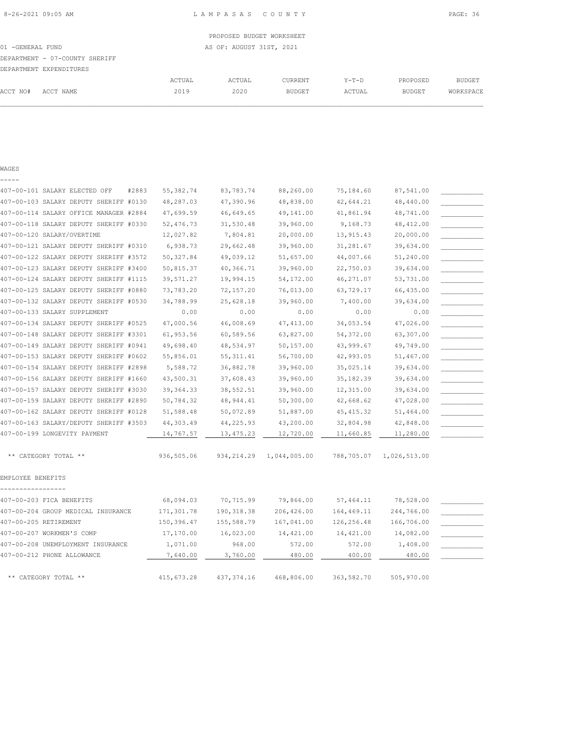ACCT NO# ACCT NAME 2019 2020 BUDGET ACTUAL BUDGET WORKSPACE  $\mathcal{L} = \{ \mathcal{L} = \{ \mathcal{L} = \{ \mathcal{L} = \{ \mathcal{L} = \{ \mathcal{L} = \{ \mathcal{L} = \{ \mathcal{L} = \{ \mathcal{L} = \{ \mathcal{L} = \{ \mathcal{L} = \{ \mathcal{L} = \{ \mathcal{L} = \{ \mathcal{L} = \{ \mathcal{L} = \{ \mathcal{L} = \{ \mathcal{L} = \{ \mathcal{L} = \{ \mathcal{L} = \{ \mathcal{L} = \{ \mathcal{L} = \{ \mathcal{L} = \{ \mathcal{L} = \{ \mathcal{L} = \{ \mathcal{$ 

8-26-2021 09:05 AM L A M P A S A S C O U N T Y PAGE: 36

| ۰,<br>M.<br>۰.<br>٠ |  |
|---------------------|--|

| 407-00-101 SALARY ELECTED OFF<br>#2883 | 55,382.74   | 83,783.74   | 88,260.00    | 75,184.60  | 87,541.00    |  |
|----------------------------------------|-------------|-------------|--------------|------------|--------------|--|
| 407-00-103 SALARY DEPUTY SHERIFF #0130 | 48,287.03   | 47,390.96   | 48,838.00    | 42,644.21  | 48,440.00    |  |
| 407-00-114 SALARY OFFICE MANAGER #2884 | 47,699.59   | 46,649.65   | 49,141.00    | 41,861.94  | 48,741.00    |  |
| 407-00-118 SALARY DEPUTY SHERIFF #0330 | 52,476.73   | 31,530.48   | 39,960.00    | 9,168.73   | 48, 412.00   |  |
| 407-00-120 SALARY/OVERTIME             | 12,027.82   | 7,804.81    | 20,000.00    | 13, 915.43 | 20,000.00    |  |
| 407-00-121 SALARY DEPUTY SHERIFF #0310 | 6,938.73    | 29,662.48   | 39,960.00    | 31,281.67  | 39,634.00    |  |
| 407-00-122 SALARY DEPUTY SHERIFF #3572 | 50,327.84   | 49,039.12   | 51,657.00    | 44,007.66  | 51,240.00    |  |
| 407-00-123 SALARY DEPUTY SHERIFF #3400 | 50,815.37   | 40,366.71   | 39,960.00    | 22,750.03  | 39,634.00    |  |
| 407-00-124 SALARY DEPUTY SHERIFF #1115 | 39,571.27   | 19,994.15   | 54,172.00    | 46,271.07  | 53,731.00    |  |
| 407-00-125 SALARY DEPUTY SHERIFF #0880 | 73,783.20   | 72,157.20   | 76,013.00    | 63,729.17  | 66,435.00    |  |
| 407-00-132 SALARY DEPUTY SHERIFF #0530 | 34,788.99   | 25,628.18   | 39,960.00    | 7,400.00   | 39,634.00    |  |
| 407-00-133 SALARY SUPPLEMENT           | 0.00        | 0.00        | 0.00         | 0.00       | 0.00         |  |
| 407-00-134 SALARY DEPUTY SHERIFF #0525 | 47,000.56   | 46,008.69   | 47, 413.00   | 34,053.54  | 47,026.00    |  |
| 407-00-148 SALARY DEPUTY SHERIFF #3301 | 61,953.56   | 60,589.56   | 63,827.00    | 54,372.00  | 63,307.00    |  |
| 407-00-149 SALARY DEPUTY SHERIFF #0941 | 49,698.40   | 48,534.97   | 50,157.00    | 43,999.67  | 49,749.00    |  |
| 407-00-153 SALARY DEPUTY SHERIFF #0602 | 55,856.01   | 55, 311.41  | 56,700.00    | 42,993.05  | 51,467.00    |  |
| 407-00-154 SALARY DEPUTY SHERIFF #2898 | 5,588.72    | 36,882.78   | 39,960.00    | 35,025.14  | 39,634.00    |  |
| 407-00-156 SALARY DEPUTY SHERIFF #1660 | 43,500.31   | 37,608.43   | 39,960.00    | 35, 182.39 | 39,634.00    |  |
| 407-00-157 SALARY DEPUTY SHERIFF #3030 | 39, 364. 33 | 38,552.51   | 39,960.00    | 12,315.00  | 39,634.00    |  |
| 407-00-159 SALARY DEPUTY SHERIFF #2890 | 50,784.32   | 48,944.41   | 50,300.00    | 42,668.62  | 47,028.00    |  |
| 407-00-162 SALARY DEPUTY SHERIFF #0128 | 51,588.48   | 50,072.89   | 51,887.00    | 45, 415.32 | 51,464.00    |  |
| 407-00-163 SALARY/DEPUTY SHERIFF #3503 | 44,303.49   | 44,225.93   | 43,200.00    | 32,804.98  | 42,848.00    |  |
| 407-00-199 LONGEVITY PAYMENT           | 14,767.57   | 13, 475.23  | 12,720.00    | 11,660.85  | 11,280.00    |  |
|                                        |             |             |              |            |              |  |
| ** CATEGORY TOTAL **                   | 936,505.06  | 934, 214.29 | 1,044,005.00 | 788,705.07 | 1,026,513.00 |  |
| EMPLOYEE BENEFITS                      |             |             |              |            |              |  |
|                                        |             |             |              |            |              |  |
| 407-00-203 FICA BENEFITS               | 68,094.03   | 70,715.99   | 79,866.00    | 57,464.11  | 78,528.00    |  |
| 407-00-204 GROUP MEDICAL INSURANCE     | 171,301.78  | 190, 318.38 | 206,426.00   | 164,469.11 | 244,766.00   |  |
| 407-00-205 RETIREMENT                  | 150,396.47  | 155,588.79  | 167,041.00   | 126,256.48 | 166,706.00   |  |
| 407-00-207 WORKMEN'S COMP              | 17,170.00   | 16,023.00   | 14,421.00    | 14,421.00  | 14,082.00    |  |
| 407-00-208 UNEMPLOYMENT INSURANCE      | 1,071.00    | 968.00      | 572.00       | 572.00     | 1,408.00     |  |
| 407-00-212 PHONE ALLOWANCE             | 7,640.00    | 3,760.00    | 480.00       | 400.00     | 480.00       |  |
| ** CATEGORY TOTAL **                   | 415,673.28  | 437, 374.16 | 468,806.00   | 363,582.70 | 505,970.00   |  |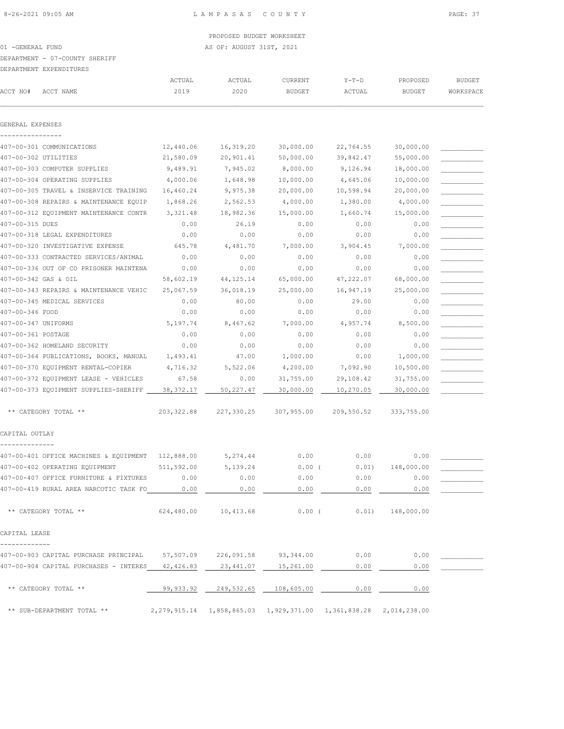01 -GENERAL FUND AS OF: AUGUST 31ST, 2021

#### DEPARTMENT - 07-COUNTY SHERIFF

#### DEPARTMENT EXPENDITURES

|                     | JELAIVITEN 1 EALENDI LONEO                           |                       |                                 |                          |                                                                      |                           |                            |
|---------------------|------------------------------------------------------|-----------------------|---------------------------------|--------------------------|----------------------------------------------------------------------|---------------------------|----------------------------|
| ACCT NO#            | ACCT NAME                                            | ACTUAL<br>2019        | ACTUAL<br>2020                  | CURRENT<br><b>BUDGET</b> | $Y-T-D$<br>ACTUAL                                                    | PROPOSED<br><b>BUDGET</b> | <b>BUDGET</b><br>WORKSPACE |
|                     |                                                      |                       |                                 |                          |                                                                      |                           |                            |
| GENERAL EXPENSES    |                                                      |                       |                                 |                          |                                                                      |                           |                            |
|                     |                                                      |                       |                                 |                          |                                                                      |                           |                            |
|                     | 407-00-301 COMMUNICATIONS                            | 12,440.06             | 16,319.20                       | 30,000.00                | 22,764.55                                                            | 30,000.00                 |                            |
|                     | 407-00-302 UTILITIES<br>407-00-303 COMPUTER SUPPLIES | 21,580.09<br>9,489.91 | 20,901.41                       | 50,000.00<br>8,000.00    | 39,842.47                                                            | 55,000.00                 |                            |
|                     |                                                      |                       | 7,945.02                        |                          | 9,126.94                                                             | 18,000.00                 |                            |
|                     | 407-00-304 OPERATING SUPPLIES                        | 4,000.06              | 1,648.98                        | 10,000.00                | 4,645.06                                                             | 10,000.00                 |                            |
|                     | 407-00-305 TRAVEL & INSERVICE TRAINING               | 16,460.24             | 9,975.38                        | 20,000.00                | 10,598.94                                                            | 20,000.00                 |                            |
|                     | 407-00-308 REPAIRS & MAINTENANCE EQUIP               | 1,868.26              | 2,562.53                        | 4,000.00                 | 1,380.00                                                             | 4,000.00                  |                            |
|                     | 407-00-312 EQUIPMENT MAINTENANCE CONTR               | 3,321.48              | 18,982.36                       | 15,000.00                | 1,660.74                                                             | 15,000.00                 |                            |
| 407-00-315 DUES     |                                                      | 0.00                  | 26.19                           | 0.00                     | 0.00                                                                 | 0.00                      |                            |
|                     | 407-00-318 LEGAL EXPENDITURES                        | 0.00                  | 0.00                            | 0.00                     | 0.00                                                                 | 0.00                      |                            |
|                     | 407-00-320 INVESTIGATIVE EXPENSE                     | 645.78                | 4,481.70                        | 7,000.00                 | 3,904.45                                                             | 7,000.00                  |                            |
|                     | 407-00-333 CONTRACTED SERVICES/ANIMAL                | 0.00                  | 0.00                            | 0.00                     | 0.00                                                                 | 0.00                      |                            |
|                     | 407-00-336 OUT OF CO PRISONER MAINTENA               | 0.00                  | 0.00                            | 0.00                     | 0.00                                                                 | 0.00                      |                            |
|                     | 407-00-342 GAS & OIL                                 | 58,602.19             | 44, 125. 14                     | 65,000.00                | 47,222.07                                                            | 68,000.00                 |                            |
|                     | 407-00-343 REPAIRS & MAINTENANCE VEHIC               | 25,067.59             | 36,018.19                       | 25,000.00                | 16,947.19                                                            | 25,000.00                 |                            |
|                     | 407-00-345 MEDICAL SERVICES                          | 0.00                  | 80.00                           | 0.00                     | 29.00                                                                | 0.00                      |                            |
| 407-00-346 FOOD     |                                                      | 0.00                  | 0.00                            | 0.00                     | 0.00                                                                 | 0.00                      |                            |
| 407-00-347 UNIFORMS |                                                      | 5,197.74              | 8,467.62                        | 7,000.00                 | 4,957.74                                                             | 8,500.00                  |                            |
| 407-00-361 POSTAGE  |                                                      | 0.00                  | 0.00                            | 0.00                     | 0.00                                                                 | 0.00                      |                            |
|                     | 407-00-362 HOMELAND SECURITY                         | 0.00                  | 0.00                            | 0.00                     | 0.00                                                                 | 0.00                      |                            |
|                     | 407-00-364 PUBLICATIONS, BOOKS, MANUAL               | 1,493.41              | 47.00                           | 1,000.00                 | 0.00                                                                 | 1,000.00                  |                            |
|                     | 407-00-370 EQUIPMENT RENTAL-COPIER                   | 4,716.32              | 5,522.06                        | 4,200.00                 | 7,092.90                                                             | 10,500.00                 |                            |
|                     | 407-00-372 EQUIPMENT LEASE - VEHICLES                | 67.58                 | 0.00                            | 31,755.00                | 29,108.42                                                            | 31,755.00                 |                            |
|                     | 407-00-373 EQUIPMENT SUPPLIES-SHERIFF                | 38, 372.17            | 50,227.47                       | 30,000.00                | 10,270.05                                                            | 30,000.00                 |                            |
|                     | ** CATEGORY TOTAL **                                 | 203, 322.88           | 227,330.25                      | 307,955.00               | 209,550.52                                                           | 333,755.00                |                            |
| CAPITAL OUTLAY      |                                                      |                       |                                 |                          |                                                                      |                           |                            |
|                     |                                                      |                       |                                 |                          |                                                                      |                           |                            |
|                     | 407-00-401 OFFICE MACHINES & EQUIPMENT               | 112,888.00            | 5,274.44                        | 0.00                     | 0.00                                                                 | 0.00                      |                            |
|                     | 407-00-402 OPERATING EQUIPMENT                       | 511,592.00            | 5,139.24                        | 0.00(                    | 0.01)                                                                | 148,000.00                |                            |
|                     | 407-00-407 OFFICE FURNITURE & FIXTURES               | 0.00                  | 0.00                            | 0.00                     | 0.00                                                                 | 0.00                      |                            |
|                     | 407-00-419 RURAL AREA NARCOTIC TASK FO 0.00          |                       | 0.00                            | 0.00                     | 0.00                                                                 | 0.00                      |                            |
|                     | ** CATEGORY TOTAL **                                 | 624,480.00            | 10,413.68                       |                          | $0.00$ ( $0.01$ ) 148,000.00                                         |                           |                            |
| CAPITAL LEASE       |                                                      |                       |                                 |                          |                                                                      |                           |                            |
|                     | 407-00-903 CAPITAL PURCHASE PRINCIPAL                |                       | 57,507.09 226,091.58            | 93,344.00                | 0.00                                                                 | 0.00                      |                            |
|                     | 407-00-904 CAPITAL PURCHASES - INTERES 42,426.83     |                       | 23,441.07                       | 15,261.00                | 0.00                                                                 | 0.00                      |                            |
|                     | ** CATEGORY TOTAL **                                 |                       | 99,933.92 249,532.65 108,605.00 |                          | 0.00                                                                 | 0.00                      |                            |
|                     | ** SUB-DEPARTMENT TOTAL **                           |                       |                                 |                          | 2,279,915.14  1,858,865.03  1,929,371.00  1,361,838.28  2,014,238.00 |                           |                            |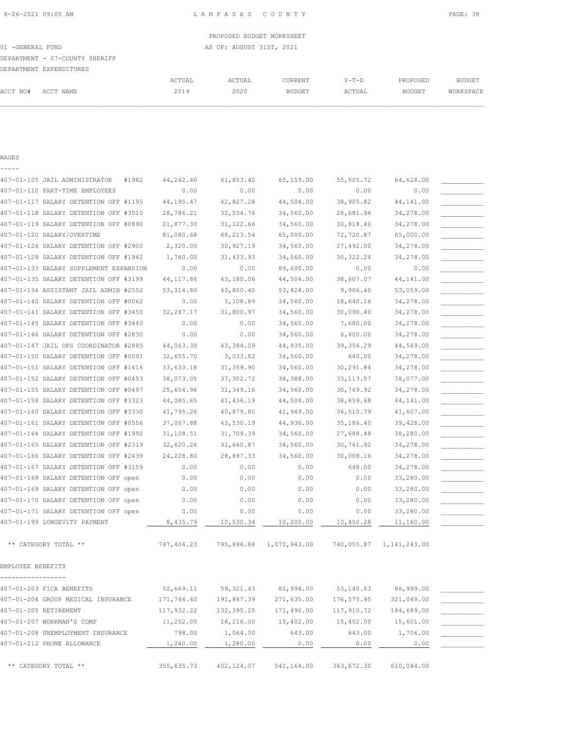01 -GENERAL FUND AS OF: AUGUST 31ST, 2021

## DEPARTMENT - 07-COUNTY SHERIFF

|          | DEPARTMENT EXPENDITURES |        |        |               |         |               |           |
|----------|-------------------------|--------|--------|---------------|---------|---------------|-----------|
|          |                         | ACTUAL | ACTUAL | CURRENT       | $Y-T-D$ | PROPOSED      | BUDGET    |
| ACCT NO# | ACCT NAME               | 2019   | 2020   | <b>BUDGET</b> | ACTUAL  | <b>BUDGET</b> | WORKSPACE |
|          |                         |        |        |               |         |               |           |

#### WAGES -----

| 407-01-105 JAIL ADMINISTRATOR<br>#1982 | 44,242.40  | 61,853.40               | 65,159.00    | 55,505.72   | 64,628.00      |  |
|----------------------------------------|------------|-------------------------|--------------|-------------|----------------|--|
| 407-01-110 PART-TIME EMPLOYEES         | 0.00       | 0.00                    | 0.00         | 0.00        | 0.00           |  |
| 407-01-117 SALARY DETENTION OFF #1195  | 44, 195.47 | 42,827.28               | 44,504.00    | 38,905.82   | 44,141.00      |  |
| 407-01-118 SALARY DETENTION OFF #3510  | 28,786.21  | 32,554.76               | 34,560.00    | 28,681.96   | 34,278.00      |  |
| 407-01-119 SALARY DETENTION OFF #0890  | 21,877.30  | 31, 122.66              | 34,560.00    | 30,818.40   | 34,278.00      |  |
| 407-01-120 SALARY/OVERTIME             | 81,080.68  | 68, 213.54              | 65,000.00    | 72,720.87   | 65,000.00      |  |
| 407-01-126 SALARY DETENTION OFF #2900  | 2,320.00   | 30,927.19               | 34,560.00    | 27,492.00   | 34,278.00      |  |
| 407-01-128 SALARY DETENTION OFF #1942  | 1,740.00   | 31,433.93               | 34,560.00    | 30, 322.24  | 34,278.00      |  |
| 407-01-133 SALARY SUPPLEMENT EXPANSION | 0.00       | 0.00                    | 89,600.00    | 0.00        | 0.00           |  |
| 407-01-135 SALARY DETENTION OFF #3199  | 44, 117.86 | 43,180.06               | 44,504.00    | 38,607.07   | 44,141.00      |  |
| 407-01-136 ASSISTANT JAIL ADMIN #2552  | 53, 314.80 | 43,800.40               | 53,424.00    | 9,906.40    | 53,059.00      |  |
| 407-01-140 SALARY DETENTION OFF #0062  | 0.00       | 3,108.89                | 34,560.00    | 18,640.16   | 34,278.00      |  |
| 407-01-141 SALARY DETENTION OFF #3450  | 32,287.17  | 31,800.97               | 34,560.00    | 30,090.40   | 34,278.00      |  |
| 407-01-145 SALARY DETENTION OFF #3440  | 0.00       | 0.00                    | 34,560.00    | 7,680.00    | 34,278.00      |  |
| 407-01-146 SALARY DETENTION OFF #2830  | 0.00       | 0.00                    | 34,560.00    | 6,400.00    | 34,278.00      |  |
| 407-01-147 JAIL OPS COORDINATOR #2885  | 44,063.30  | 43,384.09               | 44,935.00    | 39, 356.29  | 44,569.00      |  |
| 407-01-150 SALARY DETENTION OFF #0091  | 32,655.70  | 3,033.82                | 34,560.00    | 640.00      | 34,278.00      |  |
| 407-01-151 SALARY DETENTION OFF #1416  | 33,633.18  | 31,359.90               | 34,560.00    | 30,291.84   | 34,278.00      |  |
| 407-01-152 SALARY DETENTION OFF #0453  | 38,073.05  | 37,302.72               | 38,388.00    | 33, 113.07  | 38,077.00      |  |
| 407-01-155 SALARY DETENTION OFF #0497  | 25,654.96  | 31, 349.16              | 34,560.00    | 30,769.92   | 34,278.00      |  |
| 407-01-158 SALARY DETENTION OFF #3323  | 44,085.65  | 41,436.19               | 44,504.00    | 38,859.68   | 44,141.00      |  |
| 407-01-160 SALARY DETENTION OFF #3330  | 41,795.26  | 40,879.80               | 41,949.00    | 36,510.79   | 41,607.00      |  |
| 407-01-161 SALARY DETENTION OFF #0556  | 37,067.88  | 43,530.19               | 44,936.00    | 35,186.40   | 39,428.00      |  |
| 407-01-164 SALARY DETENTION OFF #1992  | 31, 128.51 | 31,709.39               | 34,560.00    | 27,688.48   | 38,280.00      |  |
| 407-01-165 SALARY DETENTION OFF #2319  | 32,620.26  | 31,660.87               | 34,560.00    | 30,761.92   | 34,278.00      |  |
| 407-01-166 SALARY DETENTION OFF #2439  | 24,228.80  | 28,897.33               | 34,560.00    | 30,008.16   | 34,278.00      |  |
| 407-01-167 SALARY DETENTION OFF #3159  | 0.00       | 0.00                    | 0.00         | 648.00      | 34,278.00      |  |
| 407-01-168 SALARY DETENTION OFF open   | 0.00       | 0.00                    | 0.00         | 0.00        | 33,280.00      |  |
| 407-01-169 SALARY DETENTION OFF open   | 0.00       | 0.00                    | 0.00         | 0.00        | 33,280.00      |  |
| 407-01-170 SALARY DETENTION OFF open   | 0.00       | 0.00                    | 0.00         | 0.00        | 33,280.00      |  |
| 407-01-171 SALARY DETENTION OFF open   | 0.00       | 0.00                    | 0.00         | 0.00        | 33,280.00      |  |
| 407-01-199 LONGEVITY PAYMENT           | 8,435.79   | 10,530.34               | 10,200.00    | 10,450.28   | 11,160.00      |  |
| ** CATEGORY TOTAL **                   | 747,404.23 | 795,896.88              | 1,070,943.00 | 740,055.87  | 1, 141, 243.00 |  |
| EMPLOYEE BENEFITS                      |            |                         |              |             |                |  |
| 407-01-203 FICA BENEFITS               | 52,669.11  |                         | 81,994.00    | 53,140.63   | 86,999.00      |  |
| 407-01-204 GROUP MEDICAL INSURANCE     | 171,744.40 | 59,321.43<br>191,847.39 | 271,635.00   | 176, 575.95 | 321,049.00     |  |
| 407-01-205 RETIREMENT                  | 117,932.22 | 132,395.25              | 171,490.00   | 117,910.72  | 184,689.00     |  |
| 407-01-207 WORKMAN'S COMP              | 11,252.00  | 16,216.00               | 15,402.00    | 15,402.00   |                |  |
| 407-01-208 UNEMPLOYMENT INSURANCE      | 798.00     | 1,064.00                |              |             | 15,601.00      |  |
|                                        |            |                         | 643.00       | 643.00      | 1,706.00       |  |
| 407-01-212 PHONE ALLOWANCE             | 1,240.00   | 1,280.00                | 0.00         | 0.00        | 0.00           |  |
| ** CATEGORY TOTAL **                   | 355,635.73 | 402,124.07              | 541,164.00   | 363,672.30  | 610,044.00     |  |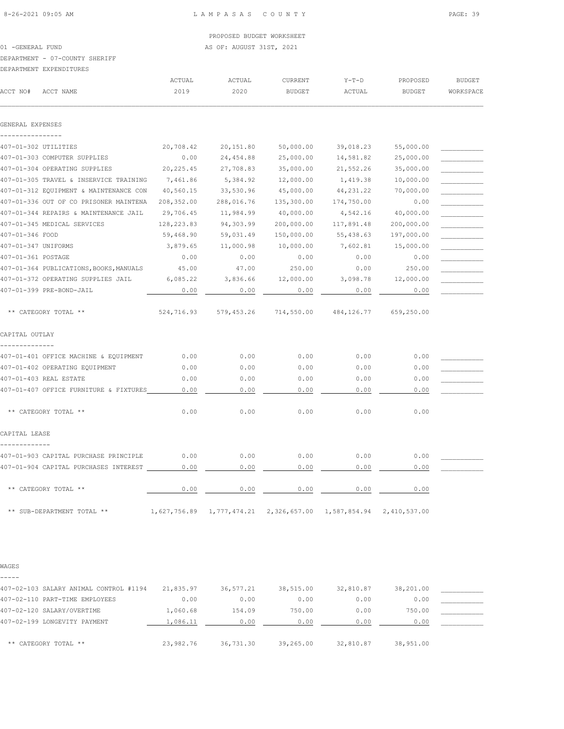01 -GENERAL FUND AS OF: AUGUST 31ST, 2021

# DEPARTMENT - 07-COUNTY SHERIFF

| DEPARTMENT EXPENDITIERS |
|-------------------------|

|                    | DEPARTMENT EXPENDITURES                 |              |              |                |              |               |               |
|--------------------|-----------------------------------------|--------------|--------------|----------------|--------------|---------------|---------------|
|                    |                                         | ACTUAL       | ACTUAL       | <b>CURRENT</b> | $Y-T-D$      | PROPOSED      | <b>BUDGET</b> |
| ACCT NO#           | ACCT NAME                               | 2019         | 2020         | <b>BUDGET</b>  | ACTUAL       | <b>BUDGET</b> | WORKSPACE     |
| GENERAL EXPENSES   |                                         |              |              |                |              |               |               |
|                    |                                         |              |              |                |              |               |               |
|                    | 407-01-302 UTILITIES                    | 20,708.42    | 20,151.80    | 50,000.00      | 39,018.23    | 55,000.00     |               |
|                    | 407-01-303 COMPUTER SUPPLIES            | 0.00         | 24,454.88    | 25,000.00      | 14,581.82    | 25,000.00     |               |
|                    | 407-01-304 OPERATING SUPPLIES           | 20, 225.45   | 27,708.83    | 35,000.00      | 21,552.26    | 35,000.00     |               |
|                    | 407-01-305 TRAVEL & INSERVICE TRAINING  | 7,461.86     | 5,384.92     | 12,000.00      | 1,419.38     | 10,000.00     |               |
|                    | 407-01-312 EQUIPMENT & MAINTENANCE CON  | 40,560.15    | 33,530.96    | 45,000.00      | 44, 231.22   | 70,000.00     |               |
|                    | 407-01-336 OUT OF CO PRISONER MAINTENA  | 208,352.00   | 288,016.76   | 135,300.00     | 174,750.00   | 0.00          |               |
|                    | 407-01-344 REPAIRS & MAINTENANCE JAIL   | 29,706.45    | 11,984.99    | 40,000.00      | 4,542.16     | 40,000.00     |               |
|                    | 407-01-345 MEDICAL SERVICES             | 128,223.83   | 94,303.99    | 200,000.00     | 117,891.48   | 200,000.00    |               |
| 407-01-346 FOOD    |                                         | 59,468.90    | 59,031.49    | 150,000.00     | 55,438.63    | 197,000.00    |               |
|                    | 407-01-347 UNIFORMS                     | 3,879.65     | 11,000.98    | 10,000.00      | 7,602.81     | 15,000.00     |               |
| 407-01-361 POSTAGE |                                         | 0.00         | 0.00         | 0.00           | 0.00         | 0.00          |               |
|                    | 407-01-364 PUBLICATIONS, BOOKS, MANUALS | 45.00        | 47.00        | 250.00         | 0.00         | 250.00        |               |
|                    | 407-01-372 OPERATING SUPPLIES JAIL      | 6,085.22     | 3,836.66     | 12,000.00      | 3,098.78     | 12,000.00     |               |
|                    | 407-01-399 PRE-BOND-JAIL                | 0.00         | 0.00         | 0.00           | 0.00         | 0.00          |               |
|                    | ** CATEGORY TOTAL **                    | 524,716.93   | 579,453.26   | 714,550.00     | 484, 126.77  | 659,250.00    |               |
| CAPITAL OUTLAY     |                                         |              |              |                |              |               |               |
|                    | 407-01-401 OFFICE MACHINE & EQUIPMENT   | 0.00         | 0.00         | 0.00           | 0.00         | 0.00          |               |
|                    | 407-01-402 OPERATING EQUIPMENT          | 0.00         | 0.00         | 0.00           | 0.00         | 0.00          |               |
|                    | 407-01-403 REAL ESTATE                  | 0.00         | 0.00         | 0.00           | 0.00         | 0.00          |               |
|                    | 407-01-407 OFFICE FURNITURE & FIXTURES  | 0.00         | 0.00         | 0.00           | 0.00         | 0.00          |               |
|                    | ** CATEGORY TOTAL **                    | 0.00         | 0.00         | 0.00           | 0.00         | 0.00          |               |
| CAPITAL LEASE      |                                         |              |              |                |              |               |               |
|                    | 407-01-903 CAPITAL PURCHASE PRINCIPLE   | 0.00         | 0.00         | 0.00           | 0.00         | 0.00          |               |
|                    | 407-01-904 CAPITAL PURCHASES INTEREST   | 0.00         | 0.00         | 0.00           | 0.00         | 0.00          |               |
|                    | ** CATEGORY TOTAL **                    | 0.00         | 0.00         | 0.00           | 0.00         | 0.00          |               |
|                    | ** SUB-DEPARTMENT TOTAL **              | 1,627,756.89 | 1,777,474.21 | 2,326,657.00   | 1,587,854.94 | 2,410,537.00  |               |

WAGES -----

| 407-02-103 SALARY ANIMAL CONTROL #1194 | 21,835.97 | 36,577.21 | 38,515.00 | 32,810.87 | 38,201.00 |  |
|----------------------------------------|-----------|-----------|-----------|-----------|-----------|--|
| 407-02-110 PART-TIME EMPLOYEES         | 0.00      | 0.00      | 0.00      | 0.00      | 0.00      |  |
| 407-02-120 SALARY/OVERTIME             | 1,060.68  | 154.09    | 750.00    | 0.00      | 750.00    |  |
| 407-02-199 LONGEVITY PAYMENT           | 1,086.11  | 0.00      | 0.00      | 0.00      | 0.00      |  |
|                                        |           |           |           |           |           |  |
| ** CATEGORY TOTAL **                   | 23,982.76 | 36,731.30 | 39,265.00 | 32,810.87 | 38,951.00 |  |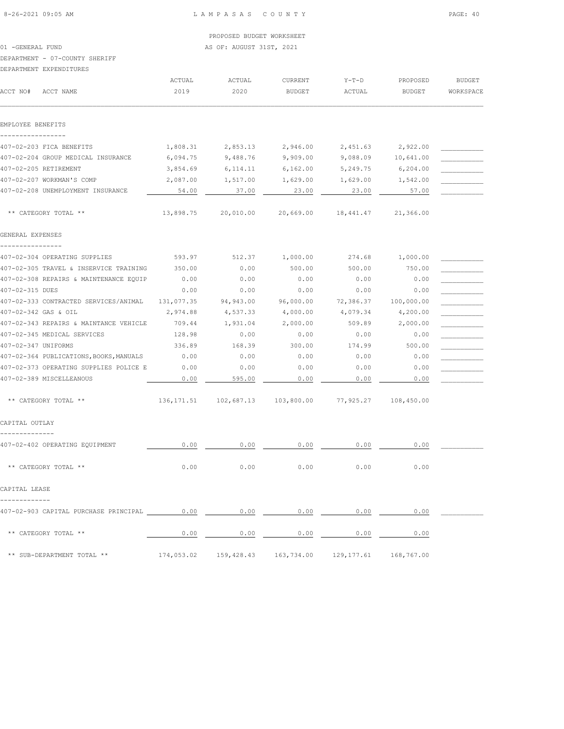01 -GENERAL FUND AS OF: AUGUST 31ST, 2021

#### DEPARTMENT - 07-COUNTY SHERIFF

DEPARTMENT EXPENDITURES

|                                 | DEFARTMENT EXFENDITURES                                                                                                   |                |                                                           |                          |                     |                    |                            |
|---------------------------------|---------------------------------------------------------------------------------------------------------------------------|----------------|-----------------------------------------------------------|--------------------------|---------------------|--------------------|----------------------------|
| ACCT NO#                        | ACCT NAME                                                                                                                 | ACTUAL<br>2019 | ACTUAL<br>2020                                            | CURRENT<br><b>BUDGET</b> | $Y-T-D$<br>ACTUAL   | PROPOSED<br>BUDGET | <b>BUDGET</b><br>WORKSPACE |
|                                 |                                                                                                                           |                |                                                           |                          |                     |                    |                            |
| EMPLOYEE BENEFITS               |                                                                                                                           |                |                                                           |                          |                     |                    |                            |
| -----------------               | 407-02-203 FICA BENEFITS                                                                                                  | 1,808.31       | 2,853.13                                                  | 2,946.00                 | 2,451.63            | 2,922.00           |                            |
|                                 | 407-02-204 GROUP MEDICAL INSURANCE                                                                                        | 6,094.75       | 9,488.76                                                  | 9,909.00                 | 9,088.09            | 10,641.00          |                            |
|                                 | 407-02-205 RETIREMENT                                                                                                     | 3,854.69       | 6, 114. 11                                                | 6,162.00                 | 5,249.75            | 6,204.00           |                            |
|                                 | 407-02-207 WORKMAN'S COMP                                                                                                 | 2,087.00       | 1,517.00                                                  | 1,629.00                 | 1,629.00            | 1,542.00           |                            |
|                                 | 407-02-208 UNEMPLOYMENT INSURANCE                                                                                         | 54.00          | 37.00                                                     | 23.00                    | 23.00               | 57.00              |                            |
|                                 | ** CATEGORY TOTAL **                                                                                                      | 13,898.75      | 20,010.00                                                 |                          | 20,669.00 18,441.47 | 21,366.00          |                            |
| GENERAL EXPENSES                |                                                                                                                           |                |                                                           |                          |                     |                    |                            |
| ----------------                | 407-02-304 OPERATING SUPPLIES                                                                                             | 593.97         | 512.37                                                    | 1,000.00                 | 274.68              | 1,000.00           |                            |
|                                 | 407-02-305 TRAVEL & INSERVICE TRAINING                                                                                    | 350.00         | 0.00                                                      | 500.00                   | 500.00              | 750.00             |                            |
|                                 | 407-02-308 REPAIRS & MAINTENANCE EQUIP                                                                                    | 0.00           | 0.00                                                      | 0.00                     | 0.00                | 0.00               |                            |
| 407-02-315 DUES                 |                                                                                                                           | 0.00           | 0.00                                                      | 0.00                     | 0.00                | 0.00               |                            |
|                                 | 407-02-333 CONTRACTED SERVICES/ANIMAL 131,077.35                                                                          |                | 94,943.00                                                 | 96,000.00                | 72,386.37           | 100,000.00         |                            |
|                                 | 407-02-342 GAS & OIL                                                                                                      | 2,974.88       | 4,537.33                                                  | 4,000.00                 | 4,079.34            | 4,200.00           |                            |
|                                 | 407-02-343 REPAIRS & MAINTANCE VEHICLE                                                                                    | 709.44         | 1,931.04                                                  | 2,000.00                 | 509.89              | 2,000.00           |                            |
|                                 | 407-02-345 MEDICAL SERVICES                                                                                               | 128.98         | 0.00                                                      | 0.00                     | 0.00                | 0.00               |                            |
| 407-02-347 UNIFORMS             |                                                                                                                           | 336.89         | 168.39                                                    | 300.00                   | 174.99              | 500.00             |                            |
|                                 | 407-02-364 PUBLICATIONS, BOOKS, MANUALS                                                                                   | 0.00           | 0.00                                                      | 0.00                     | 0.00                | 0.00               |                            |
|                                 | 407-02-373 OPERATING SUPPLIES POLICE E                                                                                    | 0.00           | 0.00                                                      | 0.00                     | 0.00                | 0.00               |                            |
|                                 | 407-02-389 MISCELLEANOUS                                                                                                  | 0.00           | 595.00                                                    | 0.00                     | 0.00                | 0.00               |                            |
|                                 | ** CATEGORY TOTAL **                                                                                                      |                | 136,171.51  102,687.13  103,800.00  77,925.27  108,450.00 |                          |                     |                    |                            |
| CAPITAL OUTLAY                  |                                                                                                                           |                |                                                           |                          |                     |                    |                            |
|                                 | 407-02-402 OPERATING EQUIPMENT                                                                                            | 0.00           | 0.00                                                      | 0.00                     | 0.00                | 0.00               |                            |
|                                 |                                                                                                                           |                |                                                           |                          |                     |                    |                            |
|                                 | ** CATEGORY TOTAL **                                                                                                      | 0.00           | 0.00                                                      | 0.00                     | 0.00                | 0.00               |                            |
| CAPITAL LEASE<br>-------------- |                                                                                                                           |                |                                                           |                          |                     |                    |                            |
|                                 | 407-02-903 CAPITAL PURCHASE PRINCIPAL $\qquad 0.00$ $\qquad 0.00$ $\qquad 0.00$ $\qquad 0.00$ $\qquad 0.00$ $\qquad 0.00$ |                |                                                           |                          |                     |                    |                            |
|                                 | ** CATEGORY TOTAL **                                                                                                      |                | $0.00$ $0.00$ $0.00$ $0.00$ $0.00$ $0.00$ $0.00$          |                          |                     |                    |                            |
|                                 | ** SUB-DEPARTMENT TOTAL **                                                                                                |                | 174,053.02 159,428.43 163,734.00 129,177.61 168,767.00    |                          |                     |                    |                            |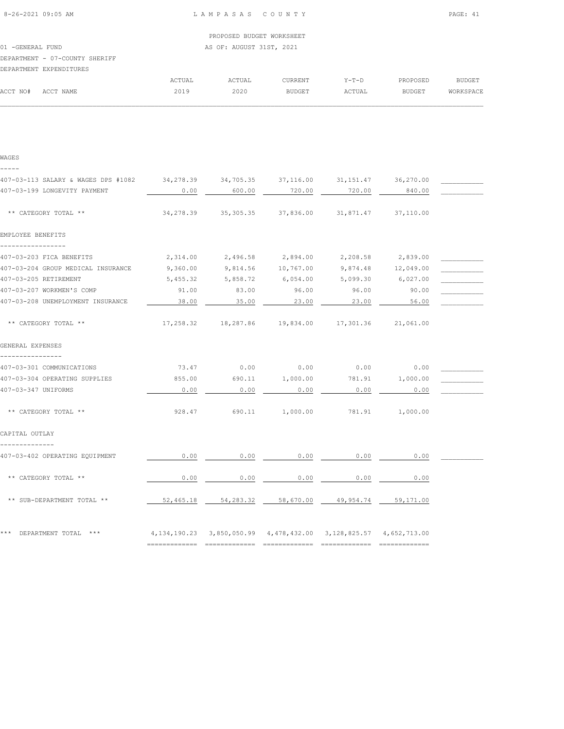|                   |                                |        | PROPOSED BUDGET WORKSHEET |                |         |          |           |
|-------------------|--------------------------------|--------|---------------------------|----------------|---------|----------|-----------|
| 01 - GENERAL FUND |                                |        | AS OF: AUGUST 31ST, 2021  |                |         |          |           |
|                   | DEPARTMENT - 07-COUNTY SHERIFF |        |                           |                |         |          |           |
|                   | DEPARTMENT EXPENDITURES        |        |                           |                |         |          |           |
|                   |                                | ACTUAL | ACTUAL                    | <b>CURRENT</b> | $Y-T-D$ | PROPOSED | BUDGET    |
| ACCT NO#          | ACCT NAME                      | 2019   | 2020                      | BUDGET         | ACTUAL  | BUDGET   | WORKSPACE |
|                   |                                |        |                           |                |         |          |           |
|                   |                                |        |                           |                |         |          |           |

| WAGES                                                                                 |           |                    |                   |                                                                                 |                    |  |
|---------------------------------------------------------------------------------------|-----------|--------------------|-------------------|---------------------------------------------------------------------------------|--------------------|--|
| -----                                                                                 |           |                    |                   |                                                                                 |                    |  |
| 407-03-113 SALARY & WAGES DPS #1082 34,278.39 34,705.35 37,116.00 31,151.47 36,270.00 |           |                    |                   |                                                                                 |                    |  |
| 407-03-199 LONGEVITY PAYMENT                                                          | 0.00      | 600.00             | 720.00            | 720.00                                                                          | 840.00             |  |
| ** CATEGORY TOTAL **                                                                  | 34,278.39 | 35,305.35          | 37,836.00         | 31,871.47                                                                       | 37,110.00          |  |
| EMPLOYEE BENEFITS<br>-----------------                                                |           |                    |                   |                                                                                 |                    |  |
| 407-03-203 FICA BENEFITS                                                              | 2,314.00  |                    | 2,496.58 2,894.00 | 2,208.58                                                                        | 2,839.00           |  |
| 407-03-204 GROUP MEDICAL INSURANCE                                                    | 9,360.00  | 9,814.56 10,767.00 |                   |                                                                                 | 9,874.48 12,049.00 |  |
| 407-03-205 RETIREMENT                                                                 | 5,455.32  | 5,858.72           | 6,054.00          | 5,099.30                                                                        | 6,027.00           |  |
| 407-03-207 WORKMEN'S COMP                                                             | 91.00     | 83.00              | 96.00             | 96.00                                                                           | 90.00              |  |
| 407-03-208 UNEMPLOYMENT INSURANCE                                                     | 38.00     | 35.00              | 23.00             | 23.00                                                                           | 56.00              |  |
| ** CATEGORY TOTAL **                                                                  |           |                    |                   | 17,258.32 18,287.86 19,834.00 17,301.36 21,061.00                               |                    |  |
| GENERAL EXPENSES                                                                      |           |                    |                   |                                                                                 |                    |  |
|                                                                                       |           |                    |                   |                                                                                 |                    |  |
| 407-03-301 COMMUNICATIONS                                                             | 73.47     | 0.00               | 0.00              | 0.00                                                                            | 0.00               |  |
| 407-03-304 OPERATING SUPPLIES                                                         | 855.00    | 690.11             | 1,000.00          | 781.91                                                                          | 1,000.00           |  |
| 407-03-347 UNIFORMS                                                                   | 0.00      | 0.00               | 0.00              | 0.00                                                                            | 0.00               |  |
| ** CATEGORY TOTAL **                                                                  | 928.47    |                    | 690.11 1,000.00   |                                                                                 | 781.91 1,000.00    |  |
| CAPITAL OUTLAY                                                                        |           |                    |                   |                                                                                 |                    |  |
| --------------<br>407-03-402 OPERATING EQUIPMENT                                      | 0.00      | 0.00               | 0.00              | 0.00                                                                            | 0.00               |  |
| ** CATEGORY TOTAL **                                                                  | 0.00      | 0.00               | 0.00              | 0.00                                                                            | 0.00               |  |
| ** SUB-DEPARTMENT TOTAL **                                                            |           |                    |                   | 52,465.18 54,283.32 58,670.00 49,954.74 59,171.00                               |                    |  |
| *** DEPARTMENT TOTAL ***                                                              |           |                    |                   | 4, 134, 190. 23 3, 850, 050. 99 4, 478, 432. 00 3, 128, 825. 57 4, 652, 713. 00 |                    |  |
|                                                                                       |           |                    |                   |                                                                                 |                    |  |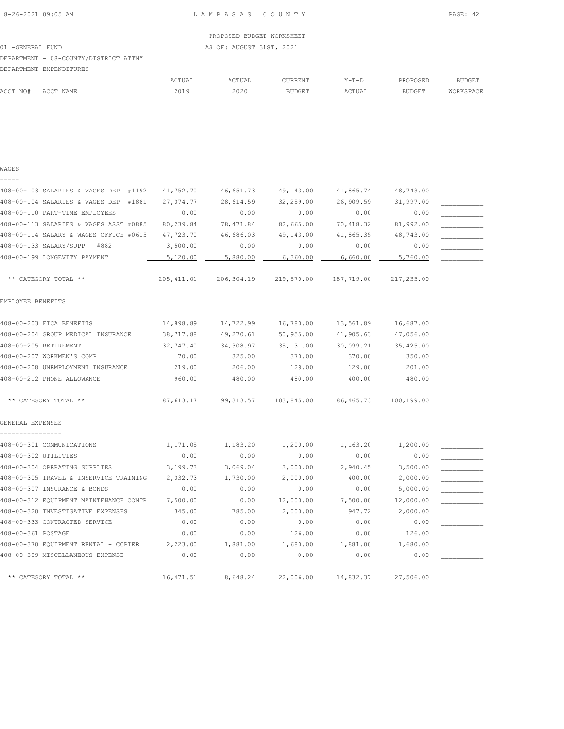| RAL FUND |
|----------|

DEPARTMENT - 08-COUNTY/DISTRICT ATTNY

| DEPARTMENT EXPENDITURES |        |        |                |         |               |           |
|-------------------------|--------|--------|----------------|---------|---------------|-----------|
|                         | ACTUAL | ACTUAL | <b>CURRENT</b> | $Y-T-D$ | PROPOSED      | BUDGET    |
| ACCT NAME               | 2019   | 2020   | <b>BUDGET</b>  | ACTUAL  | <b>BUDGET</b> | WORKSPACE |
|                         |        |        |                |         |               |           |

|                    | DEPARTMENT EXPENDITURES |        |        |               |        |               |           |
|--------------------|-------------------------|--------|--------|---------------|--------|---------------|-----------|
|                    |                         | ACTUAL | ACTUAL | CURRENT       | Y-T-D  | PROPOSED      | BUDGET    |
| ACCT NO# ACCT NAME |                         | 2019   | 2020   | <b>BUDGET</b> | ACTUAL | <b>BUDGET</b> | WORKSPACE |
|                    |                         |        |        |               |        |               |           |

408-00-103 SALARIES & WAGES DEP #1192 41,752.70 46,651.73 49,143.00 41,865.74 48,743.00 \_\_\_\_\_\_\_\_\_\_\_ 408-00-104 SALARIES & WAGES DEP #1881 27,074.77 28,614.59 32,259.00 26,909.59 31,997.00 \_\_\_\_\_\_\_\_\_\_\_ 408-00-110 PART-TIME EMPLOYEES 0.00 0.00 0.00 0.00 0.00 \_\_\_\_\_\_\_\_\_\_\_ 408-00-113 SALARIES & WAGES ASST #0885 80,239.84 78,471.84 82,665.00 70,418.32 81,992.00 \_\_\_\_\_\_\_\_\_\_\_ 408-00-114 SALARY & WAGES OFFICE #0615 47,723.70 46,686.03 49,143.00 41,865.35 48,743.00 \_\_\_\_\_\_\_\_\_\_\_ 408-00-133 SALARY/SUPP #882 3,500.00 0.00 0.00 0.00 0.00 \_\_\_\_\_\_\_\_\_\_\_ 408-00-199 LONGEVITY PAYMENT  $\qquad \qquad 5,120.00 \qquad \qquad 5,880.00 \qquad \qquad 6,360.00 \qquad \qquad 6,660.00 \qquad \qquad 5,760.00$ 

\*\* CATEGORY TOTAL \*\* 205,411.01 206,304.19 219,570.00 187,719.00 217,235.00

408-00-203 FICA BENEFITS 14,898.89 14,722.99 16,780.00 13,561.89 16,687.00 \_\_\_\_\_\_\_\_\_\_\_ 408-00-204 GROUP MEDICAL INSURANCE 38,717.88 49,270.61 50,955.00 41,905.63 47,056.00 408-00-205 RETIREMENT 32,747.40 34,308.97 35,131.00 30,099.21 35,425.00 \_\_\_\_\_\_\_\_\_\_\_ 408-00-207 WORKMEN'S COMP 70.00 325.00 370.00 370.00 350.00 \_\_\_\_\_\_\_\_\_\_\_ 408-00-208 UNEMPLOYMENT INSURANCE 219.00 206.00 129.00 129.00 201.00 \_\_\_\_\_\_\_\_\_\_\_ 408-00-212 PHONE ALLOWANCE 480.00 480.00 480.00 480.00 480.00 480.00 480.00

\*\* CATEGORY TOTAL \*\* 87,613.17 99,313.57 103,845.00 86,465.73 100,199.00

408-00-301 COMMUNICATIONS 1,171.05 1,183.20 1,200.00 1,163.20 1,200.00 408-00-302 UTILITIES 0.00 0.00 0.00 0.00 0.00 \_\_\_\_\_\_\_\_\_\_\_ 408-00-304 OPERATING SUPPLIES  $\begin{array}{cccc} 3,199.73 & 3,069.04 & 3,000.00 & 2,940.45 & 3,500.00 \end{array}$ 408-00-305 TRAVEL & INSERVICE TRAINING 2,032.73 1,730.00 2,000.00 400.00 2,000.00 \_\_\_\_\_\_\_\_\_\_\_ 408-00-307 INSURANCE & BONDS 0.00 0.00 0.00 0.00 5,000.00 \_\_\_\_\_\_\_\_\_\_\_ 408-00-312 EQUIPMENT MAINTENANCE CONTR 7,500.00 0.00 12,000.00 7,500.00 12,000.00 \_\_\_\_\_\_\_\_\_\_\_ 408-00-320 INVESTIGATIVE EXPENSES 345.00 785.00 2,000.00 947.72 2,000.00 \_\_\_\_\_\_\_\_\_\_\_  $408-00-333$  CONTRACTED SERVICE  $0.00$  0.00  $0.00$  0.00  $0.00$  0.00 0.00  $408-00-361$  POSTAGE 0.00  $0.00$  0.00  $126.00$  0.00  $126.00$ 408-00-370 EQUIPMENT RENTAL - COPIER 2,223.00 1,881.00 1,680.00 1,881.00 1,680.00 408-00-389 MISCELLANEOUS EXPENSE  $\qquad \qquad 0.00 \qquad \qquad 0.00 \qquad \qquad 0.00 \qquad \qquad 0.00 \qquad \qquad 0.00 \qquad \qquad 0.00$ 

\*\* CATEGORY TOTAL \*\* 16,471.51 8,648.24 22,006.00 14,832.37 27,506.00

**WAGES** -----

EMPLOYEE BENEFITS -----------------

GENERAL EXPENSES ----------------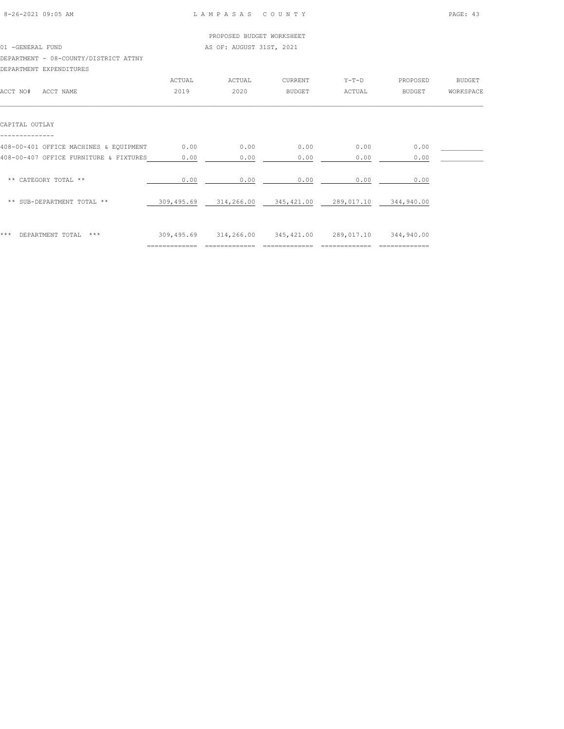|                                        |        | PROPOSED BUDGET WORKSHEET |                |         |          |           |
|----------------------------------------|--------|---------------------------|----------------|---------|----------|-----------|
| 01 - GENERAL FUND                      |        | AS OF: AUGUST 31ST, 2021  |                |         |          |           |
| DEPARTMENT - 08-COUNTY/DISTRICT ATTNY  |        |                           |                |         |          |           |
| DEPARTMENT EXPENDITURES                |        |                           |                |         |          |           |
|                                        | ACTUAL | ACTUAL                    | <b>CURRENT</b> | $Y-T-D$ | PROPOSED | BUDGET    |
| ACCT NO#<br>ACCT NAME                  | 2019   | 2020                      | BUDGET         | ACTUAL  | BUDGET   | WORKSPACE |
|                                        |        |                           |                |         |          |           |
| CAPITAL OUTLAY                         |        |                           |                |         |          |           |
|                                        |        |                           |                |         |          |           |
| 408-00-401 OFFICE MACHINES & EQUIPMENT | 0.00   | 0.00                      | 0.00           | 0.00    | 0.00     |           |

| *** | DEPARTMENT TOTAL<br>$***$                                                        | 309,495.69   | 314,266.00   | 345, 421.00  | 289,017.10   | 344,940.00   |  |
|-----|----------------------------------------------------------------------------------|--------------|--------------|--------------|--------------|--------------|--|
|     | ** SUB-DEPARTMENT TOTAL **                                                       | 309,495.69   | 314,266.00   | 345, 421.00  | 289,017.10   | 344,940.00   |  |
|     | ** CATEGORY TOTAL **                                                             | 0.00         | 0.00         | 0.00         | 0.00         | 0.00         |  |
|     | 408-00-401 OFFICE MACHINES & EQUIPMENT<br>408-00-407 OFFICE FURNITURE & FIXTURES | 0.00<br>0.00 | 0.00<br>0.00 | 0.00<br>0.00 | 0.00<br>0.00 | 0.00<br>0.00 |  |
|     |                                                                                  |              |              |              |              |              |  |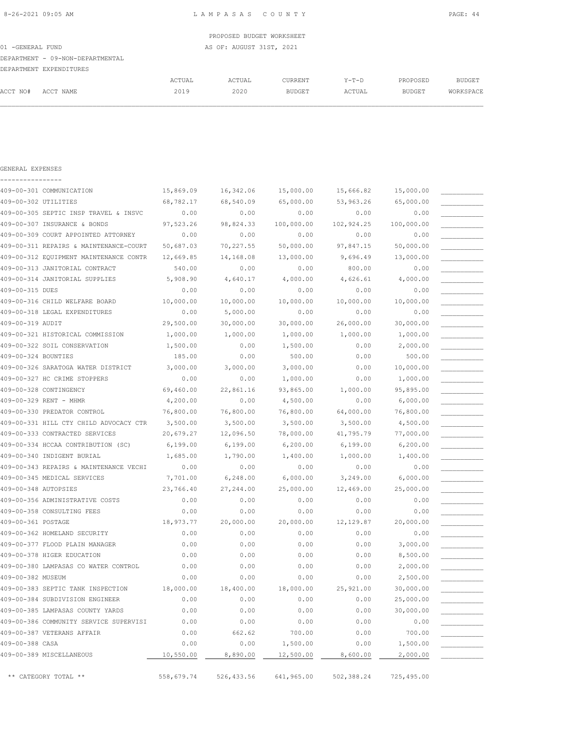GENERAL EXPENSES

| PROPOSED BUDGET WORKSHEET        |        |                          |         |       |          |               |  |  |
|----------------------------------|--------|--------------------------|---------|-------|----------|---------------|--|--|
| 01 -GENERAL FUND                 |        | AS OF: AUGUST 31ST, 2021 |         |       |          |               |  |  |
| DEPARTMENT - 09-NON-DEPARTMENTAL |        |                          |         |       |          |               |  |  |
| DEPARTMENT EXPENDITURES          |        |                          |         |       |          |               |  |  |
|                                  | ACTUAL | ACTUAL                   | CURRENT | Y-T-D | PROPOSED | <b>BUDGET</b> |  |  |

|          |           | ACTUAL | ACTUAL | CURRENT | $Y-T-D$ | PROPOSED | <b>BUDGET</b> |
|----------|-----------|--------|--------|---------|---------|----------|---------------|
| ACCT NO# | ACCT NAME | 2019   | 2020   | BUDGET  | ACTUAL  | BUDGET   | WORKSPACE     |
|          |           |        |        |         |         |          |               |
|          |           |        |        |         |         |          |               |
|          |           |        |        |         |         |          |               |
|          |           |        |        |         |         |          |               |
|          |           |        |        |         |         |          |               |

| 409-00-301 COMMUNICATION               | 15,869.09 | 16,342.06 | 15,000.00  | 15,666.82  | 15,000.00  |  |
|----------------------------------------|-----------|-----------|------------|------------|------------|--|
| 409-00-302 UTILITIES                   | 68,782.17 | 68,540.09 | 65,000.00  | 53,963.26  | 65,000.00  |  |
| 409-00-305 SEPTIC INSP TRAVEL & INSVC  | 0.00      | 0.00      | 0.00       | 0.00       | 0.00       |  |
| 409-00-307 INSURANCE & BONDS           | 97,523.26 | 98,824.33 | 100,000.00 | 102,924.25 | 100,000.00 |  |
| 409-00-309 COURT APPOINTED ATTORNEY    | 0.00      | 0.00      | 0.00       | 0.00       | 0.00       |  |
| 409-00-311 REPAIRS & MAINTENANCE-COURT | 50,687.03 | 70,227.55 | 50,000.00  | 97,847.15  | 50,000.00  |  |
| 409-00-312 EQUIPMENT MAINTENANCE CONTR | 12,669.85 | 14,168.08 | 13,000.00  | 9,696.49   | 13,000.00  |  |
| 409-00-313 JANITORIAL CONTRACT         | 540.00    | 0.00      | 0.00       | 800.00     | 0.00       |  |
| 409-00-314 JANITORIAL SUPPLIES         | 5,908.90  | 4,640.17  | 4,000.00   | 4,626.61   | 4,000.00   |  |
| 409-00-315 DUES                        | 0.00      | 0.00      | 0.00       | 0.00       | 0.00       |  |
| 409-00-316 CHILD WELFARE BOARD         | 10,000.00 | 10,000.00 | 10,000.00  | 10,000.00  | 10,000.00  |  |
| 409-00-318 LEGAL EXPENDITURES          | 0.00      | 5,000.00  | 0.00       | 0.00       | 0.00       |  |
| 409-00-319 AUDIT                       | 29,500.00 | 30,000.00 | 30,000.00  | 26,000.00  | 30,000.00  |  |
| 409-00-321 HISTORICAL COMMISSION       | 1,000.00  | 1,000.00  | 1,000.00   | 1,000.00   | 1,000.00   |  |
| 409-00-322 SOIL CONSERVATION           | 1,500.00  | 0.00      | 1,500.00   | 0.00       | 2,000.00   |  |
| 409-00-324 BOUNTIES                    | 185.00    | 0.00      | 500.00     | 0.00       | 500.00     |  |
| 409-00-326 SARATOGA WATER DISTRICT     | 3,000.00  | 3,000.00  | 3,000.00   | 0.00       | 10,000.00  |  |
| 409-00-327 HC CRIME STOPPERS           | 0.00      | 0.00      | 1,000.00   | 0.00       | 1,000.00   |  |
| 409-00-328 CONTINGENCY                 | 69,460.00 | 22,861.16 | 93,865.00  | 1,000.00   | 95,895.00  |  |
| 409-00-329 RENT - MHMR                 | 4,200.00  | 0.00      | 4,500.00   | 0.00       | 6,000.00   |  |
| 409-00-330 PREDATOR CONTROL            | 76,800.00 | 76,800.00 | 76,800.00  | 64,000.00  | 76,800.00  |  |
| 409-00-331 HILL CTY CHILD ADVOCACY CTR | 3,500.00  | 3,500.00  | 3,500.00   | 3,500.00   | 4,500.00   |  |
| 409-00-333 CONTRACTED SERVICES         | 20,679.27 | 12,096.50 | 78,000.00  | 41,795.79  | 77,000.00  |  |
| 409-00-334 HCCAA CONTRIBUTION (SC)     | 6,199.00  | 6,199.00  | 6, 200.00  | 6,199.00   | 6, 200.00  |  |
| 409-00-340 INDIGENT BURIAL             | 1,685.00  | 1,790.00  | 1,400.00   | 1,000.00   | 1,400.00   |  |
| 409-00-343 REPAIRS & MAINTENANCE VECHI | 0.00      | 0.00      | 0.00       | 0.00       | 0.00       |  |
| 409-00-345 MEDICAL SERVICES            | 7,701.00  | 6,248.00  | 6,000.00   | 3,249.00   | 6,000.00   |  |
| 409-00-348 AUTOPSIES                   | 23,766.40 | 27,244.00 | 25,000.00  | 12,469.00  | 25,000.00  |  |
| 409-00-356 ADMINISTRATIVE COSTS        | 0.00      | 0.00      | 0.00       | 0.00       | 0.00       |  |
| 409-00-358 CONSULTING FEES             | 0.00      | 0.00      | 0.00       | 0.00       | 0.00       |  |
| 409-00-361 POSTAGE                     | 18,973.77 | 20,000.00 | 20,000.00  | 12, 129.87 | 20,000.00  |  |
| 409-00-362 HOMELAND SECURITY           | 0.00      | 0.00      | 0.00       | 0.00       | 0.00       |  |
| 409-00-377 FLOOD PLAIN MANAGER         | 0.00      | 0.00      | 0.00       | 0.00       | 3,000.00   |  |
| 409-00-378 HIGER EDUCATION             | 0.00      | 0.00      | 0.00       | 0.00       | 8,500.00   |  |
| 409-00-380 LAMPASAS CO WATER CONTROL   | 0.00      | 0.00      | 0.00       | 0.00       | 2,000.00   |  |
| 409-00-382 MUSEUM                      | 0.00      | 0.00      | 0.00       | 0.00       | 2,500.00   |  |
| 409-00-383 SEPTIC TANK INSPECTION      | 18,000.00 | 18,400.00 | 18,000.00  | 25,921.00  | 30,000.00  |  |
| 409-00-384 SUBDIVISION ENGINEER        | 0.00      | 0.00      | 0.00       | 0.00       | 25,000.00  |  |
| 409-00-385 LAMPASAS COUNTY YARDS       | 0.00      | 0.00      | 0.00       | 0.00       | 30,000.00  |  |
| 409-00-386 COMMUNITY SERVICE SUPERVISI | 0.00      | 0.00      | 0.00       | 0.00       | 0.00       |  |
| 409-00-387 VETERANS AFFAIR             | 0.00      | 662.62    | 700.00     | 0.00       | 700.00     |  |
| 409-00-388 CASA                        | 0.00      | 0.00      | 1,500.00   | 0.00       | 1,500.00   |  |
| 409-00-389 MISCELLANEOUS               | 10,550.00 | 8,890.00  | 12,500.00  | 8,600.00   | 2,000.00   |  |
|                                        |           |           |            |            |            |  |

\*\* CATEGORY TOTAL \*\* 558,679.74 526,433.56 641,965.00 502,388.24 725,495.00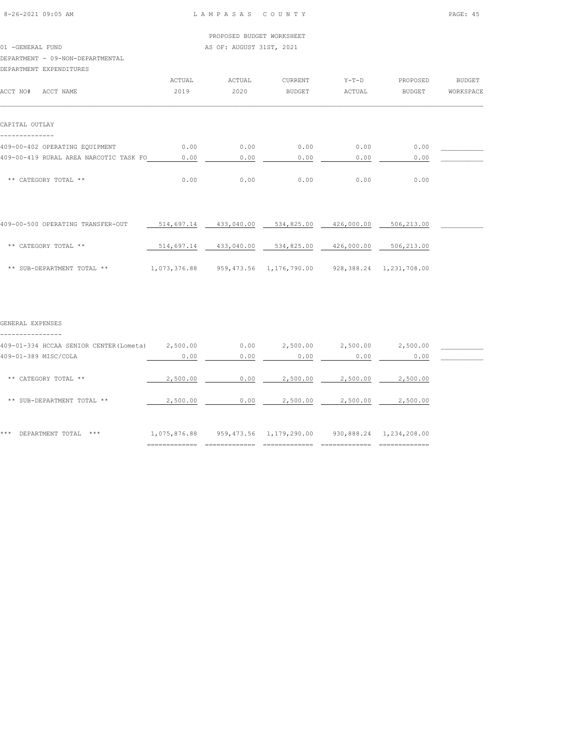01 -GENERAL FUND AS OF: AUGUST 31ST, 2021

# DEPARTMENT - 09-NON-DEPARTMENTAL

DEPARTMENT EXPENDITURES

| DEFARIMENT EAFENDITURES                |        |        |               |         |               |           |
|----------------------------------------|--------|--------|---------------|---------|---------------|-----------|
|                                        | ACTUAL | ACTUAL | CURRENT       | $Y-T-D$ | PROPOSED      | BUDGET    |
| ACCT NO#<br>ACCT NAME                  | 2019   | 2020   | <b>BUDGET</b> | ACTUAL  | <b>BUDGET</b> | WORKSPACE |
|                                        |        |        |               |         |               |           |
| CAPITAL OUTLAY                         |        |        |               |         |               |           |
| 409-00-402 OPERATING EQUIPMENT         | 0.00   | 0.00   | 0.00          | 0.00    | 0.00          |           |
| 409-00-419 RURAL AREA NARCOTIC TASK FO | 0.00   | 0.00   | 0.00          | 0.00    | 0.00          |           |
| ** CATEGORY TOTAL **                   | 0.00   | 0.00   | 0.00          | 0.00    | 0.00          |           |

| 409-00-500 OPERATING TRANSFER-OUT | 514,697.14   | 433,040.00 | 534,825.00              | 426,000.00 | 506,213.00              |  |
|-----------------------------------|--------------|------------|-------------------------|------------|-------------------------|--|
| ** CATEGORY TOTAL **              | 514,697.14   | 433,040.00 | 534,825.00              | 426,000.00 | 506,213.00              |  |
| ** SUB-DEPARTMENT TOTAL **        | 1,073,376.88 |            | 959,473.56 1,176,790.00 |            | 928,388.24 1,231,708.00 |  |

#### GENERAL EXPENSES

| 409-01-334 HCCAA SENIOR CENTER (Lometa) | 2,500.00     | 0.00       | 2,500.00     | 2,500.00   | 2,500.00     |  |
|-----------------------------------------|--------------|------------|--------------|------------|--------------|--|
| 409-01-389 MISC/COLA                    | 0.00         | 0.00       | 0.00         | 0.00       | 0.00         |  |
| CATEGORY TOTAL **<br>$* *$              | 2,500.00     | 0.00       | 2,500.00     | 2,500.00   | 2,500.00     |  |
| SUB-DEPARTMENT TOTAL **<br>$***$        | 2,500.00     | 0.00       | 2,500.00     | 2,500.00   | 2,500.00     |  |
| ***<br>DEPARTMENT TOTAL<br>***          | 1,075,876.88 | 959,473.56 | 1,179,290.00 | 930,888.24 | 1,234,208.00 |  |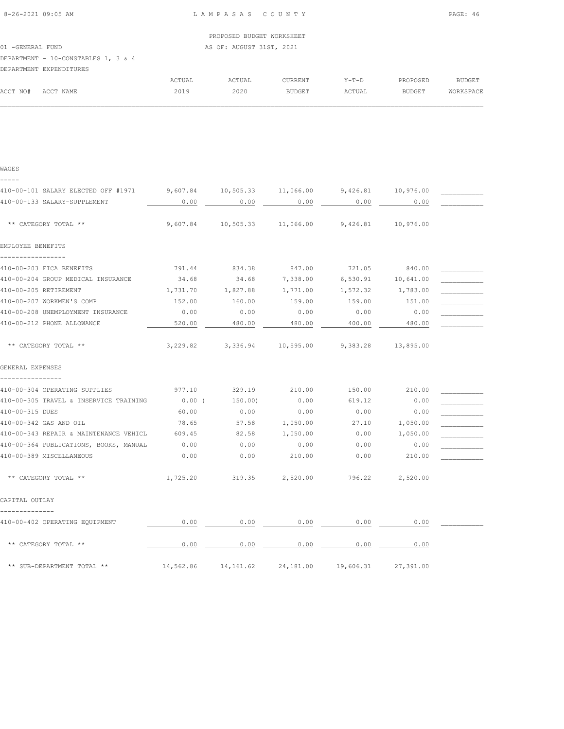|                                     | PROPOSED BUDGET WORKSHEET |
|-------------------------------------|---------------------------|
| 01 - GENERAL FUND                   | AS OF: AUGUST 31ST, 2021  |
| DEPARTMENT - 10-CONSTABLES 1, 3 & 4 |                           |
| DEPARTMENT EXPENDITURES             |                           |
|                                     |                           |

|          |           | ACTUAL | ACTUAL | CURRENT       | $Y - T - D$ | PROPOSED      | BUDGET    |
|----------|-----------|--------|--------|---------------|-------------|---------------|-----------|
| ACCT NO# | ACCT NAME | 2019   | 2020   | <b>BUDGET</b> | ACTUAL      | <b>BUDGET</b> | WORKSPACE |
|          |           |        |        |               |             |               |           |

| WAGES                                                                               |           |           |           |                                                     |           |  |
|-------------------------------------------------------------------------------------|-----------|-----------|-----------|-----------------------------------------------------|-----------|--|
| 410-00-101 SALARY ELECTED OFF #1971 9,607.84 10,505.33 11,066.00 9,426.81 10,976.00 |           |           |           |                                                     |           |  |
| 410-00-133 SALARY-SUPPLEMENT                                                        | 0.00      | 0.00      | 0.00      | 0.00                                                | 0.00      |  |
| ** CATEGORY TOTAL **                                                                |           |           |           | 9,607.84  10,505.33  11,066.00  9,426.81  10,976.00 |           |  |
| EMPLOYEE BENEFITS                                                                   |           |           |           |                                                     |           |  |
| -----------------<br>410-00-203 FICA BENEFITS                                       | 791.44    | 834.38    | 847.00    | 721.05 840.00                                       |           |  |
| 410-00-204 GROUP MEDICAL INSURANCE                                                  | 34.68     | 34.68     | 7,338.00  | 6,530.91 10,641.00                                  |           |  |
| 410-00-205 RETIREMENT                                                               | 1,731.70  | 1,827.88  | 1,771.00  | 1,572.32 1,783.00                                   |           |  |
| 410-00-207 WORKMEN'S COMP                                                           | 152.00    | 160.00    | 159.00    | 159.00                                              | 151.00    |  |
| 410-00-208 UNEMPLOYMENT INSURANCE                                                   | 0.00      | 0.00      | 0.00      | 0.00                                                | 0.00      |  |
| 410-00-212 PHONE ALLOWANCE                                                          | 520.00    | 480.00    | 480.00    | 400.00                                              | 480.00    |  |
| ** CATEGORY TOTAL **                                                                |           |           |           | 3,229.82 3,336.94 10,595.00 9,383.28 13,895.00      |           |  |
| GENERAL EXPENSES                                                                    |           |           |           |                                                     |           |  |
| ---------------<br>410-00-304 OPERATING SUPPLIES                                    | 977.10    | 329.19    | 210.00    | 150.00                                              | 210.00    |  |
| 410-00-305 TRAVEL & INSERVICE TRAINING                                              | $0.00$ (  | 150.00)   | 0.00      | 619.12                                              | 0.00      |  |
| 410-00-315 DUES                                                                     | 60.00     | 0.00      | 0.00      | 0.00                                                | 0.00      |  |
| 410-00-342 GAS AND OIL                                                              | 78.65     | 57.58     | 1,050.00  | 27.10                                               | 1,050.00  |  |
| 410-00-343 REPAIR & MAINTENANCE VEHICL                                              | 609.45    | 82.58     | 1,050.00  | 0.00                                                | 1,050.00  |  |
| 410-00-364 PUBLICATIONS, BOOKS, MANUAL                                              | 0.00      | 0.00      | 0.00      | 0.00                                                | 0.00      |  |
| 410-00-389 MISCELLANEOUS                                                            | 0.00      | 0.00      | 210.00    | 0.00                                                | 210.00    |  |
| ** CATEGORY TOTAL **                                                                |           |           |           | 1,725.20 319.35 2,520.00 796.22 2,520.00            |           |  |
| CAPITAL OUTLAY                                                                      |           |           |           |                                                     |           |  |
|                                                                                     |           |           |           |                                                     |           |  |
| 410-00-402 OPERATING EQUIPMENT                                                      | 0.00      | 0.00      | 0.00      | 0.00                                                | 0.00      |  |
| ** CATEGORY TOTAL **                                                                | 0.00      | 0.00      | 0.00      | 0.00                                                | 0.00      |  |
| ** SUB-DEPARTMENT TOTAL **                                                          | 14,562.86 | 14,161.62 | 24,181.00 | 19,606.31                                           | 27,391.00 |  |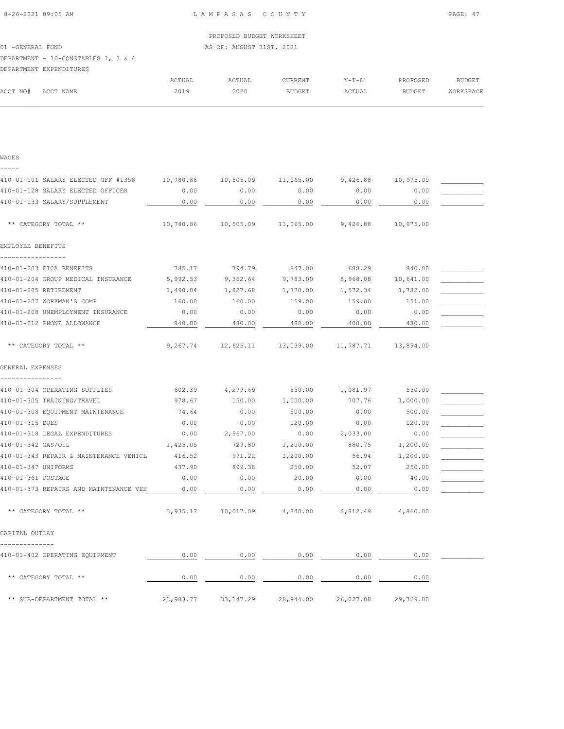|                                        |           | PROPOSED BUDGET WORKSHEET |                     |                     |           |               |
|----------------------------------------|-----------|---------------------------|---------------------|---------------------|-----------|---------------|
| 01 - GENERAL FUND                      |           | AS OF: AUGUST 31ST, 2021  |                     |                     |           |               |
| DEPARTMENT - 10-CONSTABLES 1, 3 & 4    |           |                           |                     |                     |           |               |
| DEPARTMENT EXPENDITURES                |           |                           |                     |                     |           |               |
|                                        | ACTUAL    | ACTUAL                    | <b>CURRENT</b>      | $Y-T-D$             | PROPOSED  | <b>BUDGET</b> |
| ACCT NO#<br>ACCT NAME                  | 2019      | 2020                      | BUDGET              | ACTUAL              | BUDGET    | WORKSPACE     |
|                                        |           |                           |                     |                     |           |               |
|                                        |           |                           |                     |                     |           |               |
|                                        |           |                           |                     |                     |           |               |
| WAGES                                  |           |                           |                     |                     |           |               |
| 410-01-101 SALARY ELECTED OFF #1358    | 10,780.86 |                           | 10,505.09 11,065.00 | 9,426.88            | 10,975.00 |               |
| 410-01-128 SALARY ELECTED OFFICER      | 0.00      | 0.00                      | 0.00                | 0.00                | 0.00      |               |
| 410-01-133 SALARY/SUPPLEMENT           | 0.00      | 0.00                      | 0.00                | 0.00                | 0.00      |               |
| ** CATEGORY TOTAL **                   | 10,780.86 | 10,505.09 11,065.00       |                     | 9,426.88            | 10,975.00 |               |
| EMPLOYEE BENEFITS                      |           |                           |                     |                     |           |               |
| 410-01-203 FICA BENEFITS               |           |                           |                     |                     |           |               |
|                                        | 785.17    | 794.79                    | 847.00              | 688.29              | 840.00    |               |
| 410-01-204 GROUP MEDICAL INSURANCE     | 5,992.53  | 9,362.64                  | 9,783.00            | 8,968.08            | 10,641.00 |               |
| 410-01-205 RETIREMENT                  | 1,490.04  | 1,827.68                  | 1,770.00            | 1,572.34            | 1,782.00  |               |
| 410-01-207 WORKMAN'S COMP              | 160.00    | 160.00                    | 159.00              | 159.00              | 151.00    |               |
| 410-01-208 UNEMPLOYMENT INSURANCE      | 0.00      | 0.00                      | 0.00                | 0.00                | 0.00      |               |
| 410-01-212 PHONE ALLOWANCE             | 840.00    | 480.00                    | 480.00              | 400.00              | 480.00    |               |
| ** CATEGORY TOTAL **                   | 9,267.74  |                           | 12,625.11 13,039.00 | 11,787.71 13,894.00 |           |               |
| GENERAL EXPENSES                       |           |                           |                     |                     |           |               |
| 410-01-304 OPERATING SUPPLIES          | 602.39    | 4,279.69                  | 550.00              | 1,081.97            | 550.00    |               |
| 410-01-305 TRAINING/TRAVEL             | 978.67    | 150.00                    | 1,000.00            | 707.76              | 1,000.00  |               |
| 410-01-308 EQUIPMENT MAINTENANCE       | 74.64     | 0.00                      | 500.00              | 0.00                | 500.00    |               |
| 410-01-315 DUES                        | 0.00      | 0.00                      | 120.00              | 0.00                | 120.00    |               |
| 410-01-318 LEGAL EXPENDITURES          | 0.00      | 2,967.00                  | 0.00                | 2,033.00            | 0.00      |               |
| 410-01-342 GAS/OIL                     | 1,425.05  | 729.80                    | 1,200.00            | 880.75              | 1,200.00  |               |
| 410-01-343 REPAIR & MAINTENANCE VEHICL | 416.52    | 991.22                    | 1,200.00            | 56.94               | 1,200.00  |               |
| 410-01-347 UNIFORMS                    | 437.90    | 899.38                    | 250.00              | 52.07               | 250.00    |               |
| 410-01-361 POSTAGE                     | 0.00      | 0.00                      | 20.00               | 0.00                | 40.00     |               |
| 410-01-373 REPAIRS AND MAINTENANCE VEH | 0.00      | 0.00                      | 0.00                | 0.00                | 0.00      |               |
| ** CATEGORY TOTAL **                   | 3,935.17  | 10,017.09                 | 4,840.00            | 4,812.49            | 4,860.00  |               |
|                                        |           |                           |                     |                     |           |               |

CAPITAL OUTLAY --------------

410-01-402 OPERATING EQUIPMENT  $0.00$   $0.00$   $0.00$   $0.00$   $0.00$   $0.00$   $0.00$   $0.00$   $0.00$  \*\* CATEGORY TOTAL \*\* 0.00 0.00 0.00 0.00 0.00 \*\* SUB-DEPARTMENT TOTAL \*\* 23,983.77 33,147.29 28,944.00 26,027.08 29,729.00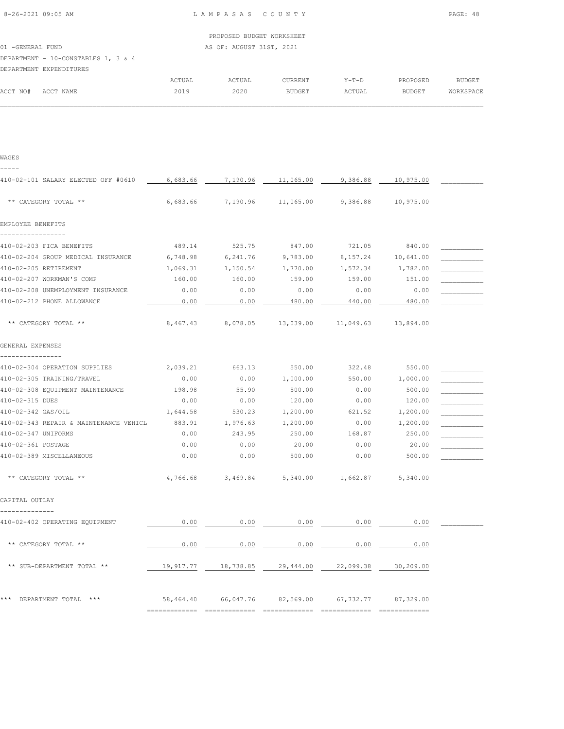|                                     |        | PROPOSED BUDGET WORKSHEET |                |         |          |               |
|-------------------------------------|--------|---------------------------|----------------|---------|----------|---------------|
| 01 - GENERAL FUND                   |        | AS OF: AUGUST 31ST, 2021  |                |         |          |               |
| DEPARTMENT - 10-CONSTABLES 1, 3 & 4 |        |                           |                |         |          |               |
| DEPARTMENT EXPENDITURES             |        |                           |                |         |          |               |
|                                     | ACTUAL | ACTUAL                    | <b>CURRENT</b> | $Y-T-D$ | PROPOSED | <b>BUDGET</b> |

| WAGES                                  |          |          |           |           |           |  |
|----------------------------------------|----------|----------|-----------|-----------|-----------|--|
|                                        |          |          |           |           |           |  |
| 410-02-101 SALARY ELECTED OFF #0610    | 6,683.66 | 7,190.96 | 11,065.00 | 9,386.88  | 10,975.00 |  |
|                                        |          |          |           |           |           |  |
| ** CATEGORY TOTAL **                   | 6,683.66 | 7,190.96 | 11,065.00 | 9,386.88  | 10,975.00 |  |
| EMPLOYEE BENEFITS                      |          |          |           |           |           |  |
|                                        |          |          |           |           |           |  |
| 410-02-203 FICA BENEFITS               | 489.14   | 525.75   | 847.00    | 721.05    | 840.00    |  |
| 410-02-204 GROUP MEDICAL INSURANCE     | 6,748.98 | 6,241.76 | 9,783.00  | 8,157.24  | 10,641.00 |  |
| 410-02-205 RETIREMENT                  | 1,069.31 | 1,150.54 | 1,770.00  | 1,572.34  | 1,782.00  |  |
| 410-02-207 WORKMAN'S COMP              | 160.00   | 160.00   | 159.00    | 159.00    | 151.00    |  |
| 410-02-208 UNEMPLOYMENT INSURANCE      | 0.00     | 0.00     | 0.00      | 0.00      | 0.00      |  |
| 410-02-212 PHONE ALLOWANCE             | 0.00     | 0.00     | 480.00    | 440.00    | 480.00    |  |
| ** CATEGORY TOTAL **                   | 8,467.43 | 8,078.05 | 13,039.00 | 11,049.63 | 13,894.00 |  |
| GENERAL EXPENSES                       |          |          |           |           |           |  |
| 410-02-304 OPERATION SUPPLIES          | 2,039.21 | 663.13   | 550.00    | 322.48    | 550.00    |  |
| 410-02-305 TRAINING/TRAVEL             | 0.00     | 0.00     | 1,000.00  | 550.00    | 1,000.00  |  |
| 410-02-308 EQUIPMENT MAINTENANCE       | 198.98   | 55.90    | 500.00    | 0.00      | 500.00    |  |
| 410-02-315 DUES                        | 0.00     | 0.00     | 120.00    | 0.00      | 120.00    |  |
| 410-02-342 GAS/OIL                     | 1,644.58 | 530.23   | 1,200.00  | 621.52    | 1,200.00  |  |
| 410-02-343 REPAIR & MAINTENANCE VEHICL | 883.91   | 1,976.63 | 1,200.00  | 0.00      | 1,200.00  |  |
| 410-02-347 UNIFORMS                    | 0.00     | 243.95   | 250.00    | 168.87    | 250.00    |  |
| 410-02-361 POSTAGE                     | 0.00     | 0.00     | 20.00     | 0.00      | 20.00     |  |
| 410-02-389 MISCELLANEOUS               | 0.00     | 0.00     | 500.00    | 0.00      | 500.00    |  |
| ** CATEGORY TOTAL **                   | 4,766.68 | 3,469.84 | 5,340.00  | 1,662.87  | 5,340.00  |  |

CAPITAL OUTLAY --------------

| 410-02-402 OPERATING EQUIPMENT   | 0.00      | 0.00      | 0.00      | 0.00      | 0.00      |  |
|----------------------------------|-----------|-----------|-----------|-----------|-----------|--|
| ** CATEGORY TOTAL **             | 0.00      | 0.00      | 0.00      | 0.00      | 0.00      |  |
| ** SUB-DEPARTMENT TOTAL **       | 19,917.77 | 18,738.85 | 29,444.00 | 22,099.38 | 30,209.00 |  |
| ***<br>DEPARTMENT TOTAL<br>$***$ | 58,464.40 | 66,047.76 | 82,569.00 | 67,732.77 | 87,329.00 |  |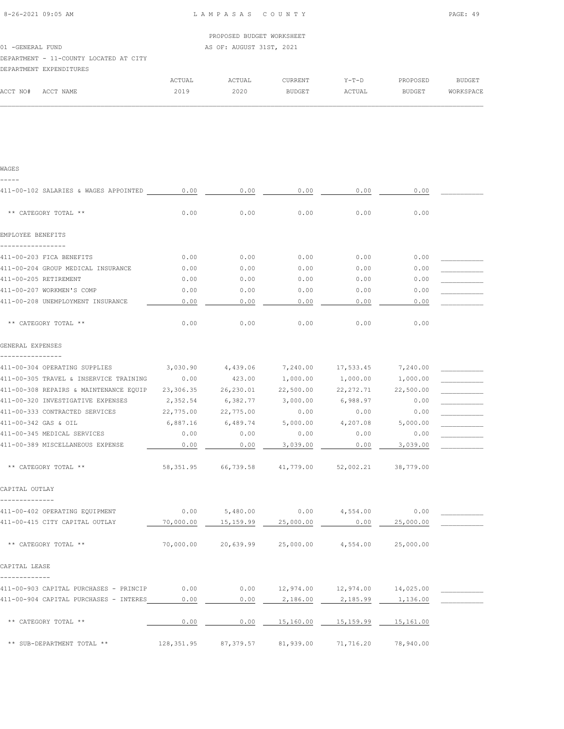|                                        |            | PROPOSED BUDGET WORKSHEET |        |
|----------------------------------------|------------|---------------------------|--------|
| 01 -GENERAL FUND                       |            | AS OF: AUGUST 31ST, 2021  |        |
| DEPARTMENT - 11-COUNTY LOCATED AT CITY |            |                           |        |
| DEPARTMENT EXPENDITURES                |            |                           |        |
|                                        | __________ | _________                 | -- - - |

|          |           | ACTUAL | ACTUAL | <b>CURRENT</b> | $Y - T - D$ | PROPOSED      | BUDGET    |
|----------|-----------|--------|--------|----------------|-------------|---------------|-----------|
| ACCT NO# | ACCT NAME | 2019   | 2020   | <b>BUDGET</b>  | ACTUAL      | <b>BUDGET</b> | WORKSPACE |
|          |           |        |        |                |             |               |           |

| ۰.<br>M | ۰,<br>٠ |
|---------|---------|

| 411-00-102 SALARIES & WAGES APPOINTED 0.00       |            | 0.00                                                 | 0.00      | 0.00                                       | 0.00      |  |
|--------------------------------------------------|------------|------------------------------------------------------|-----------|--------------------------------------------|-----------|--|
| ** CATEGORY TOTAL **                             | 0.00       | 0.00                                                 | 0.00      | 0.00                                       | 0.00      |  |
| EMPLOYEE BENEFITS                                |            |                                                      |           |                                            |           |  |
|                                                  |            |                                                      |           |                                            |           |  |
| 411-00-203 FICA BENEFITS                         | 0.00       | 0.00                                                 | 0.00      | 0.00                                       | 0.00      |  |
| 411-00-204 GROUP MEDICAL INSURANCE               | 0.00       | 0.00                                                 | 0.00      | 0.00                                       | 0.00      |  |
| 411-00-205 RETIREMENT                            | 0.00       | 0.00                                                 | 0.00      | 0.00                                       | 0.00      |  |
| 411-00-207 WORKMEN'S COMP                        | 0.00       | 0.00                                                 | 0.00      | 0.00                                       | 0.00      |  |
| 411-00-208 UNEMPLOYMENT INSURANCE                | 0.00       | 0.00                                                 | 0.00      | 0.00                                       | 0.00      |  |
| ** CATEGORY TOTAL **                             | 0.00       | 0.00                                                 | 0.00      | 0.00                                       | 0.00      |  |
| GENERAL EXPENSES                                 |            |                                                      |           |                                            |           |  |
| 411-00-304 OPERATING SUPPLIES                    | 3,030.90   | 4,439.06                                             |           | 7,240.00 17,533.45                         | 7,240.00  |  |
| 411-00-305 TRAVEL & INSERVICE TRAINING           | 0.00       | 423.00                                               | 1,000.00  | 1,000.00                                   | 1,000.00  |  |
| 411-00-308 REPAIRS & MAINTENANCE EQUIP 23,306.35 |            | 26,230.01                                            | 22,500.00 | 22, 272.71                                 | 22,500.00 |  |
| 411-00-320 INVESTIGATIVE EXPENSES                | 2,352.54   | 6,382.77                                             | 3,000.00  | 6,988.97                                   | 0.00      |  |
| 411-00-333 CONTRACTED SERVICES                   | 22,775.00  | 22,775.00                                            | 0.00      | 0.00                                       | 0.00      |  |
| 411-00-342 GAS & OIL                             | 6,887.16   | 6,489.74                                             | 5,000.00  | 4,207.08                                   | 5,000.00  |  |
| 411-00-345 MEDICAL SERVICES                      | 0.00       | 0.00                                                 | 0.00      | 0.00                                       | 0.00      |  |
| 411-00-389 MISCELLANEOUS EXPENSE                 | 0.00       | 0.00                                                 | 3,039.00  | 0.00                                       | 3,039.00  |  |
| ** CATEGORY TOTAL **                             |            | 58,351.95 66,739.58 41,779.00                        |           | 52,002.21                                  | 38,779.00 |  |
| CAPITAL OUTLAY                                   |            |                                                      |           |                                            |           |  |
| 411-00-402 OPERATING EQUIPMENT                   | 0.00       | 5,480.00                                             | 0.00      | 4,554.00                                   | 0.00      |  |
| 411-00-415 CITY CAPITAL OUTLAY                   | 70,000.00  | 15,159.99                                            | 25,000.00 | 0.00                                       | 25,000.00 |  |
| ** CATEGORY TOTAL **                             |            | 70,000.00  20,639.99  25,000.00  4,554.00  25,000.00 |           |                                            |           |  |
| CAPITAL LEASE<br>-------------                   |            |                                                      |           |                                            |           |  |
| 411-00-903 CAPITAL PURCHASES - PRINCIP           | 0.00       |                                                      |           | $0.00$ $12,974.00$ $12,974.00$ $14,025.00$ |           |  |
| 411-00-904 CAPITAL PURCHASES - INTERES           | 0.00       | 0.00                                                 | 2,186.00  | 2,185.99                                   | 1,136.00  |  |
| ** CATEGORY TOTAL **                             | 0.00       | 0.00                                                 | 15,160.00 | 15,159.99                                  | 15,161.00 |  |
| ** SUB-DEPARTMENT TOTAL **                       | 128,351.95 | 87,379.57                                            | 81,939.00 | 71,716.20                                  | 78,940.00 |  |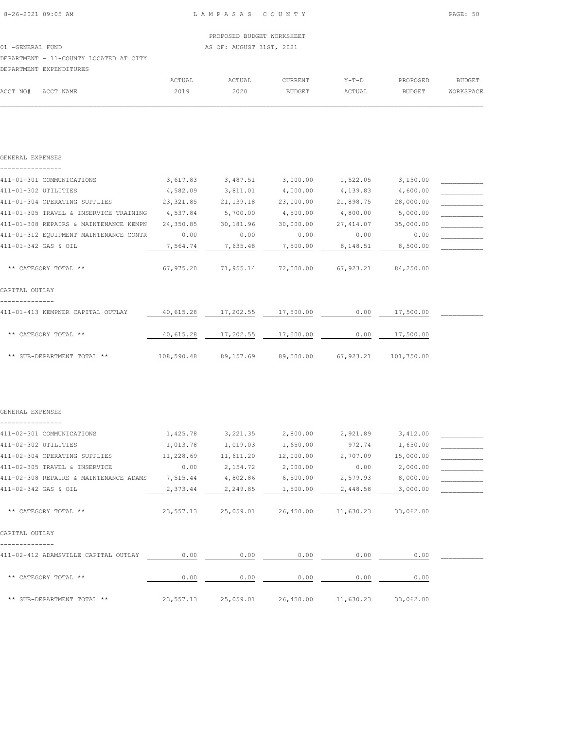|                                        | PROPOSED BUDGET WORKSHEET |
|----------------------------------------|---------------------------|
|                                        |                           |
| 01 -GENERAL FUND                       | AS OF: AUGUST 31ST, 2021  |
| DEPARTMENT - 11-COUNTY LOCATED AT CITY |                           |
| DEPARTMENT EXPENDITURES                |                           |

|          |           | ACTUAL<br>ACTUAL | <b>CURRENT</b> | $Y-T-D$ | PROPOSED      | BUDGET    |
|----------|-----------|------------------|----------------|---------|---------------|-----------|
| ACCT NO# | ACCT NAME | 2020<br>2019     | <b>BUDGET</b>  | ACTUAL  | <b>BUDGET</b> | WORKSPACE |
|          |           |                  |                |         |               |           |

| GENERAL EXPENSES                          |            |             |           |            |            |  |
|-------------------------------------------|------------|-------------|-----------|------------|------------|--|
| 411-01-301 COMMUNICATIONS                 | 3,617.83   | 3,487.51    | 3,000.00  | 1,522.05   | 3,150.00   |  |
| 411-01-302 UTILITIES                      | 4,582.09   | 3,811.01    | 4,000.00  | 4,139.83   | 4,600.00   |  |
| 411-01-304 OPERATING SUPPLIES             | 23,321.85  | 21, 139. 18 | 23,000.00 | 21,898.75  | 28,000.00  |  |
| 411-01-305 TRAVEL & INSERVICE TRAINING    | 4,537.84   | 5,700.00    | 4,500.00  | 4,800.00   | 5,000.00   |  |
| 411-01-308 REPAIRS & MAINTENANCE KEMPN    | 24,350.85  | 30,181.96   | 30,000.00 | 27, 414.07 | 35,000.00  |  |
| 411-01-312 EQUIPMENT MAINTENANCE CONTR    | 0.00       | 0.00        | 0.00      | 0.00       | 0.00       |  |
| 411-01-342 GAS & OIL                      | 7,564.74   | 7,635.48    | 7,500.00  | 8,148.51   | 8,500.00   |  |
| ** CATEGORY TOTAL **                      | 67,975.20  | 71,955.14   | 72,000.00 | 67,923.21  | 84,250.00  |  |
| CAPITAL OUTLAY                            |            |             |           |            |            |  |
| 411-01-413 KEMPNER CAPITAL OUTLAY         | 40,615.28  | 17,202.55   | 17,500.00 | 0.00       | 17,500.00  |  |
| ** CATEGORY TOTAL **                      | 40,615.28  | 17,202.55   | 17,500.00 | 0.00       | 17,500.00  |  |
| ** SUB-DEPARTMENT TOTAL **                | 108,590.48 | 89,157.69   | 89,500.00 | 67,923.21  | 101,750.00 |  |
| GENERAL EXPENSES                          |            |             |           |            |            |  |
| ------------<br>411-02-301 COMMUNICATIONS | 1,425.78   | 3,221.35    | 2,800.00  | 2,921.89   | 3,412.00   |  |
| 411-02-302 UTILITIES                      | 1,013.78   | 1,019.03    | 1,650.00  | 972.74     | 1,650.00   |  |
| 411-02-304 OPERATING SUPPLIES             | 11,228.69  | 11,611.20   | 12,000.00 | 2,707.09   | 15,000.00  |  |
| 411-02-305 TRAVEL & INSERVICE             | 0.00       | 2,154.72    | 2,000.00  | 0.00       | 2,000.00   |  |
| 411-02-308 REPAIRS & MAINTENANCE ADAMS    | 7,515.44   | 4,802.86    | 6,500.00  | 2,579.93   | 8,000.00   |  |
| 411-02-342 GAS & OIL                      | 2,373.44   | 2,249.85    | 1,500.00  | 2,448.58   | 3,000.00   |  |
| ** CATEGORY TOTAL **                      | 23,557.13  | 25,059.01   | 26,450.00 | 11,630.23  | 33,062.00  |  |
| CAPITAL OUTLAY                            |            |             |           |            |            |  |
| 411-02-412 ADAMSVILLE CAPITAL OUTLAY 0.00 |            | 0.00        | 0.00      | 0.00       | 0.00       |  |
| ** CATEGORY TOTAL **                      | 0.00       | 0.00        | 0.00      | 0.00       | 0.00       |  |
| ** SUB-DEPARTMENT TOTAL **                | 23,557.13  | 25,059.01   | 26,450.00 | 11,630.23  | 33,062.00  |  |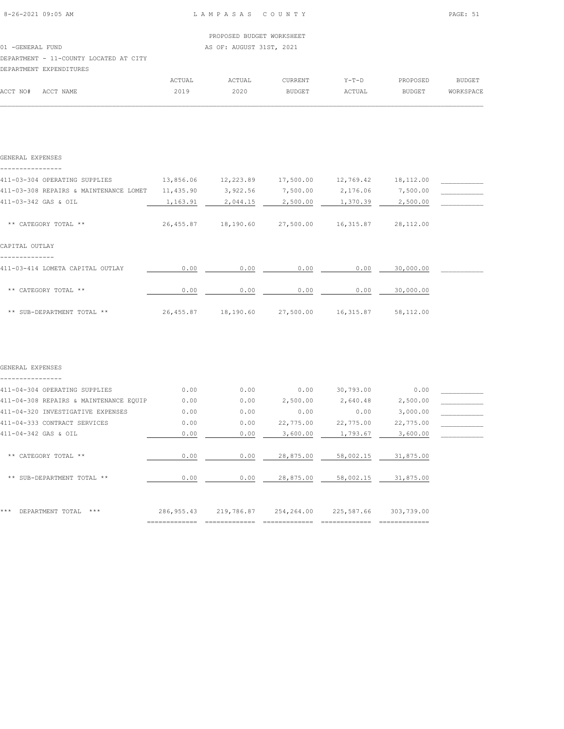GENERAL EXPENSES

ACCT NO# ACCT NAME 2019 2020 BUDGET ACTUAL BUDGET WORKSPACE  $\mathcal{L} = \{ \mathcal{L} = \{ \mathcal{L} = \{ \mathcal{L} = \{ \mathcal{L} = \{ \mathcal{L} = \{ \mathcal{L} = \{ \mathcal{L} = \{ \mathcal{L} = \{ \mathcal{L} = \{ \mathcal{L} = \{ \mathcal{L} = \{ \mathcal{L} = \{ \mathcal{L} = \{ \mathcal{L} = \{ \mathcal{L} = \{ \mathcal{L} = \{ \mathcal{L} = \{ \mathcal{L} = \{ \mathcal{L} = \{ \mathcal{L} = \{ \mathcal{L} = \{ \mathcal{L} = \{ \mathcal{L} = \{ \mathcal{$ 

PROPOSED BUDGET

|                                        |        | PROPOSED BUDGET WORKSHEET |         |       |
|----------------------------------------|--------|---------------------------|---------|-------|
| 01 -GENERAL FUND                       |        | AS OF: AUGUST 31ST, 2021  |         |       |
| DEPARTMENT - 11-COUNTY LOCATED AT CITY |        |                           |         |       |
| DEPARTMENT EXPENDITURES                |        |                           |         |       |
|                                        | ACTUAL | ACTIJAI.                  | CURRENT | Y-Т-Г |

| GENERAL EXPENSES                       |           |           |           |           |           |  |
|----------------------------------------|-----------|-----------|-----------|-----------|-----------|--|
|                                        |           |           |           |           |           |  |
| 411-03-304 OPERATING SUPPLIES          | 13,856.06 | 12,223.89 | 17,500.00 | 12,769.42 | 18,112.00 |  |
| 411-03-308 REPAIRS & MAINTENANCE LOMET | 11,435.90 | 3,922.56  | 7,500.00  | 2,176.06  | 7,500.00  |  |
| 411-03-342 GAS & OIL                   | 1,163.91  | 2,044.15  | 2,500.00  | 1,370.39  | 2,500.00  |  |
| ** CATEGORY TOTAL **                   | 26,455.87 | 18,190.60 | 27,500.00 | 16,315.87 | 28,112.00 |  |
| CAPITAL OUTLAY                         |           |           |           |           |           |  |
| 411-03-414 LOMETA CAPITAL OUTLAY       | 0.00      | 0.00      | 0.00      | 0.00      | 30,000.00 |  |
| ** CATEGORY TOTAL **                   | 0.00      | 0.00      | 0.00      | 0.00      | 30,000.00 |  |
| ** SUB-DEPARTMENT TOTAL **             | 26,455.87 | 18,190.60 | 27,500.00 | 16,315.87 | 58,112.00 |  |

| 411-04-304 OPERATING SUPPLIES                      | 0.00         | 0.00         | 0.00                   | 30,793.00              | 0.00                   |  |
|----------------------------------------------------|--------------|--------------|------------------------|------------------------|------------------------|--|
| 411-04-308 REPAIRS & MAINTENANCE EQUIP             | 0.00         | 0.00         | 2,500.00               | 2,640.48               | 2,500.00               |  |
| 411-04-320 INVESTIGATIVE EXPENSES                  | 0.00         | 0.00         | 0.00                   | 0.00                   | 3,000.00               |  |
| 411-04-333 CONTRACT SERVICES                       | 0.00         | 0.00         | 22,775.00              | 22,775.00              | 22,775.00              |  |
| 411-04-342 GAS & OIL                               | 0.00         | 0.00         | 3,600.00               | 1,793.67               | 3,600.00               |  |
| ** CATEGORY TOTAL **<br>** SUB-DEPARTMENT TOTAL ** | 0.00<br>0.00 | 0.00<br>0.00 | 28,875.00<br>28,875.00 | 58,002.15<br>58,002.15 | 31,875.00<br>31,875.00 |  |
| ***<br>DEPARTMENT TOTAL<br>***                     | 286, 955.43  | 219,786.87   | 254,264.00             | 225,587.66             | 303,739.00             |  |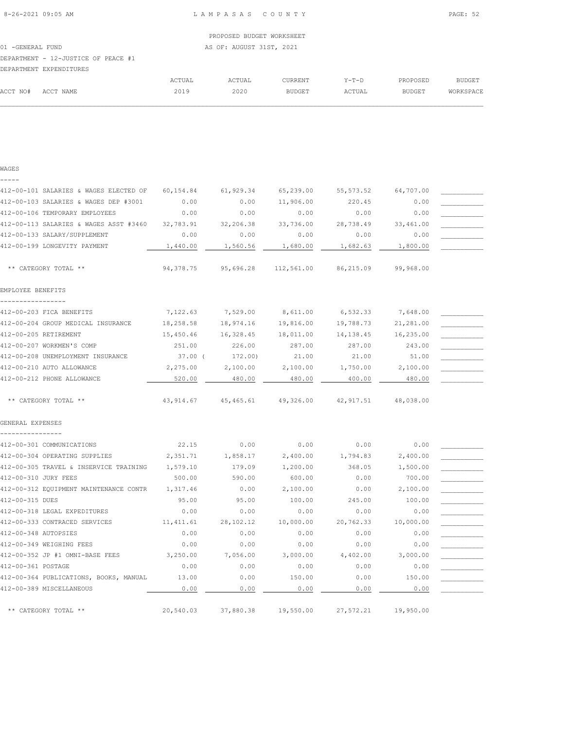|          | DEPARTMENT EXPENDITURES |        |        |                |         |               |           |
|----------|-------------------------|--------|--------|----------------|---------|---------------|-----------|
|          |                         | ACTUAL | ACTUAL | <b>CURRENT</b> | $Y-T-D$ | PROPOSED      | BUDGET    |
| ACCT NO# | ACCT NAME               | 2019   | 2020   | <b>BUDGET</b>  | ACTUAL  | <b>BUDGET</b> | WORKSPACE |
|          |                         |        |        |                |         |               |           |

| 412-00-101 SALARIES & WAGES ELECTED OF | 60,154.84  | 61,929.34           | 65,239.00           | 55, 573.52 | 64,707.00 |  |
|----------------------------------------|------------|---------------------|---------------------|------------|-----------|--|
| 412-00-103 SALARIES & WAGES DEP #3001  | 0.00       | 0.00                | 11,906.00           | 220.45     | 0.00      |  |
| 412-00-106 TEMPORARY EMPLOYEES         | 0.00       | 0.00                | 0.00                | 0.00       | 0.00      |  |
| 412-00-113 SALARIES & WAGES ASST #3460 | 32,783.91  | 32,206.38           | 33,736.00           | 28,738.49  | 33,461.00 |  |
| 412-00-133 SALARY/SUPPLEMENT           | 0.00       | 0.00                | 0.00                | 0.00       | 0.00      |  |
| 412-00-199 LONGEVITY PAYMENT           | 1,440.00   | 1,560.56            | 1,680.00            | 1,682.63   | 1,800.00  |  |
| ** CATEGORY TOTAL **                   | 94,378.75  | 95,696.28           | 112,561.00          | 86,215.09  | 99,968.00 |  |
| EMPLOYEE BENEFITS                      |            |                     |                     |            |           |  |
| -------------                          |            |                     |                     |            |           |  |
| 412-00-203 FICA BENEFITS               | 7,122.63   | 7,529.00            | 8,611.00            | 6,532.33   | 7,648.00  |  |
| 412-00-204 GROUP MEDICAL INSURANCE     | 18,258.58  | 18,974.16           | 19,816.00           | 19,788.73  | 21,281.00 |  |
| 412-00-205 RETIREMENT                  | 15,450.46  | 16,328.45           | 18,011.00           | 14,138.45  | 16,235.00 |  |
| 412-00-207 WORKMEN'S COMP              | 251.00     | 226.00              | 287.00              | 287.00     | 243.00    |  |
| 412-00-208 UNEMPLOYMENT INSURANCE      | 37.00 (    | 172.00)             | 21.00               | 21.00      | 51.00     |  |
| 412-00-210 AUTO ALLOWANCE              | 2,275.00   | 2,100.00            | 2,100.00            | 1,750.00   | 2,100.00  |  |
| 412-00-212 PHONE ALLOWANCE             | 520.00     | 480.00              | 480.00              | 400.00     | 480.00    |  |
| ** CATEGORY TOTAL **                   |            | 43,914.67 45,465.61 | 49,326.00 42,917.51 |            | 48,038.00 |  |
| GENERAL EXPENSES                       |            |                     |                     |            |           |  |
|                                        |            |                     |                     |            |           |  |
| 412-00-301 COMMUNICATIONS              | 22.15      | 0.00                | 0.00                | 0.00       | 0.00      |  |
| 412-00-304 OPERATING SUPPLIES          | 2,351.71   | 1,858.17            | 2,400.00            | 1,794.83   | 2,400.00  |  |
| 412-00-305 TRAVEL & INSERVICE TRAINING | 1,579.10   | 179.09              | 1,200.00            | 368.05     | 1,500.00  |  |
| 412-00-310 JURY FEES                   | 500.00     | 590.00              | 600.00              | 0.00       | 700.00    |  |
| 412-00-312 EQUIPMENT MAINTENANCE CONTR | 1,317.46   | 0.00                | 2,100.00            | 0.00       | 2,100.00  |  |
| 412-00-315 DUES                        | 95.00      | 95.00               | 100.00              | 245.00     | 100.00    |  |
| 412-00-318 LEGAL EXPEDITURES           | 0.00       | 0.00                | 0.00                | 0.00       | 0.00      |  |
| 412-00-333 CONTRACED SERVICES          | 11, 411.61 | 28,102.12           | 10,000.00           | 20,762.33  | 10,000.00 |  |
| 412-00-348 AUTOPSIES                   | 0.00       | 0.00                | 0.00                | 0.00       | 0.00      |  |
| 412-00-349 WEIGHING FEES               | 0.00       | 0.00                | 0.00                | 0.00       | 0.00      |  |
| 412-00-352 JP #1 OMNI-BASE FEES        | 3,250.00   | 7,056.00            | 3,000.00            | 4,402.00   | 3,000.00  |  |
| 412-00-361 POSTAGE                     | 0.00       | 0.00                | 0.00                | 0.00       | 0.00      |  |
| 412-00-364 PUBLICATIONS, BOOKS, MANUAL | 13.00      | 0.00                | 150.00              | 0.00       | 150.00    |  |
| 412-00-389 MISCELLANEOUS               | 0.00       | 0.00                | 0.00                | 0.00       | 0.00      |  |
|                                        |            |                     |                     |            |           |  |
| ** CATEGORY TOTAL **                   | 20,540.03  | 37,880.38           | 19,550.00           | 27,572.21  | 19,950.00 |  |

WAGES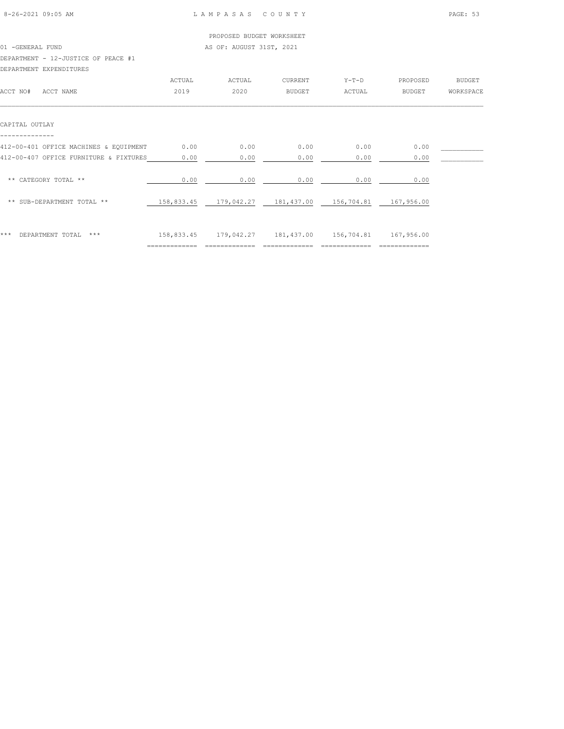|                                        |            | PROPOSED BUDGET WORKSHEET |            |            |               |               |
|----------------------------------------|------------|---------------------------|------------|------------|---------------|---------------|
| 01 -GENERAL FUND                       |            | AS OF: AUGUST 31ST, 2021  |            |            |               |               |
| DEPARTMENT - 12-JUSTICE OF PEACE #1    |            |                           |            |            |               |               |
| DEPARTMENT EXPENDITURES                |            |                           |            |            |               |               |
|                                        | ACTUAL     | ACTUAL                    | CURRENT    | $Y-T-D$    | PROPOSED      | <b>BUDGET</b> |
| ACCT NO#<br>ACCT NAME                  | 2019       | 2020                      | BUDGET     | ACTUAL     | <b>BUDGET</b> | WORKSPACE     |
| CAPITAL OUTLAY                         |            |                           |            |            |               |               |
| 412-00-401 OFFICE MACHINES & EQUIPMENT | 0.00       | 0.00                      | 0.00       | 0.00       | 0.00          |               |
| 412-00-407 OFFICE FURNITURE & FIXTURES | 0.00       | 0.00                      | 0.00       | 0.00       | 0.00          |               |
| ** CATEGORY TOTAL **                   | 0.00       | 0.00                      | 0.00       | 0.00       | 0.00          |               |
| ** SUB-DEPARTMENT TOTAL **             | 158,833.45 | 179,042.27                | 181,437.00 | 156,704.81 | 167,956.00    |               |
|                                        |            |                           |            |            |               |               |

| *** DEPARTMENT TOTAL *** |  | 158,833.45  179,042.27  181,437.00  156,704.81  167,956.00 |  |  |
|--------------------------|--|------------------------------------------------------------|--|--|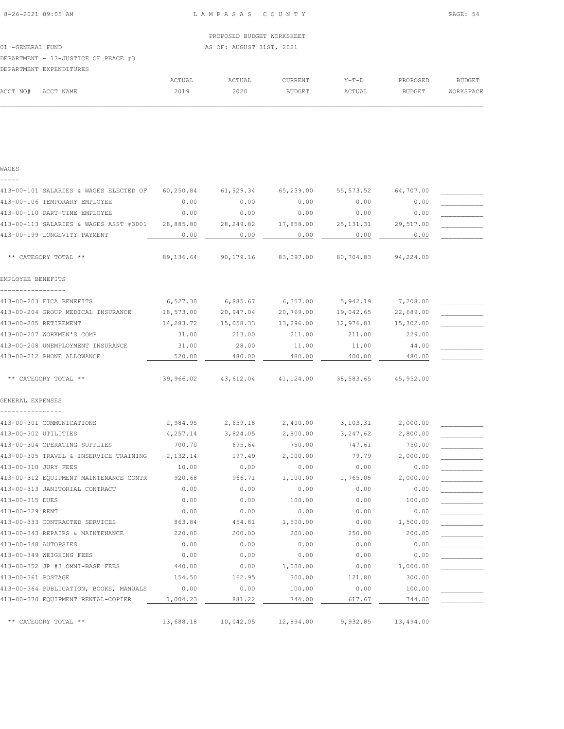|          | DEPARTMENT EXPENDITURES |        |        |                |        |               |           |
|----------|-------------------------|--------|--------|----------------|--------|---------------|-----------|
|          |                         | ACTUAL | ACTUAL | <b>CURRENT</b> | Y-T-D  | PROPOSED      | BUDGET    |
| ACCT NO# | ACCT NAME               | 2019   | 2020   | <b>BUDGET</b>  | ACTUAL | <b>BUDGET</b> | WORKSPACE |
|          |                         |        |        |                |        |               |           |

| 413-00-101 SALARIES & WAGES ELECTED OF | 60,250.84 | 61,929.34           | 65,239.00 | 55, 573.52 | 64,707.00 |  |
|----------------------------------------|-----------|---------------------|-----------|------------|-----------|--|
| 413-00-106 TEMPORARY EMPLOYEE          | 0.00      | 0.00                | 0.00      | 0.00       | 0.00      |  |
| 413-00-110 PART-TIME EMPLOYEE          | 0.00      | 0.00                | 0.00      | 0.00       | 0.00      |  |
| 413-00-113 SALARIES & WAGES ASST #3001 | 28,885.80 | 28,249.82           | 17,858.00 | 25, 131.31 | 29,517.00 |  |
| 413-00-199 LONGEVITY PAYMENT           | 0.00      | 0.00                | 0.00      | 0.00       | 0.00      |  |
| ** CATEGORY TOTAL **                   | 89,136.64 | 90,179.16 83,097.00 |           | 80,704.83  | 94,224.00 |  |
| EMPLOYEE BENEFITS                      |           |                     |           |            |           |  |
| 413-00-203 FICA BENEFITS               | 6,527.30  | 6,885.67            | 6,357.00  | 5,942.19   | 7,208.00  |  |
| 413-00-204 GROUP MEDICAL INSURANCE     | 18,573.00 | 20,947.04           | 20,769.00 | 19,042.65  | 22,689.00 |  |
| 413-00-205 RETIREMENT                  | 14,283.72 | 15,058.33           | 13,296.00 | 12,976.81  | 15,302.00 |  |
| 413-00-207 WORKMEN'S COMP              | 31.00     | 213.00              | 211.00    | 211.00     | 229.00    |  |
| 413-00-208 UNEMPLOYMENT INSURANCE      | 31.00     | 28.00               | 11.00     | 11.00      | 44.00     |  |
| 413-00-212 PHONE ALLOWANCE             | 520.00    | 480.00              | 480.00    | 400.00     | 480.00    |  |
| ** CATEGORY TOTAL **                   | 39,966.02 | 43,612.04           | 41,124.00 | 38,583.65  | 45,952.00 |  |
| GENERAL EXPENSES                       |           |                     |           |            |           |  |
|                                        |           |                     |           |            |           |  |
| 413-00-301 COMMUNICATIONS              | 2,984.95  | 2,659.18            | 2,400.00  | 3,103.31   | 2,000.00  |  |
| 413-00-302 UTILITIES                   | 4,257.14  | 3,824.05            | 2,800.00  | 3,247.62   | 2,800.00  |  |
| 413-00-304 OPERATING SUPPLIES          | 700.70    | 695.64              | 750.00    | 747.61     | 750.00    |  |
| 413-00-305 TRAVEL & INSERVICE TRAINING | 2,132.14  | 197.49              | 2,000.00  | 79.79      | 2,000.00  |  |
| 413-00-310 JURY FEES                   | 10.00     | 0.00                | 0.00      | 0.00       | 0.00      |  |
| 413-00-312 EQUIPMENT MAINTENANCE CONTR | 920.68    | 966.71              | 1,000.00  | 1,765.05   | 2,000.00  |  |
| 413-00-313 JANITORIAL CONTRACT         | 0.00      | 0.00                | 0.00      | 0.00       | 0.00      |  |
| 413-00-315 DUES                        | 0.00      | 0.00                | 100.00    | 0.00       | 100.00    |  |
| 413-00-329 RENT                        | 0.00      | 0.00                | 0.00      | 0.00       | 0.00      |  |
| 413-00-333 CONTRACTED SERVICES         | 863.84    | 454.81              | 1,500.00  | 0.00       | 1,500.00  |  |
| 413-00-343 REPAIRS & MAINTENANCE       | 220.00    | 200.00              | 200.00    | 250.00     | 200.00    |  |
| 413-00-348 AUTOPSIES                   | 0.00      | 0.00                | 0.00      | 0.00       | 0.00      |  |
| 413-00-349 WEIGHING FEES               | 0.00      | 0.00                | 0.00      | 0.00       | 0.00      |  |
| 413-00-352 JP #3 OMNI-BASE FEES        | 440.00    | 0.00                | 1,000.00  | 0.00       | 1,000.00  |  |
| 413-00-361 POSTAGE                     | 154.50    | 162.95              | 300.00    | 121.80     | 300.00    |  |
| 413-00-364 PUBLICATION, BOOKS, MANUALS | 0.00      | 0.00                | 100.00    | 0.00       | 100.00    |  |
| 413-00-370 EQUIPMENT RENTAL-COPIER     | 1,004.23  | 881.22              | 744.00    | 617.67     | 744.00    |  |
| ** CATEGORY TOTAL **                   | 13,688.18 | 10,042.05           | 12,894.00 | 9,932.85   | 13,494.00 |  |

WAGES -----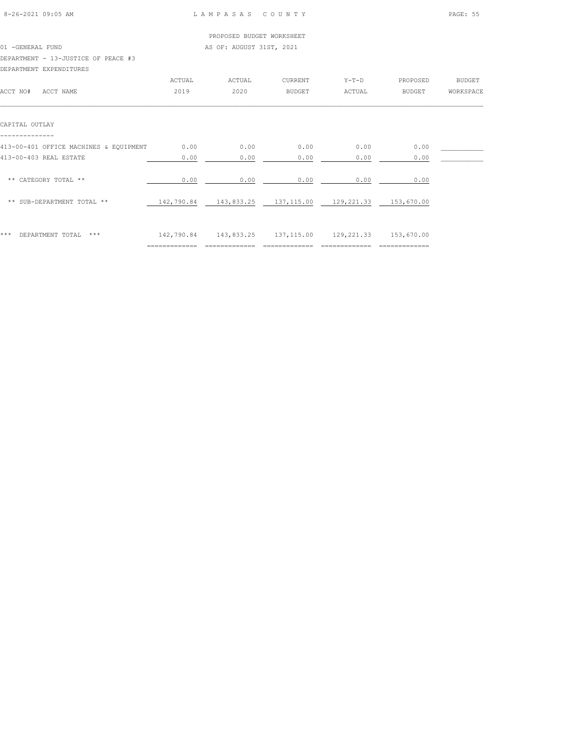|                                        |               | PROPOSED BUDGET WORKSHEET |               |                       |               |               |
|----------------------------------------|---------------|---------------------------|---------------|-----------------------|---------------|---------------|
| 01 - GENERAL FUND                      |               | AS OF: AUGUST 31ST, 2021  |               |                       |               |               |
| DEPARTMENT - 13-JUSTICE OF PEACE #3    |               |                           |               |                       |               |               |
| DEPARTMENT EXPENDITURES                |               |                           |               |                       |               |               |
|                                        | <b>ACTUAL</b> | ACTUAL                    | CURRENT       | $Y-T-D$               | PROPOSED      | <b>BUDGET</b> |
| ACCT NO#<br>ACCT NAME                  | 2019          | 2020                      | <b>BUDGET</b> | ACTUAL                | <b>BUDGET</b> | WORKSPACE     |
| CAPITAL OUTLAY                         |               |                           |               |                       |               |               |
| 413-00-401 OFFICE MACHINES & EQUIPMENT | 0.00          | 0.00                      | 0.00          | 0.00                  | 0.00          |               |
| 413-00-403 REAL ESTATE                 | 0.00          | 0.00                      | 0.00          | 0.00                  | 0.00          |               |
| ** CATEGORY TOTAL **                   | 0.00          | 0.00                      | 0.00          | 0.00                  | 0.00          |               |
| ** SUB-DEPARTMENT TOTAL **             | 142,790.84    | 143,833.25 137,115.00     |               | 129,221.33 153,670.00 |               |               |
|                                        |               |                           |               |                       |               |               |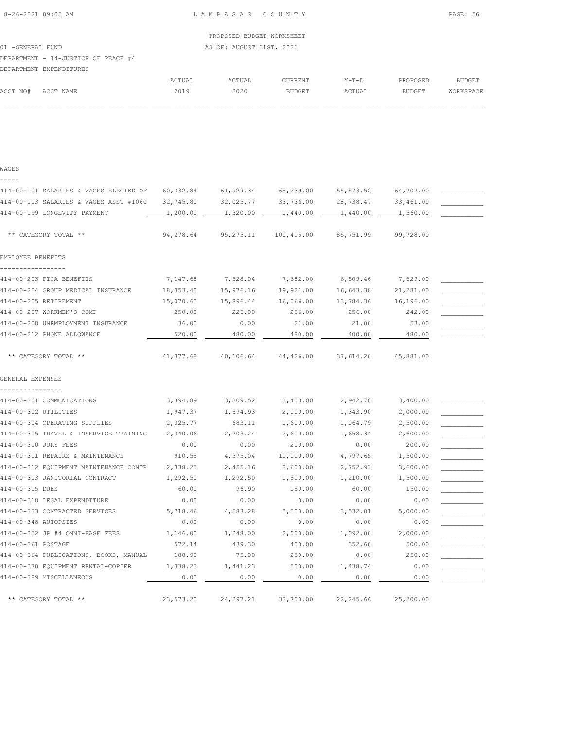|          | DEPARTMENT EXPENDITURES |        |        |                |        |               |           |
|----------|-------------------------|--------|--------|----------------|--------|---------------|-----------|
|          |                         | ACTUAL | ACTUAL | <b>CURRENT</b> | Y-T-D  | PROPOSED      | BUDGET    |
| ACCT NO# | ACCT NAME               | 2019   | 2020   | <b>BUDGET</b>  | ACTUAL | <b>BUDGET</b> | WORKSPACE |
|          |                         |        |        |                |        |               |           |

| WAGES                                  |           |             |            |            |           |  |
|----------------------------------------|-----------|-------------|------------|------------|-----------|--|
|                                        |           |             |            |            |           |  |
| 414-00-101 SALARIES & WAGES ELECTED OF | 60,332.84 | 61,929.34   | 65,239.00  | 55, 573.52 | 64,707.00 |  |
| 414-00-113 SALARIES & WAGES ASST #1060 | 32,745.80 | 32,025.77   | 33,736.00  | 28,738.47  | 33,461.00 |  |
| 414-00-199 LONGEVITY PAYMENT           | 1,200.00  | 1,320.00    | 1,440.00   | 1,440.00   | 1,560.00  |  |
| ** CATEGORY TOTAL **                   | 94,278.64 | 95, 275. 11 | 100,415.00 | 85,751.99  | 99,728.00 |  |
| EMPLOYEE BENEFITS                      |           |             |            |            |           |  |
| 414-00-203 FICA BENEFITS               | 7,147.68  | 7,528.04    | 7,682.00   | 6,509.46   | 7,629.00  |  |
| 414-00-204 GROUP MEDICAL INSURANCE     | 18,353.40 | 15,976.16   | 19,921.00  | 16,643.38  | 21,281.00 |  |
| 414-00-205 RETIREMENT                  | 15,070.60 | 15,896.44   | 16,066.00  | 13,784.36  | 16,196.00 |  |
| 414-00-207 WORKMEN'S COMP              | 250.00    | 226.00      | 256.00     | 256.00     | 242.00    |  |
| 414-00-208 UNEMPLOYMENT INSURANCE      | 36.00     | 0.00        | 21.00      | 21.00      | 53.00     |  |
| 414-00-212 PHONE ALLOWANCE             | 520.00    | 480.00      | 480.00     | 400.00     | 480.00    |  |
|                                        |           |             |            |            |           |  |
| ** CATEGORY TOTAL **                   | 41,377.68 | 40,106.64   | 44,426.00  | 37,614.20  | 45,881.00 |  |
| GENERAL EXPENSES                       |           |             |            |            |           |  |
| 414-00-301 COMMUNICATIONS              | 3,394.89  | 3,309.52    | 3,400.00   | 2,942.70   | 3,400.00  |  |
| 414-00-302 UTILITIES                   | 1,947.37  | 1,594.93    | 2,000.00   | 1,343.90   | 2,000.00  |  |
| 414-00-304 OPERATING SUPPLIES          | 2,325.77  | 683.11      | 1,600.00   | 1,064.79   | 2,500.00  |  |
| 414-00-305 TRAVEL & INSERVICE TRAINING | 2,340.06  | 2,703.24    | 2,600.00   | 1,658.34   | 2,600.00  |  |
| 414-00-310 JURY FEES                   | 0.00      | 0.00        | 200.00     | 0.00       | 200.00    |  |
| 414-00-311 REPAIRS & MAINTENANCE       | 910.55    | 4,375.04    | 10,000.00  | 4,797.65   | 1,500.00  |  |
| 414-00-312 EQUIPMENT MAINTENANCE CONTR | 2,338.25  | 2,455.16    | 3,600.00   | 2,752.93   | 3,600.00  |  |
| 414-00-313 JANITORIAL CONTRACT         | 1,292.50  | 1,292.50    | 1,500.00   | 1,210.00   | 1,500.00  |  |
| 414-00-315 DUES                        | 60.00     | 96.90       | 150.00     | 60.00      | 150.00    |  |
| 414-00-318 LEGAL EXPENDITURE           | 0.00      | 0.00        | 0.00       | 0.00       | 0.00      |  |
| 414-00-333 CONTRACTED SERVICES         | 5,718.46  | 4,583.28    | 5,500.00   | 3,532.01   | 5,000.00  |  |
| 414-00-348 AUTOPSIES                   | 0.00      | 0.00        | 0.00       | 0.00       | 0.00      |  |
| 414-00-352 JP #4 OMNI-BASE FEES        | 1,146.00  | 1,248.00    | 2,000.00   | 1,092.00   | 2,000.00  |  |
| 414-00-361 POSTAGE                     | 572.14    | 439.30      | 400.00     | 352.60     | 500.00    |  |
| 414-00-364 PUBLICATIONS, BOOKS, MANUAL | 188.98    | 75.00       | 250.00     | 0.00       | 250.00    |  |
| 414-00-370 EQUIPMENT RENTAL-COPIER     | 1,338.23  | 1,441.23    | 500.00     | 1,438.74   | 0.00      |  |
| 414-00-389 MISCELLANEOUS               | 0.00      | 0.00        | 0.00       | 0.00       | 0.00      |  |
| ** CATEGORY TOTAL **                   | 23,573.20 | 24, 297.21  | 33,700.00  | 22, 245.66 | 25,200.00 |  |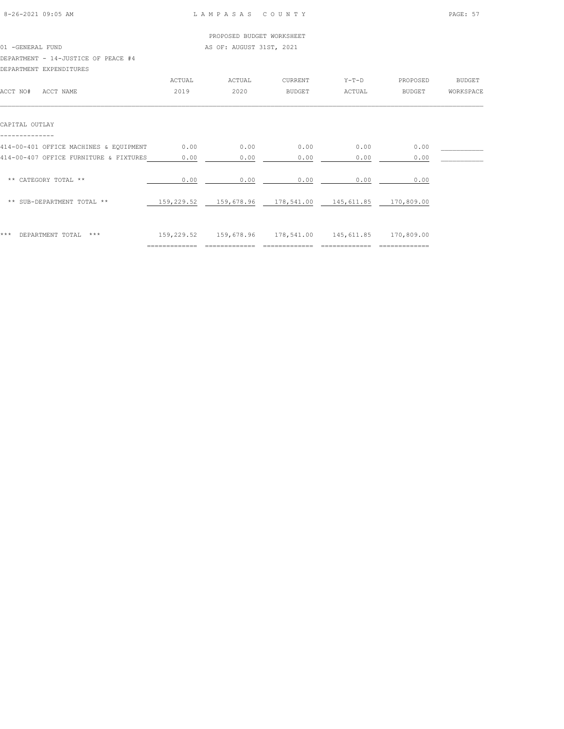|                                        |            | PROPOSED BUDGET WORKSHEET |               |            |               |               |
|----------------------------------------|------------|---------------------------|---------------|------------|---------------|---------------|
| 01 -GENERAL FUND                       |            | AS OF: AUGUST 31ST, 2021  |               |            |               |               |
| DEPARTMENT - 14-JUSTICE OF PEACE #4    |            |                           |               |            |               |               |
| DEPARTMENT EXPENDITURES                |            |                           |               |            |               |               |
|                                        | ACTUAL     | ACTUAL                    | CURRENT       | $Y-T-D$    | PROPOSED      | <b>BUDGET</b> |
| ACCT NO#<br>ACCT NAME                  | 2019       | 2020                      | <b>BUDGET</b> | ACTUAL     | <b>BUDGET</b> | WORKSPACE     |
| CAPITAL OUTLAY                         |            |                           |               |            |               |               |
| 414-00-401 OFFICE MACHINES & EQUIPMENT | 0.00       | 0.00                      | 0.00          | 0.00       | 0.00          |               |
| 414-00-407 OFFICE FURNITURE & FIXTURES | 0.00       | 0.00                      | 0.00          | 0.00       | 0.00          |               |
| ** CATEGORY TOTAL **                   | 0.00       | 0.00                      | 0.00          | 0.00       | 0.00          |               |
| ** SUB-DEPARTMENT TOTAL **             | 159,229.52 | 159,678.96                | 178,541.00    | 145,611.85 | 170,809.00    |               |
|                                        |            |                           |               |            |               |               |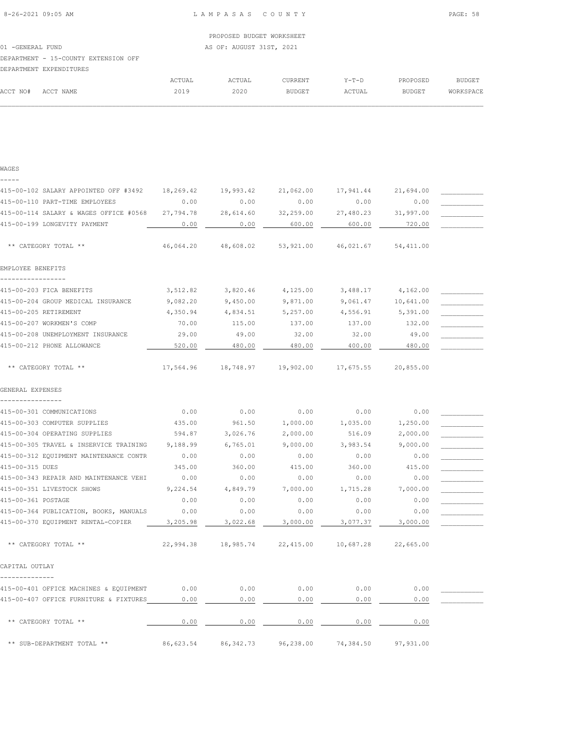| ** CATEGORY TOTAL **                   | 46,064.20 | 48,608.02  | 53,921.00 | 46,021.67 | 54,411.00 |  |
|----------------------------------------|-----------|------------|-----------|-----------|-----------|--|
| EMPLOYEE BENEFITS                      |           |            |           |           |           |  |
| 415-00-203 FICA BENEFITS               | 3,512.82  | 3,820.46   | 4,125.00  | 3,488.17  | 4,162.00  |  |
| 415-00-204 GROUP MEDICAL INSURANCE     | 9,082.20  | 9,450.00   | 9,871.00  | 9,061.47  | 10,641.00 |  |
| 415-00-205 RETIREMENT                  | 4,350.94  | 4,834.51   | 5,257.00  | 4,556.91  | 5,391.00  |  |
| 415-00-207 WORKMEN'S COMP              | 70.00     | 115.00     | 137.00    | 137.00    | 132.00    |  |
| 415-00-208 UNEMPLOYMENT INSURANCE      | 29.00     | 49.00      | 32.00     | 32.00     | 49.00     |  |
| 415-00-212 PHONE ALLOWANCE             | 520.00    | 480.00     | 480.00    | 400.00    | 480.00    |  |
| ** CATEGORY TOTAL **                   | 17,564.96 | 18,748.97  | 19,902.00 | 17,675.55 | 20,855.00 |  |
| GENERAL EXPENSES                       |           |            |           |           |           |  |
| 415-00-301 COMMUNICATIONS              | 0.00      | 0.00       | 0.00      | 0.00      | 0.00      |  |
| 415-00-303 COMPUTER SUPPLIES           | 435.00    | 961.50     | 1,000.00  | 1,035.00  | 1,250.00  |  |
| 415-00-304 OPERATING SUPPLIES          | 594.87    | 3,026.76   | 2,000.00  | 516.09    | 2,000.00  |  |
| 415-00-305 TRAVEL & INSERVICE TRAINING | 9,188.99  | 6,765.01   | 9,000.00  | 3,983.54  | 9,000.00  |  |
| 415-00-312 EQUIPMENT MAINTENANCE CONTR | 0.00      | 0.00       | 0.00      | 0.00      | 0.00      |  |
| 415-00-315 DUES                        | 345.00    | 360.00     | 415.00    | 360.00    | 415.00    |  |
| 415-00-343 REPAIR AND MAINTENANCE VEHI | 0.00      | 0.00       | 0.00      | 0.00      | 0.00      |  |
| 415-00-351 LIVESTOCK SHOWS             | 9,224.54  | 4,849.79   | 7,000.00  | 1,715.28  | 7,000.00  |  |
| 415-00-361 POSTAGE                     | 0.00      | 0.00       | 0.00      | 0.00      | 0.00      |  |
| 415-00-364 PUBLICATION, BOOKS, MANUALS | 0.00      | 0.00       | 0.00      | 0.00      | 0.00      |  |
| 415-00-370 EQUIPMENT RENTAL-COPIER     | 3,205.98  | 3,022.68   | 3,000.00  | 3,077.37  | 3,000.00  |  |
| ** CATEGORY TOTAL **                   | 22,994.38 | 18,985.74  | 22,415.00 | 10,687.28 | 22,665.00 |  |
| CAPITAL OUTLAY                         |           |            |           |           |           |  |
| 415-00-401 OFFICE MACHINES & EQUIPMENT | 0.00      | 0.00       | 0.00      | 0.00      | 0.00      |  |
| 415-00-407 OFFICE FURNITURE & FIXTURES | 0.00      | 0.00       | 0.00      | 0.00      | 0.00      |  |
| ** CATEGORY TOTAL **                   | 0.00      | 0.00       | 0.00      | 0.00      | 0.00      |  |
| ** SUB-DEPARTMENT TOTAL **             | 86,623.54 | 86, 342.73 | 96,238.00 | 74,384.50 | 97,931.00 |  |

#### WAGES -----

| 01 - GENERAL FUND               |  |  |
|---------------------------------|--|--|
| DEPARTMENT - 15-COUNTY EXTENSIO |  |  |

|          | DEPARTMENT - 15-COUNTY EXTENSION OFF |        |        |         |         |          |               |
|----------|--------------------------------------|--------|--------|---------|---------|----------|---------------|
|          | DEPARTMENT EXPENDITURES              |        |        |         |         |          |               |
|          |                                      | ACTUAL | ACTUAL | CURRENT | $Y-T-D$ | PROPOSED | <b>BUDGET</b> |
| ACCT NO# | ACCT NAME                            | 2019   | 2020   | BUDGET  | ACTUAL  | BUDGET   | WORKSPACE     |

 $\mathcal{L} = \{ \mathcal{L} = \{ \mathcal{L} = \{ \mathcal{L} = \{ \mathcal{L} = \{ \mathcal{L} = \{ \mathcal{L} = \{ \mathcal{L} = \{ \mathcal{L} = \{ \mathcal{L} = \{ \mathcal{L} = \{ \mathcal{L} = \{ \mathcal{L} = \{ \mathcal{L} = \{ \mathcal{L} = \{ \mathcal{L} = \{ \mathcal{L} = \{ \mathcal{L} = \{ \mathcal{L} = \{ \mathcal{L} = \{ \mathcal{L} = \{ \mathcal{L} = \{ \mathcal{L} = \{ \mathcal{L} = \{ \mathcal{$ 

415-00-102 SALARY APPOINTED OFF #3492 18,269.42 19,993.42 21,062.00 17,941.44 21,694.00 \_\_\_\_\_\_\_\_\_\_\_\_\_\_\_\_\_\_\_\_\_\_ 415-00-110 PART-TIME EMPLOYEES 0.00 0.00 0.00 0.00 0.00 \_\_\_\_\_\_\_\_\_\_\_ 415-00-114 SALARY & WAGES OFFICE #0568 27,794.78 28,614.60 32,259.00 27,480.23 31,997.00 \_\_\_\_\_\_\_\_\_\_\_

415-00-199 LONGEVITY PAYMENT  $\begin{array}{|c|c|c|c|c|c|c|c|c|}\hline \rule{0pt}{12pt}\hline \rule{0pt}{12pt}\hline \rule{0pt}{12pt}\hline \rule{0pt}{12pt}\hline \rule{0pt}{12pt}\hline \rule{0pt}{12pt}\hline \rule{0pt}{12pt}\hline \rule{0pt}{12pt}\hline \rule{0pt}{12pt}\hline \rule{0pt}{12pt}\hline \rule{0pt}{12pt}\hline \rule{0pt}{12pt}\hline \rule{0pt}{12pt}\hline \rule{0pt}{12pt$ 

 PROPOSED BUDGET WORKSHEET AS OF: AUGUST 31ST, 2021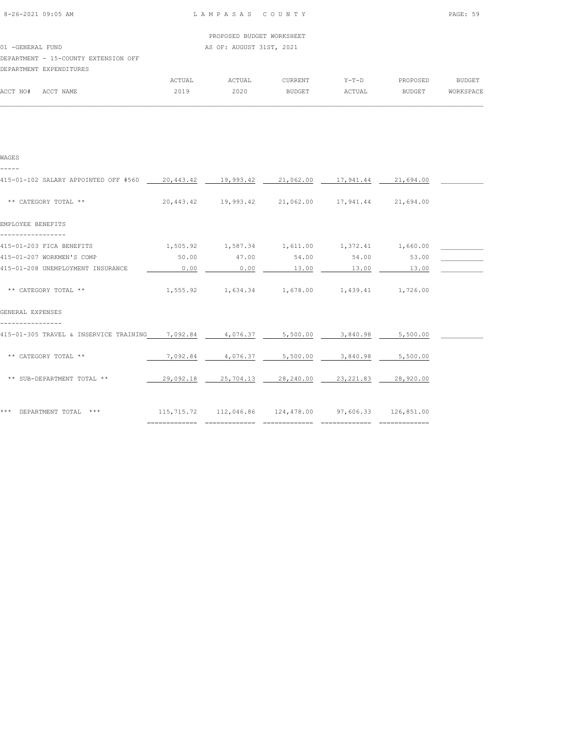| PROPOSED BUDGET WORKSHEET |  |
|---------------------------|--|
|                           |  |

01 -GENERAL FUND AS OF: AUGUST 31ST, 2021

# DEPARTMENT - 15-COUNTY EXTENSION OFF

|          | DEPARTMENT EXPENDITURES |        |        |         |        |               |           |
|----------|-------------------------|--------|--------|---------|--------|---------------|-----------|
|          |                         | ACTUAL | ACTUAL | CURRENT | Y-T-D  | PROPOSED      | BUDGET    |
| ACCT NO# | ACCT NAME               | 2019   | 2020   | BUDGET  | ACTUAL | <b>BUDGET</b> | WORKSPACE |
|          |                         |        |        |         |        |               |           |

| WAGES                                                                                  |           |                                                           |                   |            |           |  |
|----------------------------------------------------------------------------------------|-----------|-----------------------------------------------------------|-------------------|------------|-----------|--|
| 415-01-102 SALARY APPOINTED OFF #560 20,443.42 19,993.42 21,062.00 17,941.44 21,694.00 |           |                                                           |                   |            |           |  |
| ** CATEGORY TOTAL **                                                                   |           | 20,443.42 19,993.42 21,062.00 17,941.44 21,694.00         |                   |            |           |  |
| EMPLOYEE BENEFITS                                                                      |           |                                                           |                   |            |           |  |
| 415-01-203 FICA BENEFITS                                                               |           | $1,505.92$ $1,587.34$ $1,611.00$ $1,372.41$ $1,660.00$    |                   |            |           |  |
| 415-01-207 WORKMEN'S COMP                                                              | 50.00     | 47.00                                                     | 54.00             | 54.00      | 53.00     |  |
| 415-01-208 UNEMPLOYMENT INSURANCE                                                      | 0.00      | 0.00                                                      | 13.00             | 13.00      | 13.00     |  |
| ** CATEGORY TOTAL **<br>GENERAL EXPENSES                                               |           | 1,555.92   1,634.34   1,678.00   1,439.41   1,726.00      |                   |            |           |  |
| 415-01-305 TRAVEL & INSERVICE TRAINING                                                 | 7,092.84  |                                                           | 4,076.37 5,500.00 | 3,840.98   | 5,500.00  |  |
| ** CATEGORY TOTAL **                                                                   | 7,092.84  | 4,076.37                                                  | 5,500.00          | 3,840.98   | 5,500.00  |  |
| ** SUB-DEPARTMENT TOTAL **                                                             | 29,092.18 | 25,704.13                                                 | 28,240.00         | 23, 221.83 | 28,920.00 |  |
| *** DEPARTMENT TOTAL ***                                                               |           | 115,715.72  112,046.86  124,478.00  97,606.33  126,851.00 |                   |            |           |  |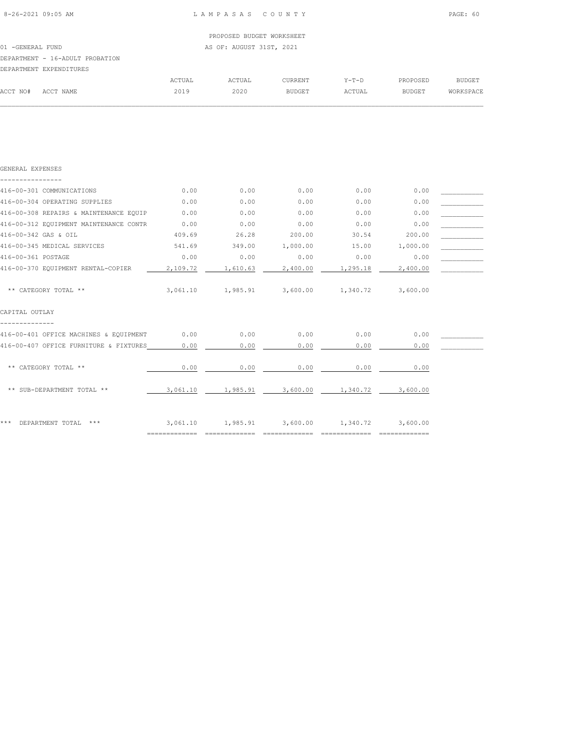|                  |                                 |        | PROPOSED BUDGET WORKSHEET |                |         |               |               |
|------------------|---------------------------------|--------|---------------------------|----------------|---------|---------------|---------------|
| 01 -GENERAL FUND |                                 |        | AS OF: AUGUST 31ST, 2021  |                |         |               |               |
|                  | DEPARTMENT - 16-ADULT PROBATION |        |                           |                |         |               |               |
|                  | DEPARTMENT EXPENDITURES         |        |                           |                |         |               |               |
|                  |                                 | ACTUAL | ACTUAL                    | <b>CURRENT</b> | $Y-T-D$ | PROPOSED      | <b>BUDGET</b> |
| ACCT NO#         | ACCT NAME                       | 2019   | 2020                      | <b>BUDGET</b>  | ACTUAL  | <b>BUDGET</b> | WORKSPACE     |

| GENERAL EXPENSES                       |                              |                   |          |                                              |          |  |
|----------------------------------------|------------------------------|-------------------|----------|----------------------------------------------|----------|--|
|                                        |                              |                   |          |                                              |          |  |
| 416-00-301 COMMUNICATIONS              | 0.00                         | 0.00              | 0.00     | 0.00                                         | 0.00     |  |
| 416-00-304 OPERATING SUPPLIES          | 0.00                         | 0.00              | 0.00     | 0.00                                         | 0.00     |  |
| 416-00-308 REPAIRS & MAINTENANCE EQUIP | 0.00                         | 0.00              | 0.00     | 0.00                                         | 0.00     |  |
| 416-00-312 EQUIPMENT MAINTENANCE CONTR | 0.00                         | 0.00              | 0.00     | 0.00                                         | 0.00     |  |
| 416-00-342 GAS & OIL                   | 409.69                       | 26.28             | 200.00   | 30.54                                        | 200.00   |  |
| 416-00-345 MEDICAL SERVICES            | 541.69                       | 349.00            | 1,000.00 | 15.00                                        | 1,000.00 |  |
| 416-00-361 POSTAGE                     | 0.00                         | 0.00              | 0.00     | 0.00                                         | 0.00     |  |
| 416-00-370 EOUIPMENT RENTAL-COPIER     | 2,109.72                     | 1,610.63          | 2,400.00 | 1,295.18                                     | 2,400.00 |  |
| ** CATEGORY TOTAL **                   |                              | 3,061.10 1,985.91 |          | 3,600.00 1,340.72                            | 3,600.00 |  |
| CAPITAL OUTLAY                         |                              |                   |          |                                              |          |  |
| 416-00-401 OFFICE MACHINES & EQUIPMENT | 0.00                         | 0.00              | 0.00     | 0.00                                         | 0.00     |  |
| 416-00-407 OFFICE FURNITURE & FIXTURES | 0.00                         | 0.00              | 0.00     | 0.00                                         | 0.00     |  |
| ** CATEGORY TOTAL **                   | 0.00                         | 0.00              | 0.00     | 0.00                                         | 0.00     |  |
| ** SUB-DEPARTMENT TOTAL **             |                              |                   |          | 3,061.10 1,985.91 3,600.00 1,340.72 3,600.00 |          |  |
| ***<br>DEPARTMENT TOTAL<br>$***$       |                              |                   |          | 3,061.10 1,985.91 3,600.00 1,340.72 3,600.00 |          |  |
|                                        | ============================ |                   |          |                                              |          |  |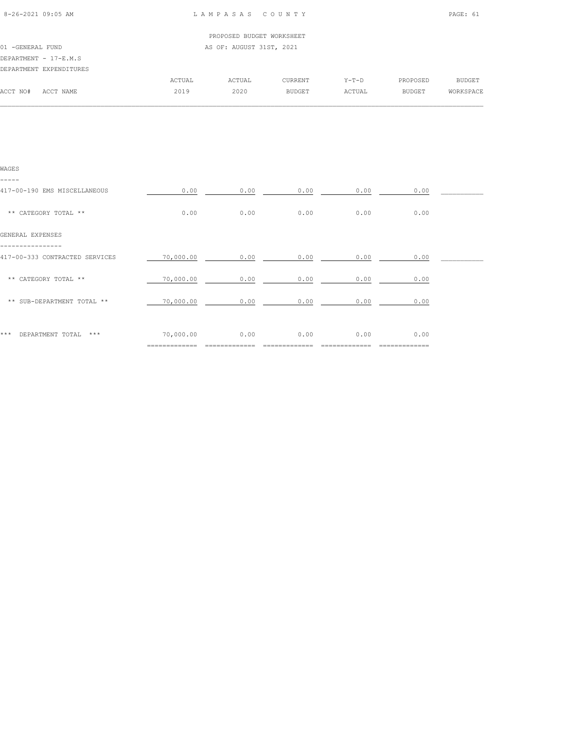| 8-26-2021 09:05 AM |  |
|--------------------|--|

## 8-26-2021 09:05 AM L A M P A S A S C O U N T Y PAGE: 61

|                  |                         |        | PROPOSED BUDGET WORKSHEET |         |         |          |           |
|------------------|-------------------------|--------|---------------------------|---------|---------|----------|-----------|
| 01 -GENERAL FUND |                         |        | AS OF: AUGUST 31ST, 2021  |         |         |          |           |
|                  | DEPARTMENT - 17-E.M.S   |        |                           |         |         |          |           |
|                  | DEPARTMENT EXPENDITURES |        |                           |         |         |          |           |
|                  |                         | ACTUAL | ACTUAL                    | CURRENT | $Y-T-D$ | PROPOSED | BUDGET    |
| ACCT NO#         | ACCT NAME               | 2019   | 2020                      | BUDGET  | ACTUAL  | BUDGET   | WORKSPACE |
|                  |                         |        |                           |         |         |          |           |

| WAGES                                 |                |      |      |      |         |  |
|---------------------------------------|----------------|------|------|------|---------|--|
| -----<br>417-00-190 EMS MISCELLANEOUS | 0.00           | 0.00 | 0.00 | 0.00 | 0.00    |  |
| ** CATEGORY TOTAL **                  | 0.00           | 0.00 | 0.00 | 0.00 | 0.00    |  |
| GENERAL EXPENSES                      |                |      |      |      |         |  |
| 417-00-333 CONTRACTED SERVICES        | 70,000.00      | 0.00 | 0.00 | 0.00 | 0.00    |  |
| ** CATEGORY TOTAL **                  | 70,000.00      | 0.00 | 0.00 | 0.00 | 0.00    |  |
| ** SUB-DEPARTMENT TOTAL **            | 70,000.00      | 0.00 | 0.00 | 0.00 | 0.00    |  |
| ***<br>$***$                          | 70,000.00      | 0.00 | 0.00 | 0.00 | 0.00    |  |
| DEPARTMENT TOTAL                      | ============== |      |      |      | ======= |  |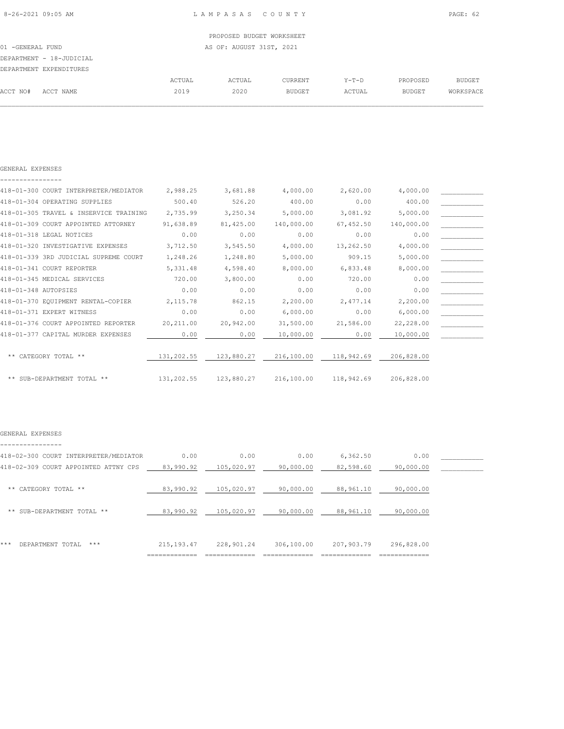| 8-26-2021 09:05 AM       |        | LAMPASAS COUNTY           |                |         |               | PAGE: 62      |
|--------------------------|--------|---------------------------|----------------|---------|---------------|---------------|
|                          |        | PROPOSED BUDGET WORKSHEET |                |         |               |               |
| 01 -GENERAL FUND         |        | AS OF: AUGUST 31ST, 2021  |                |         |               |               |
| DEPARTMENT - 18-JUDICIAL |        |                           |                |         |               |               |
| DEPARTMENT EXPENDITURES  |        |                           |                |         |               |               |
|                          | ACTUAL | ACTUAL                    | <b>CURRENT</b> | $Y-T-D$ | PROPOSED      | <b>BUDGET</b> |
| ACCT NO#<br>ACCT NAME    | 2019   | 2020                      | <b>BUDGET</b>  | ACTUAL  | <b>BUDGET</b> | WORKSPACE     |

| 418-01-300 COURT INTERPRETER/MEDIATOR  | 2,988.25   | 3,681.88   | 4,000.00   | 2,620.00   | 4,000.00   |  |
|----------------------------------------|------------|------------|------------|------------|------------|--|
| 418-01-304 OPERATING SUPPLIES          | 500.40     | 526.20     | 400.00     | 0.00       | 400.00     |  |
| 418-01-305 TRAVEL & INSERVICE TRAINING | 2,735.99   | 3,250.34   | 5,000.00   | 3,081.92   | 5,000.00   |  |
| 418-01-309 COURT APPOINTED ATTORNEY    | 91,638.89  | 81,425.00  | 140,000.00 | 67,452.50  | 140,000.00 |  |
| 418-01-318 LEGAL NOTICES               | 0.00       | 0.00       | 0.00       | 0.00       | 0.00       |  |
| 418-01-320 INVESTIGATIVE EXPENSES      | 3,712.50   | 3,545.50   | 4,000.00   | 13,262.50  | 4,000.00   |  |
| 418-01-339 3RD JUDICIAL SUPREME COURT  | 1,248.26   | 1,248.80   | 5,000.00   | 909.15     | 5,000.00   |  |
| 418-01-341 COURT REPORTER              | 5,331.48   | 4,598.40   | 8,000.00   | 6,833.48   | 8,000.00   |  |
| 418-01-345 MEDICAL SERVICES            | 720.00     | 3,800.00   | 0.00       | 720.00     | 0.00       |  |
| 418-01-348 AUTOPSIES                   | 0.00       | 0.00       | 0.00       | 0.00       | 0.00       |  |
| 418-01-370 EQUIPMENT RENTAL-COPIER     | 2,115.78   | 862.15     | 2,200.00   | 2,477.14   | 2,200.00   |  |
| 418-01-371 EXPERT WITNESS              | 0.00       | 0.00       | 6,000.00   | 0.00       | 6,000.00   |  |
| 418-01-376 COURT APPOINTED REPORTER    | 20,211.00  | 20,942.00  | 31,500.00  | 21,586.00  | 22,228.00  |  |
| 418-01-377 CAPITAL MURDER EXPENSES     | 0.00       | 0.00       | 10,000.00  | 0.00       | 10,000.00  |  |
|                                        |            |            |            |            |            |  |
| ** CATEGORY TOTAL **                   | 131,202.55 | 123,880.27 | 216,100.00 | 118,942.69 | 206,828.00 |  |
|                                        |            |            |            |            |            |  |
| ** SUB-DEPARTMENT TOTAL **             | 131,202.55 | 123,880.27 | 216,100.00 | 118,942.69 | 206,828.00 |  |

#### GENERAL EXPENSES

GENERAL EXPENSES

| 418-02-300 COURT INTERPRETER/MEDIATOR | 0.00        | 0.00       | 0.00       | 6,362.50   | 0.00       |  |
|---------------------------------------|-------------|------------|------------|------------|------------|--|
| 418-02-309 COURT APPOINTED ATTNY CPS  | 83,990.92   | 105,020.97 | 90,000.00  | 82,598.60  | 90,000.00  |  |
| CATEGORY TOTAL **<br>**               | 83,990.92   | 105,020.97 | 90,000.00  | 88,961.10  | 90,000.00  |  |
| SUB-DEPARTMENT TOTAL **<br>**         | 83,990.92   | 105,020.97 | 90,000.00  | 88,961.10  | 90,000.00  |  |
| ***<br>$***$                          |             |            |            |            |            |  |
| DEPARTMENT TOTAL                      | 215, 193.47 | 228,901.24 | 306,100.00 | 207,903.79 | 296,828.00 |  |
|                                       |             |            |            |            |            |  |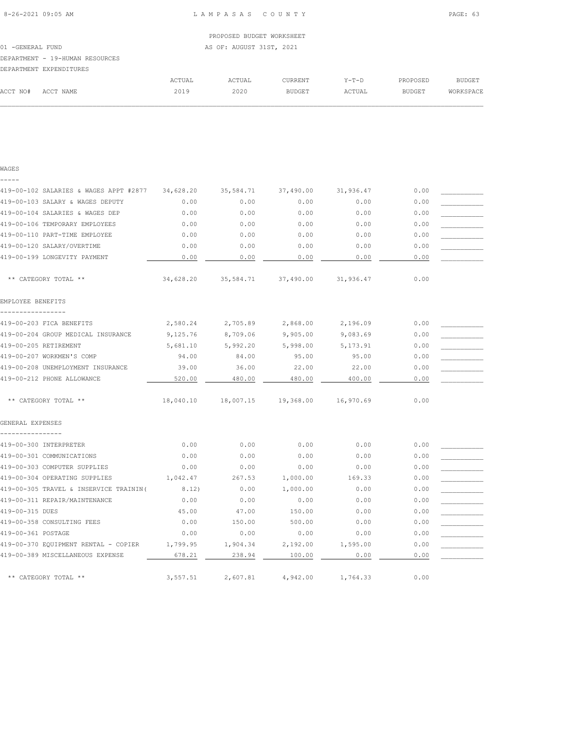| WAGES                                   |           |           |           |           |      |  |
|-----------------------------------------|-----------|-----------|-----------|-----------|------|--|
|                                         |           |           |           |           |      |  |
| 419-00-102 SALARIES & WAGES APPT #2877  | 34,628.20 | 35,584.71 | 37,490.00 | 31,936.47 | 0.00 |  |
| 419-00-103 SALARY & WAGES DEPUTY        | 0.00      | 0.00      | 0.00      | 0.00      | 0.00 |  |
| 419-00-104 SALARIES & WAGES DEP         | 0.00      | 0.00      | 0.00      | 0.00      | 0.00 |  |
| 419-00-106 TEMPORARY EMPLOYEES          | 0.00      | 0.00      | 0.00      | 0.00      | 0.00 |  |
| 419-00-110 PART-TIME EMPLOYEE           | 0.00      | 0.00      | 0.00      | 0.00      | 0.00 |  |
| 419-00-120 SALARY/OVERTIME              | 0.00      | 0.00      | 0.00      | 0.00      | 0.00 |  |
| 419-00-199 LONGEVITY PAYMENT            | 0.00      | 0.00      | 0.00      | 0.00      | 0.00 |  |
| ** CATEGORY TOTAL **                    | 34,628.20 | 35,584.71 | 37,490.00 | 31,936.47 | 0.00 |  |
| EMPLOYEE BENEFITS                       |           |           |           |           |      |  |
|                                         |           |           |           |           |      |  |
| 419-00-203 FICA BENEFITS                | 2,580.24  | 2,705.89  | 2,868.00  | 2,196.09  | 0.00 |  |
| 419-00-204 GROUP MEDICAL INSURANCE      | 9,125.76  | 8,709.06  | 9,905.00  | 9,083.69  | 0.00 |  |
| 419-00-205 RETIREMENT                   | 5,681.10  | 5,992.20  | 5,998.00  | 5, 173.91 | 0.00 |  |
| 419-00-207 WORKMEN'S COMP               | 94.00     | 84.00     | 95.00     | 95.00     | 0.00 |  |
| 419-00-208 UNEMPLOYMENT INSURANCE       | 39.00     | 36.00     | 22.00     | 22.00     | 0.00 |  |
| 419-00-212 PHONE ALLOWANCE              | 520.00    | 480.00    | 480.00    | 400.00    | 0.00 |  |
| ** CATEGORY TOTAL **                    | 18,040.10 | 18,007.15 | 19,368.00 | 16,970.69 | 0.00 |  |
| GENERAL EXPENSES                        |           |           |           |           |      |  |
| 419-00-300 INTERPRETER                  | 0.00      | 0.00      | 0.00      | 0.00      | 0.00 |  |
| 419-00-301 COMMUNICATIONS               | 0.00      | 0.00      | 0.00      | 0.00      | 0.00 |  |
| 419-00-303 COMPUTER SUPPLIES            | 0.00      | 0.00      | 0.00      | 0.00      | 0.00 |  |
| 419-00-304 OPERATING SUPPLIES           | 1,042.47  | 267.53    | 1,000.00  | 169.33    | 0.00 |  |
| 419-00-305 TRAVEL & INSERVICE TRAININ ( | 8.12)     | 0.00      | 1,000.00  | 0.00      | 0.00 |  |
| 419-00-311 REPAIR/MAINTENANCE           | 0.00      | 0.00      | 0.00      | 0.00      | 0.00 |  |
| 419-00-315 DUES                         | 45.00     | 47.00     | 150.00    | 0.00      | 0.00 |  |
| 419-00-358 CONSULTING FEES              | 0.00      | 150.00    | 500.00    | 0.00      | 0.00 |  |
| 419-00-361 POSTAGE                      | 0.00      | 0.00      | 0.00      | 0.00      | 0.00 |  |
| 419-00-370 EQUIPMENT RENTAL - COPIER    | 1,799.95  | 1,904.34  | 2,192.00  | 1,595.00  | 0.00 |  |
| 419-00-389 MISCELLANEOUS EXPENSE        | 678.21    | 238.94    | 100.00    | 0.00      | 0.00 |  |
| ** CATEGORY TOTAL **                    | 3,557.51  | 2,607.81  | 4,942.00  | 1,764.33  | 0.00 |  |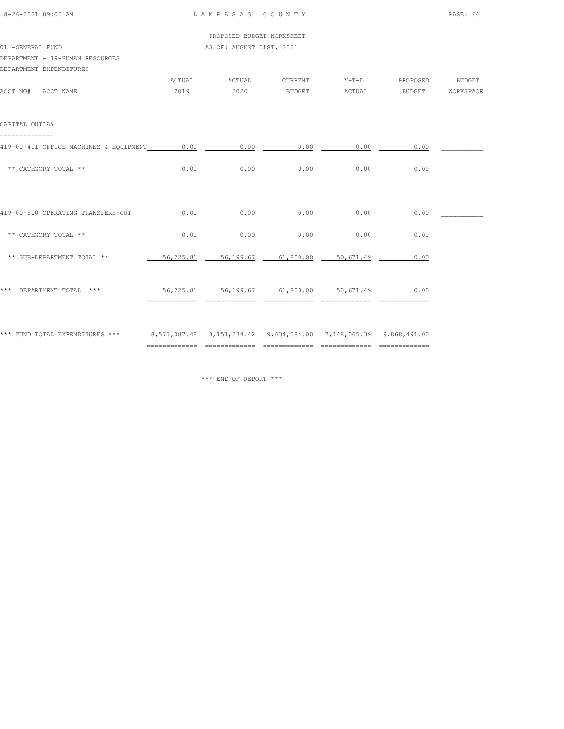| 8-26-2021 09:05 AM |  |
|--------------------|--|

01 -GENERAL FUND AS OF: AUGUST 31ST, 2021

# DEPARTMENT - 19-HUMAN RESOURCES

| DEPARTMENT EXPENDITURES                                                                          |      |                                                                                      |                 |                |                               |  |
|--------------------------------------------------------------------------------------------------|------|--------------------------------------------------------------------------------------|-----------------|----------------|-------------------------------|--|
|                                                                                                  |      | ACTUAL ACTUAL                                                                        |                 |                | CURRENT Y-T-D PROPOSED BUDGET |  |
| ACCT NO# ACCT NAME                                                                               | 2019 |                                                                                      |                 |                |                               |  |
| CAPITAL OUTLAY                                                                                   |      |                                                                                      |                 |                |                               |  |
|                                                                                                  |      |                                                                                      |                 |                |                               |  |
| 419-00-401 OFFICE MACHINES & EQUIPMENT 0.00 0.00 0.00 0.00 0.00 0.00 0.00                        |      |                                                                                      |                 |                |                               |  |
| ** CATEGORY TOTAL **                                                                             |      | $0.00$ 0.00 0.00 0.00 0.00                                                           |                 |                | 0.00                          |  |
|                                                                                                  |      |                                                                                      |                 |                |                               |  |
| 419-00-500 OPERATING TRANSFERS-OUT                                                               | 0.00 |                                                                                      | $0.00$ 0.00     | 0.00           | 0.00                          |  |
| ** CATEGORY TOTAL **                                                                             | 0.00 |                                                                                      | $0.00$ 0.00     | 0.00           | 0.00                          |  |
| ** SUB-DEPARTMENT TOTAL **                                                                       |      | 56,225.81 56,199.67 61,800.00 50,671.49                                              |                 |                | 0.00                          |  |
|                                                                                                  |      |                                                                                      |                 |                |                               |  |
| *** DEPARTMENT TOTAL ***                                                                         |      | 56,225.81 56,199.67 61,800.00 50,671.49 0.00<br>____________________________________ | --------------- | ============== |                               |  |
|                                                                                                  |      |                                                                                      |                 |                |                               |  |
| *** FUND TOTAL EXPENDITURES *** 8,571,087.48 8,151,234.42 9,634,384.00 7,148,065.39 9,868,491.00 |      |                                                                                      |                 |                |                               |  |
|                                                                                                  |      |                                                                                      |                 |                |                               |  |

\*\*\* END OF REPORT \*\*\*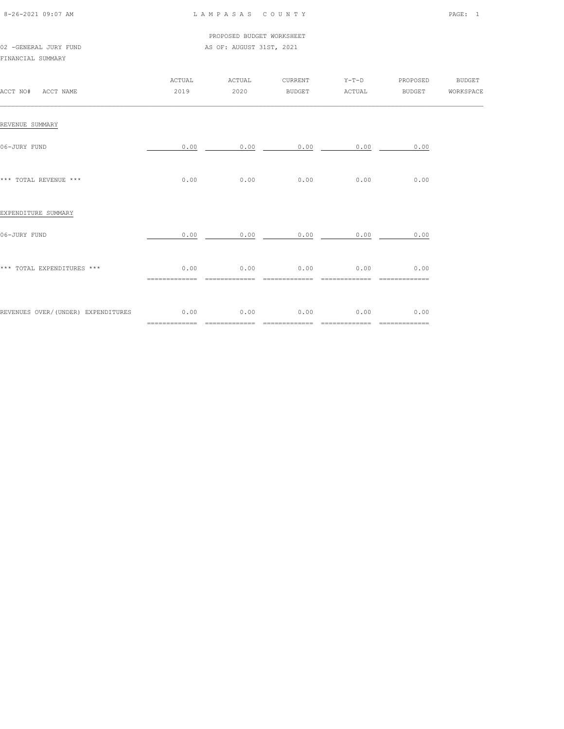| 8-26-2021 09:07 AM |  |
|--------------------|--|
|                    |  |

## 8-26-2021 09:07 AM L A M P A S A S C O U N T Y PAGE: 1

PROPOSED BUDGET WORKSHEET

# 02 -GENERAL JURY FUND **AS OF: AUGUST 31ST, 2021** FINANCIAL SUMMARY

| ACCT NO# ACCT NAME                      | ACTUAL<br>2019                        | ACTUAL<br>2020         | CURRENT                | $Y-T-D$<br>BUDGET ACTUAL | PROPOSED<br><b>BUDGET</b>             | <b>BUDGET</b><br>WORKSPACE |
|-----------------------------------------|---------------------------------------|------------------------|------------------------|--------------------------|---------------------------------------|----------------------------|
| REVENUE SUMMARY                         |                                       |                        |                        |                          |                                       |                            |
| 06-JURY FUND                            | 0.00                                  | 0.00                   | 0.00                   | 0.00                     | 0.00                                  |                            |
| *** TOTAL REVENUE ***                   | 0.00                                  | 0.00                   | 0.00                   | 0.00                     | 0.00                                  |                            |
| EXPENDITURE SUMMARY                     |                                       |                        |                        |                          |                                       |                            |
| 06-JURY FUND                            | 0.00                                  | 0.00                   | 0.00                   | 0.00                     | 0.00                                  |                            |
| *** TOTAL EXPENDITURES ***              | 0.00<br>$=$ = = = = = = = = = = = = = | 0.00<br>============== | 0.00<br>============== | 0.00<br>==============   | 0.00<br>$=$ = = = = = = = = = = = = = |                            |
| REVENUES OVER/(UNDER) EXPENDITURES 0.00 | =============                         | 0.00<br>=============  | 0.00<br>=============  | 0.00<br>=============    | 0.00<br>$=$ =============             |                            |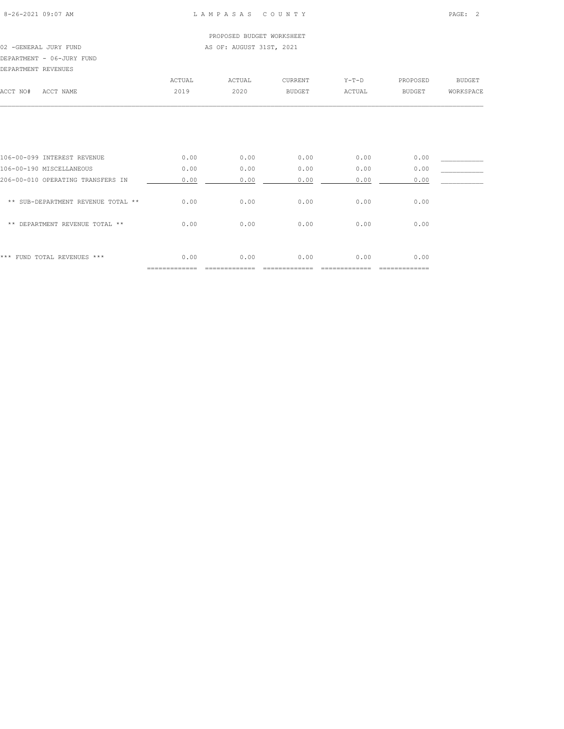## 8-26-2021 09:07 AM L A M P A S A S C O U N T Y PAGE: 2

# PROPOSED BUDGET WORKSHEET 02 -GENERAL JURY FUND **AS OF: AUGUST 31ST, 2021**

DEPARTMENT - 06-JURY FUND

| DEPARTMENT REVENUES |           |        |        |         |         |          |               |
|---------------------|-----------|--------|--------|---------|---------|----------|---------------|
|                     |           | ACTUAL | ACTUAL | CURRENT | $Y-T-D$ | PROPOSED | <b>BUDGET</b> |
| ACCT NO#            | ACCT NAME | 2019   | 2020   | BUDGET  | ACTUAL  | BUDGET   | WORKSPACE     |
|                     |           |        |        |         |         |          |               |
|                     |           |        |        |         |         |          |               |
|                     |           |        |        |         |         |          |               |

| *** FUND TOTAL REVENUES ***        | 0.00 | 0.00 | 0.00 | 0.00 | 0.00 |  |
|------------------------------------|------|------|------|------|------|--|
| ** DEPARTMENT REVENUE TOTAL **     | 0.00 | 0.00 | 0.00 | 0.00 | 0.00 |  |
| ** SUB-DEPARTMENT REVENUE TOTAL ** | 0.00 | 0.00 | 0.00 | 0.00 | 0.00 |  |
| 206-00-010 OPERATING TRANSFERS IN  | 0.00 | 0.00 | 0.00 | 0.00 | 0.00 |  |
| 106-00-190 MISCELLANEOUS           | 0.00 | 0.00 | 0.00 | 0.00 | 0.00 |  |
| 106-00-099 INTEREST REVENUE        | 0.00 | 0.00 | 0.00 | 0.00 | 0.00 |  |
|                                    |      |      |      |      |      |  |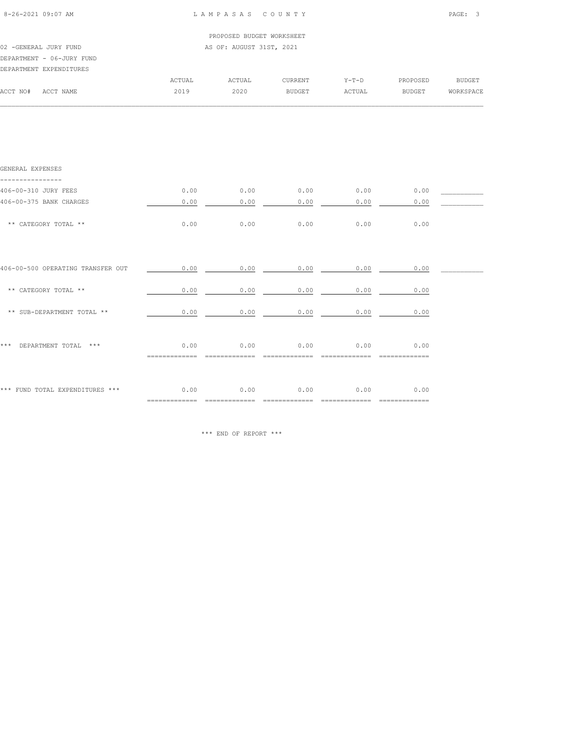| 8-26-2021 09:07 AM                | LAMPASAS COUNTY |                                    |                |                       |                         | PAGE: 3 |  |  |
|-----------------------------------|-----------------|------------------------------------|----------------|-----------------------|-------------------------|---------|--|--|
|                                   |                 | PROPOSED BUDGET WORKSHEET          |                |                       |                         |         |  |  |
| 02 - GENERAL JURY FUND            |                 | AS OF: AUGUST 31ST, 2021           |                |                       |                         |         |  |  |
| DEPARTMENT - 06-JURY FUND         |                 |                                    |                |                       |                         |         |  |  |
| DEPARTMENT EXPENDITURES           |                 |                                    |                |                       |                         |         |  |  |
|                                   | ACTUAL          |                                    | ACTUAL CURRENT |                       | Y-T-D PROPOSED BUDGET   |         |  |  |
| ACCT NO# ACCT NAME                | 2019            | 2020                               | <b>BUDGET</b>  |                       | ACTUAL BUDGET WORKSPACE |         |  |  |
|                                   |                 |                                    |                |                       |                         |         |  |  |
| GENERAL EXPENSES                  |                 |                                    |                |                       |                         |         |  |  |
| 406-00-310 JURY FEES              |                 | $0.00$ 0.00 0.00 0.00 0.00 0.00    |                |                       |                         |         |  |  |
| 406-00-375 BANK CHARGES           | 0.00            | 0.00                               | 0.00           | 0.00                  | 0.00                    |         |  |  |
|                                   |                 |                                    |                |                       |                         |         |  |  |
| ** CATEGORY TOTAL **              | 0.00            |                                    |                | $0.00$ 0.00 0.00 0.00 | 0.00                    |         |  |  |
|                                   |                 |                                    |                |                       |                         |         |  |  |
| 406-00-500 OPERATING TRANSFER OUT |                 | $0.00$ $0.00$ $0.00$ $0.00$ $0.00$ |                |                       | 0.00                    |         |  |  |
|                                   |                 |                                    |                |                       |                         |         |  |  |
| ** CATEGORY TOTAL **              |                 | $0.00$ 0.00 0.00 0.00              |                |                       | 0.00                    |         |  |  |
| ** SUB-DEPARTMENT TOTAL **        |                 | $0.00$ 0.00 0.00 0.00              |                |                       | 0.00                    |         |  |  |
| *** DEPARTMENT TOTAL ***          | 0.00            | 0.00                               | 0.00           | 0.00                  | 0.00                    |         |  |  |
|                                   |                 |                                    |                |                       |                         |         |  |  |

\*\*\* FUND TOTAL EXPENDITURES \*\*\*  $0.00$  0.00 0.00 0.00 0.00 0.00 ============= ============= ============= ============= =============

\*\*\* END OF REPORT \*\*\*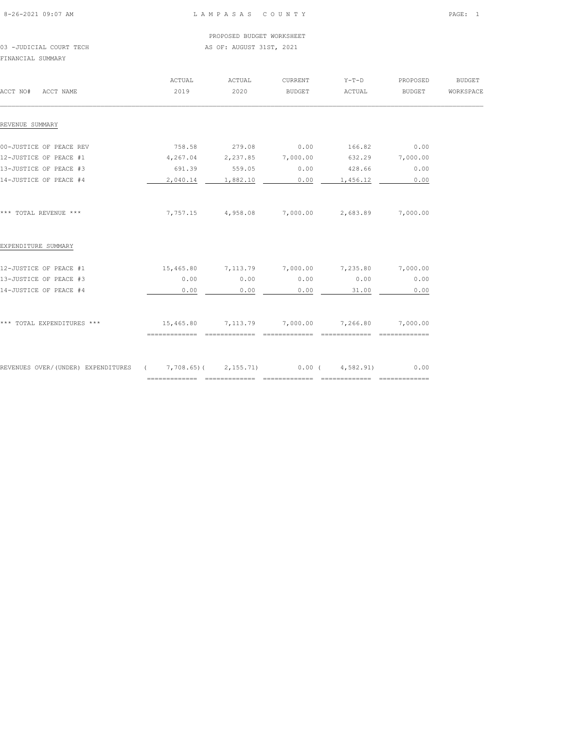## 8-26-2021 09:07 AM L A M P A S A S C O U N T Y PAGE: 1

PROPOSED BUDGET WORKSHEET

# 03 -JUDICIAL COURT TECH **AS OF: AUGUST 31ST, 2021** FINANCIAL SUMMARY

| ACCT NO#<br>ACCT NAME                                                      | ACTUAL<br>2019 | ACTUAL<br>2020    | <b>CURRENT</b><br>BUDGET             | $Y-T-D$<br>ACTUAL | PROPOSED<br>BUDGET      | <b>BUDGET</b><br>WORKSPACE |
|----------------------------------------------------------------------------|----------------|-------------------|--------------------------------------|-------------------|-------------------------|----------------------------|
| REVENUE SUMMARY                                                            |                |                   |                                      |                   |                         |                            |
| 00-JUSTICE OF PEACE REV                                                    | 758.58         | 279.08            | 0.00                                 | 166.82            | 0.00                    |                            |
| 12-JUSTICE OF PEACE #1                                                     | 4,267.04       | 2,237.85 7,000.00 |                                      |                   | 632.29 7,000.00         |                            |
| 13-JUSTICE OF PEACE #3                                                     | 691.39         | 559.05            | 0.00                                 | 428.66            | 0.00                    |                            |
| 14-JUSTICE OF PEACE #4                                                     | 2,040.14       | 1,882.10          | 0.00                                 | 1,456.12          | 0.00                    |                            |
| *** TOTAL REVENUE ***                                                      |                |                   | 7,757.15 4,958.08 7,000.00 2,683.89  |                   | 7,000.00                |                            |
| EXPENDITURE SUMMARY                                                        |                |                   |                                      |                   |                         |                            |
| 12-JUSTICE OF PEACE #1                                                     | 15,465.80      | 7,113.79 7,000.00 |                                      | 7,235.80          | 7,000.00                |                            |
| 13-JUSTICE OF PEACE #3                                                     | 0.00           | 0.00              | 0.00                                 | 0.00              | 0.00                    |                            |
| 14-JUSTICE OF PEACE #4                                                     | 0.00           | 0.00              | 0.00                                 | 31.00             | 0.00                    |                            |
| *** TOTAL EXPENDITURES ***                                                 |                |                   | 15,465.80 7,113.79 7,000.00 7,266.80 |                   | 7,000.00                |                            |
|                                                                            |                |                   |                                      |                   |                         |                            |
| REVENUES OVER/(UNDER) EXPENDITURES ( 7,708.65)( 2,155.71) 0.00 ( 4,582.91) |                |                   |                                      |                   | 0.00<br>_______________ |                            |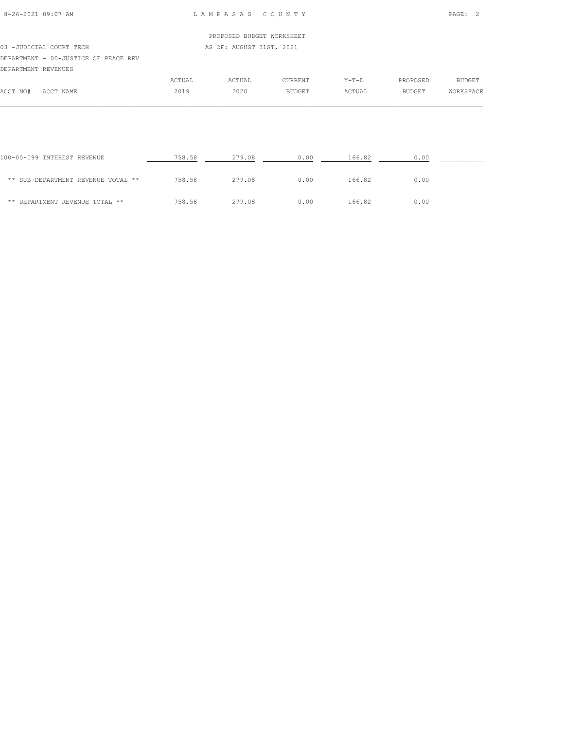|                                      |        | PROPOSED BUDGET WORKSHEET |                |         |          |           |
|--------------------------------------|--------|---------------------------|----------------|---------|----------|-----------|
| 03 - JUDICIAL COURT TECH             |        | AS OF: AUGUST 31ST, 2021  |                |         |          |           |
| DEPARTMENT - 00-JUSTICE OF PEACE REV |        |                           |                |         |          |           |
| DEPARTMENT REVENUES                  |        |                           |                |         |          |           |
|                                      | ACTUAL | ACTUAL                    | <b>CURRENT</b> | $Y-T-D$ | PROPOSED | BUDGET    |
| ACCT NO#<br>ACCT NAME                | 2019   | 2020                      | <b>BUDGET</b>  | ACTUAL  | BUDGET   | WORKSPACE |

| 100-00-099 INTEREST REVENUE        | 758.58 | 279.08 | 0.00 | 166.82 | 0.00 |  |
|------------------------------------|--------|--------|------|--------|------|--|
| ** SUB-DEPARTMENT REVENUE TOTAL ** | 758.58 | 279.08 | 0.00 | 166.82 | 0.00 |  |
| ** DEPARTMENT REVENUE TOTAL **     | 758.58 | 279.08 | 0.00 | 166.82 | 0.00 |  |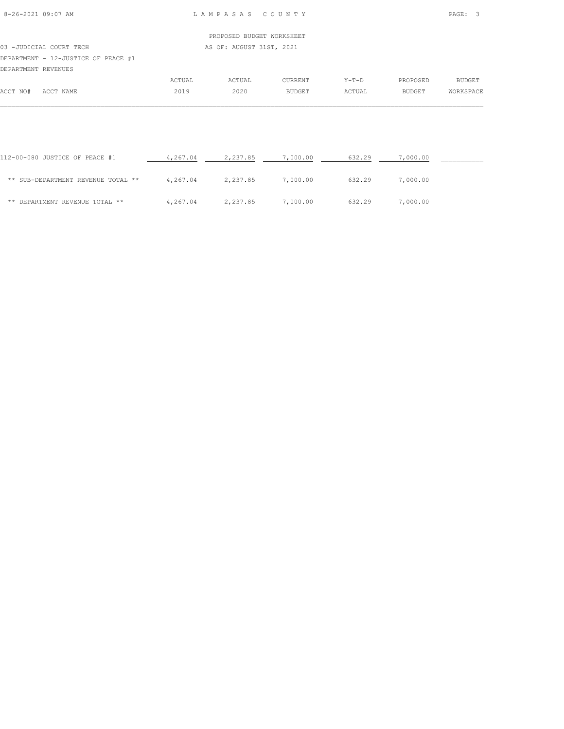|          |                                     |        | PROPOSED BUDGET WORKSHEET |                |         |          |           |
|----------|-------------------------------------|--------|---------------------------|----------------|---------|----------|-----------|
|          | 03 -JUDICIAL COURT TECH             |        | AS OF: AUGUST 31ST, 2021  |                |         |          |           |
|          | DEPARTMENT - 12-JUSTICE OF PEACE #1 |        |                           |                |         |          |           |
|          | DEPARTMENT REVENUES                 |        |                           |                |         |          |           |
|          |                                     | ACTUAL | ACTUAL                    | <b>CURRENT</b> | $Y-T-D$ | PROPOSED | BUDGET    |
| ACCT NO# | ACCT NAME                           | 2019   | 2020                      | BUDGET         | ACTUAL  | BUDGET   | WORKSPACE |

| 112-00-080 JUSTICE OF PEACE #1     | 4,267.04 | 2,237.85 | 7,000.00 | 632.29 | 7,000.00 |  |
|------------------------------------|----------|----------|----------|--------|----------|--|
| ** SUB-DEPARTMENT REVENUE TOTAL ** | 4,267.04 | 2,237.85 | 7,000.00 | 632.29 | 7,000.00 |  |
| ** DEPARTMENT REVENUE TOTAL **     | 4,267.04 | 2,237.85 | 7,000.00 | 632.29 | 7,000.00 |  |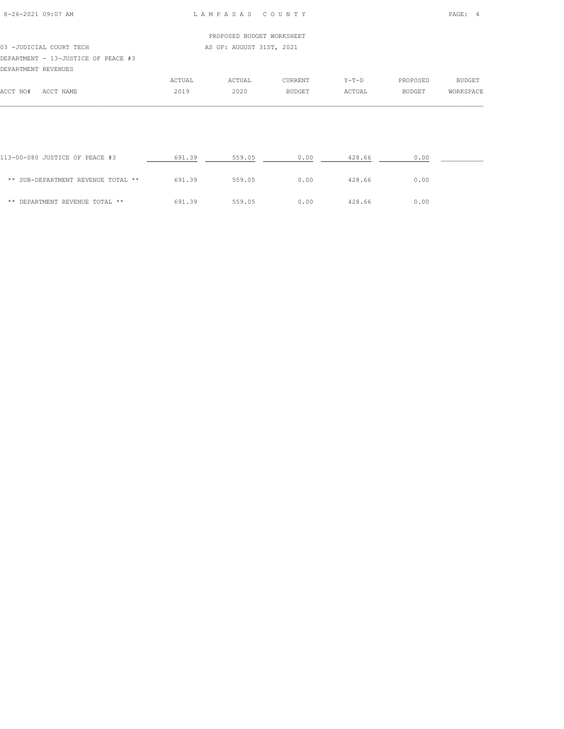|                                     |        | PROPOSED BUDGET WORKSHEET |                |        |          |           |  |
|-------------------------------------|--------|---------------------------|----------------|--------|----------|-----------|--|
|                                     |        |                           |                |        |          |           |  |
| 03 - JUDICIAL COURT TECH            |        | AS OF: AUGUST 31ST, 2021  |                |        |          |           |  |
| DEPARTMENT - 13-JUSTICE OF PEACE #3 |        |                           |                |        |          |           |  |
| DEPARTMENT REVENUES                 |        |                           |                |        |          |           |  |
|                                     | ACTUAL | ACTUAL                    | <b>CURRENT</b> | Y-T-D  | PROPOSED | BUDGET    |  |
| ACCT NO#<br>ACCT NAME               | 2019   | 2020                      | BUDGET         | ACTUAL | BUDGET   | WORKSPACE |  |

| 113-00-080 JUSTICE OF PEACE #3     | 691.39 | 559.05 | 0.00 | 428.66 | 0.00 |  |
|------------------------------------|--------|--------|------|--------|------|--|
| ** SUB-DEPARTMENT REVENUE TOTAL ** | 691.39 | 559.05 | 0.00 | 428.66 | 0.00 |  |
| ** DEPARTMENT REVENUE TOTAL **     | 691.39 | 559.05 | 0.00 | 428.66 | 0.00 |  |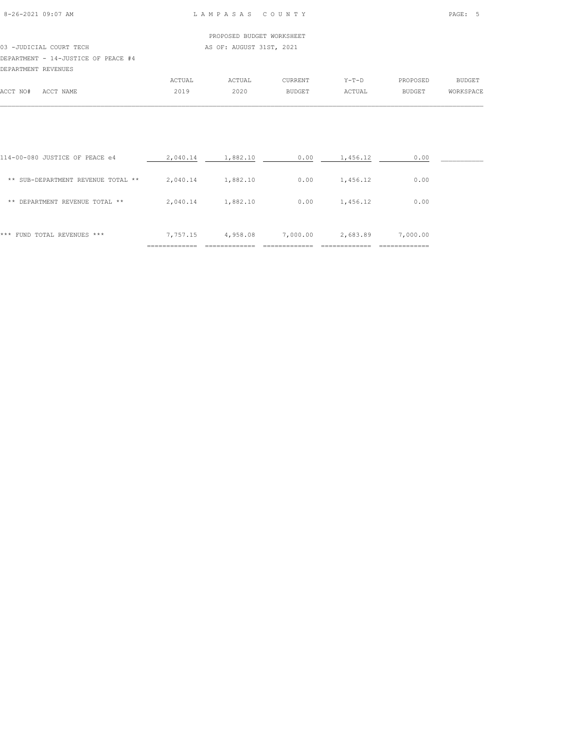# PROPOSED BUDGET WORKSHEET 03 -JUDICIAL COURT TECH AS OF: AUGUST 31ST, 2021 DEPARTMENT - 14-JUSTICE OF PEACE #4 DEPARTMENT REVENUES

|             |                                                                                                                                                   | $\sim$ mrss                               | <b><i><u>CTUAL</u></i></b> | $\gamma$ | $V - T - D$ | PROPOSED         | principm<br>– പവാഥ⊥ |
|-------------|---------------------------------------------------------------------------------------------------------------------------------------------------|-------------------------------------------|----------------------------|----------|-------------|------------------|---------------------|
| ユーヘア<br>NO‡ | $\sim$<br><b>MEAME</b><br>NAME<br>the contract of the contract of the contract of the contract of the contract of the contract of the contract of | $\bigcap_{n=1}^{\infty}$<br>$\sim$ $\sim$ | 2020<br>$\sim$ $\sim$      |          | CTUAL       | RIIDGET<br>בעטעי |                     |
|             |                                                                                                                                                   |                                           |                            |          |             |                  |                     |

| *** FUND TOTAL REVENUES ***        | 7,757.15 | 4,958.08 | 7,000.00 | 2,683.89 | 7,000.00 |  |
|------------------------------------|----------|----------|----------|----------|----------|--|
| DEPARTMENT REVENUE TOTAL **<br>**  | 2,040.14 | 1,882.10 | 0.00     | 1,456.12 | 0.00     |  |
| ** SUB-DEPARTMENT REVENUE TOTAL ** | 2,040.14 | 1,882.10 | 0.00     | 1,456.12 | 0.00     |  |
| 114-00-080 JUSTICE OF PEACE e4     | 2,040.14 | 1,882.10 | 0.00     | 1,456.12 | 0.00     |  |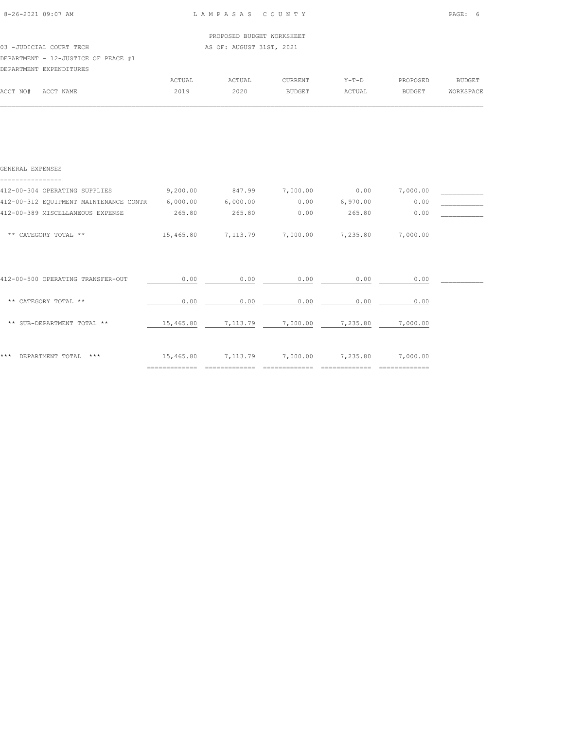ACCT NO# ACCT NAME 2019 2020 BUDGET ACTUAL BUDGET WORKSPACE  $\mathcal{L} = \{ \mathcal{L} = \{ \mathcal{L} = \{ \mathcal{L} = \{ \mathcal{L} = \{ \mathcal{L} = \{ \mathcal{L} = \{ \mathcal{L} = \{ \mathcal{L} = \{ \mathcal{L} = \{ \mathcal{L} = \{ \mathcal{L} = \{ \mathcal{L} = \{ \mathcal{L} = \{ \mathcal{L} = \{ \mathcal{L} = \{ \mathcal{L} = \{ \mathcal{L} = \{ \mathcal{L} = \{ \mathcal{L} = \{ \mathcal{L} = \{ \mathcal{L} = \{ \mathcal{L} = \{ \mathcal{L} = \{ \mathcal{$ 

| AS OF: AUGUST 31ST, 2021<br>03 - JUDICIAL COURT TECH |  |         |                           |          |               |  |  |
|------------------------------------------------------|--|---------|---------------------------|----------|---------------|--|--|
|                                                      |  |         |                           |          |               |  |  |
|                                                      |  |         |                           |          |               |  |  |
| ACTUAL                                               |  | CURRENT | $Y-T-D$                   | PROPOSED | <b>BUDGET</b> |  |  |
|                                                      |  | ACTUAL  | PROPOSED BUDGET WORKSHEET |          |               |  |  |

| GENERAL EXPENSES                       |           |          |          |          |          |  |
|----------------------------------------|-----------|----------|----------|----------|----------|--|
| 412-00-304 OPERATING SUPPLIES          | 9,200.00  | 847.99   | 7,000.00 | 0.00     | 7,000.00 |  |
| 412-00-312 EQUIPMENT MAINTENANCE CONTR | 6,000.00  | 6,000.00 | 0.00     | 6,970.00 | 0.00     |  |
| 412-00-389 MISCELLANEOUS EXPENSE       | 265.80    | 265.80   | 0.00     | 265.80   | 0.00     |  |
| ** CATEGORY TOTAL **                   | 15,465.80 | 7,113.79 | 7,000.00 | 7,235.80 | 7,000.00 |  |
| 412-00-500 OPERATING TRANSFER-OUT      | 0.00      | 0.00     | 0.00     | 0.00     | 0.00     |  |
| CATEGORY TOTAL **<br>$* *$             | 0.00      | 0.00     | 0.00     | 0.00     | 0.00     |  |
| ** SUB-DEPARTMENT TOTAL **             | 15,465.80 | 7,113.79 | 7,000.00 | 7,235.80 | 7,000.00 |  |
| DEPARTMENT TOTAL<br>***<br>***         | 15,465.80 | 7,113.79 | 7,000.00 | 7,235.80 | 7,000.00 |  |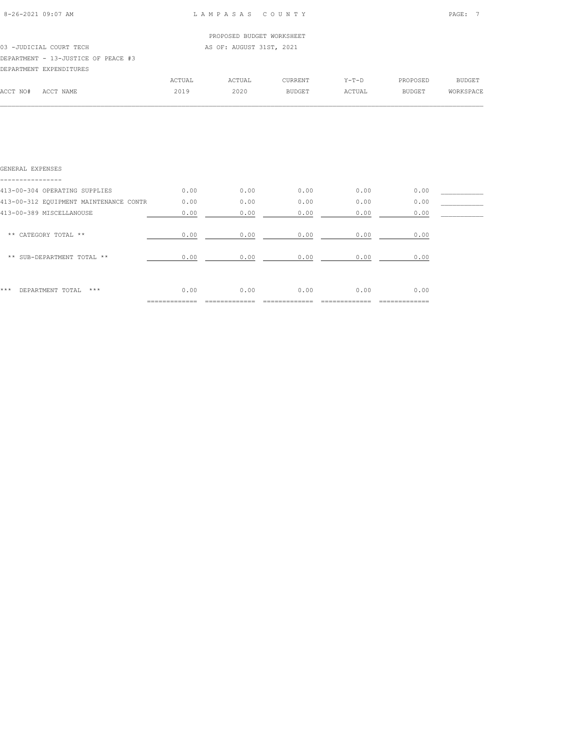|          |                                                     |        | PROPOSED BUDGET WORKSHEET |                |         |          |           |
|----------|-----------------------------------------------------|--------|---------------------------|----------------|---------|----------|-----------|
|          | 03 -JUDICIAL COURT TECH<br>AS OF: AUGUST 31ST, 2021 |        |                           |                |         |          |           |
|          | DEPARTMENT - 13-JUSTICE OF PEACE #3                 |        |                           |                |         |          |           |
|          | DEPARTMENT EXPENDITURES                             |        |                           |                |         |          |           |
|          |                                                     | ACTUAL | ACTUAL                    | <b>CURRENT</b> | $Y-T-D$ | PROPOSED | BUDGET    |
| ACCT NO# | ACCT NAME                                           | 2019   | 2020                      | BUDGET         | ACTUAL  | BUDGET   | WORKSPACE |
|          |                                                     |        |                           |                |         |          |           |

| GENERAL EXPENSES                       |      |      |      |      |      |  |
|----------------------------------------|------|------|------|------|------|--|
| 413-00-304 OPERATING SUPPLIES          | 0.00 | 0.00 | 0.00 | 0.00 | 0.00 |  |
| 413-00-312 EQUIPMENT MAINTENANCE CONTR | 0.00 | 0.00 | 0.00 | 0.00 | 0.00 |  |
| 413-00-389 MISCELLANOUSE               | 0.00 | 0.00 | 0.00 | 0.00 | 0.00 |  |
| CATEGORY TOTAL **<br>$* *$             | 0.00 | 0.00 | 0.00 | 0.00 | 0.00 |  |
| ** SUB-DEPARTMENT TOTAL **             | 0.00 | 0.00 | 0.00 | 0.00 | 0.00 |  |
|                                        |      |      |      |      |      |  |
| ***<br>DEPARTMENT TOTAL<br>***         | 0.00 | 0.00 | 0.00 | 0.00 | 0.00 |  |
|                                        |      |      |      |      |      |  |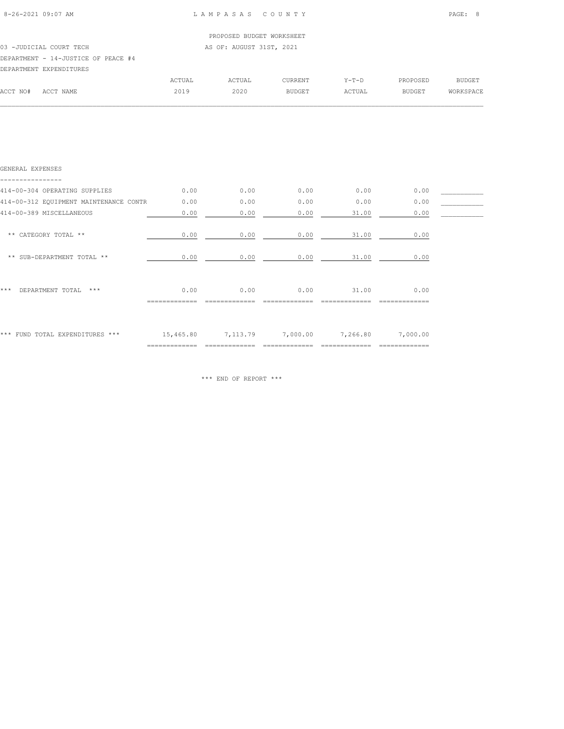|          |                                                      |        | PROPOSED BUDGET WORKSHEET |         |         |          |           |
|----------|------------------------------------------------------|--------|---------------------------|---------|---------|----------|-----------|
|          | AS OF: AUGUST 31ST, 2021<br>03 - JUDICIAL COURT TECH |        |                           |         |         |          |           |
|          | DEPARTMENT - 14-JUSTICE OF PEACE #4                  |        |                           |         |         |          |           |
|          | DEPARTMENT EXPENDITURES                              |        |                           |         |         |          |           |
|          |                                                      | ACTUAL | ACTUAL                    | CURRENT | $Y-T-D$ | PROPOSED | BUDGET    |
| ACCT NO# | ACCT NAME                                            | 2019   | 2020                      | BUDGET  | ACTUAL  | BUDGET   | WORKSPACE |
|          |                                                      |        |                           |         |         |          |           |

| GENERAL EXPENSES                       |                            |          |          |          |                           |  |
|----------------------------------------|----------------------------|----------|----------|----------|---------------------------|--|
| 414-00-304 OPERATING SUPPLIES          | 0.00                       | 0.00     | 0.00     | 0.00     | 0.00                      |  |
| 414-00-312 EQUIPMENT MAINTENANCE CONTR | 0.00                       | 0.00     | 0.00     | 0.00     | 0.00                      |  |
| 414-00-389 MISCELLANEOUS               | 0.00                       | 0.00     | 0.00     | 31.00    | 0.00                      |  |
| ** CATEGORY TOTAL **                   | 0.00                       | 0.00     | 0.00     | 31.00    | 0.00                      |  |
| ** SUB-DEPARTMENT TOTAL **             | 0.00                       | 0.00     | 0.00     | 31.00    | 0.00                      |  |
| ***<br>DEPARTMENT TOTAL<br>$* * * *$   | 0.00                       | 0.00     | 0.00     | 31.00    | 0.00                      |  |
| *** FUND TOTAL EXPENDITURES ***        | 15,465.80<br>============= | 7,113.79 | 7,000.00 | 7,266.80 | 7,000.00<br>============= |  |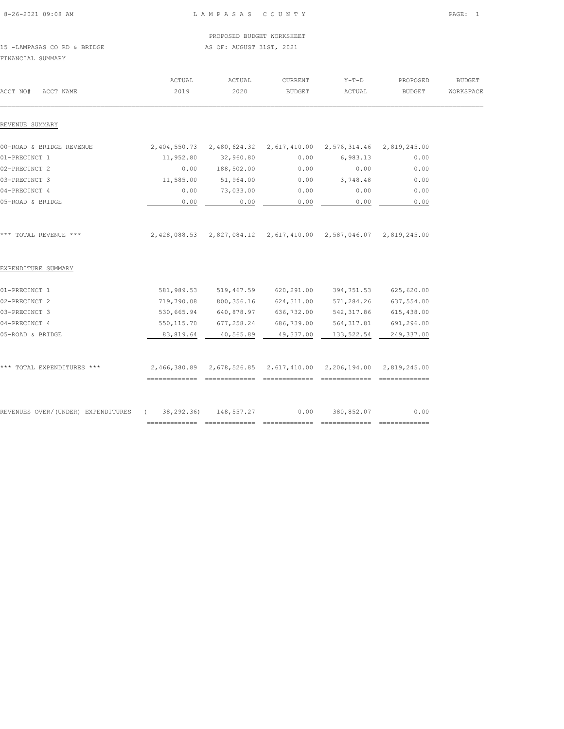| 8-26-2021 09:08 AM |  |
|--------------------|--|
|                    |  |

PROPOSED BUDGET WORKSHEET

15 -LAMPASAS CO RD & BRIDGE AS OF: AUGUST 31ST, 2021 FINANCIAL SUMMARY

| ACCT NO#<br>ACCT NAME                                     | ACTUAL<br>2019 | ACTUAL<br>2020          | CURRENT<br><b>BUDGET</b>         | $Y-T-D$<br>ACTUAL                                                | PROPOSED<br><b>BUDGET</b> | <b>BUDGET</b><br>WORKSPACE |
|-----------------------------------------------------------|----------------|-------------------------|----------------------------------|------------------------------------------------------------------|---------------------------|----------------------------|
| REVENUE SUMMARY                                           |                |                         |                                  |                                                                  |                           |                            |
| 00-ROAD & BRIDGE REVENUE                                  |                |                         |                                  | 2,404,550.73 2,480,624.32 2,617,410.00 2,576,314.46 2,819,245.00 |                           |                            |
| 01-PRECINCT 1                                             | 11,952.80      | 32,960.80               | 0.00                             | 6,983.13                                                         | 0.00                      |                            |
| 02-PRECINCT 2                                             | 0.00           | 188,502.00              | 0.00                             | 0.00                                                             | 0.00                      |                            |
| 03-PRECINCT 3                                             | 11,585.00      | 51,964.00               | 0.00                             | 3,748.48                                                         | 0.00                      |                            |
| 04-PRECINCT 4                                             | 0.00           | 73,033.00               | 0.00                             | 0.00                                                             | 0.00                      |                            |
| 05-ROAD & BRIDGE                                          | 0.00           | 0.00                    | 0.00                             | 0.00                                                             | 0.00                      |                            |
| *** TOTAL REVENUE ***                                     |                |                         |                                  | 2,428,088.53 2,827,084.12 2,617,410.00 2,587,046.07 2,819,245.00 |                           |                            |
| EXPENDITURE SUMMARY                                       |                |                         |                                  |                                                                  |                           |                            |
| 01-PRECINCT 1                                             |                |                         | 581,989.53 519,467.59 620,291.00 | 394,751.53                                                       | 625,620.00                |                            |
| 02-PRECINCT 2                                             | 719,790.08     | 800,356.16              | 624,311.00                       | 571,284.26                                                       | 637,554.00                |                            |
| 03-PRECINCT 3                                             | 530,665.94     |                         | 640,878.97 636,732.00            | 542, 317.86                                                      | 615,438.00                |                            |
| 04-PRECINCT 4                                             |                | 550, 115.70 677, 258.24 |                                  | 686,739.00 564,317.81                                            | 691,296.00                |                            |
| 05-ROAD & BRIDGE                                          | 83,819.64      | 40,565.89               | 49,337.00                        | 133,522.54                                                       | 249,337.00                |                            |
| *** TOTAL EXPENDITURES ***                                |                |                         |                                  | 2,466,380.89 2,678,526.85 2,617,410.00 2,206,194.00 2,819,245.00 |                           |                            |
| REVENUES OVER/(UNDER) EXPENDITURES (38,292.36) 148,557.27 |                |                         | 0.00                             | 380,852.07                                                       | 0.00                      |                            |
|                                                           | =============  |                         |                                  |                                                                  |                           |                            |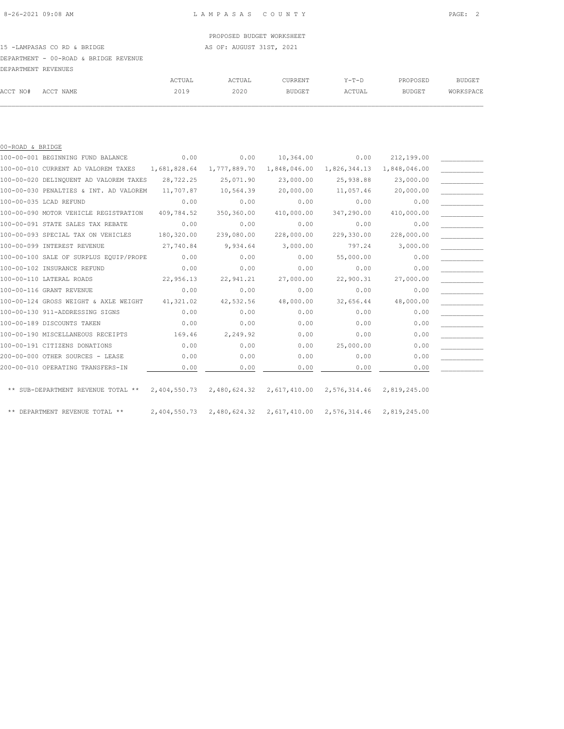15 -LAMPASAS CO RD & BRIDGE AS OF: AUGUST 31ST, 2021

DEPARTMENT - 00-ROAD & BRIDGE REVENUE

| DEPARTMENT REVENUES |           |        |        |                |         |               |           |
|---------------------|-----------|--------|--------|----------------|---------|---------------|-----------|
|                     |           | ACTUAL | ACTUAL | <b>CURRENT</b> | $Y-T-D$ | PROPOSED      | BUDGET    |
| ACCT NO#            | ACCT NAME | 2019   | 2020   | BUDGET         | ACTUAL  | <b>BUDGET</b> | WORKSPACE |
|                     |           |        |        |                |         |               |           |

| 00-ROAD & BRIDGE |                                        |              |                                                                  |                           |              |              |  |
|------------------|----------------------------------------|--------------|------------------------------------------------------------------|---------------------------|--------------|--------------|--|
|                  | 100-00-001 BEGINNING FUND BALANCE      | 0.00         | 0.00                                                             | 10,364.00                 | 0.00         | 212,199.00   |  |
|                  | 100-00-010 CURRENT AD VALOREM TAXES    | 1,681,828.64 |                                                                  | 1,777,889.70 1,848,046.00 | 1,826,344.13 | 1,848,046.00 |  |
|                  | 100-00-020 DELINQUENT AD VALOREM TAXES | 28,722.25    | 25,071.90                                                        | 23,000.00                 | 25,938.88    | 23,000.00    |  |
|                  | 100-00-030 PENALTIES & INT. AD VALOREM | 11,707.87    | 10,564.39                                                        | 20,000.00                 | 11,057.46    | 20,000.00    |  |
|                  | 100-00-035 LCAD REFUND                 | 0.00         | 0.00                                                             | 0.00                      | 0.00         | 0.00         |  |
|                  | 100-00-090 MOTOR VEHICLE REGISTRATION  | 409,784.52   | 350,360.00                                                       | 410,000.00                | 347,290.00   | 410,000.00   |  |
|                  | 100-00-091 STATE SALES TAX REBATE      | 0.00         | 0.00                                                             | 0.00                      | 0.00         | 0.00         |  |
|                  | 100-00-093 SPECIAL TAX ON VEHICLES     | 180,320.00   | 239,080.00                                                       | 228,000.00                | 229,330.00   | 228,000.00   |  |
|                  | 100-00-099 INTEREST REVENUE            | 27,740.84    | 9,934.64                                                         | 3,000.00                  | 797.24       | 3,000.00     |  |
|                  | 100-00-100 SALE OF SURPLUS EQUIP/PROPE | 0.00         | 0.00                                                             | 0.00                      | 55,000.00    | 0.00         |  |
|                  | 100-00-102 INSURANCE REFUND            | 0.00         | 0.00                                                             | 0.00                      | 0.00         | 0.00         |  |
|                  | 100-00-110 LATERAL ROADS               | 22,956.13    | 22,941.21                                                        | 27,000.00                 | 22,900.31    | 27,000.00    |  |
|                  | 100-00-116 GRANT REVENUE               | 0.00         | 0.00                                                             | 0.00                      | 0.00         | 0.00         |  |
|                  | 100-00-124 GROSS WEIGHT & AXLE WEIGHT  | 41,321.02    | 42,532.56                                                        | 48,000.00                 | 32,656.44    | 48,000.00    |  |
|                  | 100-00-130 911-ADDRESSING SIGNS        | 0.00         | 0.00                                                             | 0.00                      | 0.00         | 0.00         |  |
|                  | 100-00-189 DISCOUNTS TAKEN             | 0.00         | 0.00                                                             | 0.00                      | 0.00         | 0.00         |  |
|                  | 100-00-190 MISCELLANEOUS RECEIPTS      | 169.46       | 2,249.92                                                         | 0.00                      | 0.00         | 0.00         |  |
|                  | 100-00-191 CITIZENS DONATIONS          | 0.00         | 0.00                                                             | 0.00                      | 25,000.00    | 0.00         |  |
|                  | 200-00-000 OTHER SOURCES - LEASE       | 0.00         | 0.00                                                             | 0.00                      | 0.00         | 0.00         |  |
|                  | 200-00-010 OPERATING TRANSFERS-IN      | 0.00         | 0.00                                                             | 0.00                      | 0.00         | 0.00         |  |
|                  | ** SUB-DEPARTMENT REVENUE TOTAL **     | 2,404,550.73 | 2,480,624.32 2,617,410.00                                        |                           | 2,576,314.46 | 2,819,245.00 |  |
|                  | ** DEPARTMENT REVENUE TOTAL **         |              | 2,404,550.73 2,480,624.32 2,617,410.00 2,576,314.46 2,819,245.00 |                           |              |              |  |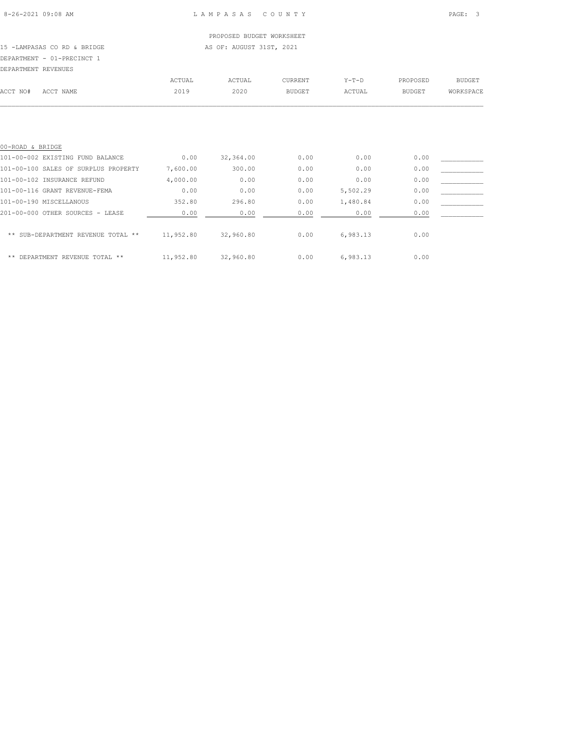15 -LAMPASAS CO RD & BRIDGE AS OF: AUGUST 31ST, 2021 DEPARTMENT - 01-PRECINCT 1

| DEPARTMENT REVENUES |           |        |        |               |         |          |           |
|---------------------|-----------|--------|--------|---------------|---------|----------|-----------|
|                     |           | ACTUAL | ACTUAL | CURRENT       | $Y-T-D$ | PROPOSED | BUDGET    |
| ACCT NO#            | ACCT NAME | 2019   | 2020   | <b>BUDGET</b> | ACTUAL  | BUDGET   | WORKSPACE |
|                     |           |        |        |               |         |          |           |
|                     |           |        |        |               |         |          |           |

| 00-ROAD & BRIDGE                     |           |           |      |          |      |  |
|--------------------------------------|-----------|-----------|------|----------|------|--|
| 101-00-002 EXISTING FUND BALANCE     | 0.00      | 32,364.00 | 0.00 | 0.00     | 0.00 |  |
| 101-00-100 SALES OF SURPLUS PROPERTY | 7.600.00  | 300.00    | 0.00 | 0.00     | 0.00 |  |
| 101-00-102 INSURANCE REFUND          | 4,000.00  | 0.00      | 0.00 | 0.00     | 0.00 |  |
| 101-00-116 GRANT REVENUE-FEMA        | 0.00      | 0.00      | 0.00 | 5,502.29 | 0.00 |  |
| 101-00-190 MISCELLANOUS              | 352.80    | 296.80    | 0.00 | 1,480.84 | 0.00 |  |
| 201-00-000 OTHER SOURCES - LEASE     | 0.00      | 0.00      | 0.00 | 0.00     | 0.00 |  |
| ** SUB-DEPARTMENT REVENUE TOTAL **   | 11,952.80 | 32,960.80 | 0.00 | 6,983.13 | 0.00 |  |
| ** DEPARTMENT REVENUE TOTAL **       | 11,952.80 | 32,960.80 | 0.00 | 6.983.13 | 0.00 |  |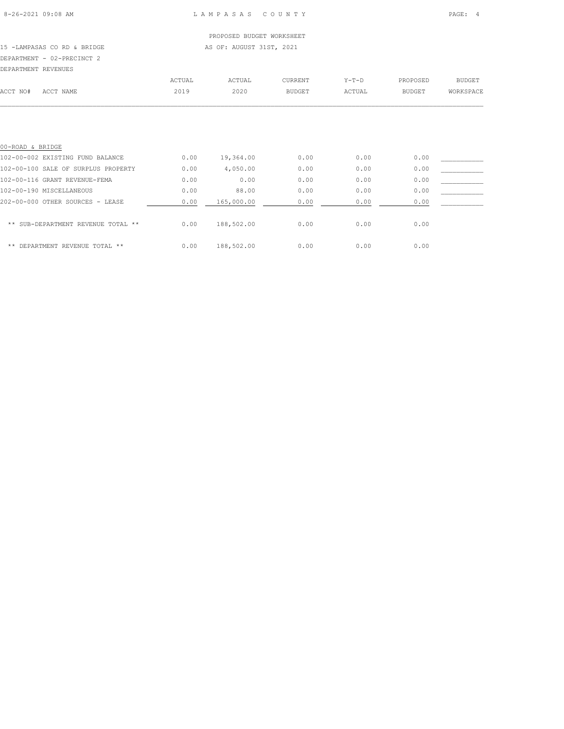PROPOSED BUDGET WORKSHEET 15 -LAMPASAS CO RD & BRIDGE AS OF: AUGUST 31ST, 2021 DEPARTMENT - 02-PRECINCT 2

DEPARTMENT REVENUES

| DEPARTMENT KEVENUES                 |        |            |               |         |               |               |
|-------------------------------------|--------|------------|---------------|---------|---------------|---------------|
|                                     | ACTUAL | ACTUAL     | CURRENT       | $Y-T-D$ | PROPOSED      | <b>BUDGET</b> |
| ACCT NO#<br>ACCT NAME               | 2019   | 2020       | <b>BUDGET</b> | ACTUAL  | <b>BUDGET</b> | WORKSPACE     |
|                                     |        |            |               |         |               |               |
|                                     |        |            |               |         |               |               |
|                                     |        |            |               |         |               |               |
|                                     |        |            |               |         |               |               |
| 00-ROAD & BRIDGE                    |        |            |               |         |               |               |
| 102-00-002 EXISTING FUND BALANCE    | 0.00   | 19,364.00  | 0.00          | 0.00    | 0.00          |               |
| 102-00-100 SALE OF SURPLUS PROPERTY | 0.00   | 4,050.00   | 0.00          | 0.00    | 0.00          |               |
| 102-00-116 GRANT REVENUE-FEMA       | 0.00   | 0.00       | 0.00          | 0.00    | 0.00          |               |
| 102-00-190 MISCELLANEOUS            | 0.00   | 88.00      | 0.00          | 0.00    | 0.00          |               |
| 202-00-000 OTHER SOURCES - LEASE    | 0.00   | 165,000.00 | 0.00          | 0.00    | 0.00          |               |
|                                     |        |            |               |         |               |               |

| ** SUB-DEPARTMENT REVENUE TOTAL ** | 0.00 | 188,502.00 | 0.00 | 0.00 | 0.00 |
|------------------------------------|------|------------|------|------|------|
| ** DEPARTMENT REVENUE TOTAL **     | 0.00 | 188,502.00 | 0.00 | 0.00 | 0.00 |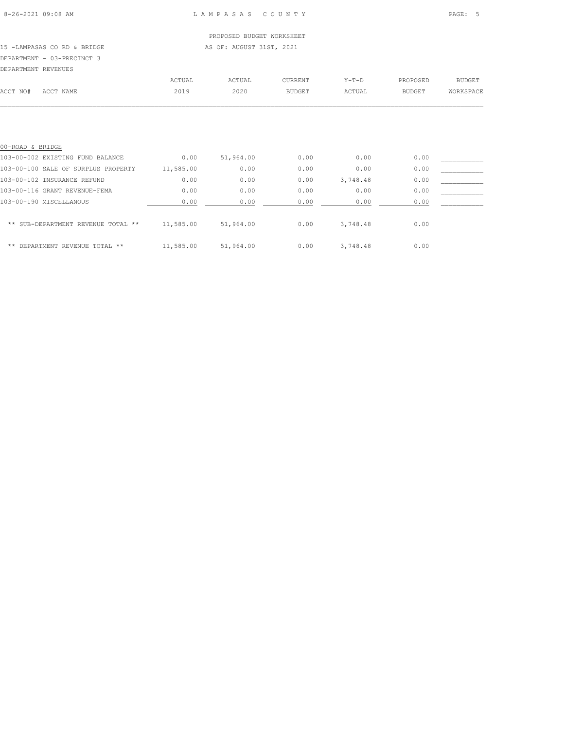### PROPOSED BUDGET WORKSHEET 15 -LAMPASAS CO RD & BRIDGE AS OF: AUGUST 31ST, 2021

DEPARTMENT - 03-PRECINCT 3

| DEPARTMENT REVENUES |           |        |        |         |         |          |           |
|---------------------|-----------|--------|--------|---------|---------|----------|-----------|
|                     |           | ACTUAL | ACTUAL | CURRENT | $Y-T-D$ | PROPOSED | BUDGET    |
| ACCT NO#            | ACCT NAME | 2019   | 2020   | BUDGET  | ACTUAL  | BUDGET   | WORKSPACE |
|                     |           |        |        |         |         |          |           |
|                     |           |        |        |         |         |          |           |
|                     |           |        |        |         |         |          |           |
|                     |           |        |        |         |         |          |           |

| 00-ROAD & BRIDGE                    |           |           |      |          |      |  |
|-------------------------------------|-----------|-----------|------|----------|------|--|
| 103-00-002 EXISTING FUND BALANCE    | 0.00      | 51,964.00 | 0.00 | 0.00     | 0.00 |  |
| 103-00-100 SALE OF SURPLUS PROPERTY | 11,585.00 | 0.00      | 0.00 | 0.00     | 0.00 |  |
| 103-00-102 INSURANCE REFUND         | 0.00      | 0.00      | 0.00 | 3,748.48 | 0.00 |  |
| 103-00-116 GRANT REVENUE-FEMA       | 0.00      | 0.00      | 0.00 | 0.00     | 0.00 |  |
| 103-00-190 MISCELLANOUS             | 0.00      | 0.00      | 0.00 | 0.00     | 0.00 |  |
| ** SUB-DEPARTMENT REVENUE TOTAL **  | 11,585.00 | 51,964.00 | 0.00 | 3,748.48 | 0.00 |  |
| ** DEPARTMENT REVENUE TOTAL **      | 11,585.00 | 51,964.00 | 0.00 | 3,748.48 | 0.00 |  |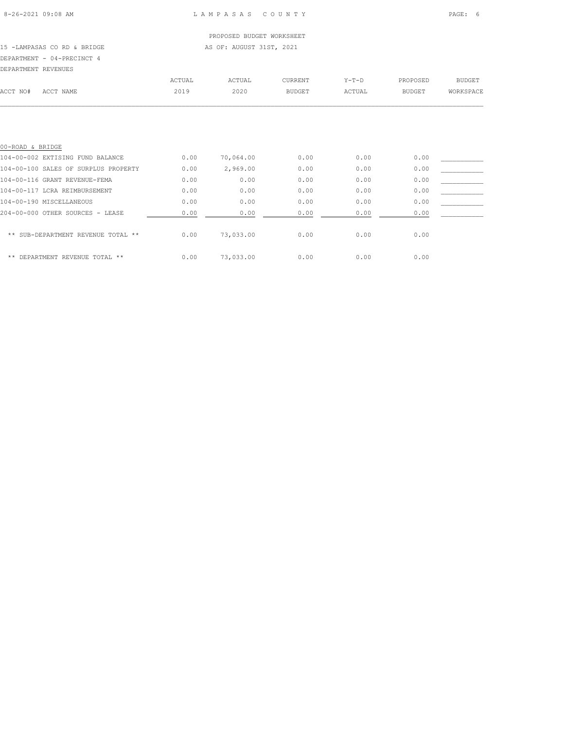| DEPARTMENT REVENUES                  |        |           |               |         |               |               |
|--------------------------------------|--------|-----------|---------------|---------|---------------|---------------|
|                                      | ACTUAL | ACTUAL    | CURRENT       | $Y-T-D$ | PROPOSED      | <b>BUDGET</b> |
| ACCT NO#<br>ACCT NAME                | 2019   | 2020      | <b>BUDGET</b> | ACTUAL  | <b>BUDGET</b> | WORKSPACE     |
|                                      |        |           |               |         |               |               |
|                                      |        |           |               |         |               |               |
| 00-ROAD & BRIDGE                     |        |           |               |         |               |               |
| 104-00-002 EXTISING FUND BALANCE     | 0.00   | 70,064.00 | 0.00          | 0.00    | 0.00          |               |
| 104-00-100 SALES OF SURPLUS PROPERTY | 0.00   | 2,969.00  | 0.00          | 0.00    | 0.00          |               |
| 104-00-116 GRANT REVENUE-FEMA        | 0.00   | 0.00      | 0.00          | 0.00    | 0.00          |               |
| 104-00-117 LCRA REIMBURSEMENT        | 0.00   | 0.00      | 0.00          | 0.00    | 0.00          |               |
| 104-00-190 MISCELLANEOUS             | 0.00   | 0.00      | 0.00          | 0.00    | 0.00          |               |
| 204-00-000 OTHER SOURCES - LEASE     | 0.00   | 0.00      | 0.00          | 0.00    | 0.00          |               |

| ** SUB-DEPARTMENT REVENUE TOTAL ** | 0.00 | 73,033.00 | 0.00 | 0.00 | 0.00 |
|------------------------------------|------|-----------|------|------|------|
| ** DEPARTMENT REVENUE TOTAL **     | 0.00 | 73,033.00 | 0.00 | 0.00 | 0.00 |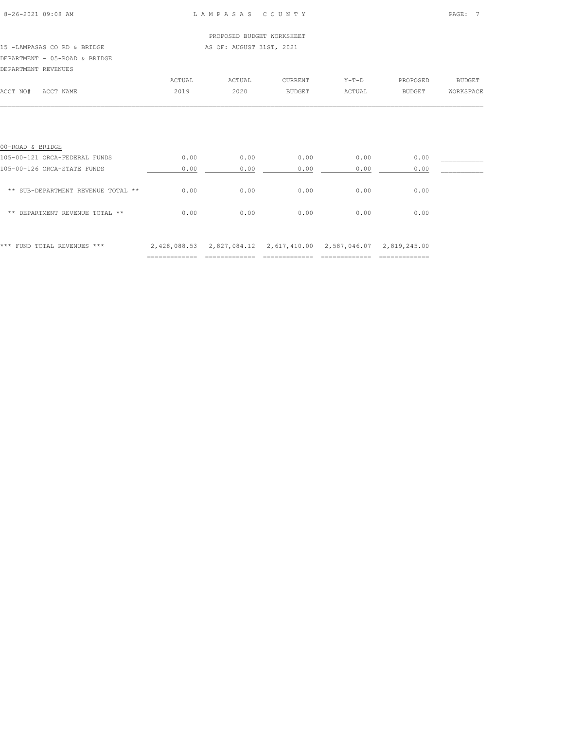| $8 - 26 - 2021$ 09:08 AM |  |  |
|--------------------------|--|--|
|                          |  |  |

|                                    |        | PROPOSED BUDGET WORKSHEET |               |         |               |               |
|------------------------------------|--------|---------------------------|---------------|---------|---------------|---------------|
| 15 -LAMPASAS CO RD & BRIDGE        |        | AS OF: AUGUST 31ST, 2021  |               |         |               |               |
| DEPARTMENT - 05-ROAD & BRIDGE      |        |                           |               |         |               |               |
| DEPARTMENT REVENUES                |        |                           |               |         |               |               |
|                                    | ACTUAL | ACTUAL                    | CURRENT       | $Y-T-D$ | PROPOSED      | <b>BUDGET</b> |
| ACCT NO#<br>ACCT NAME              | 2019   | 2020                      | <b>BUDGET</b> | ACTUAL  | <b>BUDGET</b> | WORKSPACE     |
|                                    |        |                           |               |         |               |               |
| 00-ROAD & BRIDGE                   |        |                           |               |         |               |               |
| 105-00-121 ORCA-FEDERAL FUNDS      | 0.00   | 0.00                      | 0.00          | 0.00    | 0.00          |               |
| 105-00-126 ORCA-STATE FUNDS        | 0.00   | 0.00                      | 0.00          | 0.00    | 0.00          |               |
| ** SUB-DEPARTMENT REVENUE TOTAL ** | 0.00   | 0.00                      | 0.00          | 0.00    | 0.00          |               |
| ** DEPARTMENT REVENUE TOTAL **     | 0.00   | 0.00                      | 0.00          | 0.00    | 0.00          |               |
|                                    |        |                           |               |         |               |               |
|                                    |        |                           |               |         |               |               |

\*\*\* FUND TOTAL REVENUES \*\*\* 2,428,088.53 2,827,084.12 2,617,410.00 2,587,046.07 2,819,245.00 ============= ============= ============= ============= =============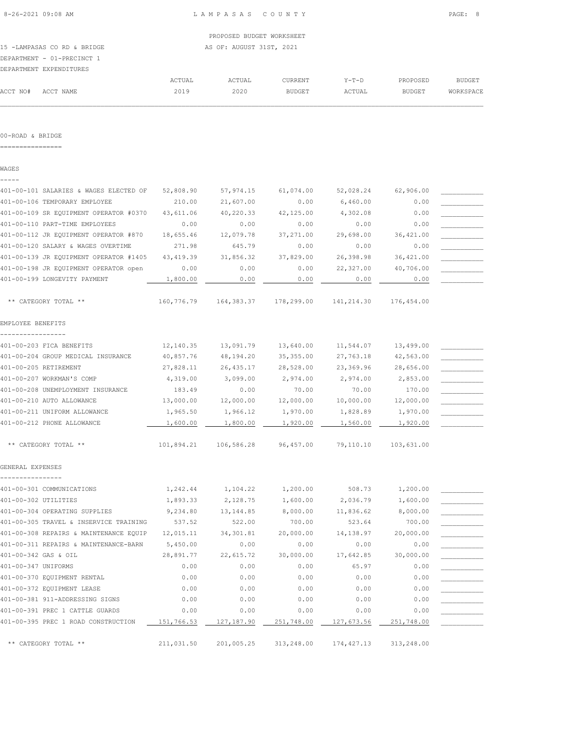|                             |  |  |  | PROPOSED BUDGET WORKSHE  |  |  |
|-----------------------------|--|--|--|--------------------------|--|--|
| 15 -LAMPASAS CO RD & BRIDGE |  |  |  | AS OF: AUGUST 31ST, 2021 |  |  |

# DEPARTMENT - 01-PRECINCT 1

|                    | DEPARTMENT EXPENDITURES |        |        |         |        |          |           |
|--------------------|-------------------------|--------|--------|---------|--------|----------|-----------|
|                    |                         | ACTUAL | ACTUAL | CURRENT | Y-T-D  | PROPOSED | BUDGET    |
| ACCT NO# ACCT NAME |                         | 2019   | 2020   | BUDGET  | ACTUAL | BUDGET   | WORKSPACE |
|                    |                         |        |        |         |        |          |           |

#### 00-ROAD & BRIDGE

================

WAGES -----

# 401-00-101 SALARIES & WAGES ELECTED OF 52,808.90 57,974.15 61,074.00 52,028.24 62,906.00 401-00-106 TEMPORARY EMPLOYEE 210.00 21,607.00 0.00 6,460.00 0.00 \_\_\_\_\_\_\_\_\_\_\_ 401-00-109 SR EQUIPMENT OPERATOR #0370 43,611.06 40,220.33 42,125.00 4,302.08 0.00 401-00-110 PART-TIME EMPLOYEES 0.00 0.00 0.00 0.00 0.00 \_\_\_\_\_\_\_\_\_\_\_ 401-00-112 JR EQUIPMENT OPERATOR #870 18,655.46 12,079.78 37,271.00 29,698.00 36,421.00 401-00-120 SALARY & WAGES OVERTIME  $271.98$  645.79 0.00 0.00 0.00 0.00 401-00-139 JR EQUIPMENT OPERATOR #1405 43,419.39 31,856.32 37,829.00 26,398.98 36,421.00 \_\_\_\_\_\_\_\_\_\_\_ 401-00-198 JR EQUIPMENT OPERATOR open  $0.00$  0.00 0.00 0.00 22,327.00 40,706.00 401-00-199 LONGEVITY PAYMENT  $1,800.00$   $0.00$   $0.00$   $0.00$   $0.00$   $0.00$   $0.00$   $0.00$  \*\* CATEGORY TOTAL \*\* 160,776.79 164,383.37 178,299.00 141,214.30 176,454.00 EMPLOYEE BENEFITS ----------------- 401-00-203 FICA BENEFITS  $12,140.35$   $13,091.79$   $13,640.00$   $11,544.07$   $13,499.00$ 401-00-204 GROUP MEDICAL INSURANCE 40,857.76 48,194.20 35,355.00 27,763.18 42,563.00 401-00-205 RETIREMENT 27,828.11 26,435.17 28,528.00 23,369.96 28,656.00 \_\_\_\_\_\_\_\_\_\_\_ 401-00-207 WORKMAN'S COMP 4,319.00 3,099.00 2,974.00 2,974.00 2,853.00 401-00-208 UNEMPLOYMENT INSURANCE 183.49 0.00 70.00 70.00 170.00 \_\_\_\_\_\_\_\_\_\_\_ 401-00-210 AUTO ALLOWANCE  $13,000.00$   $12,000.00$   $12,000.00$   $10,000.00$   $12,000.00$ 401-00-211 UNIFORM ALLOWANCE  $\begin{array}{cccc} 1,965.50 & 1,966.12 & 1,970.00 & 1,828.89 & 1,970.00 \\ 401-00-212 & \text{PHONE ALLOWANCE} & \underline{\hspace{1.5cm}} & 1,600.00 & 1,800.00 & 1,920.00 & 1,560.00 & 1,920.00 \\ -1,900.00 & 1,920.00 & 1,920.00 & 1,0 & 1,0 \end{array}$ 401-00-212 PHONE ALLOWANCE \*\* CATEGORY TOTAL \*\* 101,894.21 106,586.28 96,457.00 79,110.10 103,631.00 GENERAL EXPENSES ---------------- 401-00-301 COMMUNICATIONS  $1,242.44$   $1,104.22$   $1,200.00$  508.73  $1,200.00$ 401-00-302 UTILITIES  $1,893.33$   $2,128.75$   $1,600.00$   $2,036.79$   $1,600.00$ 401-00-304 OPERATING SUPPLIES  $9,234.80$   $13,144.85$   $8,000.00$   $11,836.62$   $8,000.00$ 401-00-305 TRAVEL & INSERVICE TRAINING 537.52 522.00 700.00 523.64 700.00 \_\_\_\_\_\_\_\_\_\_\_ 401-00-308 REPAIRS & MAINTENANCE EQUIP 12,015.11 34,301.81 20,000.00 14,138.97 20,000.00 \_\_\_\_\_\_\_\_\_\_\_ 401-00-311 REPAIRS & MAINTENANCE-BARN 5,450.00 0.00 0.00 0.00 0.00 0.00 0.00 401-00-342 GAS & OIL 28,891.77 22,615.72 30,000.00 17,642.85 30,000.00 \_\_\_\_\_\_\_\_\_\_\_ 401-00-347 UNIFORMS 0.00 0.00 0.00 65.97 0.00 \_\_\_\_\_\_\_\_\_\_\_ 401-00-370 EQUIPMENT RENTAL 0.00 0.00 0.00 0.00 0.00 \_\_\_\_\_\_\_\_\_\_\_  $401-00-372$  EQUIPMENT LEASE  $0.00$   $0.00$   $0.00$   $0.00$   $0.00$   $0.00$   $0.00$ 401-00-381 911-ADDRESSING SIGNS 0.00 0.00 0.00 0.00 0.00 \_\_\_\_\_\_\_\_\_\_\_ 401-00-391 PREC 1 CATTLE GUARDS 0.00 0.00 0.00 0.00 0.00 \_\_\_\_\_\_\_\_\_\_\_ 401-00-395 PREC 1 ROAD CONSTRUCTION  $\qquad 151,766.53 \qquad 127,187.90 \qquad 251,748.00 \qquad 127,673.56 \qquad 251,748.00 \qquad \qquad$ \*\* CATEGORY TOTAL \*\* 211,031.50 201,005.25 313,248.00 174,427.13 313,248.00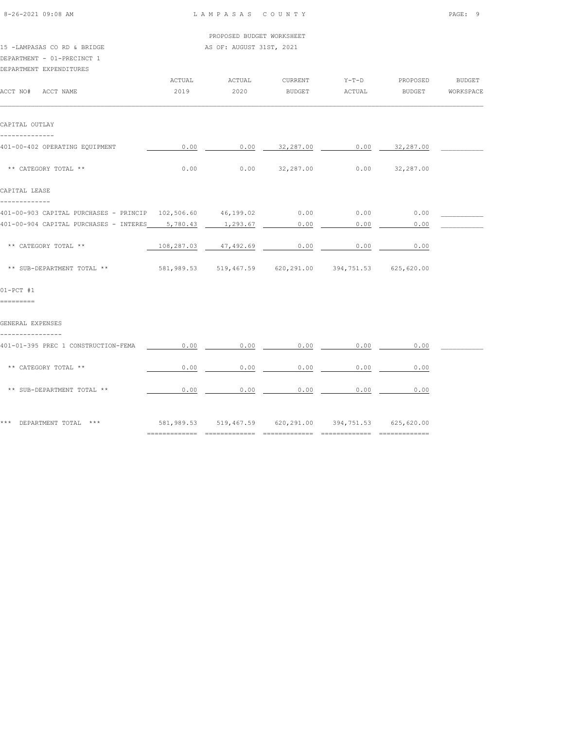| 8-26-2021 09:08 AM                                          | LAMPASAS COUNTY |                                                        | PAGE: 9                            |             |               |               |
|-------------------------------------------------------------|-----------------|--------------------------------------------------------|------------------------------------|-------------|---------------|---------------|
| 15 -LAMPASAS CO RD & BRIDGE<br>DEPARTMENT - 01-PRECINCT 1   |                 | PROPOSED BUDGET WORKSHEET<br>AS OF: AUGUST 31ST, 2021  |                                    |             |               |               |
| DEPARTMENT EXPENDITURES                                     | ACTUAL          | ACTUAL                                                 | CURRENT                            | $Y-T-D$     | PROPOSED      | <b>BUDGET</b> |
| ACCT NO# ACCT NAME                                          | 2019            | 2020                                                   | <b>BUDGET</b>                      | ACTUAL      | <b>BUDGET</b> | WORKSPACE     |
| CAPITAL OUTLAY<br>--------------                            |                 |                                                        |                                    |             |               |               |
| 401-00-402 OPERATING EQUIPMENT                              |                 | $0.00$ $0.00$ $32,287.00$ $0.00$ $32,287.00$           |                                    |             |               |               |
| ** CATEGORY TOTAL **                                        | 0.00            |                                                        | 0.00 $32,287.00$ 0.00 $32,287.00$  |             |               |               |
| CAPITAL LEASE<br>-------------                              |                 |                                                        |                                    |             |               |               |
| 401-00-903 CAPITAL PURCHASES - PRINCIP 102,506.60 46,199.02 |                 |                                                        | 0.00                               | 0.00        | 0.00          |               |
| 401-00-904 CAPITAL PURCHASES - INTERES 5,780.43 1,293.67    |                 |                                                        | 0.00                               | 0.00        | 0.00          |               |
| ** CATEGORY TOTAL **                                        |                 | $108,287.03$ $47,492.69$ 0.00 0.00                     |                                    |             | 0.00          |               |
| ** SUB-DEPARTMENT TOTAL **                                  |                 | 581,989.53 519,467.59 620,291.00 394,751.53 625,620.00 |                                    |             |               |               |
| $01-PCT$ #1<br>=========                                    |                 |                                                        |                                    |             |               |               |
| GENERAL EXPENSES<br>_______________                         |                 |                                                        |                                    |             |               |               |
| 401-01-395 PREC 1 CONSTRUCTION-FEMA                         | 0.00            | 0.00                                                   |                                    | $0.00$ 0.00 | 0.00          |               |
| ** CATEGORY TOTAL **                                        | 0.00            |                                                        | $0.00$ $0.00$ $0.00$ $0.00$ $0.00$ |             |               |               |
| ** SUB-DEPARTMENT TOTAL **                                  | 0.00            | 0.00                                                   |                                    | $0.00$ 0.00 | 0.00          |               |
| *** DEPARTMENT TOTAL ***                                    |                 | 581,989.53 519,467.59 620,291.00 394,751.53 625,620.00 |                                    |             |               |               |
|                                                             |                 |                                                        |                                    |             |               |               |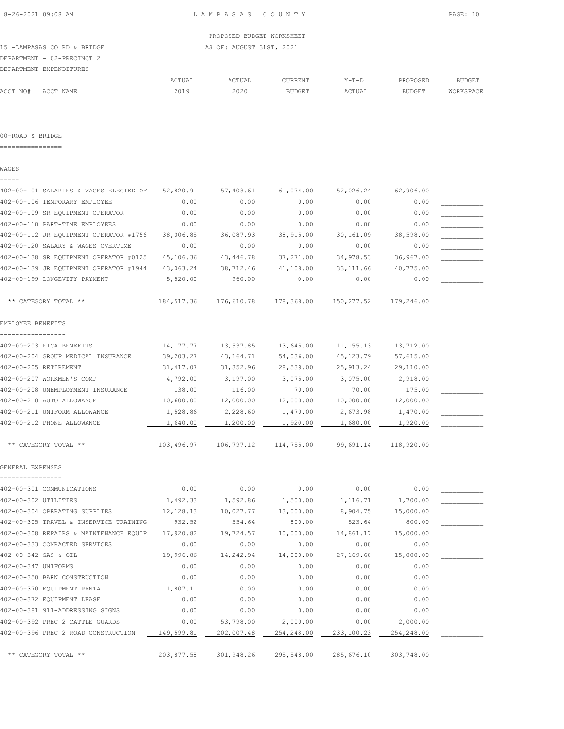|                             | --------- | ---------                 | CAR WIND BY MILE & COM | --- |  |
|-----------------------------|-----------|---------------------------|------------------------|-----|--|
| DEPARTMENT EXPENDITURES     |           |                           |                        |     |  |
| DEPARTMENT - 02-PRECINCT 2  |           |                           |                        |     |  |
| 15 -LAMPASAS CO RD & BRIDGE |           | AS OF: AUGUST 31ST, 2021  |                        |     |  |
|                             |           | PROPOSED BUDGET WORKSHEET |                        |     |  |
|                             |           |                           |                        |     |  |

|          |           | ACTUAL | ACTUAL | <b>CURRENT</b> | $Y - T - D$ | PROPOSED      | BUDGET    |
|----------|-----------|--------|--------|----------------|-------------|---------------|-----------|
| ACCT NO# | ACCT NAME | 2019   | 2020   | <b>BUDGET</b>  | ACTUAL      | <b>BUDGET</b> | WORKSPACE |
|          |           |        |        |                |             |               |           |

# 00-ROAD & BRIDGE

================

WAGES

| 402-00-101 SALARIES & WAGES ELECTED OF | 52,820.91  | 57,403.61  | 61,074.00  | 52,026.24   | 62,906.00  |  |
|----------------------------------------|------------|------------|------------|-------------|------------|--|
| 402-00-106 TEMPORARY EMPLOYEE          | 0.00       | 0.00       | 0.00       | 0.00        | 0.00       |  |
| 402-00-109 SR EQUIPMENT OPERATOR       | 0.00       | 0.00       | 0.00       | 0.00        | 0.00       |  |
| 402-00-110 PART-TIME EMPLOYEES         | 0.00       | 0.00       | 0.00       | 0.00        | 0.00       |  |
| 402-00-112 JR EQUIPMENT OPERATOR #1756 | 38,006.85  | 36,087.93  | 38,915.00  | 30,161.09   | 38,598.00  |  |
| 402-00-120 SALARY & WAGES OVERTIME     | 0.00       | 0.00       | 0.00       | 0.00        | 0.00       |  |
| 402-00-138 SR EQUIPMENT OPERATOR #0125 | 45,106.36  | 43,446.78  | 37,271.00  | 34,978.53   | 36,967.00  |  |
| 402-00-139 JR EQUIPMENT OPERATOR #1944 | 43,063.24  | 38,712.46  | 41,108.00  | 33, 111.66  | 40,775.00  |  |
| 402-00-199 LONGEVITY PAYMENT           | 5,520.00   | 960.00     | 0.00       | 0.00        | 0.00       |  |
| ** CATEGORY TOTAL **                   | 184,517.36 | 176,610.78 | 178,368.00 | 150, 277.52 | 179,246.00 |  |
| EMPLOYEE BENEFITS                      |            |            |            |             |            |  |
| 402-00-203 FICA BENEFITS               | 14,177.77  | 13,537.85  | 13,645.00  | 11, 155. 13 | 13,712.00  |  |
| 402-00-204 GROUP MEDICAL INSURANCE     | 39,203.27  | 43,164.71  | 54,036.00  | 45, 123. 79 | 57,615.00  |  |
| 402-00-205 RETIREMENT                  | 31, 417.07 | 31,352.96  | 28,539.00  | 25, 913. 24 | 29,110.00  |  |
| 402-00-207 WORKMEN'S COMP              | 4,792.00   | 3,197.00   | 3,075.00   | 3,075.00    | 2,918.00   |  |
| 402-00-208 UNEMPLOYMENT INSURANCE      | 138.00     | 116.00     | 70.00      | 70.00       | 175.00     |  |
| 402-00-210 AUTO ALLOWANCE              | 10,600.00  | 12,000.00  | 12,000.00  | 10,000.00   | 12,000.00  |  |
| 402-00-211 UNIFORM ALLOWANCE           | 1,528.86   | 2,228.60   | 1,470.00   | 2,673.98    | 1,470.00   |  |
| 402-00-212 PHONE ALLOWANCE             | 1,640.00   | 1,200.00   | 1,920.00   | 1,680.00    | 1,920.00   |  |
| ** CATEGORY TOTAL **                   | 103,496.97 | 106,797.12 | 114,755.00 | 99,691.14   | 118,920.00 |  |
| GENERAL EXPENSES                       |            |            |            |             |            |  |
| 402-00-301 COMMUNICATIONS              | 0.00       | 0.00       | 0.00       | 0.00        | 0.00       |  |
| 402-00-302 UTILITIES                   | 1,492.33   | 1,592.86   | 1,500.00   | 1,116.71    | 1,700.00   |  |
| 402-00-304 OPERATING SUPPLIES          | 12,128.13  | 10,027.77  | 13,000.00  | 8,904.75    | 15,000.00  |  |
| 402-00-305 TRAVEL & INSERVICE TRAINING | 932.52     | 554.64     | 800.00     | 523.64      | 800.00     |  |
| 402-00-308 REPAIRS & MAINTENANCE EQUIP | 17,920.82  | 19,724.57  | 10,000.00  | 14,861.17   | 15,000.00  |  |
| 402-00-333 CONRACTED SERVICES          | 0.00       | 0.00       | 0.00       | 0.00        | 0.00       |  |
| 402-00-342 GAS & OIL                   | 19,996.86  | 14,242.94  | 14,000.00  | 27,169.60   | 15,000.00  |  |
| 402-00-347 UNIFORMS                    | 0.00       | 0.00       | 0.00       | 0.00        | 0.00       |  |
| 402-00-350 BARN CONSTRUCTION           | 0.00       | 0.00       | 0.00       | 0.00        | 0.00       |  |
| 402-00-370 EQUIPMENT RENTAL            | 1,807.11   | 0.00       | 0.00       | 0.00        | 0.00       |  |
| 402-00-372 EQUIPMENT LEASE             | 0.00       | 0.00       | 0.00       | 0.00        | 0.00       |  |
| 402-00-381 911-ADDRESSING SIGNS        | 0.00       | 0.00       | 0.00       | 0.00        | 0.00       |  |
| 402-00-392 PREC 2 CATTLE GUARDS        | 0.00       | 53,798.00  | 2,000.00   | 0.00        | 2,000.00   |  |
| 402-00-396 PREC 2 ROAD CONSTRUCTION    | 149,599.81 | 202,007.48 | 254,248.00 | 233,100.23  | 254,248.00 |  |
| ** CATEGORY TOTAL **                   | 203,877.58 | 301,948.26 | 295,548.00 | 285,676.10  | 303,748.00 |  |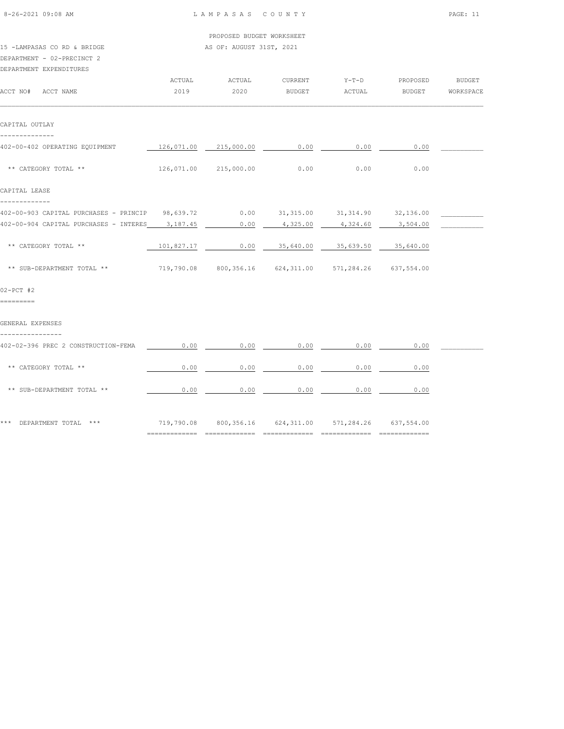| 8-26-2021 09:08 AM                                        | LAMPASAS COUNTY |                                                        |          |          |          |               |  |
|-----------------------------------------------------------|-----------------|--------------------------------------------------------|----------|----------|----------|---------------|--|
|                                                           |                 | PROPOSED BUDGET WORKSHEET                              |          |          |          |               |  |
| 15 -LAMPASAS CO RD & BRIDGE<br>DEPARTMENT - 02-PRECINCT 2 |                 | AS OF: AUGUST 31ST, 2021                               |          |          |          |               |  |
| DEPARTMENT EXPENDITURES                                   | ACTUAL          | ACTUAL                                                 | CURRENT  | $Y-T-D$  | PROPOSED | <b>BUDGET</b> |  |
| ACCT NO# ACCT NAME                                        | 2019            | 2020                                                   | BUDGET   | ACTUAL   | BUDGET   | WORKSPACE     |  |
| CAPITAL OUTLAY<br>--------------                          |                 |                                                        |          |          |          |               |  |
| 402-00-402 OPERATING EQUIPMENT                            |                 | 126,071.00 215,000.00                                  | 0.00     | 0.00     | 0.00     |               |  |
| ** CATEGORY TOTAL **                                      |                 | 126,071.00 215,000.00                                  | 0.00     | 0.00     | 0.00     |               |  |
| CAPITAL LEASE<br>-------------                            |                 |                                                        |          |          |          |               |  |
| 402-00-903 CAPITAL PURCHASES - PRINCIP                    |                 | 98,639.72   0.00   31,315.00   31,314.90   32,136.00   |          |          |          |               |  |
| 402-00-904 CAPITAL PURCHASES - INTERES                    | 3,187.45        | 0.00                                                   | 4,325.00 | 4,324.60 | 3,504.00 |               |  |
| ** CATEGORY TOTAL **                                      |                 | 101,827.17   0.00   35,640.00   35,639.50   35,640.00  |          |          |          |               |  |
| ** SUB-DEPARTMENT TOTAL **                                |                 | 719,790.08 800,356.16 624,311.00 571,284.26 637,554.00 |          |          |          |               |  |
| $02-PCT$ #2<br>=========                                  |                 |                                                        |          |          |          |               |  |
| GENERAL EXPENSES                                          |                 |                                                        |          |          |          |               |  |
| ----------------<br>402-02-396 PREC 2 CONSTRUCTION-FEMA   | 0.00            | 0.00                                                   | 0.00     | 0.00     | 0.00     |               |  |
| ** CATEGORY TOTAL **                                      | 0.00            | 0.00                                                   | 0.00     | 0.00     | 0.00     |               |  |
| ** SUB-DEPARTMENT TOTAL **                                | 0.00            | 0.00                                                   | 0.00     | 0.00     | 0.00     |               |  |
| *** DEPARTMENT TOTAL ***                                  |                 | 719,790.08 800,356.16 624,311.00 571,284.26 637,554.00 |          |          |          |               |  |

============= ============= ============= ============= =============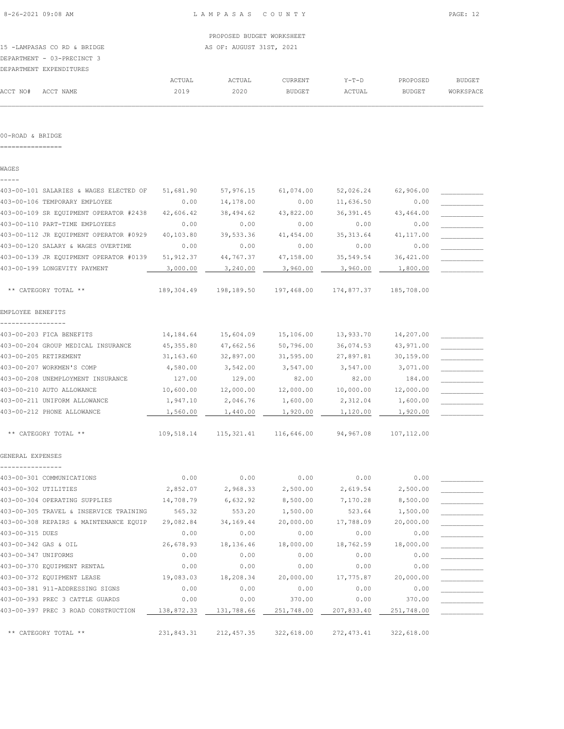PROPOSED BUDGET WORKSHEET 15 -LAMPASAS CO RD & BRIDGE AS OF: AUGUST 31ST, 2021 DEPARTMENT - 03-PRECINCT 3

|          | DEPARTMENT EXPENDITURES |        |        |         |         |               |               |
|----------|-------------------------|--------|--------|---------|---------|---------------|---------------|
|          |                         | ACTUAL | ACTUAL | CURRENT | $Y-T-D$ | PROPOSED      | <b>BUDGET</b> |
| ACCT NO# | ACCT NAME               | 2019   | 2020   | BUDGET  | ACTUAL  | <b>BUDGET</b> | WORKSPACE     |
|          |                         |        |        |         |         |               |               |

#### 00-ROAD & BRIDGE

================

WAGES -----

# 403-00-101 SALARIES & WAGES ELECTED OF 51,681.90 57,976.15 61,074.00 52,026.24 62,906.00 \_\_\_\_\_\_\_\_\_\_\_ 403-00-106 TEMPORARY EMPLOYEE 0.00  $14,178.00$  0.00  $11,636.50$  0.00 403-00-109 SR EQUIPMENT OPERATOR #2438 42,606.42 38,494.62 43,822.00 36,391.45 43,464.00 403-00-110 PART-TIME EMPLOYEES 0.00 0.00 0.00 0.00 0.00 \_\_\_\_\_\_\_\_\_\_\_ 403-00-112 JR EQUIPMENT OPERATOR #0929 40,103.80 39,533.36 41,454.00 35,313.64 41,117.00 403-00-120 SALARY & WAGES OVERTIME 0.00 0.00 0.00 0.00 0.00 \_\_\_\_\_\_\_\_\_\_\_ 403-00-139 JR EQUIPMENT OPERATOR #0139 51,912.37 44,767.37 47,158.00 35,549.54 36,421.00 403-00-199 LONGEVITY PAYMENT  $\qquad \qquad 3,000.00 \qquad \qquad 3,240.00 \qquad \qquad 3,960.00 \qquad \qquad 3,960.00 \qquad \qquad 1,800.00$  \*\* CATEGORY TOTAL \*\* 189,304.49 198,189.50 197,468.00 174,877.37 185,708.00 EMPLOYEE BENEFITS ----------------- 403-00-203 FICA BENEFITS 14,184.64 15,604.09 15,106.00 13,933.70 14,207.00 \_\_\_\_\_\_\_\_\_\_\_ 403-00-204 GROUP MEDICAL INSURANCE 45,355.80 47,662.56 50,796.00 36,074.53 43,971.00 \_\_\_\_\_\_\_\_\_\_\_ 403-00-205 RETIREMENT 31,163.60 32,897.00 31,595.00 27,897.81 30,159.00 \_\_\_\_\_\_\_\_\_\_\_ 403-00-207 WORKMEN'S COMP 4,580.00 3,542.00 3,547.00 3,547.00 3,071.00 \_\_\_\_\_\_\_\_\_\_\_ 403-00-208 UNEMPLOYMENT INSURANCE  $127.00$  129.00 82.00 82.00 82.00 184.00 403-00-210 AUTO ALLOWANCE  $10,600.00$   $12,000.00$   $12,000.00$   $10,000.00$   $10,000.00$   $12,000.00$ 403-00-211 UNIFORM ALLOWANCE  $1,947.10$   $2,046.76$   $1,600.00$   $2,312.04$   $1,600.00$ 403-00-212 PHONE ALLOWANCE  $\frac{1,560.00}{1,1440.00}$   $\frac{1,440.00}{1,920.00}$   $\frac{1,120.00}{1,120.00}$   $\frac{1,920.00}{1,920.00}$  \*\* CATEGORY TOTAL \*\* 109,518.14 115,321.41 116,646.00 94,967.08 107,112.00 GENERAL EXPENSES ----------------  $403-00-301$  COMMUNICATIONS  $0.00$   $0.00$   $0.00$   $0.00$   $0.00$   $0.00$   $0.00$ 403-00-302 UTILITIES  $2,852.07$   $2,968.33$   $2,500.00$   $2,619.54$   $2,500.00$ 403-00-304 OPERATING SUPPLIES  $14,708.79$   $6,632.92$   $8,500.00$   $7,170.28$   $8,500.00$ 403-00-305 TRAVEL & INSERVICE TRAINING 565.32 553.20 1,500.00 523.64 1,500.00 L 403-00-308 REPAIRS & MAINTENANCE EQUIP 29,082.84 34,169.44 20,000.00 17,788.09 20,000.00 \_\_\_\_\_\_\_\_\_\_\_  $403-00-315$  DUES  $0.00$   $0.00$   $0.00$   $0.00$   $0.00$   $0.00$   $0.00$ 403-00-342 GAS & OIL 26,678.93 18,136.46 18,000.00 18,762.59 18,000.00 \_\_\_\_\_\_\_\_\_\_\_  $403-00-347$  UNIFORMS  $0.00$   $0.00$   $0.00$   $0.00$   $0.00$   $0.00$   $0.00$ 403-00-370 EQUIPMENT RENTAL 0.00 0.00 0.00 0.00 0.00 \_\_\_\_\_\_\_\_\_\_\_ 403-00-372 EQUIPMENT LEASE 19,083.03 18,208.34 20,000.00 17,775.87 20,000.00 \_\_\_\_\_\_\_\_\_\_\_ 403-00-381 911-ADDRESSING SIGNS 0.00 0.00 0.00 0.00 0.00 \_\_\_\_\_\_\_\_\_\_\_ 403-00-393 PREC 3 CATTLE GUARDS 0.00 0.00 370.00 0.00 370.00 \_\_\_\_\_\_\_\_\_\_\_ 403-00-397 PREC 3 ROAD CONSTRUCTION  $\frac{138,872.33}{131,788.66}$   $\frac{251,748.00}{281,748.00}$   $\frac{207,833.40}{251,748.00}$

\*\* CATEGORY TOTAL \*\* 231,843.31 212,457.35 322,618.00 272,473.41 322,618.00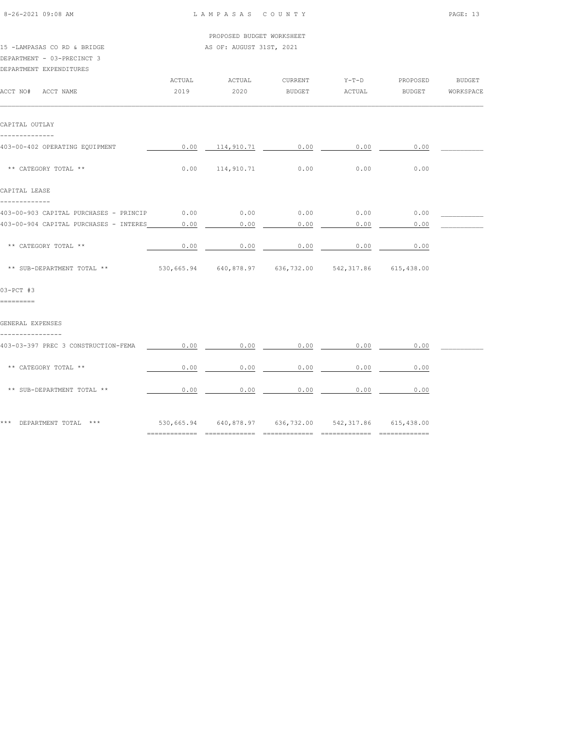| $8 - 26 - 2021$ 09:08 AM |  |
|--------------------------|--|

| PROPOSED BUDGET WORKSHEET   |        |                          |         |       |          |        |  |  |  |  |
|-----------------------------|--------|--------------------------|---------|-------|----------|--------|--|--|--|--|
| 15 -LAMPASAS CO RD & BRIDGE |        | AS OF: AUGUST 31ST, 2021 |         |       |          |        |  |  |  |  |
| DEPARTMENT - 03-PRECINCT 3  |        |                          |         |       |          |        |  |  |  |  |
| DEPARTMENT EXPENDITURES     |        |                          |         |       |          |        |  |  |  |  |
|                             | ACTUAL | ACTUAL                   | CURRENT | Y-T-D | PROPOSED | BUDGET |  |  |  |  |

| ACCT NO# ACCT NAME                                                                | 2019 | 2020                        | <b>BUDGET</b> | ACTUAL | BUDGET | WORKSPACE |
|-----------------------------------------------------------------------------------|------|-----------------------------|---------------|--------|--------|-----------|
| CAPITAL OUTLAY                                                                    |      |                             |               |        |        |           |
| --------------<br>403-00-402 OPERATING EQUIPMENT                                  |      | $0.00$ 114,910.71 0.00 0.00 |               |        | 0.00   |           |
| ** CATEGORY TOTAL **                                                              |      | $0.00$ 114,910.71 0.00      |               | 0.00   | 0.00   |           |
| CAPITAL LEASE                                                                     |      |                             |               |        |        |           |
| 403-00-903 CAPITAL PURCHASES - PRINCIP 0.00                                       |      | $0.00$ 0.00                 |               | 0.00   | 0.00   |           |
| 403-00-904 CAPITAL PURCHASES - INTERES                                            | 0.00 | 0.00                        | 0.00          | 0.00   | 0.00   |           |
| ** CATEGORY TOTAL **                                                              | 0.00 |                             | $0.00$ 0.00   | 0.00   | 0.00   |           |
| ** SUB-DEPARTMENT TOTAL ** 530,665.94 640,878.97 636,732.00 542,317.86 615,438.00 |      |                             |               |        |        |           |
| $03-PCT$ #3<br>=========                                                          |      |                             |               |        |        |           |
| GENERAL EXPENSES                                                                  |      |                             |               |        |        |           |
| 403-03-397 PREC 3 CONSTRUCTION-FEMA                                               | 0.00 | 0.00                        | 0.00          | 0.00   | 0.00   |           |
| ** CATEGORY TOTAL **                                                              | 0.00 | 0.00                        | 0.00          | 0.00   | 0.00   |           |
| ** SUB-DEPARTMENT TOTAL **                                                        | 0.00 | 0.00                        | 0.00          | 0.00   | 0.00   |           |
| *** DEPARTMENT TOTAL *** 630,665.94 640,878.97 636,732.00 542,317.86 615,438.00   |      |                             |               |        |        |           |

============= ============= ============= ============= =============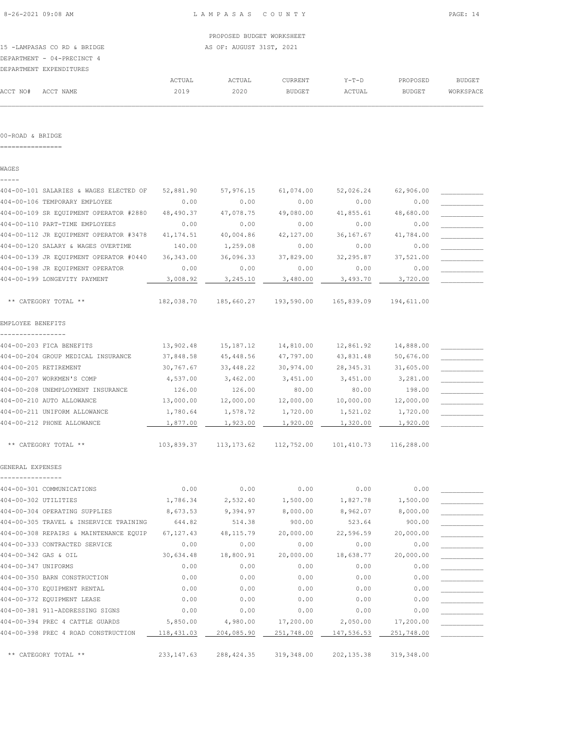|                             | PROPOSED BUDGET WORKSHEET |
|-----------------------------|---------------------------|
| 15 -LAMPASAS CO RD & BRIDGE | AS OF: AUGUST 31ST, 2021  |
| DEPARTMENT - 04-PRECINCT 4  |                           |

| DEPARTMENT EXPENDITURES |  |
|-------------------------|--|

|                    | DEPARTMENT EXPENDITURES |        |        |                |        |               |           |
|--------------------|-------------------------|--------|--------|----------------|--------|---------------|-----------|
|                    |                         | ACTUAL | ACTUAL | <b>CURRENT</b> | Y-T-D  | PROPOSED      | BUDGET    |
| ACCT NO# ACCT NAME |                         | 2019   | 2020   | <b>BUDGET</b>  | ACTUAL | <b>BUDGET</b> | WORKSPACE |
|                    |                         |        |        |                |        |               |           |

#### 00-ROAD & BRIDGE

================

WAGES -----

| 404-00-101 SALARIES & WAGES ELECTED OF | 52,881.90   | 57,976.15   | 61,074.00  | 52,026.24   | 62,906.00  |  |
|----------------------------------------|-------------|-------------|------------|-------------|------------|--|
| 404-00-106 TEMPORARY EMPLOYEE          | 0.00        | 0.00        | 0.00       | 0.00        | 0.00       |  |
| 404-00-109 SR EQUIPMENT OPERATOR #2880 | 48,490.37   | 47,078.75   | 49,080.00  | 41,855.61   | 48,680.00  |  |
| 404-00-110 PART-TIME EMPLOYEES         | 0.00        | 0.00        | 0.00       | 0.00        | 0.00       |  |
| 404-00-112 JR EQUIPMENT OPERATOR #3478 | 41, 174.51  | 40,004.86   | 42,127.00  | 36,167.67   | 41,784.00  |  |
| 404-00-120 SALARY & WAGES OVERTIME     | 140.00      | 1,259.08    | 0.00       | 0.00        | 0.00       |  |
| 404-00-139 JR EQUIPMENT OPERATOR #0440 | 36, 343.00  | 36,096.33   | 37,829.00  | 32,295.87   | 37,521.00  |  |
| 404-00-198 JR EQUIPMENT OPERATOR       | 0.00        | 0.00        | 0.00       | 0.00        | 0.00       |  |
| 404-00-199 LONGEVITY PAYMENT           | 3,008.92    | 3,245.10    | 3,480.00   | 3,493.70    | 3,720.00   |  |
| ** CATEGORY TOTAL **                   | 182,038.70  | 185,660.27  | 193,590.00 | 165,839.09  | 194,611.00 |  |
| EMPLOYEE BENEFITS                      |             |             |            |             |            |  |
| -----------------                      |             |             |            |             |            |  |
| 404-00-203 FICA BENEFITS               | 13,902.48   | 15,187.12   | 14,810.00  | 12,861.92   | 14,888.00  |  |
| 404-00-204 GROUP MEDICAL INSURANCE     | 37,848.58   | 45,448.56   | 47,797.00  | 43,831.48   | 50,676.00  |  |
| 404-00-205 RETIREMENT                  | 30,767.67   | 33,448.22   | 30,974.00  | 28, 345.31  | 31,605.00  |  |
| 404-00-207 WORKMEN'S COMP              | 4,537.00    | 3,462.00    | 3,451.00   | 3,451.00    | 3,281.00   |  |
| 404-00-208 UNEMPLOYMENT INSURANCE      | 126.00      | 126.00      | 80.00      | 80.00       | 198.00     |  |
| 404-00-210 AUTO ALLOWANCE              | 13,000.00   | 12,000.00   | 12,000.00  | 10,000.00   | 12,000.00  |  |
| 404-00-211 UNIFORM ALLOWANCE           | 1,780.64    | 1,578.72    | 1,720.00   | 1,521.02    | 1,720.00   |  |
| 404-00-212 PHONE ALLOWANCE             | 1,877.00    | 1,923.00    | 1,920.00   | 1,320.00    | 1,920.00   |  |
| ** CATEGORY TOTAL **                   | 103,839.37  | 113, 173.62 | 112,752.00 | 101,410.73  | 116,288.00 |  |
| GENERAL EXPENSES                       |             |             |            |             |            |  |
| 404-00-301 COMMUNICATIONS              | 0.00        | 0.00        | 0.00       | 0.00        | 0.00       |  |
| 404-00-302 UTILITIES                   | 1,786.34    | 2,532.40    | 1,500.00   | 1,827.78    | 1,500.00   |  |
| 404-00-304 OPERATING SUPPLIES          | 8,673.53    | 9,394.97    | 8,000.00   | 8,962.07    | 8,000.00   |  |
| 404-00-305 TRAVEL & INSERVICE TRAINING | 644.82      | 514.38      | 900.00     | 523.64      | 900.00     |  |
| 404-00-308 REPAIRS & MAINTENANCE EQUIP | 67, 127.43  | 48, 115.79  | 20,000.00  | 22,596.59   | 20,000.00  |  |
| 404-00-333 CONTRACTED SERVICE          | 0.00        | 0.00        | 0.00       | 0.00        | 0.00       |  |
| 404-00-342 GAS & OIL                   | 30,634.48   | 18,800.91   | 20,000.00  | 18,638.77   | 20,000.00  |  |
| 404-00-347 UNIFORMS                    | 0.00        | 0.00        | 0.00       | 0.00        | 0.00       |  |
| 404-00-350 BARN CONSTRUCTION           | 0.00        | 0.00        | 0.00       | 0.00        | 0.00       |  |
| 404-00-370 EQUIPMENT RENTAL            | 0.00        | 0.00        | 0.00       | 0.00        | 0.00       |  |
| 404-00-372 EQUIPMENT LEASE             | 0.00        | 0.00        | 0.00       | 0.00        | 0.00       |  |
| 404-00-381 911-ADDRESSING SIGNS        | 0.00        | 0.00        | 0.00       | 0.00        | 0.00       |  |
| 404-00-394 PREC 4 CATTLE GUARDS        | 5,850.00    | 4,980.00    | 17,200.00  | 2,050.00    | 17,200.00  |  |
| 404-00-398 PREC 4 ROAD CONSTRUCTION    | 118,431.03  | 204,085.90  | 251,748.00 | 147,536.53  | 251,748.00 |  |
| ** CATEGORY TOTAL **                   | 233, 147.63 | 288, 424.35 | 319,348.00 | 202, 135.38 | 319,348.00 |  |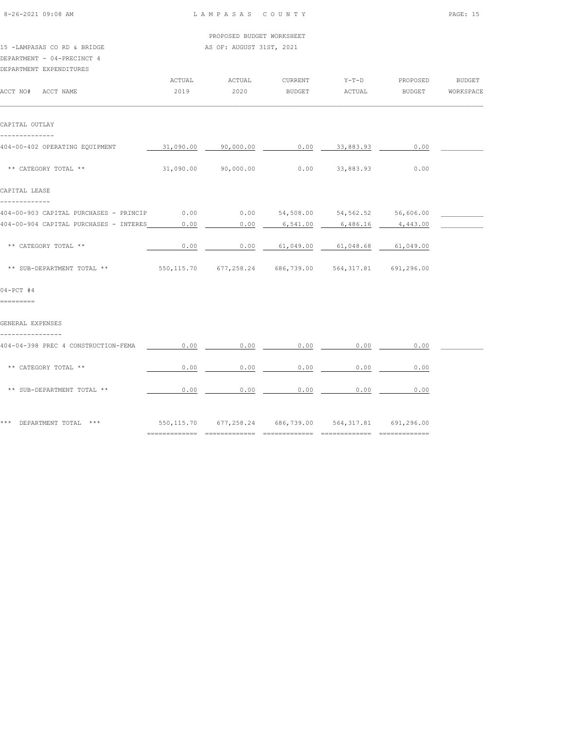| 8-26-2021 09:08 AM                                        | LAMPASAS COUNTY |                                                        |                                      |                       |            |               |  |
|-----------------------------------------------------------|-----------------|--------------------------------------------------------|--------------------------------------|-----------------------|------------|---------------|--|
|                                                           |                 | PROPOSED BUDGET WORKSHEET                              |                                      |                       |            |               |  |
| 15 -LAMPASAS CO RD & BRIDGE<br>DEPARTMENT - 04-PRECINCT 4 |                 | AS OF: AUGUST 31ST, 2021                               |                                      |                       |            |               |  |
| DEPARTMENT EXPENDITURES                                   | ACTUAL          | ACTUAL                                                 | CURRENT                              | $Y-T-D$               | PROPOSED   | <b>BUDGET</b> |  |
| ACCT NO# ACCT NAME                                        | 2019            | 2020                                                   | BUDGET                               | ACTUAL                | BUDGET     | WORKSPACE     |  |
| CAPITAL OUTLAY<br>--------------                          |                 |                                                        |                                      |                       |            |               |  |
| 404-00-402 OPERATING EQUIPMENT                            | 31,090.00       | 90,000.00                                              | 0.00                                 | 33,883.93             | 0.00       |               |  |
| ** CATEGORY TOTAL **                                      |                 | 31,090.00 90,000.00                                    |                                      | $0.00$ 33,883.93      | 0.00       |               |  |
| CAPITAL LEASE<br>-------------                            |                 |                                                        |                                      |                       |            |               |  |
| 404-00-903 CAPITAL PURCHASES - PRINCIP                    | 0.00            |                                                        | $0.00$ 54,508.00 54,562.52 56,606.00 |                       |            |               |  |
| 404-00-904 CAPITAL PURCHASES - INTERES                    | 0.00            | 0.00                                                   | 6,541.00                             | 6,486.16              | 4,443.00   |               |  |
| ** CATEGORY TOTAL **                                      | 0.00            |                                                        | $0.00$ 61,049.00                     | 61,048.68             | 61,049.00  |               |  |
| ** SUB-DEPARTMENT TOTAL **                                |                 | 550,115.70 677,258.24 686,739.00 564,317.81 691,296.00 |                                      |                       |            |               |  |
| $04-PCT$ #4<br>=========                                  |                 |                                                        |                                      |                       |            |               |  |
| GENERAL EXPENSES<br>---------------                       |                 |                                                        |                                      |                       |            |               |  |
| 404-04-398 PREC 4 CONSTRUCTION-FEMA                       | 0.00            | 0.00                                                   | 0.00                                 | 0.00                  | 0.00       |               |  |
| ** CATEGORY TOTAL **                                      | 0.00            | 0.00                                                   | 0.00                                 | 0.00                  | 0.00       |               |  |
| ** SUB-DEPARTMENT TOTAL **                                | 0.00            | 0.00                                                   | 0.00                                 | 0.00                  | 0.00       |               |  |
| *** DEPARTMENT TOTAL ***                                  |                 | 550, 115.70 677, 258.24                                |                                      | 686,739.00 564,317.81 | 691,296.00 |               |  |

============= ============= ============= ============= =============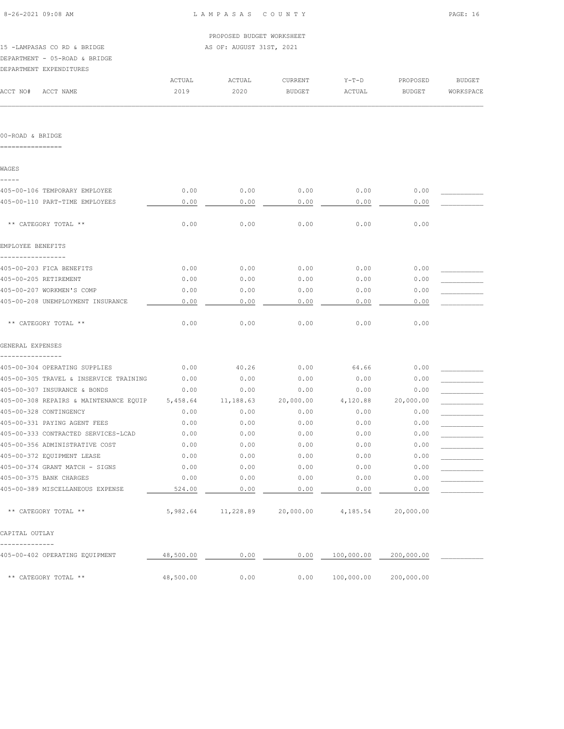|                                                   | PROPOSED BUDGET WORKSHEET |                          |           |            |            |           |  |  |  |  |
|---------------------------------------------------|---------------------------|--------------------------|-----------|------------|------------|-----------|--|--|--|--|
| 15 -LAMPASAS CO RD & BRIDGE                       |                           | AS OF: AUGUST 31ST, 2021 |           |            |            |           |  |  |  |  |
| DEPARTMENT - 05-ROAD & BRIDGE                     |                           |                          |           |            |            |           |  |  |  |  |
| DEPARTMENT EXPENDITURES                           |                           |                          |           |            |            |           |  |  |  |  |
|                                                   | ACTUAL                    | ACTUAL                   | CURRENT   | $Y-T-D$    | PROPOSED   | BUDGET    |  |  |  |  |
| ACCT NO# ACCT NAME                                | 2019                      | 2020                     | BUDGET    | ACTUAL     | BUDGET     | WORKSPACE |  |  |  |  |
|                                                   |                           |                          |           |            |            |           |  |  |  |  |
| 00-ROAD & BRIDGE                                  |                           |                          |           |            |            |           |  |  |  |  |
| ================                                  |                           |                          |           |            |            |           |  |  |  |  |
| WAGES                                             |                           |                          |           |            |            |           |  |  |  |  |
| -----<br>405-00-106 TEMPORARY EMPLOYEE            | 0.00                      | 0.00                     | 0.00      | 0.00       | 0.00       |           |  |  |  |  |
| 405-00-110 PART-TIME EMPLOYEES                    | 0.00                      | 0.00                     | 0.00      | 0.00       | 0.00       |           |  |  |  |  |
| ** CATEGORY TOTAL **                              | 0.00                      | 0.00                     | 0.00      | 0.00       | 0.00       |           |  |  |  |  |
| EMPLOYEE BENEFITS                                 |                           |                          |           |            |            |           |  |  |  |  |
| 405-00-203 FICA BENEFITS                          | 0.00                      | 0.00                     | 0.00      | 0.00       | 0.00       |           |  |  |  |  |
| 405-00-205 RETIREMENT                             | 0.00                      | 0.00                     | 0.00      | 0.00       | 0.00       |           |  |  |  |  |
| 405-00-207 WORKMEN'S COMP                         | 0.00                      | 0.00                     | 0.00      | 0.00       | 0.00       |           |  |  |  |  |
| 405-00-208 UNEMPLOYMENT INSURANCE                 | 0.00                      | 0.00                     | 0.00      | 0.00       | 0.00       |           |  |  |  |  |
| ** CATEGORY TOTAL **                              | 0.00                      | 0.00                     | 0.00      | 0.00       | 0.00       |           |  |  |  |  |
| GENERAL EXPENSES                                  |                           |                          |           |            |            |           |  |  |  |  |
| ----------------<br>405-00-304 OPERATING SUPPLIES | 0.00                      | 40.26                    | 0.00      | 64.66      | 0.00       |           |  |  |  |  |
| 405-00-305 TRAVEL & INSERVICE TRAINING            | 0.00                      | 0.00                     | 0.00      | 0.00       | 0.00       |           |  |  |  |  |
| 405-00-307 INSURANCE & BONDS                      | 0.00                      | 0.00                     | 0.00      | 0.00       | 0.00       |           |  |  |  |  |
| 405-00-308 REPAIRS & MAINTENANCE EOUIP 5,458.64   |                           | 11,188.63                | 20,000.00 | 4,120.88   | 20,000.00  |           |  |  |  |  |
| 405-00-328 CONTINGENCY                            | 0.00                      | 0.00                     | 0.00      | 0.00       | 0.00       |           |  |  |  |  |
| 405-00-331 PAYING AGENT FEES                      | 0.00                      | 0.00                     | 0.00      | 0.00       | 0.00       |           |  |  |  |  |
| 405-00-333 CONTRACTED SERVICES-LCAD               | 0.00                      | 0.00                     | 0.00      | 0.00       | 0.00       |           |  |  |  |  |
| 405-00-356 ADMINISTRATIVE COST                    | 0.00                      | 0.00                     | 0.00      | 0.00       | 0.00       |           |  |  |  |  |
| 405-00-372 EQUIPMENT LEASE                        | 0.00                      | 0.00                     | 0.00      | 0.00       | 0.00       |           |  |  |  |  |
| 405-00-374 GRANT MATCH - SIGNS                    | 0.00                      | 0.00                     | 0.00      | 0.00       | 0.00       |           |  |  |  |  |
| 405-00-375 BANK CHARGES                           | 0.00                      | 0.00                     | 0.00      | 0.00       | 0.00       |           |  |  |  |  |
| 405-00-389 MISCELLANEOUS EXPENSE                  | 524.00                    | 0.00                     | 0.00      | 0.00       | 0.00       |           |  |  |  |  |
| ** CATEGORY TOTAL **                              | 5,982.64                  | 11,228.89                | 20,000.00 | 4,185.54   | 20,000.00  |           |  |  |  |  |
| CAPITAL OUTLAY                                    |                           |                          |           |            |            |           |  |  |  |  |
| 405-00-402 OPERATING EQUIPMENT                    | 48,500.00                 | 0.00                     | 0.00      | 100,000.00 | 200,000.00 |           |  |  |  |  |
| ** CATEGORY TOTAL **                              | 48,500.00                 | 0.00                     | 0.00      | 100,000.00 | 200,000.00 |           |  |  |  |  |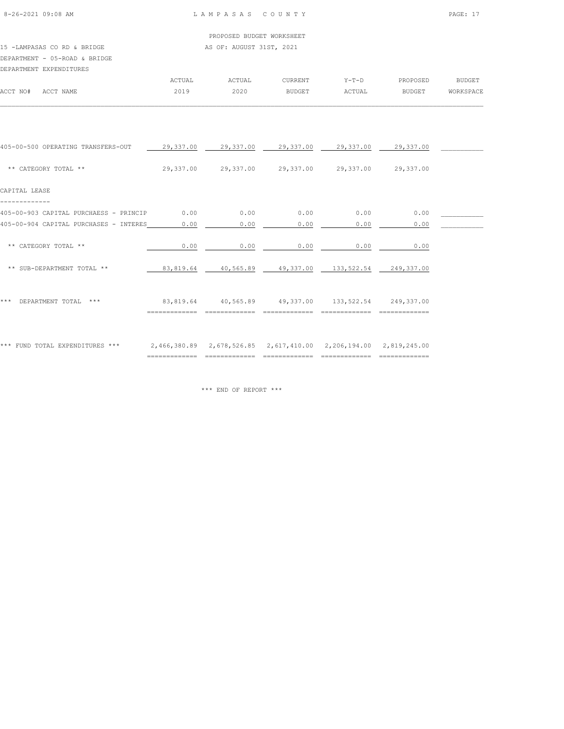# 15 -LAMPASAS CO RD & BRIDGE AS OF: AUGUST 31ST, 2021 DEPARTMENT - 05-ROAD & BRIDGE

|          | DEPARTMENT EXPENDITURES |        |        |               |         |               |                  |
|----------|-------------------------|--------|--------|---------------|---------|---------------|------------------|
|          |                         | ACTUAL | ACTUAL | CURRENT       | $Y-T-D$ | PROPOSED      | <b>BUDGET</b>    |
| ACCT NO# | ACCT NAME               | 2019   | 2020   | <b>BUDGET</b> | ACTUAL  | <b>BUDGET</b> | <b>WORKSPACE</b> |
|          |                         |        |        |               |         |               |                  |

| 405-00-500 OPERATING TRANSFERS-OUT     |           | 29,337.00  29,337.00  29,337.00  29,337.00  29,337.00                |                                           |      |      |  |
|----------------------------------------|-----------|----------------------------------------------------------------------|-------------------------------------------|------|------|--|
| ** CATEGORY TOTAL **                   |           | 29,337.00 29,337.00 29,337.00 29,337.00 29,337.00                    |                                           |      |      |  |
| CAPITAL LEASE                          |           |                                                                      |                                           |      |      |  |
| 405-00-903 CAPITAL PURCHAESS - PRINCIP | 0.00      | 0.00                                                                 | 0.00                                      | 0.00 | 0.00 |  |
| 405-00-904 CAPITAL PURCHASES - INTERES | 0.00      | 0.00                                                                 | 0.00                                      | 0.00 | 0.00 |  |
| ** CATEGORY TOTAL **                   | 0.00      | 0.00                                                                 | 0.00                                      | 0.00 | 0.00 |  |
| ** SUB-DEPARTMENT TOTAL **             | 83,819.64 |                                                                      | 40,565.89 49,337.00 133,522.54 249,337.00 |      |      |  |
| DEPARTMENT TOTAL<br>* * *<br>$* * * *$ |           | 83,819.64 40,565.89 49,337.00 133,522.54 249,337.00                  |                                           |      |      |  |
| *** FUND TOTAL EXPENDITURES ***        |           | 2,466,380.89  2,678,526.85  2,617,410.00  2,206,194.00  2,819,245.00 |                                           |      |      |  |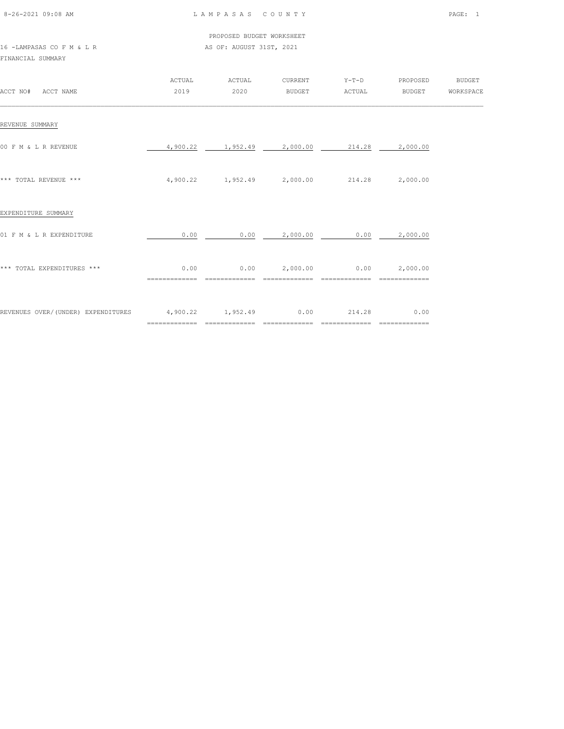| 8-26-2021 09:08 AM |  |
|--------------------|--|

 PROPOSED BUDGET WORKSHEET AS OF: AUGUST 31ST, 2021

| 16 -LAMPASAS CO F M & L R |  |  |  |  |
|---------------------------|--|--|--|--|
| FINANCIAL SUMMARY         |  |  |  |  |

| ACCT NO# ACCT NAME                 | ACTUAL<br>2019         | ACTUAL<br>2020                             | CURRENT<br>BUDGET                   | $Y-T-D$<br>ACTUAL                       | PROPOSED<br><b>BUDGET</b>             | <b>BUDGET</b><br>WORKSPACE |
|------------------------------------|------------------------|--------------------------------------------|-------------------------------------|-----------------------------------------|---------------------------------------|----------------------------|
| REVENUE SUMMARY                    |                        |                                            |                                     |                                         |                                       |                            |
| 00 F M & L R REVENUE               |                        | 4,900.22 1,952.49 2,000.00                 |                                     | 214.28                                  | 2,000.00                              |                            |
| *** TOTAL REVENUE ***              |                        | 4,900.22 1,952.49 2,000.00 214.28 2,000.00 |                                     |                                         |                                       |                            |
| EXPENDITURE SUMMARY                |                        |                                            |                                     |                                         |                                       |                            |
| 01 F M & L R EXPENDITURE           | 0.00                   |                                            | $0.00$ 2,000.00                     | 0.00                                    | 2,000.00                              |                            |
| *** TOTAL EXPENDITURES ***         | 0.00                   |                                            | $0.00$ $2,000.00$ $0.00$ $2,000.00$ |                                         |                                       |                            |
| REVENUES OVER/(UNDER) EXPENDITURES | 4,900.22 1,952.49 0.00 | ================================           | $=$ = = = = = = = = = = = = =       | 214.28<br>$=$ = = = = = = = = = = = = = | 0.00<br>$=$ = = = = = = = = = = = = = |                            |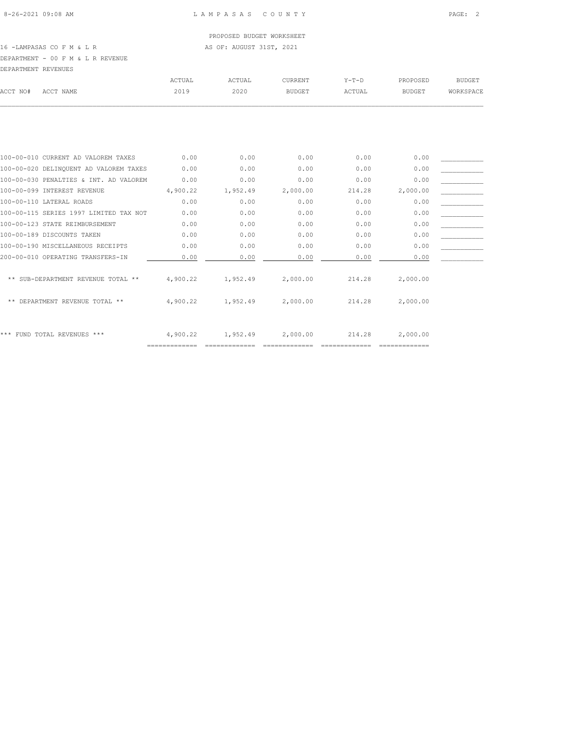# 16 -LAMPASAS CO F M & L R AS OF: AUGUST 31ST, 2021

DEPARTMENT - 00 F M & L R REVENUE

| DEPARTMENT REVENUES |        |        |               |         |          |           |
|---------------------|--------|--------|---------------|---------|----------|-----------|
|                     | ACTUAL | ACTUAL | CURRENT       | $Y-T-D$ | PROPOSED | BUDGET    |
| ACCT NAME           | 2019   | 2020   | <b>BUDGET</b> | ACTUAL  | BUDGET   | WORKSPACE |
|                     |        |        |               |         |          |           |
|                     |        |        |               |         |          |           |
|                     |        |        |               |         |          |           |
|                     |        |        |               |         |          |           |
|                     |        |        |               |         |          |           |
|                     |        |        |               |         |          |           |

| 100-00-010 CURRENT AD VALOREM TAXES    | 0.00     | 0.00     | 0.00     | 0.00   | 0.00     |  |
|----------------------------------------|----------|----------|----------|--------|----------|--|
| 100-00-020 DELINQUENT AD VALOREM TAXES | 0.00     | 0.00     | 0.00     | 0.00   | 0.00     |  |
| 100-00-030 PENALTIES & INT. AD VALOREM | 0.00     | 0.00     | 0.00     | 0.00   | 0.00     |  |
| 100-00-099 INTEREST REVENUE            | 4,900.22 | 1,952.49 | 2,000.00 | 214.28 | 2,000.00 |  |
| 100-00-110 LATERAL ROADS               | 0.00     | 0.00     | 0.00     | 0.00   | 0.00     |  |
| 100-00-115 SERIES 1997 LIMITED TAX NOT | 0.00     | 0.00     | 0.00     | 0.00   | 0.00     |  |
| 100-00-123 STATE REIMBURSEMENT         | 0.00     | 0.00     | 0.00     | 0.00   | 0.00     |  |
| 100-00-189 DISCOUNTS TAKEN             | 0.00     | 0.00     | 0.00     | 0.00   | 0.00     |  |
| 100-00-190 MISCELLANEOUS RECEIPTS      | 0.00     | 0.00     | 0.00     | 0.00   | 0.00     |  |
| 200-00-010 OPERATING TRANSFERS-IN      | 0.00     | 0.00     | 0.00     | 0.00   | 0.00     |  |
|                                        |          |          |          |        |          |  |
| ** SUB-DEPARTMENT REVENUE TOTAL **     | 4,900.22 | 1,952.49 | 2,000.00 | 214.28 | 2,000.00 |  |
|                                        |          |          |          |        |          |  |
| ** DEPARTMENT REVENUE TOTAL **         | 4,900.22 | 1,952.49 | 2,000.00 | 214.28 | 2,000.00 |  |
|                                        |          |          |          |        |          |  |
|                                        |          |          |          |        |          |  |
| *** FUND TOTAL REVENUES ***            | 4,900.22 | 1,952.49 | 2,000.00 | 214.28 | 2,000.00 |  |
|                                        |          |          |          |        |          |  |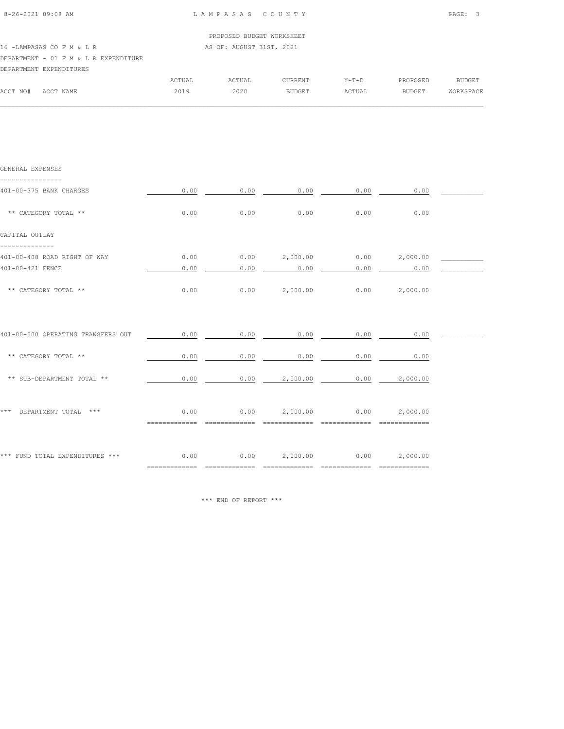|                                       |        | PROPOSED BUDGET WORKSHEET |         |         |               |           |
|---------------------------------------|--------|---------------------------|---------|---------|---------------|-----------|
| 16 - LAMPASAS CO F M & L R            |        | AS OF: AUGUST 31ST, 2021  |         |         |               |           |
| DEPARTMENT - 01 F M & L R EXPENDITURE |        |                           |         |         |               |           |
| DEPARTMENT EXPENDITURES               |        |                           |         |         |               |           |
|                                       | ACTUAL | ACTUAL                    | CURRENT | $Y-T-D$ | PROPOSED      | BUDGET    |
| ACCT NO#<br>ACCT NAME                 | 2019   | 2020                      | BUDGET  | ACTUAL  | <b>BUDGET</b> | WORKSPACE |

 $\mathcal{L} = \{ \mathcal{L} = \{ \mathcal{L} = \{ \mathcal{L} = \{ \mathcal{L} = \{ \mathcal{L} = \{ \mathcal{L} = \{ \mathcal{L} = \{ \mathcal{L} = \{ \mathcal{L} = \{ \mathcal{L} = \{ \mathcal{L} = \{ \mathcal{L} = \{ \mathcal{L} = \{ \mathcal{L} = \{ \mathcal{L} = \{ \mathcal{L} = \{ \mathcal{L} = \{ \mathcal{L} = \{ \mathcal{L} = \{ \mathcal{L} = \{ \mathcal{L} = \{ \mathcal{L} = \{ \mathcal{L} = \{ \mathcal{$ 

| GENERAL EXPENSES                     |                       |                                                      |                 |                               |                                     |  |
|--------------------------------------|-----------------------|------------------------------------------------------|-----------------|-------------------------------|-------------------------------------|--|
| 401-00-375 BANK CHARGES              | 0.00                  | 0.00                                                 | 0.00            | 0.00                          | 0.00                                |  |
| ** CATEGORY TOTAL **                 | 0.00                  | 0.00                                                 | 0.00            | 0.00                          | 0.00                                |  |
| CAPITAL OUTLAY                       |                       |                                                      |                 |                               |                                     |  |
| 401-00-408 ROAD RIGHT OF WAY         | 0.00                  |                                                      |                 |                               | $0.00$ $2,000.00$ $0.00$ $2,000.00$ |  |
| 401-00-421 FENCE                     | 0.00                  | 0.00                                                 | 0.00            | 0.00                          | 0.00                                |  |
| ** CATEGORY TOTAL **                 | 0.00                  |                                                      |                 | $0.00$ 2,000.00 0.00 2,000.00 |                                     |  |
| 401-00-500 OPERATING TRANSFERS OUT   | 0.00                  | 0.00                                                 | 0.00            | 0.00                          | 0.00                                |  |
| ** CATEGORY TOTAL **                 | 0.00                  | 0.00                                                 | 0.00            | 0.00                          | 0.00                                |  |
| ** SUB-DEPARTMENT TOTAL **           | 0.00                  |                                                      | $0.00$ 2,000.00 |                               | 0.00 2,000.00                       |  |
| *** DEPARTMENT TOTAL ***             | 0.00<br>============= | $0.00$ $2,000.00$ $0.00$ $2,000.00$                  |                 |                               |                                     |  |
| *** FUND TOTAL EXPENDITURES *** 0.00 | =============         | $0.00$ $2,000.00$ $0.00$ $2,000.00$<br>============= | =============   | =============                 | --------------                      |  |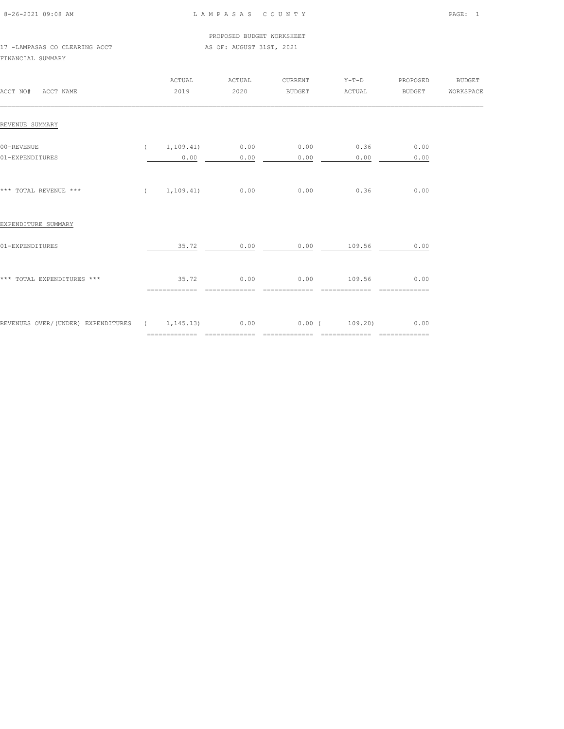| 8-26-2021 09:08 AM |  |
|--------------------|--|

PROPOSED BUDGET WORKSHEET

17 -LAMPASAS CO CLEARING ACCT AS OF: AUGUST 31ST, 2021 FINANCIAL SUMMARY

| ACCT NO# ACCT NAME                                                           | ACTUAL<br>2019         | ACTUAL<br>2020             | CURRENT<br>BUDGET            | $Y-T-D$<br>ACTUAL             | PROPOSED<br><b>BUDGET</b> | <b>BUDGET</b><br>WORKSPACE |
|------------------------------------------------------------------------------|------------------------|----------------------------|------------------------------|-------------------------------|---------------------------|----------------------------|
| REVENUE SUMMARY                                                              |                        |                            |                              |                               |                           |                            |
| 00-REVENUE<br>01-EXPENDITURES                                                | 0.00                   | $(1, 109.41)$ 0.00<br>0.00 | 0.00<br>0.00                 | 0.36<br>0.00                  | 0.00<br>0.00              |                            |
| *** TOTAL REVENUE ***                                                        |                        | $(1, 109.41)$ 0.00         | 0.00                         | 0.36                          | 0.00                      |                            |
| EXPENDITURE SUMMARY                                                          |                        |                            |                              |                               |                           |                            |
| 01-EXPENDITURES                                                              |                        |                            |                              | $35.72$ 0.00 0.00 109.56      | 0.00                      |                            |
| *** TOTAL EXPENDITURES ***                                                   | 35.72<br>============= | 0.00<br>$=$ ============== | 0.00<br>$= 2222222222222222$ | 109.56<br>$= 222222222222222$ | 0.00<br>=============     |                            |
| REVENUES OVER/(UNDER) EXPENDITURES ( 1,145.13) 0.00 0.00 0.00 ( 109.20) 0.00 |                        |                            |                              |                               |                           |                            |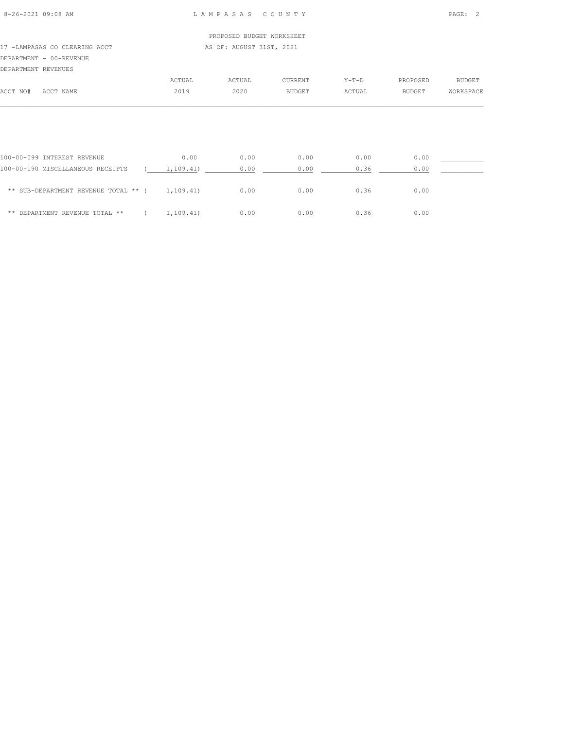|                               |        | PROPOSED BUDGET WORKSHEET |               |         |          |           |
|-------------------------------|--------|---------------------------|---------------|---------|----------|-----------|
| 17 -LAMPASAS CO CLEARING ACCT |        | AS OF: AUGUST 31ST, 2021  |               |         |          |           |
| DEPARTMENT - 00-REVENUE       |        |                           |               |         |          |           |
| DEPARTMENT REVENUES           |        |                           |               |         |          |           |
|                               | ACTUAL | ACTUAL                    | CURRENT       | $Y-T-D$ | PROPOSED | BUDGET    |
| ACCT NO#<br>ACCT NAME         | 2019   | 2020                      | <b>BUDGET</b> | ACTUAL  | BUDGET   | WORKSPACE |
|                               |        |                           |               |         |          |           |
|                               |        |                           |               |         |          |           |

| 100-00-099 INTEREST REVENUE          | 0.00      | 0.00 | 0.00 | 0.00 | 0.00 |
|--------------------------------------|-----------|------|------|------|------|
| 100-00-190 MISCELLANEOUS RECEIPTS    | 1,109.41) | 0.00 | 0.00 | 0.36 | 0.00 |
| ** SUB-DEPARTMENT REVENUE TOTAL ** ( | 1,109.41) | 0.00 | 0.00 | 0.36 | 0.00 |
| ** DEPARTMENT REVENUE TOTAL **       | 1,109.41) | 0.00 | 0.00 | 0.36 | 0.00 |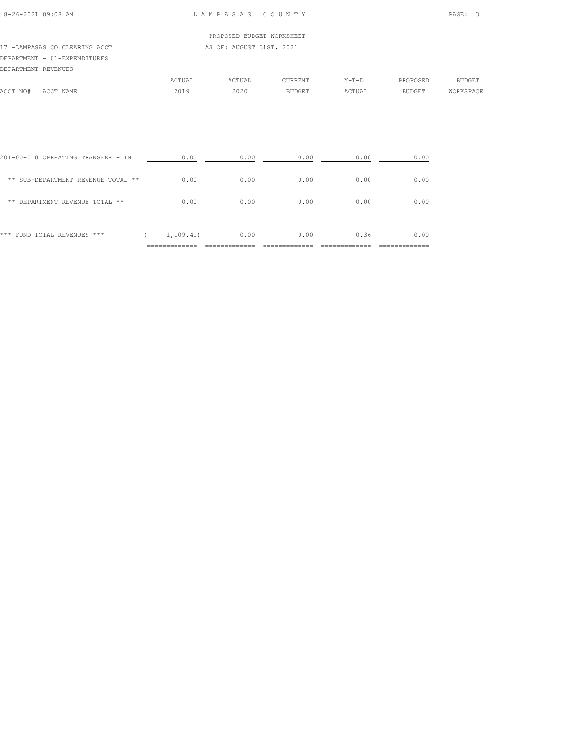#### 17 -LAMPASAS CO CLEARING ACCT AS OF: AUGUST 31ST, 2021 DEPARTMENT - 01-EXPENDITURES DEPARTMENT REVENUES

|          | DEPARTMENT REVENUES |        |        |               |         |               |               |
|----------|---------------------|--------|--------|---------------|---------|---------------|---------------|
|          |                     | ACTUAL | ACTUAL | CURRENT       | $Y-T-D$ | PROPOSED      | <b>BUDGET</b> |
| ACCT NO# | ACCT NAME           | 2019   | 2020   | <b>BUDGET</b> | ACTUAL  | <b>BUDGET</b> | WORKSPACE     |
|          |                     |        |        |               |         |               |               |

| *** FUND TOTAL REVENUES ***        | 1,109.41) | 0.00 | 0.00 | 0.36 | 0.00 |  |
|------------------------------------|-----------|------|------|------|------|--|
| ** DEPARTMENT REVENUE TOTAL **     | 0.00      | 0.00 | 0.00 | 0.00 | 0.00 |  |
| ** SUB-DEPARTMENT REVENUE TOTAL ** | 0.00      | 0.00 | 0.00 | 0.00 | 0.00 |  |
| 201-00-010 OPERATING TRANSFER - IN | 0.00      | 0.00 | 0.00 | 0.00 | 0.00 |  |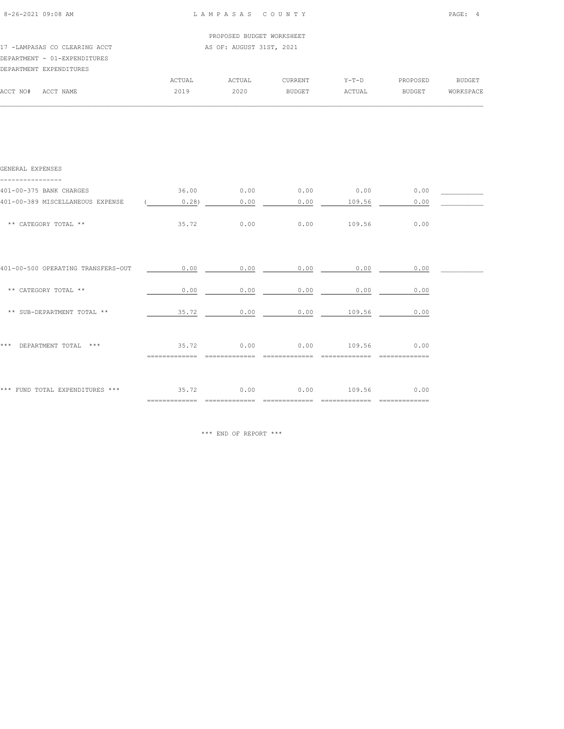| $8 - 26 - 2021$ 09:08 AM                                                                 | LAMPASAS COUNTY |                           |               |         |               | PAGE:<br>$\overline{4}$ |  |
|------------------------------------------------------------------------------------------|-----------------|---------------------------|---------------|---------|---------------|-------------------------|--|
|                                                                                          |                 | PROPOSED BUDGET WORKSHEET |               |         |               |                         |  |
| 17 -LAMPASAS CO CLEARING ACCT<br>DEPARTMENT - 01-EXPENDITURES<br>DEPARTMENT EXPENDITURES |                 | AS OF: AUGUST 31ST, 2021  |               |         |               |                         |  |
|                                                                                          | ACTUAL          | ACTUAL                    | CURRENT       | $Y-T-D$ | PROPOSED      | <b>BUDGET</b>           |  |
| ACCT NO#<br>ACCT NAME                                                                    | 2019            | 2020                      | <b>BUDGET</b> | ACTUAL  | <b>BUDGET</b> | WORKSPACE               |  |
| GENERAL EXPENSES                                                                         |                 |                           |               |         |               |                         |  |
| 401-00-375 BANK CHARGES                                                                  | 36.00           | 0.00                      | 0.00          | 0.00    | 0.00          |                         |  |
| 401-00-389 MISCELLANEOUS EXPENSE                                                         | 0.28            | 0.00                      | 0.00          | 109.56  | 0.00          |                         |  |
| ** CATEGORY TOTAL **                                                                     | 35.72           | 0.00                      | 0.00          | 109.56  | 0.00          |                         |  |
| 401-00-500 OPERATING TRANSFERS-OUT                                                       | 0.00            | 0.00                      | 0.00          | 0.00    | 0.00          |                         |  |

|                                    | ===========            |      |      |        | .============ |  |
|------------------------------------|------------------------|------|------|--------|---------------|--|
| *** FUND TOTAL EXPENDITURES ***    | 35.72                  | 0.00 | 0.00 | 109.56 | 0.00          |  |
| $***$<br>DEPARTMENT TOTAL<br>***   | 35.72<br>:============ | 0.00 | 0.00 | 109.56 | 0.00          |  |
| ** SUB-DEPARTMENT TOTAL **         | 35.72                  | 0.00 | 0.00 | 109.56 | 0.00          |  |
| ** CATEGORY TOTAL **               | 0.00                   | 0.00 | 0.00 | 0.00   | 0.00          |  |
| 401-00-500 OPERATING TRANSFERS-OUT | U.UU                   | U.UU | U.UU | U.UU   | U.UU          |  |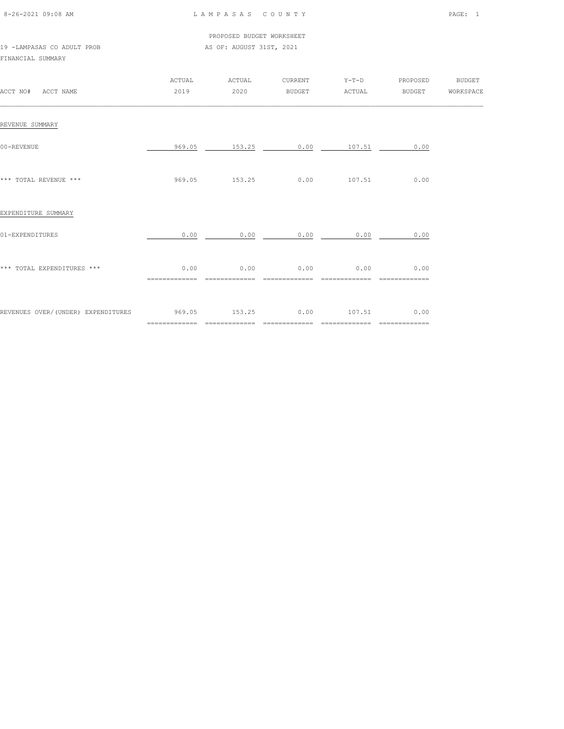| 8-26-2021 09:08 AM |  |
|--------------------|--|

PROPOSED BUDGET WORKSHEET

|                            |  | FRUFUSED BUDGEI WURRSHEI |  |
|----------------------------|--|--------------------------|--|
| 19 -LAMPASAS CO ADULT PROB |  | AS OF: AUGUST 31ST, 2021 |  |

#### FINANCIAL SUMMARY

| ACCT NO# ACCT NAME                               | ACTUAL<br>2019 | ACTUAL<br>2020                  | CURRENT<br><b>BUDGET</b> | ACTUAL                | Y-T-D PROPOSED BUDGET<br>BUDGET WORKSPACE |  |
|--------------------------------------------------|----------------|---------------------------------|--------------------------|-----------------------|-------------------------------------------|--|
| REVENUE SUMMARY                                  |                |                                 |                          |                       |                                           |  |
| 00-REVENUE                                       |                | 969.05 153.25                   |                          | $0.00$ 107.51         | 0.00                                      |  |
| *** TOTAL REVENUE ***                            |                | 969.05 153.25 0.00 107.51 0.00  |                          |                       |                                           |  |
| EXPENDITURE SUMMARY                              |                |                                 |                          |                       |                                           |  |
| 01-EXPENDITURES                                  | 0.00           | 0.00                            | 0.00                     | 0.00                  | 0.00                                      |  |
| *** TOTAL EXPENDITURES ***                       | 0.00           | 0.00<br>==============          | 0.00<br>=============    | 0.00<br>============= | 0.00<br>==============                    |  |
| REVENUES OVER/(UNDER) EXPENDITURES 969.05 153.25 |                | _______________________________ | ==============           | $0.00$ 107.51         | 0.00                                      |  |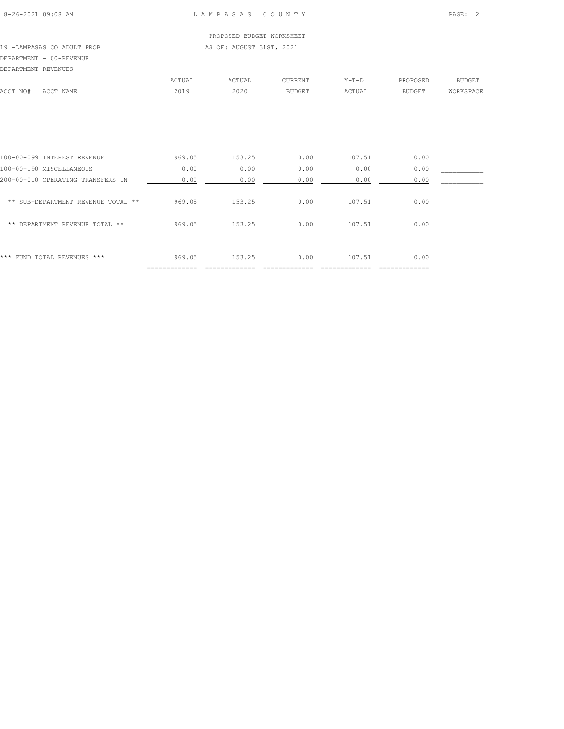|                     |                            |        | PROPOSED BUDGET WORKSHEET |               |         |          |           |
|---------------------|----------------------------|--------|---------------------------|---------------|---------|----------|-----------|
|                     | 19 -LAMPASAS CO ADULT PROB |        | AS OF: AUGUST 31ST, 2021  |               |         |          |           |
|                     | DEPARTMENT - 00-REVENUE    |        |                           |               |         |          |           |
| DEPARTMENT REVENUES |                            |        |                           |               |         |          |           |
|                     |                            | ACTUAL | ACTUAL                    | CURRENT       | $Y-T-D$ | PROPOSED | BUDGET    |
| ACCT NO#            | ACCT NAME                  | 2019   | 2020                      | <b>BUDGET</b> | ACTUAL  | BUDGET   | WORKSPACE |
|                     |                            |        |                           |               |         |          |           |
|                     |                            |        |                           |               |         |          |           |
|                     |                            |        |                           |               |         |          |           |

| ***<br>FUND TOTAL REVENUES ***     | 969.05 | 153.25 | 0.00 | 107.51 | 0.00 |  |
|------------------------------------|--------|--------|------|--------|------|--|
|                                    |        |        |      |        |      |  |
| DEPARTMENT REVENUE TOTAL **<br>**  | 969.05 | 153.25 | 0.00 | 107.51 | 0.00 |  |
| ** SUB-DEPARTMENT REVENUE TOTAL ** | 969.05 | 153.25 | 0.00 | 107.51 | 0.00 |  |
| 200-00-010 OPERATING TRANSFERS IN  | 0.00   | 0.00   | 0.00 | 0.00   | 0.00 |  |
| 100-00-190 MISCELLANEOUS           | 0.00   | 0.00   | 0.00 | 0.00   | 0.00 |  |
| 100-00-099 INTEREST REVENUE        | 969.05 | 153.25 | 0.00 | 107.51 | 0.00 |  |
|                                    |        |        |      |        |      |  |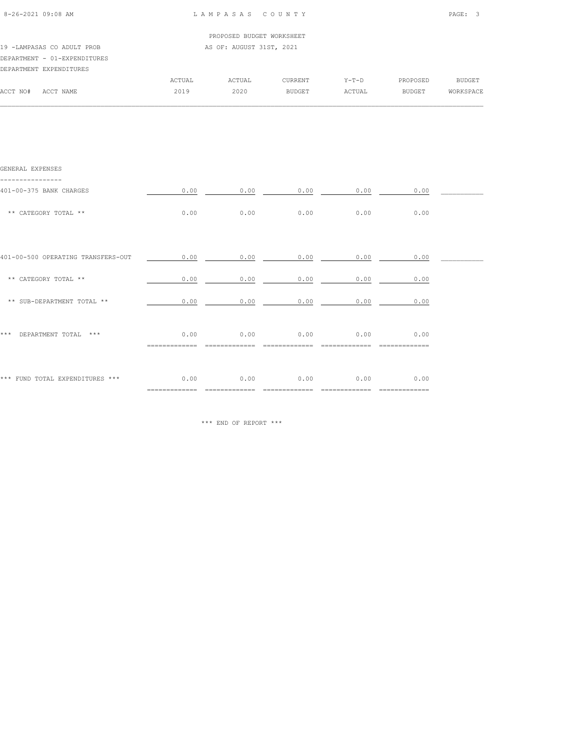| 8-26-2021 09:08 AM           |        | LAMPASAS COUNTY           |                |         |          | PAGE: 3       |
|------------------------------|--------|---------------------------|----------------|---------|----------|---------------|
|                              |        | PROPOSED BUDGET WORKSHEET |                |         |          |               |
| 19 -LAMPASAS CO ADULT PROB   |        | AS OF: AUGUST 31ST, 2021  |                |         |          |               |
| DEPARTMENT - 01-EXPENDITURES |        |                           |                |         |          |               |
| DEPARTMENT EXPENDITURES      |        |                           |                |         |          |               |
|                              | ACTUAL | ACTUAL                    | <b>CURRENT</b> | $Y-T-D$ | PROPOSED | <b>BUDGET</b> |
| ACCT NO#<br>ACCT NAME        | 2019   | 2020                      | <b>BUDGET</b>  | ACTUAL  | BUDGET   | WORKSPACE     |

 $\mathcal{L} = \{ \mathcal{L} = \{ \mathcal{L} = \{ \mathcal{L} = \{ \mathcal{L} = \{ \mathcal{L} = \{ \mathcal{L} = \{ \mathcal{L} = \{ \mathcal{L} = \{ \mathcal{L} = \{ \mathcal{L} = \{ \mathcal{L} = \{ \mathcal{L} = \{ \mathcal{L} = \{ \mathcal{L} = \{ \mathcal{L} = \{ \mathcal{L} = \{ \mathcal{L} = \{ \mathcal{L} = \{ \mathcal{L} = \{ \mathcal{L} = \{ \mathcal{L} = \{ \mathcal{L} = \{ \mathcal{L} = \{ \mathcal{$ 

| GENERAL EXPENSES                   |                     |                   |                   |               |               |  |
|------------------------------------|---------------------|-------------------|-------------------|---------------|---------------|--|
| 401-00-375 BANK CHARGES            | 0.00                | 0.00              | 0.00              | 0.00          | 0.00          |  |
| ** CATEGORY TOTAL **               | 0.00                | 0.00              | 0.00              | 0.00          | 0.00          |  |
|                                    |                     |                   |                   |               |               |  |
| 401-00-500 OPERATING TRANSFERS-OUT |                     | $0.00$ 0.00       |                   | $0.00$ $0.00$ | 0.00          |  |
| ** CATEGORY TOTAL **               | 0.00                | 0.00              | 0.00              | 0.00          | 0.00          |  |
| ** SUB-DEPARTMENT TOTAL **         | 0.00                | 0.00              | 0.00              | 0.00          | 0.00          |  |
|                                    |                     |                   |                   |               |               |  |
| DEPARTMENT TOTAL ***<br>***        | 0.00<br>$=$ $=$ $=$ | 0.00              | 0.00              | 0.00          | 0.00          |  |
|                                    |                     |                   |                   |               |               |  |
| *** FUND TOTAL EXPENDITURES ***    | 0.00                | 0.00              | 0.00              | 0.00          | 0.00          |  |
|                                    | =============       | $=$ ============= | $=$ ============= | ============= | ============= |  |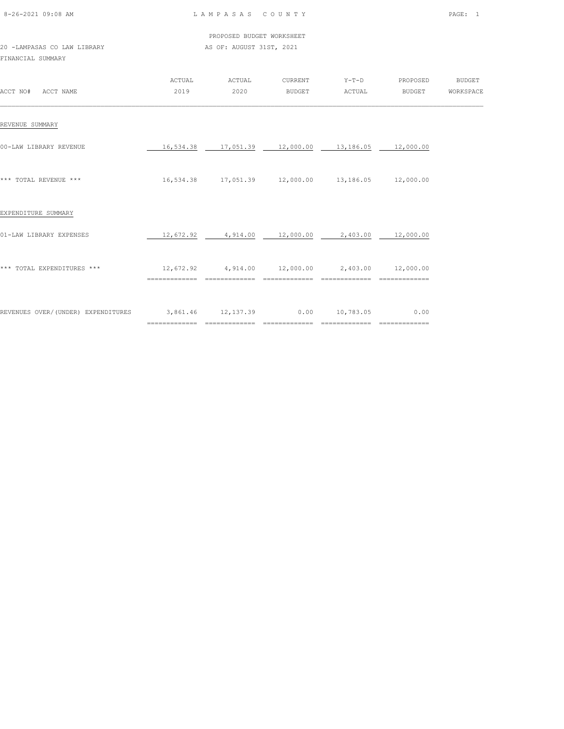| 8-26-2021 09:08 AM |  |
|--------------------|--|

L A M P A S A S C O U N T Y PAGE: 1

|                             |  |  |  |  | PROPOSED BUDGET WORKSHEET |
|-----------------------------|--|--|--|--|---------------------------|
| 20 -LAMPASAS CO LAW LIBRARY |  |  |  |  | AS OF: AUGUST 31ST, 2021  |

FINANCIAL SUMMARY

| ACCT NO#<br>ACCT NAME              | ACTUAL<br>2019             | ACTUAL<br>2020                                | CURRENT<br><b>BUDGET</b>    | $Y-T-D$<br>ACTUAL                               | PROPOSED<br><b>BUDGET</b>             | <b>BUDGET</b><br>WORKSPACE |
|------------------------------------|----------------------------|-----------------------------------------------|-----------------------------|-------------------------------------------------|---------------------------------------|----------------------------|
| REVENUE SUMMARY                    |                            |                                               |                             |                                                 |                                       |                            |
| 00-LAW LIBRARY REVENUE             | 16,534.38                  | 17,051.39                                     | 12,000.00                   | 13,186.05                                       | 12,000.00                             |                            |
| *** TOTAL REVENUE ***              | 16,534.38                  |                                               |                             | $17,051.39$ $12,000.00$ $13,186.05$ $12,000.00$ |                                       |                            |
| EXPENDITURE SUMMARY                |                            |                                               |                             |                                                 |                                       |                            |
| 01-LAW LIBRARY EXPENSES            | 12,672.92                  | 4,914.00                                      | 12,000.00                   | 2,403.00                                        | 12,000.00                             |                            |
| *** TOTAL EXPENDITURES ***         | 12,672.92<br>============= | 4,914.00<br>==============                    | 12,000.00<br>============== | 2,403.00<br>==============                      | 12,000.00<br>=============            |                            |
| REVENUES OVER/(UNDER) EXPENDITURES | 3,861.46                   | 12,137.39<br>================================ | 0.00<br>=============       | 10,783.05<br>=============                      | 0.00<br>$=$ = = = = = = = = = = = = = |                            |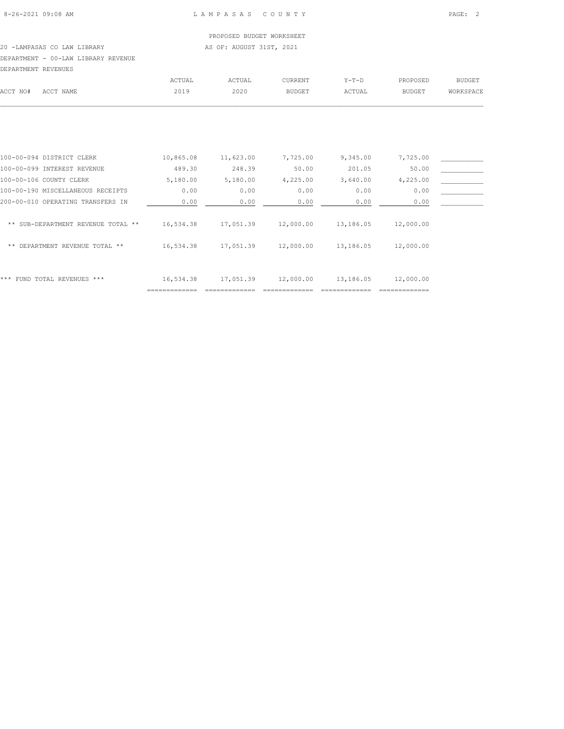PROPOSED BUDGET WORKSHEET 20 -LAMPASAS CO LAW LIBRARY **AS OF: AUGUST 31ST, 2021** 

# DEPARTMENT - 00-LAW LIBRARY REVENUE

| DEPARTMENT REVENUES |           |        |        |         |         |          |           |
|---------------------|-----------|--------|--------|---------|---------|----------|-----------|
|                     |           | ACTUAL | ACTUAL | CURRENT | $Y-T-D$ | PROPOSED | BUDGET    |
| ACCT NO#            | ACCT NAME | 2019   | 2020   | BUDGET  | ACTUAL  | BUDGET   | WORKSPACE |
|                     |           |        |        |         |         |          |           |
|                     |           |        |        |         |         |          |           |

|                                       | -------------- |           |           |           | ------------ |  |
|---------------------------------------|----------------|-----------|-----------|-----------|--------------|--|
| FUND TOTAL REVENUES ***<br>***        | 16,534.38      | 17,051.39 | 12,000.00 | 13,186.05 | 12,000.00    |  |
| DEPARTMENT REVENUE TOTAL **<br>**     | 16,534.38      | 17,051.39 | 12,000.00 | 13,186.05 | 12,000.00    |  |
| SUB-DEPARTMENT REVENUE TOTAL **<br>** | 16,534.38      | 17,051.39 | 12,000.00 | 13,186.05 | 12,000.00    |  |
| 200-00-010 OPERATING TRANSFERS IN     | 0.00           | 0.00      | 0.00      | 0.00      | 0.00         |  |
| 100-00-190 MISCELLANEOUS RECEIPTS     | 0.00           | 0.00      | 0.00      | 0.00      | 0.00         |  |
| 100-00-106 COUNTY CLERK               | 5,180.00       | 5,180.00  | 4,225.00  | 3,640.00  | 4,225.00     |  |
| 100-00-099 INTEREST REVENUE           | 489.30         | 248.39    | 50.00     | 201.05    | 50.00        |  |
| 100-00-094 DISTRICT CLERK             | 10,865.08      | 11,623.00 | 7,725.00  | 9,345.00  | 7,725.00     |  |
|                                       |                |           |           |           |              |  |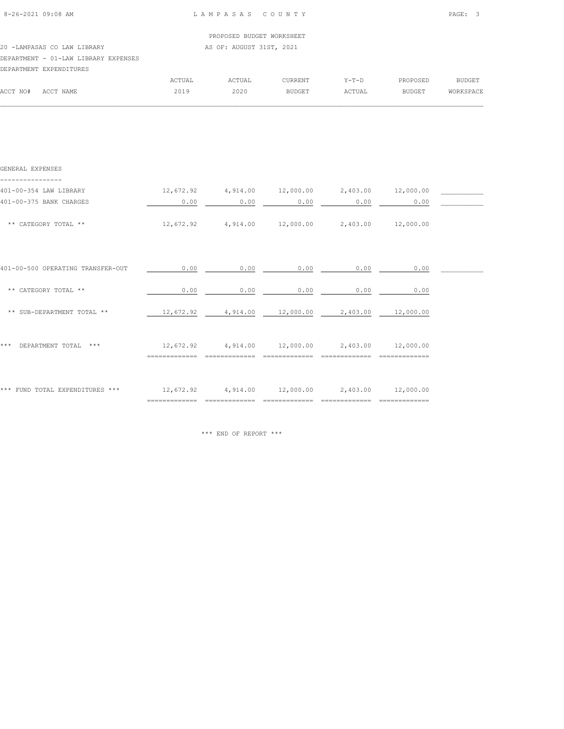| $8 - 26 - 2021$ 09:08 AM |  |
|--------------------------|--|

| DEPARTMENT EXPENDITURES              |                           |
|--------------------------------------|---------------------------|
| DEPARTMENT - 01-LAW LIBRARY EXPENSES |                           |
| 20 -LAMPASAS CO LAW LIBRARY          | AS OF: AUGUST 31ST, 2021  |
|                                      | PROPOSED BUDGET WORKSHEET |
|                                      |                           |

|          |                                                                                                                                                 | $\triangle$ $\cap$ THA $^*$ | <b>ACTUAL</b>         | $^{\sim}$ URRENT | $V - T - T$                | PROPOSED      | principe.<br>5UDGB+ |
|----------|-------------------------------------------------------------------------------------------------------------------------------------------------|-----------------------------|-----------------------|------------------|----------------------------|---------------|---------------------|
| ACCT NO# | $\cap$ $\cap$ $\Box$<br>NAME<br>the contract of the contract of the contract of the contract of the contract of the contract of the contract of | $\sim$ $\sim$               | 2020<br>$\sim$ $\sim$ |                  | <b><i><u>CTUAL</u></i></b> | <b>BUDGET</b> |                     |
|          |                                                                                                                                                 |                             |                       |                  |                            |               |                     |

| GENERAL EXPENSES                  |           |                                                           |      |                                               |      |  |
|-----------------------------------|-----------|-----------------------------------------------------------|------|-----------------------------------------------|------|--|
| 401-00-354 LAW LIBRARY            | 12,672.92 |                                                           |      | $4,914.00$ $12,000.00$ $2,403.00$ $12,000.00$ |      |  |
| 401-00-375 BANK CHARGES           | 0.00      | 0.00                                                      | 0.00 | 0.00                                          | 0.00 |  |
| ** CATEGORY TOTAL **              |           | $12,672.92$ $4,914.00$ $12,000.00$ $2,403.00$ $12,000.00$ |      |                                               |      |  |
| 401-00-500 OPERATING TRANSFER-OUT | 0.00      | 0.00                                                      | 0.00 | 0.00                                          | 0.00 |  |
| ** CATEGORY TOTAL **              | 0.00      | 0.00                                                      | 0.00 | 0.00                                          | 0.00 |  |
| ** SUB-DEPARTMENT TOTAL **        |           | $12,672.92$ $4,914.00$ $12,000.00$ $2,403.00$ $12,000.00$ |      |                                               |      |  |
| * * *<br>DEPARTMENT TOTAL ***     | 12,672.92 | $4,914.00$ $12,000.00$ $2,403.00$ $12,000.00$             |      |                                               |      |  |
| *** FUND TOTAL EXPENDITURES ***   |           | 12,672.92  4,914.00  12,000.00  2,403.00  12,000.00       |      |                                               |      |  |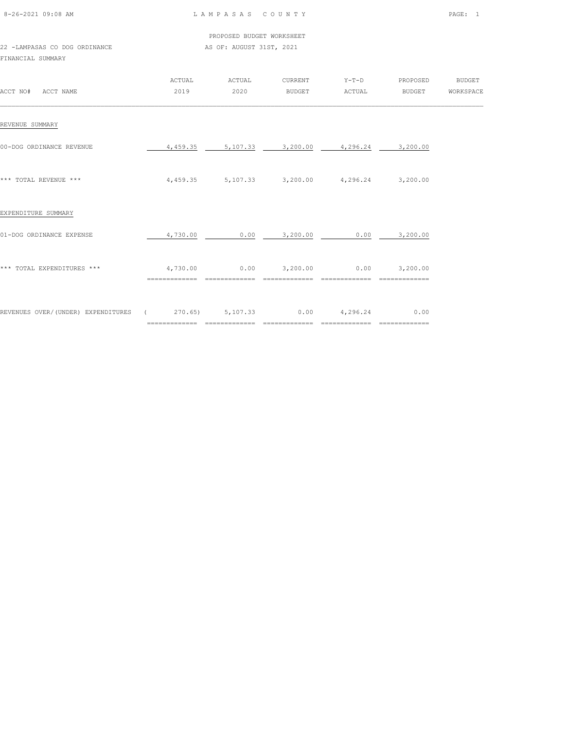| 8-26-2021 09:08 AM |  |
|--------------------|--|
|                    |  |

|                               |  |  |  |                          | PROPOSED BUDGET WORKSHEET |  |
|-------------------------------|--|--|--|--------------------------|---------------------------|--|
| 22 -LAMPASAS CO DOG ORDINANCE |  |  |  | AS OF: AUGUST 31ST, 2021 |                           |  |

FINANCIAL SUMMARY

| ACCT NO#<br>ACCT NAME               | <b>ACTUAL</b><br>2019                  | ACTUAL<br>2020                         | CURRENT<br><b>BUDGET</b> | $Y-T-D$<br>ACTUAL              | PROPOSED<br><b>BUDGET</b> | <b>BUDGET</b><br>WORKSPACE |
|-------------------------------------|----------------------------------------|----------------------------------------|--------------------------|--------------------------------|---------------------------|----------------------------|
| REVENUE SUMMARY                     |                                        |                                        |                          |                                |                           |                            |
| 00-DOG ORDINANCE REVENUE            | 4,459.35                               | 5,107.33                               | 3,200.00                 | 4,296.24                       | 3,200.00                  |                            |
| *** TOTAL REVENUE ***               | 4,459.35                               |                                        | 5,107.33 3,200.00        | 4,296.24                       | 3,200.00                  |                            |
| EXPENDITURE SUMMARY                 |                                        |                                        |                          |                                |                           |                            |
| 01-DOG ORDINANCE EXPENSE            | 4,730.00                               | 0.00                                   | 3,200.00                 | 0.00                           | 3,200.00                  |                            |
| *** TOTAL EXPENDITURES ***          | 4,730.00                               | 0.00                                   | 3,200.00                 | 0.00                           | 3,200.00                  |                            |
| REVENUES OVER/ (UNDER) EXPENDITURES | 270.65)<br>$\sqrt{2}$<br>============= | 5,107.33<br>$=$ = = = = = = =<br>_____ | 0.00<br>=============    | 4,296.24<br>---------<br>_____ | 0.00<br>=============     |                            |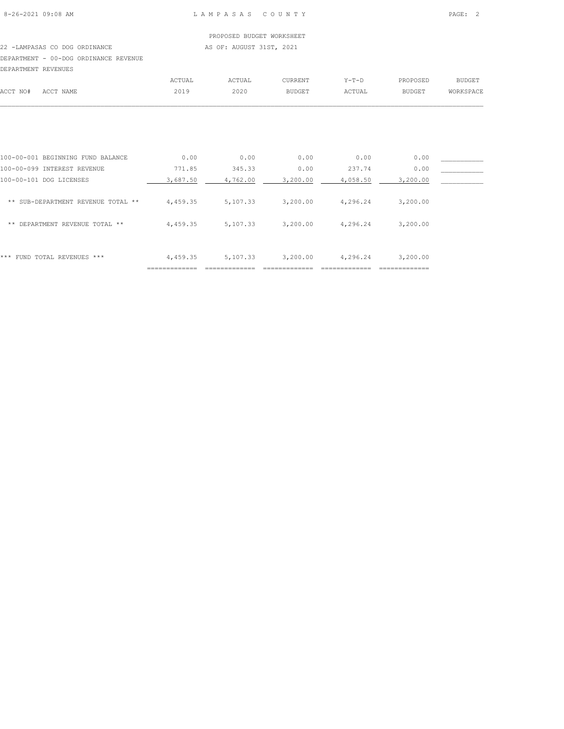# PROPOSED BUDGET WORKSHEET 22 -LAMPASAS CO DOG ORDINANCE AS OF: AUGUST 31ST, 2021

DEPARTMENT - 00-DOG ORDINANCE REVENUE

|          | DEPARTMENT REVENUES |        |        |               |         |               |                  |
|----------|---------------------|--------|--------|---------------|---------|---------------|------------------|
|          |                     | ACTUAL | ACTUAL | CURRENT       | $Y-T-D$ | PROPOSED      | <b>BUDGET</b>    |
| ACCT NO# | ACCT NAME           | 2019   | 2020   | <b>BUDGET</b> | ACTUAL  | <b>BUDGET</b> | <b>WORKSPACE</b> |
|          |                     |        |        |               |         |               |                  |

| ***<br>FUND TOTAL REVENUES ***        | 4,459.35 | 5,107.33 | 3,200.00 | 4,296.24 | 3,200.00 |  |
|---------------------------------------|----------|----------|----------|----------|----------|--|
| DEPARTMENT REVENUE TOTAL **<br>**     | 4,459.35 | 5,107.33 | 3,200.00 | 4,296.24 | 3,200.00 |  |
| SUB-DEPARTMENT REVENUE TOTAL **<br>** | 4,459.35 | 5,107.33 | 3,200.00 | 4,296.24 | 3,200.00 |  |
| 100-00-101 DOG LICENSES               | 3,687.50 | 4,762.00 | 3,200.00 | 4,058.50 | 3,200.00 |  |
| 100-00-099 INTEREST REVENUE           | 771.85   | 345.33   | 0.00     | 237.74   | 0.00     |  |
| 100-00-001 BEGINNING FUND BALANCE     | 0.00     | 0.00     | 0.00     | 0.00     | 0.00     |  |
|                                       |          |          |          |          |          |  |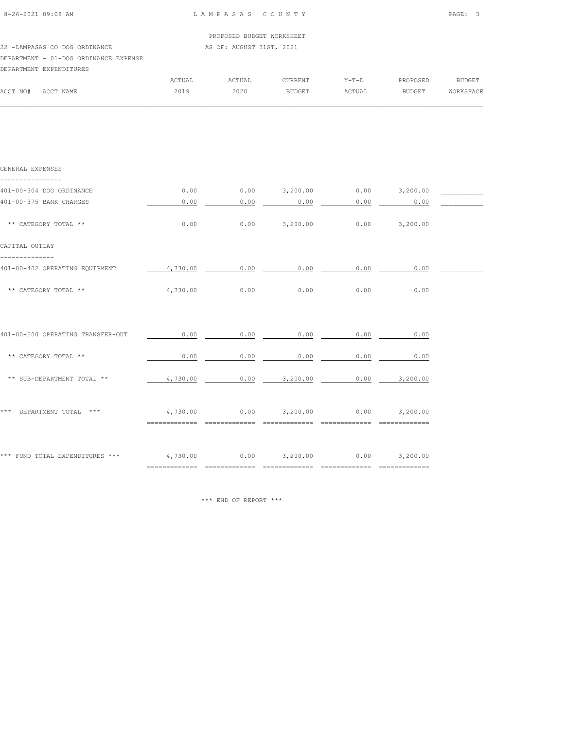|                                       | PROPOSED BUDGET WORKSHEET |  |
|---------------------------------------|---------------------------|--|
| 22 -LAMPASAS CO DOG ORDINANCE         | AS OF: AUGUST 31ST, 2021  |  |
| DEPARTMENT - 01-DOG ORDINANCE EXPENSE |                           |  |
| DEPARTMENT EXPENDITURES               |                           |  |

|          |           | ACTUAL | ACTUAL | <b>CURRENT</b> | Y-T-D  | PROPOSED      | BUDGET    |
|----------|-----------|--------|--------|----------------|--------|---------------|-----------|
| ACCT NO# | ACCT NAME | 2019   | 2020   | <b>BUDGET</b>  | ACTUAL | <b>BUDGET</b> | WORKSPACE |
|          |           |        |        |                |        |               |           |

| GENERAL EXPENSES                                                              |                               |                                                |                   |                               |                                     |
|-------------------------------------------------------------------------------|-------------------------------|------------------------------------------------|-------------------|-------------------------------|-------------------------------------|
| 401-00-304 DOG ORDINANCE                                                      | 0.00                          |                                                |                   |                               | $0.00$ $3,200.00$ $0.00$ $3,200.00$ |
| 401-00-375 BANK CHARGES                                                       | 0.00                          | 0.00                                           | 0.00              | 0.00                          | 0.00                                |
| ** CATEGORY TOTAL **                                                          | 0.00                          |                                                | $0.00$ $3,200.00$ |                               | $0.00$ $3,200.00$                   |
| CAPITAL OUTLAY                                                                |                               |                                                |                   |                               |                                     |
| 401-00-402 OPERATING EQUIPMENT                                                |                               | $4,730.00$ 0.00 0.00 0.00 0.00                 |                   |                               | 0.00                                |
| ** CATEGORY TOTAL **                                                          | 4,730.00                      | 0.00                                           | 0.00              | 0.00                          | 0.00                                |
|                                                                               |                               |                                                |                   |                               |                                     |
| 401-00-500 OPERATING TRANSFER-OUT                                             | 0.00                          | 0.00                                           | 0.00              | 0.00                          | 0.00                                |
| ** CATEGORY TOTAL **                                                          | 0.00                          | 0.00                                           | 0.00              | 0.00                          | 0.00                                |
| ** SUB-DEPARTMENT TOTAL **                                                    | 4,730.00                      |                                                | $0.00$ $3,200.00$ |                               | $0.00$ 3,200.00                     |
|                                                                               |                               |                                                |                   |                               |                                     |
| *** DEPARTMENT TOTAL ***                                                      |                               | $4,730.00$ $0.00$ $3,200.00$ $0.00$ $3,200.00$ |                   |                               |                                     |
|                                                                               |                               | ============================                   | ==============    | $=$ = = = = = = = = = = = = = | $=$ = = = = = = = = = = = = = =     |
| *** FUND TOTAL EXPENDITURES *** $4,730.00$ 0.00 $3,200.00$ 0.00 0.00 3,200.00 |                               |                                                |                   |                               |                                     |
|                                                                               | $=$ = = = = = = = = = = = = = | --------------                                 | =============     | --------------                | $=$ = = = = = = = = = = = = = =     |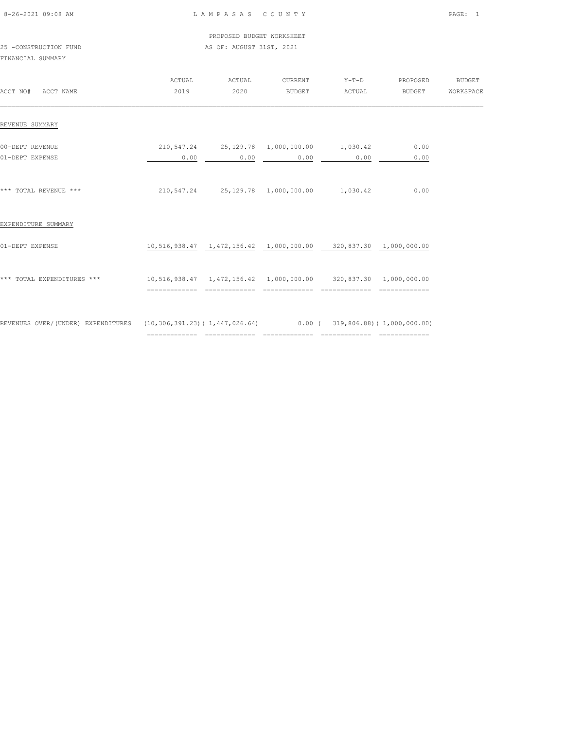| 8-26-2021 09:08 AM |  |
|--------------------|--|
|                    |  |

PROPOSED BUDGET WORKSHEET

# 25 -CONSTRUCTION FUND **AS OF: AUGUST 31ST, 2021** FINANCIAL SUMMARY

|                                                                                                  | ACTUAL                                                              | ACTUAL         | CURRENT                                                               | $Y-T-D$       | PROPOSED | <b>BUDGET</b> |
|--------------------------------------------------------------------------------------------------|---------------------------------------------------------------------|----------------|-----------------------------------------------------------------------|---------------|----------|---------------|
| ACCT NO#<br>ACCT NAME                                                                            | 2019                                                                | 2020           | BUDGET                                                                | ACTUAL        | BUDGET   | WORKSPACE     |
| REVENUE SUMMARY                                                                                  |                                                                     |                |                                                                       |               |          |               |
|                                                                                                  |                                                                     |                |                                                                       |               |          |               |
| 00-DEPT REVENUE                                                                                  |                                                                     |                | 210,547.24 25,129.78 1,000,000.00 1,030.42                            |               | 0.00     |               |
| 01-DEPT EXPENSE                                                                                  | 0.00                                                                |                | 0.00<br>0.00                                                          | 0.00          | 0.00     |               |
| *** TOTAL REVENUE ***                                                                            |                                                                     |                | 210,547.24 25,129.78 1,000,000.00 1,030.42                            |               | 0.00     |               |
| EXPENDITURE SUMMARY                                                                              |                                                                     |                |                                                                       |               |          |               |
| 01-DEPT EXPENSE                                                                                  |                                                                     |                | $10,516,938.47$ $1,472,156.42$ $1,000,000.00$ 320,837.30 1,000,000.00 |               |          |               |
| *** TOTAL EXPENDITURES ***                                                                       | 10,516,938.47  1,472,156.42  1,000,000.00  320,837.30  1,000,000.00 |                |                                                                       |               |          |               |
|                                                                                                  | ==============                                                      | ============== | ==============                                                        | ============= |          |               |
| REVENUES OVER/(UNDER) EXPENDITURES (10,306,391.23)(1,447,026.64) 0.00 (319,806.88)(1,000,000.00) |                                                                     |                |                                                                       |               |          |               |

============= ============= ============= ============= =============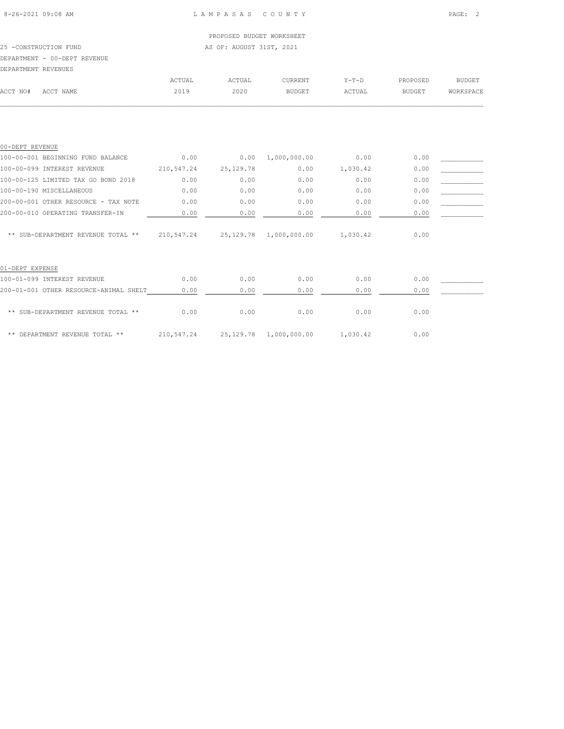# 25 -CONSTRUCTION FUND **AS OF: AUGUST 31ST, 2021**

DEPARTMENT - 00-DEPT REVENUE

| DEPARTMENT REVENUES |           |        |        |                |         |               |               |
|---------------------|-----------|--------|--------|----------------|---------|---------------|---------------|
|                     |           | ACTUAL | ACTUAL | <b>CURRENT</b> | $Y-T-D$ | PROPOSED      | <b>BUDGET</b> |
| ACCT NO#            | ACCT NAME | 2019   | 2020   | <b>BUDGET</b>  | ACTUAL  | <b>BUDGET</b> | WORKSPACE     |
|                     |           |        |        |                |         |               |               |

| 00-DEPT REVENUE                        |            |             |                        |          |      |  |
|----------------------------------------|------------|-------------|------------------------|----------|------|--|
| 100-00-001 BEGINNING FUND BALANCE      | 0.00       | 0.00        | 1,000,000.00           | 0.00     | 0.00 |  |
| 100-00-099 INTEREST REVENUE            | 210,547.24 | 25, 129. 78 | 0.00                   | 1,030.42 | 0.00 |  |
| 100-00-125 LIMITED TAX GO BOND 2018    | 0.00       | 0.00        | 0.00                   | 0.00     | 0.00 |  |
| 100-00-190 MISCELLANEOUS               | 0.00       | 0.00        | 0.00                   | 0.00     | 0.00 |  |
| 200-00-001 OTHER RESOURCE - TAX NOTE   | 0.00       | 0.00        | 0.00                   | 0.00     | 0.00 |  |
| 200-00-010 OPERATING TRANSFER-IN       | 0.00       | 0.00        | 0.00                   | 0.00     | 0.00 |  |
| ** SUB-DEPARTMENT REVENUE TOTAL **     | 210,547.24 |             | 25,129.78 1,000,000.00 | 1,030.42 | 0.00 |  |
| 01-DEPT EXPENSE                        |            |             |                        |          |      |  |
| 100-01-099 INTEREST REVENUE            | 0.00       | 0.00        | 0.00                   | 0.00     | 0.00 |  |
| 200-01-001 OTHER RESOURCE-ANIMAL SHELT | 0.00       | 0.00        | 0.00                   | 0.00     | 0.00 |  |
| ** SUB-DEPARTMENT REVENUE TOTAL **     | 0.00       | 0.00        | 0.00                   | 0.00     | 0.00 |  |
| ** DEPARTMENT REVENUE TOTAL **         | 210,547.24 |             | 25,129.78 1,000,000.00 | 1,030.42 | 0.00 |  |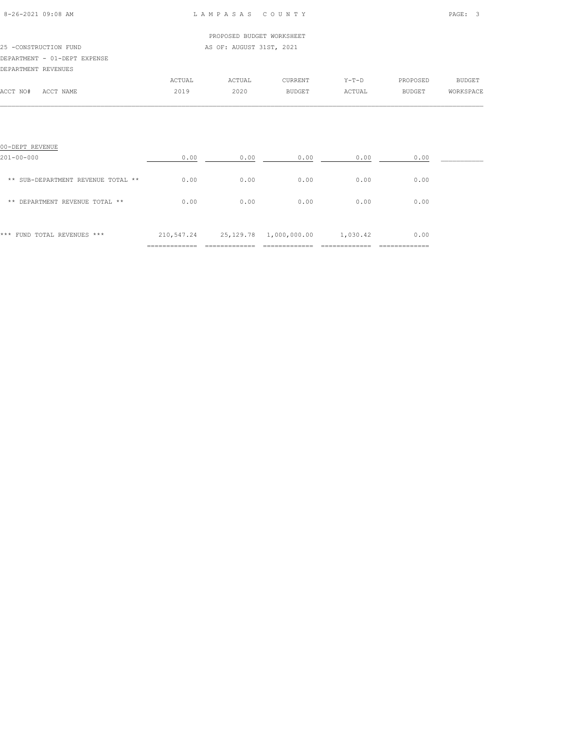| 8-26-2021 09:08 AM |  |
|--------------------|--|

|                       |                              |        | PROPOSED BUDGET WORKSHEET |         |         |          |           |
|-----------------------|------------------------------|--------|---------------------------|---------|---------|----------|-----------|
| 25 -CONSTRUCTION FUND |                              |        | AS OF: AUGUST 31ST, 2021  |         |         |          |           |
|                       | DEPARTMENT - 01-DEPT EXPENSE |        |                           |         |         |          |           |
| DEPARTMENT REVENUES   |                              |        |                           |         |         |          |           |
|                       |                              | ACTUAL | ACTUAL                    | CURRENT | $Y-T-D$ | PROPOSED | BUDGET    |
| ACCT NO#              | ACCT NAME                    | 2019   | 2020                      | BUDGET  | ACTUAL  | BUDGET   | WORKSPACE |
|                       |                              |        |                           |         |         |          |           |
|                       |                              |        |                           |         |         |          |           |

| 00-DEPT REVENUE                    |            |           |              |          |      |  |
|------------------------------------|------------|-----------|--------------|----------|------|--|
| $201 - 00 - 000$                   | 0.00       | 0.00      | 0.00         | 0.00     | 0.00 |  |
| ** SUB-DEPARTMENT REVENUE TOTAL ** | 0.00       | 0.00      | 0.00         | 0.00     | 0.00 |  |
| ** DEPARTMENT REVENUE TOTAL **     | 0.00       | 0.00      | 0.00         | 0.00     | 0.00 |  |
| *** FUND TOTAL REVENUES ***        | 210,547.24 | 25,129.78 | 1,000,000.00 | 1,030.42 | 0.00 |  |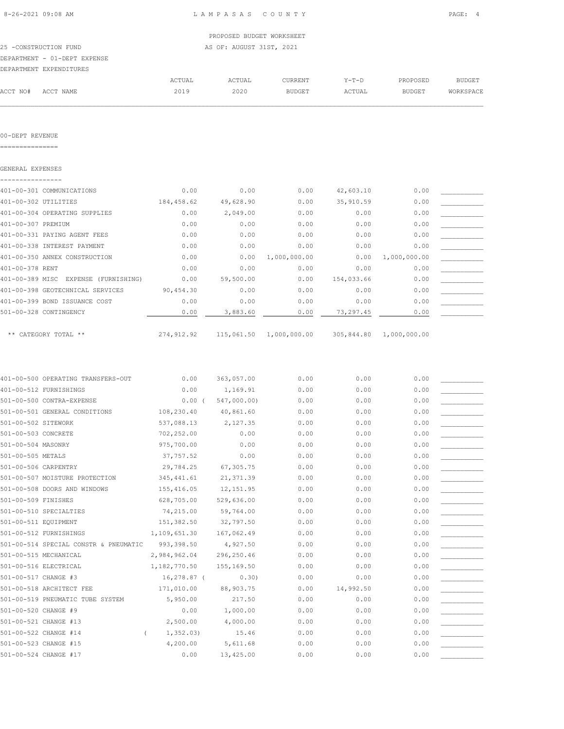$\mathcal{L} = \{ \mathcal{L} = \{ \mathcal{L} = \{ \mathcal{L} = \{ \mathcal{L} = \{ \mathcal{L} = \{ \mathcal{L} = \{ \mathcal{L} = \{ \mathcal{L} = \{ \mathcal{L} = \{ \mathcal{L} = \{ \mathcal{L} = \{ \mathcal{L} = \{ \mathcal{L} = \{ \mathcal{L} = \{ \mathcal{L} = \{ \mathcal{L} = \{ \mathcal{L} = \{ \mathcal{L} = \{ \mathcal{L} = \{ \mathcal{L} = \{ \mathcal{L} = \{ \mathcal{L} = \{ \mathcal{L} = \{ \mathcal{$ 

|                              |        | PROPOSED BUDGET WORKSHEET |               |         |          |           |
|------------------------------|--------|---------------------------|---------------|---------|----------|-----------|
| 25 -CONSTRUCTION FUND        |        | AS OF: AUGUST 31ST, 2021  |               |         |          |           |
| DEPARTMENT - 01-DEPT EXPENSE |        |                           |               |         |          |           |
| DEPARTMENT EXPENDITURES      |        |                           |               |         |          |           |
|                              | ACTUAL | ACTUAL                    | CURRENT       | $Y-T-D$ | PROPOSED | BUDGET    |
| ACCT NAME<br>ACCT NO#        | 2019   | 2020                      | <b>BUDGET</b> | ACTUAL  | BUDGET   | WORKSPACE |

00-DEPT REVENUE

===============

| GENERAL EXPENSES                     |            |           |                         |            |              |  |
|--------------------------------------|------------|-----------|-------------------------|------------|--------------|--|
|                                      |            |           |                         |            |              |  |
| 401-00-301 COMMUNICATIONS            | 0.00       | 0.00      | 0.00                    | 42,603.10  | 0.00         |  |
| 401-00-302 UTILITIES                 | 184,458.62 | 49,628.90 | 0.00                    | 35,910.59  | 0.00         |  |
| 401-00-304 OPERATING SUPPLIES        | 0.00       | 2,049.00  | 0.00                    | 0.00       | 0.00         |  |
| 401-00-307 PREMIUM                   | 0.00       | 0.00      | 0.00                    | 0.00       | 0.00         |  |
| 401-00-331 PAYING AGENT FEES         | 0.00       | 0.00      | 0.00                    | 0.00       | 0.00         |  |
| 401-00-338 INTEREST PAYMENT          | 0.00       | 0.00      | 0.00                    | 0.00       | 0.00         |  |
| 401-00-350 ANNEX CONSTRUCTION        | 0.00       | 0.00      | 1,000,000.00            | 0.00       | 1,000,000.00 |  |
| 401-00-378 RENT                      | 0.00       | 0.00      | 0.00                    | 0.00       | 0.00         |  |
| 401-00-389 MISC EXPENSE (FURNISHING) | 0.00       | 59,500.00 | 0.00                    | 154,033.66 | 0.00         |  |
| 401-00-398 GEOTECHNICAL SERVICES     | 90,454.30  | 0.00      | 0.00                    | 0.00       | 0.00         |  |
| 401-00-399 BOND ISSUANCE COST        | 0.00       | 0.00      | 0.00                    | 0.00       | 0.00         |  |
| 501-00-328 CONTINGENCY               | 0.00       | 3,883.60  | 0.00                    | 73,297.45  | 0.00         |  |
|                                      |            |           |                         |            |              |  |
| ** CATEGORY TOTAL **                 | 274,912.92 |           | 115,061.50 1,000,000.00 | 305,844.80 | 1,000,000.00 |  |

|                       | 401-00-500 OPERATING TRANSFERS-OUT    | 0.00         | 363,057.00  | 0.00 | 0.00      | 0.00 |  |
|-----------------------|---------------------------------------|--------------|-------------|------|-----------|------|--|
|                       | 401-00-512 FURNISHINGS                | 0.00         | 1,169.91    | 0.00 | 0.00      | 0.00 |  |
|                       | 501-00-500 CONTRA-EXPENSE             | 0.00(        | 547,000.00) | 0.00 | 0.00      | 0.00 |  |
|                       | 501-00-501 GENERAL CONDITIONS         | 108,230.40   | 40,861.60   | 0.00 | 0.00      | 0.00 |  |
| 501-00-502 SITEWORK   |                                       | 537,088.13   | 2,127.35    | 0.00 | 0.00      | 0.00 |  |
| 501-00-503 CONCRETE   |                                       | 702,252.00   | 0.00        | 0.00 | 0.00      | 0.00 |  |
| 501-00-504 MASONRY    |                                       | 975,700.00   | 0.00        | 0.00 | 0.00      | 0.00 |  |
| 501-00-505 METALS     |                                       | 37,757.52    | 0.00        | 0.00 | 0.00      | 0.00 |  |
| 501-00-506 CARPENTRY  |                                       | 29,784.25    | 67,305.75   | 0.00 | 0.00      | 0.00 |  |
|                       | 501-00-507 MOISTURE PROTECTION        | 345, 441.61  | 21, 371.39  | 0.00 | 0.00      | 0.00 |  |
|                       | 501-00-508 DOORS AND WINDOWS          | 155,416.05   | 12, 151.95  | 0.00 | 0.00      | 0.00 |  |
| 501-00-509 FINISHES   |                                       | 628,705.00   | 529,636.00  | 0.00 | 0.00      | 0.00 |  |
|                       | 501-00-510 SPECIALTIES                | 74,215.00    | 59,764.00   | 0.00 | 0.00      | 0.00 |  |
| 501-00-511 EQUIPMENT  |                                       | 151,382.50   | 32,797.50   | 0.00 | 0.00      | 0.00 |  |
|                       | 501-00-512 FURNISHINGS                | 1,109,651.30 | 167,062.49  | 0.00 | 0.00      | 0.00 |  |
|                       | 501-00-514 SPECIAL CONSTR & PNEUMATIC | 993,398.50   | 4,927.50    | 0.00 | 0.00      | 0.00 |  |
|                       | 501-00-515 MECHANICAL                 | 2,984,962.04 | 296,250.46  | 0.00 | 0.00      | 0.00 |  |
|                       | 501-00-516 ELECTRICAL                 | 1,182,770.50 | 155,169.50  | 0.00 | 0.00      | 0.00 |  |
| 501-00-517 CHANGE #3  |                                       | 16,278.87 (  | 0.30)       | 0.00 | 0.00      | 0.00 |  |
|                       | 501-00-518 ARCHITECT FEE              | 171,010.00   | 88,903.75   | 0.00 | 14,992.50 | 0.00 |  |
|                       | 501-00-519 PNEUMATIC TUBE SYSTEM      | 5,950.00     | 217.50      | 0.00 | 0.00      | 0.00 |  |
| 501-00-520 CHANGE #9  |                                       | 0.00         | 1,000.00    | 0.00 | 0.00      | 0.00 |  |
|                       | 501-00-521 CHANGE #13                 | 2,500.00     | 4,000.00    | 0.00 | 0.00      | 0.00 |  |
| 501-00-522 CHANGE #14 |                                       | 1, 352, 03)  | 15.46       | 0.00 | 0.00      | 0.00 |  |
| 501-00-523 CHANGE #15 |                                       | 4,200.00     | 5,611.68    | 0.00 | 0.00      | 0.00 |  |
| 501-00-524 CHANGE #17 |                                       | 0.00         | 13,425.00   | 0.00 | 0.00      | 0.00 |  |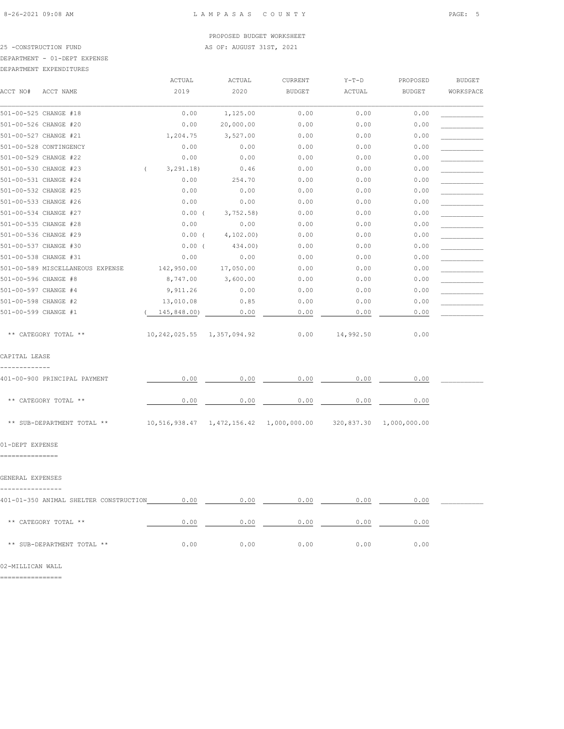25 -CONSTRUCTION FUND **AS OF: AUGUST 31ST, 2021** 

# DEPARTMENT - 01-DEPT EXPENSE

| DEPARTMENT EXPENDITURES |
|-------------------------|
|                         |

|                                        | ACTUAL                         | ACTUAL    | CURRENT                                               | $Y-T-D$   | PROPOSED      | <b>BUDGET</b> |
|----------------------------------------|--------------------------------|-----------|-------------------------------------------------------|-----------|---------------|---------------|
| ACCT NO#<br>ACCT NAME                  | 2019                           | 2020      | <b>BUDGET</b>                                         | ACTUAL    | <b>BUDGET</b> | WORKSPACE     |
| 501-00-525 CHANGE #18                  | 0.00                           | 1,125.00  | 0.00                                                  | 0.00      | 0.00          |               |
| 501-00-526 CHANGE #20                  | 0.00                           | 20,000.00 | 0.00                                                  | 0.00      | 0.00          |               |
| 501-00-527 CHANGE #21                  | 1,204.75                       | 3,527.00  | 0.00                                                  | 0.00      | 0.00          |               |
| 501-00-528 CONTINGENCY                 | 0.00                           | 0.00      | 0.00                                                  | 0.00      | 0.00          |               |
| 501-00-529 CHANGE #22                  | 0.00                           | 0.00      | 0.00                                                  | 0.00      | 0.00          |               |
| 501-00-530 CHANGE #23                  | 3, 291.18)<br>$\left($         | 0.46      | 0.00                                                  | 0.00      | 0.00          |               |
| 501-00-531 CHANGE #24                  | 0.00                           | 254.70    | 0.00                                                  | 0.00      | 0.00          |               |
| 501-00-532 CHANGE #25                  | 0.00                           | 0.00      | 0.00                                                  | 0.00      | 0.00          |               |
| 501-00-533 CHANGE #26                  | 0.00                           | 0.00      | 0.00                                                  | 0.00      | 0.00          |               |
| 501-00-534 CHANGE #27                  | $0.00$ (                       | 3,752.58  | 0.00                                                  | 0.00      | 0.00          |               |
| 501-00-535 CHANGE #28                  | 0.00                           | 0.00      | 0.00                                                  | 0.00      | 0.00          |               |
| 501-00-536 CHANGE #29                  | $0.00$ (                       | 4, 102.00 | 0.00                                                  | 0.00      | 0.00          |               |
| 501-00-537 CHANGE #30                  | $0.00$ (                       | 434.00)   | 0.00                                                  | 0.00      | 0.00          |               |
| 501-00-538 CHANGE #31                  | 0.00                           | 0.00      | 0.00                                                  | 0.00      | 0.00          |               |
| 501-00-589 MISCELLANEOUS EXPENSE       | 142,950.00                     | 17,050.00 | 0.00                                                  | 0.00      | 0.00          |               |
| 501-00-596 CHANGE #8                   | 8,747.00                       | 3,600.00  | 0.00                                                  | 0.00      | 0.00          |               |
| 501-00-597 CHANGE #4                   | 9,911.26                       | 0.00      | 0.00                                                  | 0.00      | 0.00          |               |
| 501-00-598 CHANGE #2                   | 13,010.08                      | 0.85      | 0.00                                                  | 0.00      | 0.00          |               |
| 501-00-599 CHANGE #1                   | 145,848.00)                    | 0.00      | 0.00                                                  | 0.00      | 0.00          |               |
| ** CATEGORY TOTAL **                   | 10, 242, 025.55 1, 357, 094.92 |           | 0.00                                                  | 14,992.50 | 0.00          |               |
| CAPITAL LEASE                          |                                |           |                                                       |           |               |               |
| 401-00-900 PRINCIPAL PAYMENT           | 0.00                           | 0.00      | 0.00                                                  | 0.00      | 0.00          |               |
| ** CATEGORY TOTAL **                   | 0.00                           | 0.00      | 0.00                                                  | 0.00      | 0.00          |               |
| ** SUB-DEPARTMENT TOTAL **             |                                |           | 10,516,938.47  1,472,156.42  1,000,000.00  320,837.30 |           | 1,000,000.00  |               |
| 01-DEPT EXPENSE                        |                                |           |                                                       |           |               |               |
| ================                       |                                |           |                                                       |           |               |               |
| GENERAL EXPENSES                       |                                |           |                                                       |           |               |               |
| 401-01-350 ANIMAL SHELTER CONSTRUCTION | 0.00                           | 0.00      | 0.00                                                  | 0.00      | 0.00          |               |
| ** CATEGORY TOTAL **                   | 0.00                           | 0.00      | 0.00                                                  | 0.00      | 0.00          |               |
| ** SUB-DEPARTMENT TOTAL **             | 0.00                           | 0.00      | 0.00                                                  | 0.00      | 0.00          |               |

02-MILLICAN WALL

================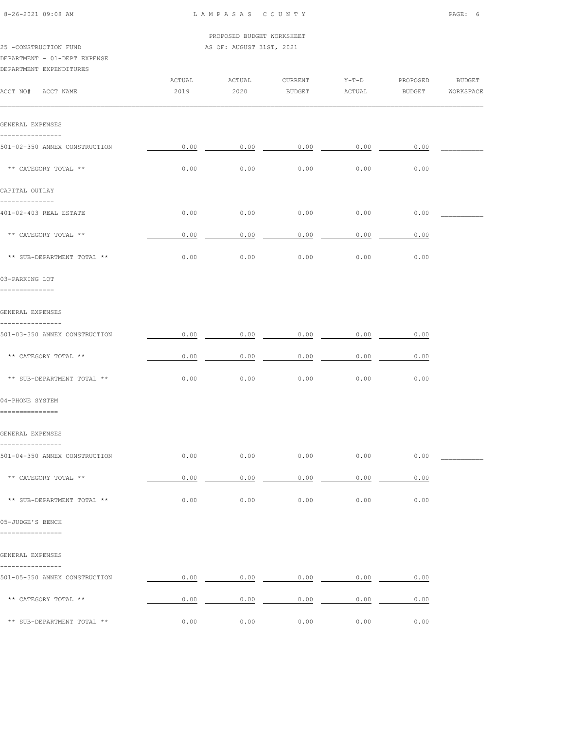|                                                         |        | PROPOSED BUDGET WORKSHEET |                                                                                                                                                                                                                                                                                                                                                                                          |         |          |           |
|---------------------------------------------------------|--------|---------------------------|------------------------------------------------------------------------------------------------------------------------------------------------------------------------------------------------------------------------------------------------------------------------------------------------------------------------------------------------------------------------------------------|---------|----------|-----------|
| 25 -CONSTRUCTION FUND                                   |        | AS OF: AUGUST 31ST, 2021  |                                                                                                                                                                                                                                                                                                                                                                                          |         |          |           |
| DEPARTMENT - 01-DEPT EXPENSE<br>DEPARTMENT EXPENDITURES |        |                           |                                                                                                                                                                                                                                                                                                                                                                                          |         |          |           |
|                                                         | ACTUAL | ACTUAL                    | CURRENT                                                                                                                                                                                                                                                                                                                                                                                  | $Y-T-D$ | PROPOSED | BUDGET    |
| ACCT NO# ACCT NAME                                      | 2019   | 2020                      | BUDGET                                                                                                                                                                                                                                                                                                                                                                                   | ACTUAL  | BUDGET   | WORKSPACE |
|                                                         |        |                           |                                                                                                                                                                                                                                                                                                                                                                                          |         |          |           |
| GENERAL EXPENSES                                        |        |                           |                                                                                                                                                                                                                                                                                                                                                                                          |         |          |           |
| 501-02-350 ANNEX CONSTRUCTION                           | 0.00   | 0.00                      | 0.00                                                                                                                                                                                                                                                                                                                                                                                     | 0.00    | 0.00     |           |
| ** CATEGORY TOTAL **                                    | 0.00   | 0.00                      | 0.00                                                                                                                                                                                                                                                                                                                                                                                     | 0.00    | 0.00     |           |
| CAPITAL OUTLAY                                          |        |                           |                                                                                                                                                                                                                                                                                                                                                                                          |         |          |           |
| --------------<br>401-02-403 REAL ESTATE                | 0.00   | 0.00                      | 0.00                                                                                                                                                                                                                                                                                                                                                                                     | 0.00    | 0.00     |           |
|                                                         |        |                           |                                                                                                                                                                                                                                                                                                                                                                                          |         |          |           |
| ** CATEGORY TOTAL **                                    | 0.00   | 0.00                      | 0.00                                                                                                                                                                                                                                                                                                                                                                                     | 0.00    | 0.00     |           |
| ** SUB-DEPARTMENT TOTAL **                              | 0.00   | 0.00                      | 0.00                                                                                                                                                                                                                                                                                                                                                                                     | 0.00    | 0.00     |           |
| 03-PARKING LOT                                          |        |                           |                                                                                                                                                                                                                                                                                                                                                                                          |         |          |           |
| ==============                                          |        |                           |                                                                                                                                                                                                                                                                                                                                                                                          |         |          |           |
| GENERAL EXPENSES<br>----------------                    |        |                           |                                                                                                                                                                                                                                                                                                                                                                                          |         |          |           |
| 501-03-350 ANNEX CONSTRUCTION                           | 0.00   | 0.00                      | 0.00                                                                                                                                                                                                                                                                                                                                                                                     | 0.00    | 0.00     |           |
| ** CATEGORY TOTAL **                                    | 0.00   | 0.00                      | 0.00                                                                                                                                                                                                                                                                                                                                                                                     | 0.00    | 0.00     |           |
| ** SUB-DEPARTMENT TOTAL **                              | 0.00   | 0.00                      | 0.00                                                                                                                                                                                                                                                                                                                                                                                     | 0.00    | 0.00     |           |
| 04-PHONE SYSTEM                                         |        |                           |                                                                                                                                                                                                                                                                                                                                                                                          |         |          |           |
| ===============                                         |        |                           |                                                                                                                                                                                                                                                                                                                                                                                          |         |          |           |
| GENERAL EXPENSES                                        |        |                           |                                                                                                                                                                                                                                                                                                                                                                                          |         |          |           |
| 501-04-350 ANNEX CONSTRUCTION                           |        |                           | $0.00$ $0.00$ $0.00$ $0.00$ $0.00$ $0.00$ $0.00$ $0.00$                                                                                                                                                                                                                                                                                                                                  |         |          |           |
| ** CATEGORY TOTAL **                                    |        |                           | $\begin{array}{cccccccccccccc} 0.00 & \hspace{1.5cm} & 0.00 & \hspace{1.5cm} & 0.00 & \hspace{1.5cm} & 0.00 & \hspace{1.5cm} & \hspace{1.5cm} & \hspace{1.5cm} & \hspace{1.5cm} & \hspace{1.5cm} & \hspace{1.5cm} & \hspace{1.5cm} & \hspace{1.5cm} & \hspace{1.5cm} & \hspace{1.5cm} & \hspace{1.5cm} & \hspace{1.5cm} & \hspace{1.5cm} & \hspace{1.5cm} & \hspace{1.5cm} & \hspace{1.$ |         | 0.00     |           |
| ** SUB-DEPARTMENT TOTAL **                              | 0.00   | 0.00                      | 0.00                                                                                                                                                                                                                                                                                                                                                                                     | 0.00    | 0.00     |           |
| 05-JUDGE'S BENCH                                        |        |                           |                                                                                                                                                                                                                                                                                                                                                                                          |         |          |           |
| ================                                        |        |                           |                                                                                                                                                                                                                                                                                                                                                                                          |         |          |           |
| GENERAL EXPENSES                                        |        |                           |                                                                                                                                                                                                                                                                                                                                                                                          |         |          |           |
| ----------------<br>501-05-350 ANNEX CONSTRUCTION       |        |                           | $0.00$ $0.00$ $0.00$ $0.00$ $0.00$ $0.00$ $0.00$ $0.00$                                                                                                                                                                                                                                                                                                                                  |         |          |           |
| ** CATEGORY TOTAL **                                    |        |                           | $0.00$ 0.00 0.00 0.00 0.00                                                                                                                                                                                                                                                                                                                                                               |         | 0.00     |           |
| ** SUB-DEPARTMENT TOTAL **                              | 0.00   | 0.00                      | 0.00                                                                                                                                                                                                                                                                                                                                                                                     | 0.00    | 0.00     |           |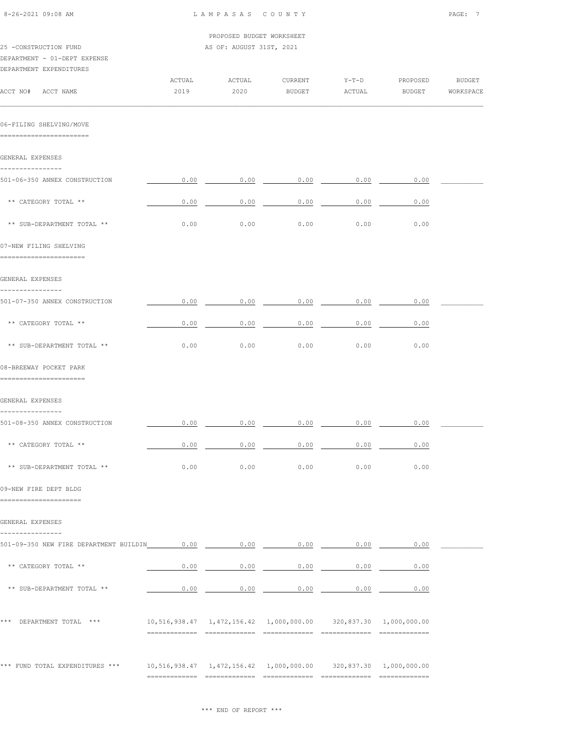| 8-26-2021 09:08 AM                                                               | LAMPASAS COUNTY           |                          |                                                                           |                   |                    |                            |  |
|----------------------------------------------------------------------------------|---------------------------|--------------------------|---------------------------------------------------------------------------|-------------------|--------------------|----------------------------|--|
|                                                                                  | PROPOSED BUDGET WORKSHEET |                          |                                                                           |                   |                    |                            |  |
| 25 -CONSTRUCTION FUND<br>DEPARTMENT - 01-DEPT EXPENSE<br>DEPARTMENT EXPENDITURES |                           | AS OF: AUGUST 31ST, 2021 |                                                                           |                   |                    |                            |  |
| ACCT NO# ACCT NAME                                                               | ACTUAL<br>2019            | ACTUAL<br>2020           | CURRENT<br>BUDGET                                                         | $Y-T-D$<br>ACTUAL | PROPOSED<br>BUDGET | <b>BUDGET</b><br>WORKSPACE |  |
| 06-FILING SHELVING/MOVE<br>=========================                             |                           |                          |                                                                           |                   |                    |                            |  |
| GENERAL EXPENSES                                                                 |                           |                          |                                                                           |                   |                    |                            |  |
| ----------------<br>501-06-350 ANNEX CONSTRUCTION                                | 0.00                      |                          | $0.00$ $0.00$ $0.00$ $0.00$                                               |                   | 0.00               |                            |  |
| ** CATEGORY TOTAL **                                                             | 0.00                      | 0.00                     | 0.00                                                                      | 0.00              | 0.00               |                            |  |
| ** SUB-DEPARTMENT TOTAL **                                                       | 0.00                      | 0.00                     | 0.00                                                                      | 0.00              | 0.00               |                            |  |
| 07-NEW FILING SHELVING<br>-----------------------                                |                           |                          |                                                                           |                   |                    |                            |  |
| GENERAL EXPENSES                                                                 |                           |                          |                                                                           |                   |                    |                            |  |
| ----------------<br>501-07-350 ANNEX CONSTRUCTION                                | 0.00                      | 0.00                     | 0.00                                                                      | 0.00              | 0.00               |                            |  |
| ** CATEGORY TOTAL **                                                             | 0.00                      | 0.00                     | 0.00                                                                      | 0.00              | 0.00               |                            |  |
| ** SUB-DEPARTMENT TOTAL **                                                       | 0.00                      | 0.00                     | 0.00                                                                      | 0.00              | 0.00               |                            |  |
| 08-BREEWAY POCKET PARK<br>========================                               |                           |                          |                                                                           |                   |                    |                            |  |
| GENERAL EXPENSES                                                                 |                           |                          |                                                                           |                   |                    |                            |  |
| ----------------<br>501-08-350 ANNEX CONSTRUCTION                                |                           |                          | $0.00$ $0.00$ $0.00$ $0.00$ $0.00$ $0.00$ $0.00$ $0.00$                   |                   |                    |                            |  |
| ** CATEGORY TOTAL **                                                             |                           |                          | $0.00$ 0.00 0.00 0.00 0.00                                                |                   | 0.00               |                            |  |
| ** SUB-DEPARTMENT TOTAL **                                                       | 0.00                      | 0.00                     | 0.00                                                                      | 0.00              | 0.00               |                            |  |
| 09-NEW FIRE DEPT BLDG<br>---------------------                                   |                           |                          |                                                                           |                   |                    |                            |  |
| GENERAL EXPENSES<br>----------------                                             |                           |                          |                                                                           |                   |                    |                            |  |
|                                                                                  |                           |                          |                                                                           |                   |                    |                            |  |
| ** CATEGORY TOTAL **                                                             |                           |                          | $0.00$ 0.00 0.00 0.00 0.00 0.00                                           |                   |                    |                            |  |
| ** SUB-DEPARTMENT TOTAL **                                                       |                           |                          | $0.00$ $0.00$ $0.00$ $0.00$ $0.00$ $0.00$ $0.00$                          |                   |                    |                            |  |
| *** DEPARTMENT TOTAL ***                                                         |                           |                          | 10,516,938.47  1,472,156.42  1,000,000.00  320,837.30  1,000,000.00       |                   |                    |                            |  |
| *** FUND TOTAL EXPENDITURES ***                                                  |                           |                          | $10,516,938.47$ $1,472,156.42$ $1,000,000.00$ $320,837.30$ $1,000,000.00$ |                   |                    |                            |  |
|                                                                                  |                           |                          |                                                                           |                   |                    |                            |  |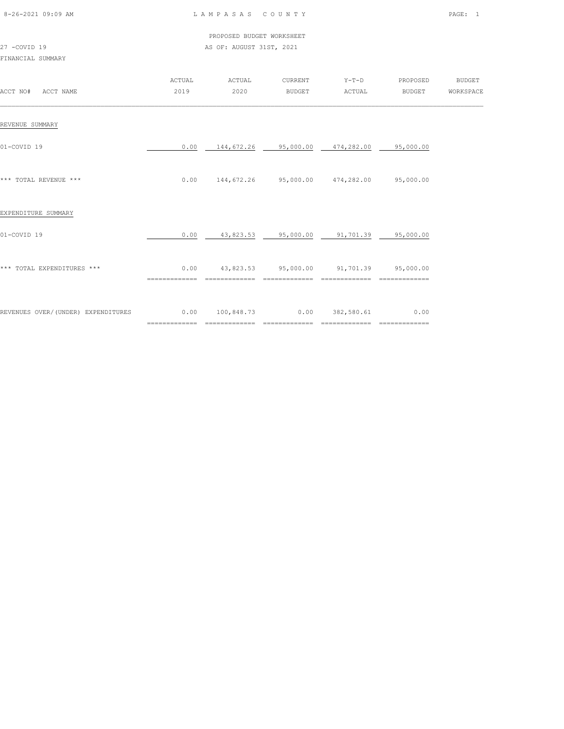| 8-26-2021 09:09 AM |  |
|--------------------|--|
|                    |  |

|              | PROPOSED BUDGET WORKSHEET |
|--------------|---------------------------|
| 27 -COVID 19 | AS OF: AUGUST 31ST, 2021  |

# FINANCIAL SUMMARY

| ACCT NO#<br>ACCT NAME              | ACTUAL<br>2019 | ACTUAL<br>2020                                                | CURRENT<br>BUDGET | $Y-T-D$<br>ACTUAL                       | PROPOSED<br><b>BUDGET</b> | <b>BUDGET</b><br>WORKSPACE |
|------------------------------------|----------------|---------------------------------------------------------------|-------------------|-----------------------------------------|---------------------------|----------------------------|
| REVENUE SUMMARY                    |                |                                                               |                   |                                         |                           |                            |
| 01-COVID 19                        | 0.00           | 144,672.26 95,000.00 474,282.00 95,000.00                     |                   |                                         |                           |                            |
| *** TOTAL REVENUE ***              |                | $0.00$ $144,672.26$ $95,000.00$ $474,282.00$ $95,000.00$      |                   |                                         |                           |                            |
| EXPENDITURE SUMMARY                |                |                                                               |                   |                                         |                           |                            |
| 01-COVID 19                        | 0.00           |                                                               |                   | 43,823.53 95,000.00 91,701.39 95,000.00 |                           |                            |
| *** TOTAL EXPENDITURES ***         | ============== | $0.00$ 43,823.53 95,000.00 91,701.39 95,000.00                | ==============    | ==============                          | ==============            |                            |
| REVENUES OVER/(UNDER) EXPENDITURES | =============  | $0.00$ $100,848.73$ $0.00$ $382,580.61$<br>$=$ ============== | --------------    | =============                           | 0.00<br>________________  |                            |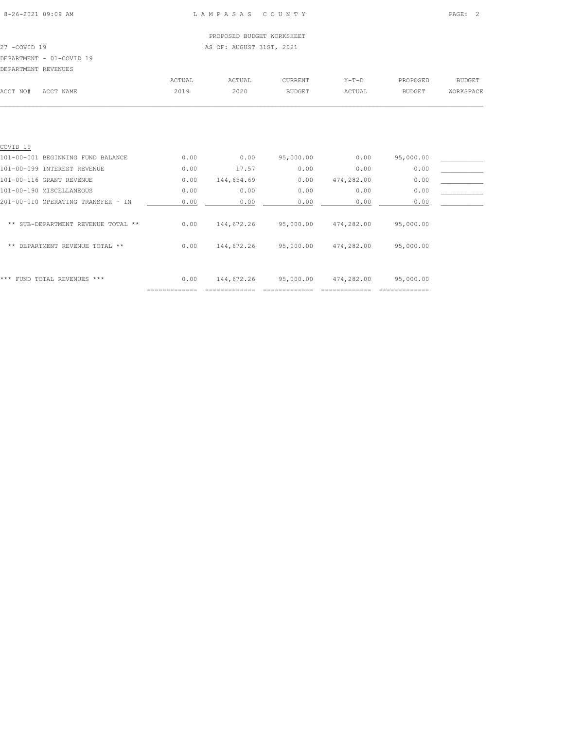# PROPOSED BUDGET WORKSHEET 27 -COVID 19 AS OF: AUGUST 31ST, 2021 DEPARTMENT - 01-COVID 19

| DEPARTMENT REVENUES |           |        |        |               |         |               |           |
|---------------------|-----------|--------|--------|---------------|---------|---------------|-----------|
|                     |           | ACTUAL | ACTUAL | CURRENT       | $Y-T-D$ | PROPOSED      | BUDGET    |
| ACCT NO#            | ACCT NAME | 2019   | 2020   | <b>BUDGET</b> | ACTUAL  | <b>BUDGET</b> | WORKSPACE |
|                     |           |        |        |               |         |               |           |

| FUND TOTAL REVENUES ***<br>***     | 0.00 | 144,672.26 | 95,000.00 | 474,282.00 | 95,000.00 |  |
|------------------------------------|------|------------|-----------|------------|-----------|--|
| DEPARTMENT REVENUE TOTAL **<br>**  | 0.00 | 144,672.26 | 95,000.00 | 474,282.00 | 95,000.00 |  |
| ** SUB-DEPARTMENT REVENUE TOTAL ** | 0.00 | 144,672.26 | 95,000.00 | 474,282.00 | 95,000.00 |  |
| 201-00-010 OPERATING TRANSFER - IN | 0.00 | 0.00       | 0.00      | 0.00       | 0.00      |  |
| 101-00-190 MISCELLANEOUS           | 0.00 | 0.00       | 0.00      | 0.00       | 0.00      |  |
| 101-00-116 GRANT REVENUE           | 0.00 | 144,654.69 | 0.00      | 474,282.00 | 0.00      |  |
| 101-00-099 INTEREST REVENUE        | 0.00 | 17.57      | 0.00      | 0.00       | 0.00      |  |
| 101-00-001 BEGINNING FUND BALANCE  | 0.00 | 0.00       | 95,000.00 | 0.00       | 95,000.00 |  |
| COVID <sub>19</sub>                |      |            |           |            |           |  |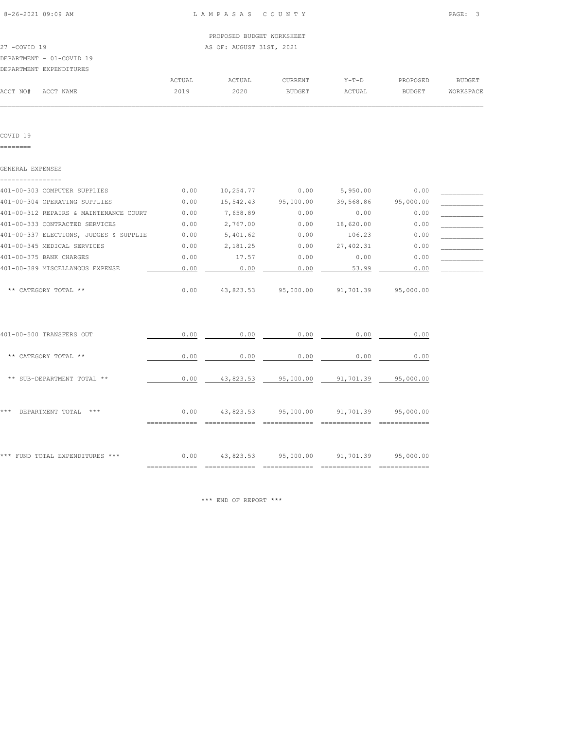|                          | PROPOSED BUDGET WORKSHEET |
|--------------------------|---------------------------|
| 27 -COVID 19             | AS OF: AUGUST 31ST, 2021  |
| DEPARTMENT - 01-COVID 19 |                           |

#### DEPARTMENT EXPENDITURES

|          | DEFARTMENT EXFENDITURES |        |        |                |        |               |           |
|----------|-------------------------|--------|--------|----------------|--------|---------------|-----------|
|          |                         | ACTUAL | ACTUAL | <b>CURRENT</b> | Y-T-D  | PROPOSED      | BUDGET    |
| ACCT NO# | ACCT NAME               | 2019   | 2020   | BUDGET         | ACTUAL | <b>BUDGET</b> | WORKSPACE |
|          |                         |        |        |                |        |               |           |

COVID 19

========

| GENERAL EXPENSES                       |      |           |           |           |           |  |
|----------------------------------------|------|-----------|-----------|-----------|-----------|--|
| 401-00-303 COMPUTER SUPPLIES           | 0.00 | 10,254.77 | 0.00      | 5,950.00  | 0.00      |  |
| 401-00-304 OPERATING SUPPLIES          | 0.00 | 15,542.43 | 95,000.00 | 39,568.86 | 95,000.00 |  |
| 401-00-312 REPAIRS & MAINTENANCE COURT | 0.00 | 7,658.89  | 0.00      | 0.00      | 0.00      |  |
| 401-00-333 CONTRACTED SERVICES         | 0.00 | 2,767.00  | 0.00      | 18,620.00 | 0.00      |  |
| 401-00-337 ELECTIONS, JUDGES & SUPPLIE | 0.00 | 5,401.62  | 0.00      | 106.23    | 0.00      |  |
| 401-00-345 MEDICAL SERVICES            | 0.00 | 2,181.25  | 0.00      | 27,402.31 | 0.00      |  |
| 401-00-375 BANK CHARGES                | 0.00 | 17.57     | 0.00      | 0.00      | 0.00      |  |
| 401-00-389 MISCELLANOUS EXPENSE        | 0.00 | 0.00      | 0.00      | 53.99     | 0.00      |  |
| CATEGORY TOTAL **<br>$* *$             | 0.00 | 43,823.53 | 95,000.00 | 91,701.39 | 95,000.00 |  |
| 401-00-500 TRANSFERS OUT               | 0.00 | 0.00      | 0.00      | 0.00      | 0.00      |  |
| ** CATEGORY TOTAL **                   | 0.00 | 0.00      | 0.00      | 0.00      | 0.00      |  |

| *** |                  | $***$                           |      |           |           |           |           |  |
|-----|------------------|---------------------------------|------|-----------|-----------|-----------|-----------|--|
|     | DEPARTMENT TOTAL |                                 | 0.00 | 43,823.53 | 95,000.00 | 91,701.39 | 95,000.00 |  |
|     |                  |                                 |      |           |           |           |           |  |
|     |                  |                                 |      |           |           |           |           |  |
|     |                  | *** FUND TOTAL EXPENDITURES *** | 0.00 | 43,823.53 | 95,000.00 | 91,701.39 | 95,000.00 |  |

\*\* SUB-DEPARTMENT TOTAL \*\* 1 1 2 2 2 3 2 3 43,823.53 95,000.00 91,701.39 95,000.00

\*\*\* END OF REPORT \*\*\*

============= ============= ============= ============= =============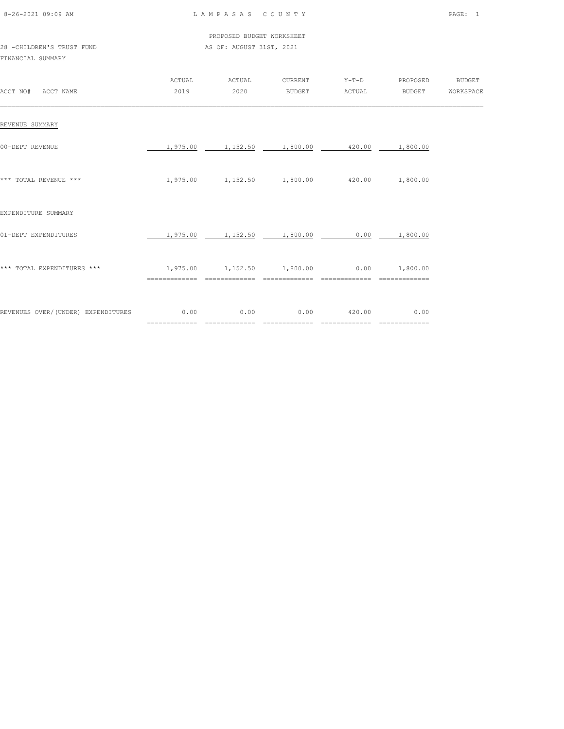| 8-26-2021 09:09 AM |  |
|--------------------|--|

|                           | PROPOSED BUDGET WORKSHEET |
|---------------------------|---------------------------|
| 28 -CHILDREN'S TRUST FUND | AS OF: AUGUST 31ST, 2021  |

# FINANCIAL SUMMARY

| ACCT NO#<br>ACCT NAME              | ACTUAL<br>2019        | ACTUAL<br>2020        | CURRENT<br><b>BUDGET</b> | $Y-T-D$<br>ACTUAL                       | PROPOSED<br><b>BUDGET</b>               | <b>BUDGET</b><br>WORKSPACE |
|------------------------------------|-----------------------|-----------------------|--------------------------|-----------------------------------------|-----------------------------------------|----------------------------|
| REVENUE SUMMARY                    |                       |                       |                          |                                         |                                         |                            |
| 00-DEPT REVENUE                    | 1,975.00              | 1,152.50              | 1,800.00                 | 420.00                                  | 1,800.00                                |                            |
| *** TOTAL REVENUE ***              | 1,975.00              | 1,152.50 1,800.00     |                          | 420.00                                  | 1,800.00                                |                            |
| EXPENDITURE SUMMARY                |                       |                       |                          |                                         |                                         |                            |
| 01-DEPT EXPENDITURES               | 1,975.00              | 1,152.50              | 1,800.00                 | 0.00                                    | 1,800.00                                |                            |
| *** TOTAL EXPENDITURES ***         | 1,975.00              |                       | ==============           | $1,152.50$ $1,800.00$ $0.00$ $1,800.00$ |                                         |                            |
| REVENUES OVER/(UNDER) EXPENDITURES | 0.00<br>============= | 0.00<br>============= | 0.00<br>=============    | 420.00<br>==============                | 0.00<br>$=$ = = = = = = = = = = = = = = |                            |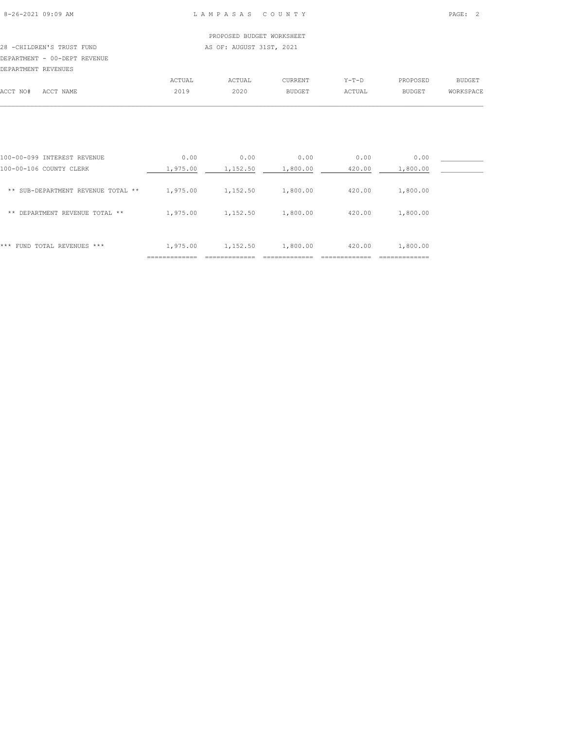# 28 -CHILDREN'S TRUST FUND AS OF: AUGUST 31ST, 2021

DEPARTMENT - 00-DEPT REVENUE

| DEPARTMENT REVENUES |           |        |        |               |         |          |               |
|---------------------|-----------|--------|--------|---------------|---------|----------|---------------|
|                     |           | ACTUAL | ACTUAL | CURRENT       | $Y-T-D$ | PROPOSED | <b>BUDGET</b> |
| ACCT NO#            | ACCT NAME | 2019   | 2020   | <b>BUDGET</b> | ACTUAL  | BUDGET   | WORKSPACE     |
|                     |           |        |        |               |         |          |               |

| FUND TOTAL REVENUES ***<br>***                         | 1,975.00         | 1,152.50         | 1,800.00         | 420.00         | 1,800.00         |  |
|--------------------------------------------------------|------------------|------------------|------------------|----------------|------------------|--|
| DEPARTMENT REVENUE TOTAL **<br>**                      | 1,975.00         | 1,152.50         | 1,800.00         | 420.00         | 1,800.00         |  |
| ** SUB-DEPARTMENT REVENUE TOTAL **                     | 1,975.00         | 1,152.50         | 1,800.00         | 420.00         | 1,800.00         |  |
| 100-00-099 INTEREST REVENUE<br>100-00-106 COUNTY CLERK | 0.00<br>1,975.00 | 0.00<br>1,152.50 | 0.00<br>1,800.00 | 0.00<br>420.00 | 0.00<br>1,800.00 |  |
|                                                        |                  |                  |                  |                |                  |  |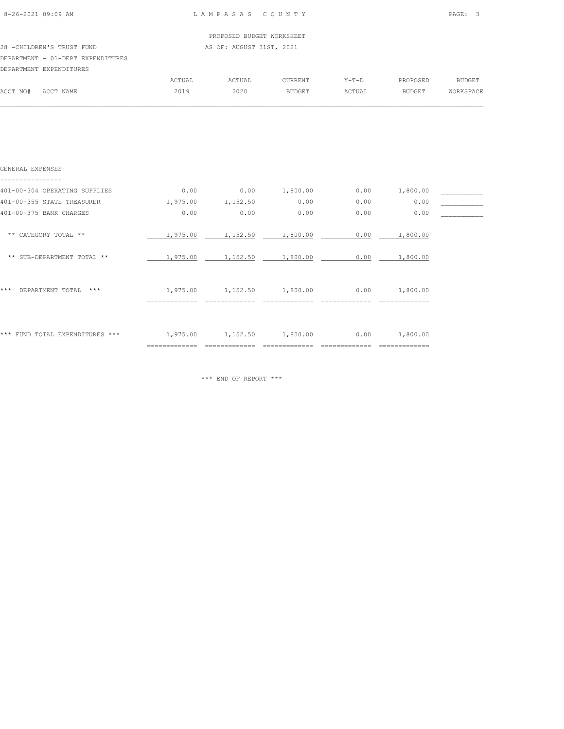|  | $8 - 26 - 2021$ 09:09 AM |  |
|--|--------------------------|--|
|  |                          |  |

|          |                                   |        | PROPOSED BUDGET WORKSHEET |         |         |          |           |
|----------|-----------------------------------|--------|---------------------------|---------|---------|----------|-----------|
|          | 28 - CHILDREN'S TRUST FUND        |        | AS OF: AUGUST 31ST, 2021  |         |         |          |           |
|          | DEPARTMENT - 01-DEPT EXPENDITURES |        |                           |         |         |          |           |
|          | DEPARTMENT EXPENDITURES           |        |                           |         |         |          |           |
|          |                                   | ACTUAL | ACTUAL                    | CURRENT | $Y-T-D$ | PROPOSED | BUDGET    |
| ACCT NO# | ACCT NAME                         | 2019   | 2020                      | BUDGET  | ACTUAL  | BUDGET   | WORKSPACE |
|          |                                   |        |                           |         |         |          |           |

| GENERAL EXPENSES                 |                           |          |          |      |                           |  |
|----------------------------------|---------------------------|----------|----------|------|---------------------------|--|
| 401-00-304 OPERATING SUPPLIES    | 0.00                      | 0.00     | 1,800.00 | 0.00 | 1,800.00                  |  |
| 401-00-355 STATE TREASURER       | 1,975.00                  | 1,152.50 | 0.00     | 0.00 | 0.00                      |  |
| 401-00-375 BANK CHARGES          | 0.00                      | 0.00     | 0.00     | 0.00 | 0.00                      |  |
| ** CATEGORY TOTAL **             | 1,975.00                  | 1,152.50 | 1,800.00 | 0.00 | 1,800.00                  |  |
| ** SUB-DEPARTMENT TOTAL **       | 1,975.00                  | 1,152.50 | 1,800.00 | 0.00 | 1,800.00                  |  |
| ***<br>DEPARTMENT TOTAL<br>$***$ | 1,975.00<br>============= | 1,152.50 | 1,800.00 | 0.00 | 1,800.00                  |  |
| *** FUND TOTAL EXPENDITURES ***  | 1,975.00<br>============= | 1,152.50 | 1,800.00 | 0.00 | 1,800.00<br>============= |  |

\*\*\* END OF REPORT \*\*\*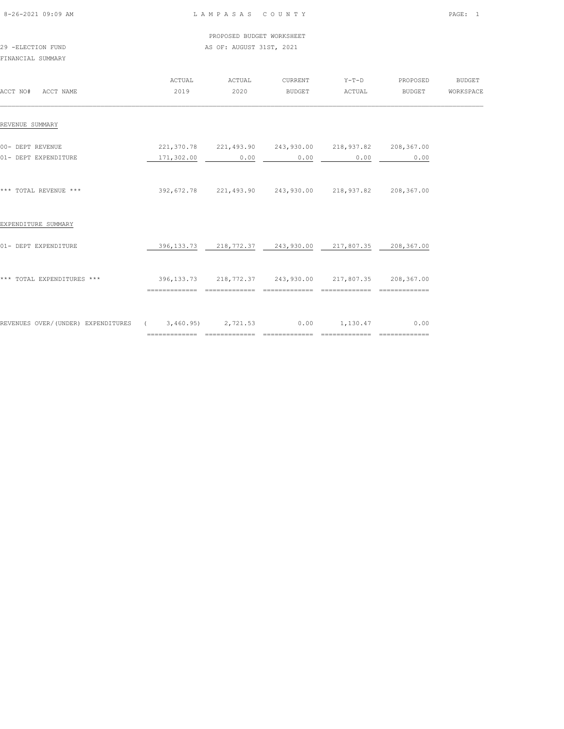| 8-26-2021 09:09 AM |  |
|--------------------|--|

 PROPOSED BUDGET WORKSHEET 29 -ELECTION FUND **AS OF: AUGUST 31ST, 2021** 

FINANCIAL SUMMARY

| ACCT NO#<br>ACCT NAME                                                | ACTUAL<br>2019                                         | ACTUAL<br>2020    | CURRENT<br>BUDGET                                              | $Y-T-D$<br>ACTUAL | PROPOSED<br>BUDGET | <b>BUDGET</b><br>WORKSPACE |
|----------------------------------------------------------------------|--------------------------------------------------------|-------------------|----------------------------------------------------------------|-------------------|--------------------|----------------------------|
| REVENUE SUMMARY                                                      |                                                        |                   |                                                                |                   |                    |                            |
| 00- DEPT REVENUE<br>01- DEPT EXPENDITURE                             |                                                        | $171,302.00$ 0.00 | 221,370.78 221,493.90 243,930.00 218,937.82 208,367.00<br>0.00 | 0.00              | 0.00               |                            |
| *** TOTAL REVENUE ***                                                |                                                        |                   |                                                                |                   | 208,367.00         |                            |
| EXPENDITURE SUMMARY                                                  |                                                        |                   |                                                                |                   |                    |                            |
| 01- DEPT EXPENDITURE                                                 |                                                        |                   | 396,133.73  218,772.37  243,930.00  217,807.35  208,367.00     |                   |                    |                            |
| *** TOTAL EXPENDITURES ***                                           | 396,133.73 218,772.37 243,930.00 217,807.35 208,367.00 |                   |                                                                |                   | =============      |                            |
| REVENUES OVER/(UNDER) EXPENDITURES (3,460.95) 2,721.53 0.00 1,130.47 |                                                        |                   |                                                                |                   | 0.00               |                            |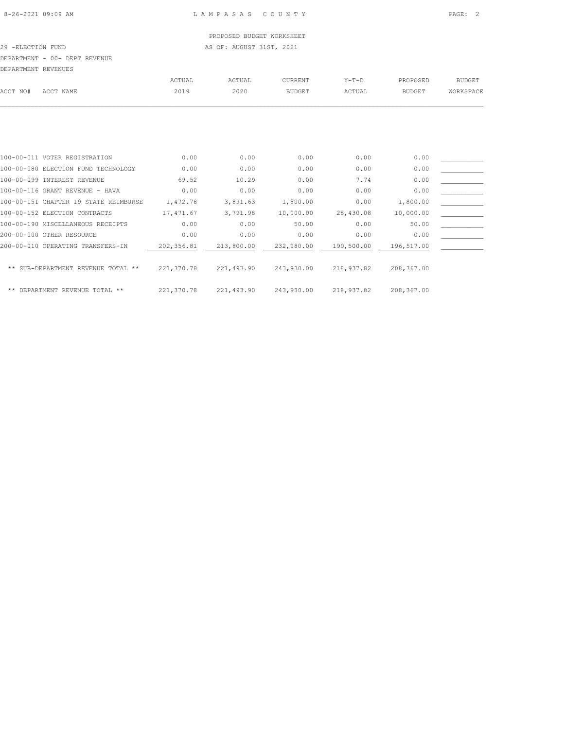PROPOSED BUDGET WORKSHEET 29 -ELECTION FUND **AS OF: AUGUST 31ST, 2021** 

DEPARTMENT - 00- DEPT REVENUE

|          | DEPARTMENT REVENUES |        |        |                |         |               |               |
|----------|---------------------|--------|--------|----------------|---------|---------------|---------------|
|          |                     | ACTUAL | ACTUAL | <b>CURRENT</b> | $Y-T-D$ | PROPOSED      | <b>BUDGET</b> |
| ACCT NO# | ACCT NAME           | 2019   | 2020   | <b>BUDGET</b>  | ACTUAL  | <b>BUDGET</b> | WORKSPACE     |
|          |                     |        |        |                |         |               |               |

| 100-00-011 VOTER REGISTRATION         | 0.00       | 0.00       | 0.00       | 0.00       | 0.00       |  |
|---------------------------------------|------------|------------|------------|------------|------------|--|
| 100-00-080 ELECTION FUND TECHNOLOGY   | 0.00       | 0.00       | 0.00       | 0.00       | 0.00       |  |
| 100-00-099 INTEREST REVENUE           | 69.52      | 10.29      | 0.00       | 7.74       | 0.00       |  |
| 100-00-116 GRANT REVENUE - HAVA       | 0.00       | 0.00       | 0.00       | 0.00       | 0.00       |  |
| 100-00-151 CHAPTER 19 STATE REIMBURSE | 1,472.78   | 3,891.63   | 1,800.00   | 0.00       | 1,800.00   |  |
| 100-00-152 ELECTION CONTRACTS         | 17,471.67  | 3,791.98   | 10,000.00  | 28,430.08  | 10,000.00  |  |
| 100-00-190 MISCELLANEOUS RECEIPTS     | 0.00       | 0.00       | 50.00      | 0.00       | 50.00      |  |
| 200-00-000 OTHER RESOURCE             | 0.00       | 0.00       | 0.00       | 0.00       | 0.00       |  |
| 200-00-010 OPERATING TRANSFERS-IN     | 202,356.81 | 213,800.00 | 232,080.00 | 190,500.00 | 196,517.00 |  |
|                                       |            |            |            |            |            |  |
| ** SUB-DEPARTMENT REVENUE TOTAL **    | 221,370.78 | 221,493.90 | 243,930.00 | 218,937.82 | 208,367.00 |  |
|                                       |            |            |            |            |            |  |
| DEPARTMENT REVENUE TOTAL **<br>**     | 221,370.78 | 221,493.90 | 243,930.00 | 218,937.82 | 208,367.00 |  |
|                                       |            |            |            |            |            |  |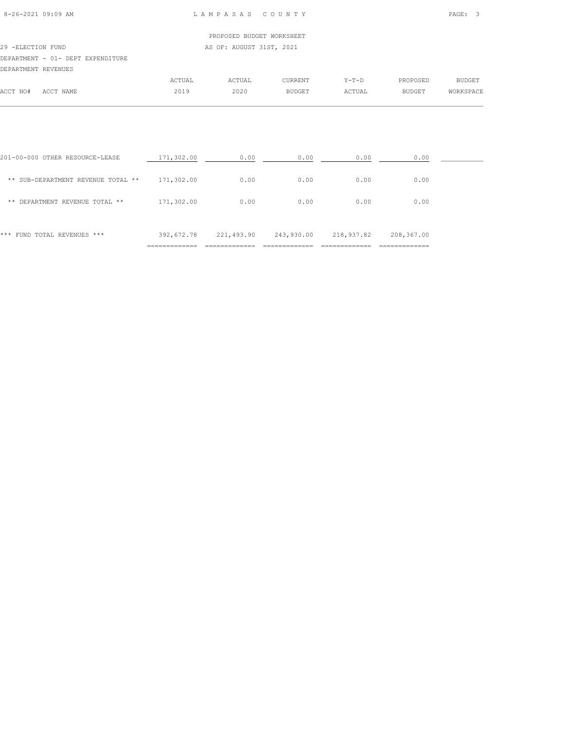ACCT NO# ACCT NAME 2019 2020 BUDGET ACTUAL BUDGET WORKSPACE  $\mathcal{L} = \{ \mathcal{L} = \{ \mathcal{L} = \{ \mathcal{L} = \{ \mathcal{L} = \{ \mathcal{L} = \{ \mathcal{L} = \{ \mathcal{L} = \{ \mathcal{L} = \{ \mathcal{L} = \{ \mathcal{L} = \{ \mathcal{L} = \{ \mathcal{L} = \{ \mathcal{L} = \{ \mathcal{L} = \{ \mathcal{L} = \{ \mathcal{L} = \{ \mathcal{L} = \{ \mathcal{L} = \{ \mathcal{L} = \{ \mathcal{L} = \{ \mathcal{L} = \{ \mathcal{L} = \{ \mathcal{L} = \{ \mathcal{$ 

# PROPOSED BUDGET WORKSHEET 29 -ELECTION FUND AS OF: AUGUST 31ST, 2021 DEPARTMENT - 01- DEPT EXPENDITURE DEPARTMENT REVENUES ACTUAL ACTUAL CURRENT Y-T-D PROPOSED BUDGET

| 0.00<br>201-00-000 OTHER RESOURCE-LEASE<br>171,302.00<br>0.00<br>0.00<br>0.00<br>171,302.00<br>0.00<br>0.00<br>0.00<br>0.00<br>** SUB-DEPARTMENT REVENUE TOTAL **<br>0.00<br>171,302.00<br>0.00<br>0.00<br>0.00<br>DEPARTMENT REVENUE TOTAL **<br>**<br>392,672.78<br>243,930.00<br>218,937.82<br>221,493.90<br>208,367.00<br>FUND TOTAL REVENUES ***<br>*** |  |  |  |  |
|--------------------------------------------------------------------------------------------------------------------------------------------------------------------------------------------------------------------------------------------------------------------------------------------------------------------------------------------------------------|--|--|--|--|
|                                                                                                                                                                                                                                                                                                                                                              |  |  |  |  |
|                                                                                                                                                                                                                                                                                                                                                              |  |  |  |  |
|                                                                                                                                                                                                                                                                                                                                                              |  |  |  |  |
|                                                                                                                                                                                                                                                                                                                                                              |  |  |  |  |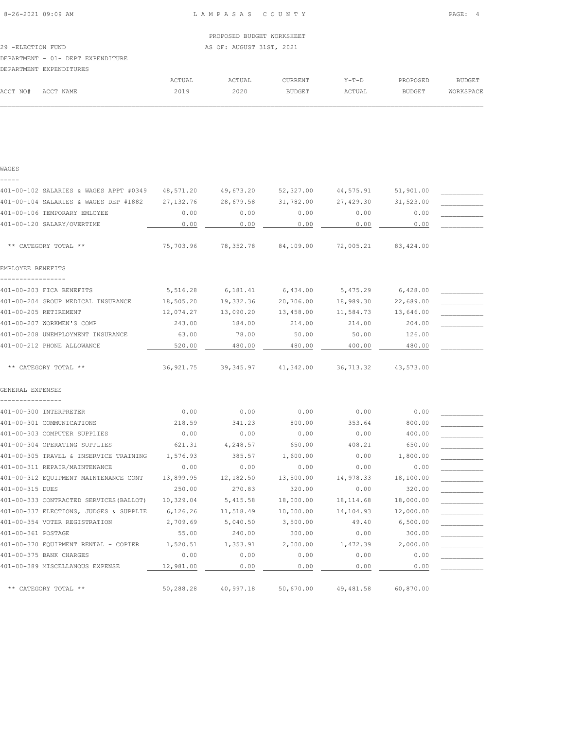|                                   |        | PROPOSED BUDGET WORKSHEET |         |         |          |           |
|-----------------------------------|--------|---------------------------|---------|---------|----------|-----------|
| 29 -ELECTION FUND                 |        | AS OF: AUGUST 31ST, 2021  |         |         |          |           |
| DEPARTMENT - 01- DEPT EXPENDITURE |        |                           |         |         |          |           |
| DEPARTMENT EXPENDITURES           |        |                           |         |         |          |           |
|                                   | ACTUAL | ACTUAL                    | CURRENT | $Y-T-D$ | PROPOSED | BUDGET    |
| ACCT NO#<br>ACCT NAME             | 2019   | 2020                      | BUDGET  | ACTUAL  | BUDGET   | WORKSPACE |
|                                   |        |                           |         |         |          |           |

401-00-102 SALARIES & WAGES APPT #0349 48,571.20 49,673.20 52,327.00 44,575.91 51,901.00 \_\_\_\_\_\_\_\_\_\_\_ 401-00-104 SALARIES & WAGES DEP #1882 27,132.76 28,679.58 31,782.00 27,429.30 31,523.00 \_\_\_\_\_\_\_\_\_\_\_ 401-00-106 TEMPORARY EMLOYEE 6 0.00 0.00 0.00 0.00 0.00 0.00 0.00 401-00-120 SALARY/OVERTIME  $0.00$   $0.00$   $0.00$   $0.00$   $0.00$   $0.00$   $0.00$   $0.00$   $0.00$   $0.00$ 

\*\* CATEGORY TOTAL \*\* 75,703.96 78,352.78 84,109.00 72,005.21 83,424.00

401-00-203 FICA BENEFITS 6,516.28 6,181.41 6,434.00 5,475.29 6,428.00 401-00-204 GROUP MEDICAL INSURANCE 18,505.20 19,332.36 20,706.00 18,989.30 22,689.00 401-00-205 RETIREMENT 12,074.27 13,090.20 13,458.00 11,584.73 13,646.00 \_\_\_\_\_\_\_\_\_ 401-00-207 WORKMEN'S COMP 243.00 184.00 214.00 214.00 204.00 \_\_\_\_\_\_\_\_\_\_\_ 401-00-208 UNEMPLOYMENT INSURANCE 63.00 78.00 50.00 50.00 50.00 126.00 401-00-212 PHONE ALLOWANCE  $\frac{520.00}{480.00}$   $\frac{480.00}{480.00}$   $\frac{480.00}{480.00}$   $\frac{480.00}{480.00}$ 

\*\* CATEGORY TOTAL \*\* 36,921.75 39,345.97 41,342.00 36,713.32 43,573.00

401-00-300 INTERPRETER 0.00 0.00 0.00 0.00 0.00 \_\_\_\_\_\_\_\_\_\_\_ 401-00-301 COMMUNICATIONS 218.59 341.23 800.00 353.64 800.00 401-00-303 COMPUTER SUPPLIES 6.00 0.00 0.00 0.00 0.00 0.00 0.00 400.00 401-00-304 OPERATING SUPPLIES 621.31 4,248.57 650.00 408.21 650.00 401-00-305 TRAVEL & INSERVICE TRAINING 1,576.93 385.57 1,600.00 0.00 1,800.00 \_\_\_\_\_\_\_\_\_\_\_  $401-00-311$  REPAIR/MAINTENANCE  $0.00$   $0.00$   $0.00$   $0.00$   $0.00$   $0.00$ 

401-00-315 DUES 250.00 270.83 320.00 0.00 320.00 \_\_\_\_\_\_\_\_\_\_\_ 401-00-333 CONTRACTED SERVICES(BALLOT) 10,329.04 5,415.58 18,000.00 18,114.68 18,000.00 \_\_\_\_\_\_\_\_\_\_\_ 401-00-337 ELECTIONS, JUDGES & SUPPLIE 6,126.26 11,518.49 10,000.00 14,104.93 12,000.00 401-00-354 VOTER REGISTRATION  $2,709.69$  5,040.50  $3,500.00$  49.40 6,500.00 401-00-361 POSTAGE 55.00 240.00 300.00 0.00 300.00 \_\_\_\_\_\_\_\_\_\_\_ 401-00-370 EQUIPMENT RENTAL - COPIER 1,520.51 1,353.91 2,000.00 1,472.39 2,000.00 \_\_\_\_\_\_\_\_\_\_\_ 401-00-375 BANK CHARGES 0.00 0.00 0.00 0.00 0.00 \_\_\_\_\_\_\_\_\_\_\_ 401-00-389 MISCELLANOUS EXPENSE  $\frac{12,981.00}{12,981.00}$   $\frac{0.00}{0.00}$   $\frac{0.00}{0.00}$   $\frac{0.00}{0.00}$ 

\*\* CATEGORY TOTAL \*\* 50,288.28 40,997.18 50,670.00 49,481.58 60,870.00

401-00-312 EQUIPMENT MAINTENANCE CONT 13,899.95 12,182.50 13,500.00 14,978.33 18,100.00 \_\_\_\_\_\_\_\_\_\_\_\_\_\_\_\_

**WAGES** -----

EMPLOYEE BENEFITS -----------------

GENERAL EXPENSES ----------------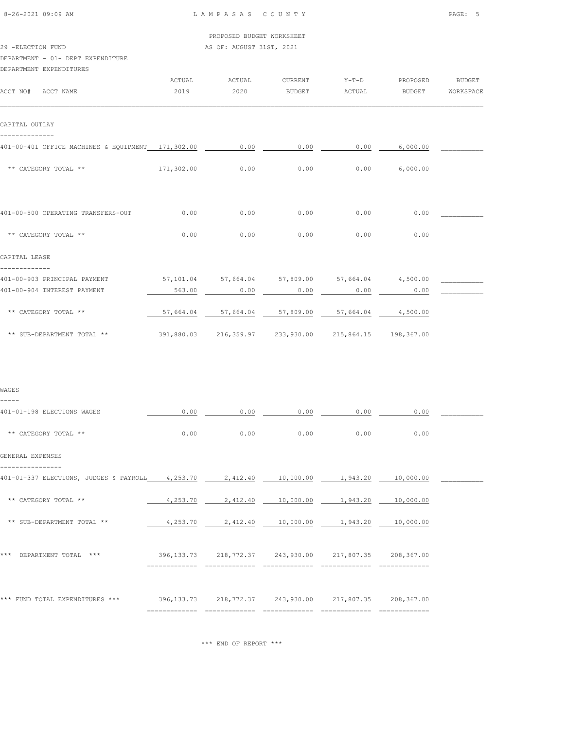| 8-26-2021 09:09 AM |  |  |
|--------------------|--|--|

29 -ELECTION FUND **AS OF: AUGUST 31ST, 2021** 

# DEPARTMENT - 01- DEPT EXPENDITURE

| DEPARTMENT EXPENDITIERS |  |
|-------------------------|--|

| DEPARTMENT EXPENDITURES                           |            |                                                            |                                                |      |                  |  |
|---------------------------------------------------|------------|------------------------------------------------------------|------------------------------------------------|------|------------------|--|
| ACCT NO# ACCT NAME                                | 2019       | ACTUAL ACTUAL<br>2020                                      | CURRENT Y-T-D PROPOSED BUDGET<br>BUDGET ACTUAL |      | BUDGET WORKSPACE |  |
|                                                   |            |                                                            |                                                |      |                  |  |
| CAPITAL OUTLAY                                    |            |                                                            |                                                |      |                  |  |
| 401-00-401 OFFICE MACHINES & EOUIPMENT 171,302.00 |            | 0.00                                                       | 0.00                                           |      | $0.00$ 6,000.00  |  |
| ** CATEGORY TOTAL **                              | 171,302.00 | 0.00                                                       | 0.00                                           |      | $0.00$ 6,000.00  |  |
|                                                   |            |                                                            |                                                |      |                  |  |
| 401-00-500 OPERATING TRANSFERS-OUT                | 0.00       | 0.00                                                       | 0.00                                           | 0.00 | 0.00             |  |
| ** CATEGORY TOTAL **                              | 0.00       | 0.00                                                       | 0.00                                           | 0.00 | 0.00             |  |
| CAPITAL LEASE                                     |            |                                                            |                                                |      |                  |  |
| 401-00-903 PRINCIPAL PAYMENT                      |            | $57,101.04$ $57,664.04$ $57,809.00$ $57,664.04$ $4,500.00$ |                                                |      |                  |  |
| 401-00-904 INTEREST PAYMENT                       | 563.00     | 0.00                                                       | 0.00                                           | 0.00 | 0.00             |  |
| ** CATEGORY TOTAL **                              |            | $57,664.04$ $57,664.04$ $57,809.00$ $57,664.04$ $4,500.00$ |                                                |      |                  |  |
| ** SUB-DEPARTMENT TOTAL **                        |            | 391,880.03  216,359.97  233,930.00  215,864.15  198,367.00 |                                                |      |                  |  |
|                                                   |            |                                                            |                                                |      |                  |  |

| WAGES<br>-----                                                                        |          |      |                                                             |      |      |  |
|---------------------------------------------------------------------------------------|----------|------|-------------------------------------------------------------|------|------|--|
| 401-01-198 ELECTIONS WAGES                                                            | 0.00     | 0.00 | 0.00                                                        | 0.00 | 0.00 |  |
| ** CATEGORY TOTAL **                                                                  | 0.00     | 0.00 | 0.00                                                        | 0.00 | 0.00 |  |
| GENERAL EXPENSES                                                                      |          |      |                                                             |      |      |  |
| 401-01-337 ELECTIONS, JUDGES & PAYROLL 4,253.70 2,412.40 10,000.00 1,943.20 10,000.00 |          |      |                                                             |      |      |  |
| ** CATEGORY TOTAL **                                                                  | 4,253.70 |      | 2,412.40  10,000.00  1,943.20  10,000.00                    |      |      |  |
| ** SUB-DEPARTMENT TOTAL **                                                            |          |      | 4,253.70  2,412.40  10,000.00  1,943.20  10,000.00          |      |      |  |
| *** DEPARTMENT TOTAL ***                                                              |          |      | 396, 133.73 218, 772.37 243, 930.00 217, 807.35 208, 367.00 |      |      |  |
| *** FUND TOTAL EXPENDITURES ***                                                       |          |      | 396,133.73  218,772.37  243,930.00  217,807.35  208,367.00  |      |      |  |

\*\*\* END OF REPORT \*\*\*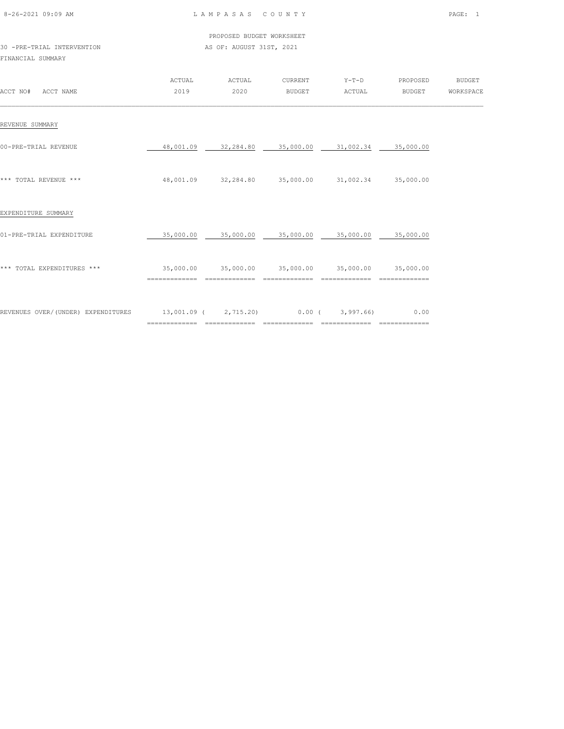| 8-26-2021 09:09 AM |  |
|--------------------|--|

|  |                             |  |  |  | PROPOSED BUDGET WORKSHEET |
|--|-----------------------------|--|--|--|---------------------------|
|  | 30 - PRE-TRIAL INTERVENTION |  |  |  | AS OF: AUGUST 31ST, 2021  |

# FINANCIAL SUMMARY

| ACCT NO#<br>ACCT NAME               | ACTUAL<br>2019                         | ACTUAL<br>2020    | CURRENT<br><b>BUDGET</b> | $Y-T-D$<br>ACTUAL                       | PROPOSED<br><b>BUDGET</b> | <b>BUDGET</b><br>WORKSPACE |
|-------------------------------------|----------------------------------------|-------------------|--------------------------|-----------------------------------------|---------------------------|----------------------------|
| REVENUE SUMMARY                     |                                        |                   |                          |                                         |                           |                            |
| 00-PRE-TRIAL REVENUE                | 48,001.09                              | 32,284.80         | 35,000.00                | 31,002.34                               | 35,000.00                 |                            |
| *** TOTAL REVENUE ***               | 48,001.09                              |                   | 32,284.80 35,000.00      |                                         | 31,002.34 35,000.00       |                            |
| EXPENDITURE SUMMARY                 |                                        |                   |                          |                                         |                           |                            |
| 01-PRE-TRIAL EXPENDITURE            | 35,000.00                              | 35,000.00         | 35,000.00                | 35,000.00                               | 35,000.00                 |                            |
| *** TOTAL EXPENDITURES ***          | 35,000.00                              |                   |                          | 35,000.00 35,000.00 35,000.00 35,000.00 |                           |                            |
| REVENUES OVER/ (UNDER) EXPENDITURES | 13,001.09 ( 2,715.20)<br>============= | $=$ = = = = = = = | $0.00$ (<br>---------    | 3,997.66)<br>---------                  | 0.00<br>==============    |                            |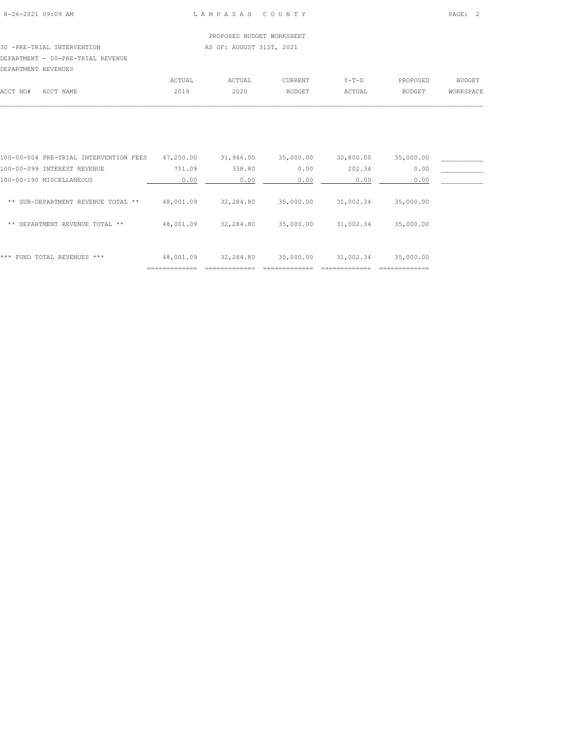# PROPOSED BUDGET WORKSHEET 30 -PRE-TRIAL INTERVENTION AS OF: AUGUST 31ST, 2021 DEPARTMENT - 00-PRE-TRIAL REVENUE DEPARTMENT REVENUES

|          |                                 | CTUAL                 | <b>\CTUAL</b>         | CURRENT | $V - T - D$  | PROPOSED      |  |
|----------|---------------------------------|-----------------------|-----------------------|---------|--------------|---------------|--|
| ACCT NO# | $\Lambda$ $\cap$ $\cap$<br>NAME | 2019<br>$\sim$ $\sim$ | 2020<br>$\sim$ $\sim$ |         | <b>CTUAL</b> | <b>BUDGET</b> |  |
|          |                                 |                       |                       |         |              |               |  |

| ***<br>FUND TOTAL REVENUES ***         | 48,001.09 | 32,284.80 | 35,000.00 | 31,002.34 | 35,000.00 |  |
|----------------------------------------|-----------|-----------|-----------|-----------|-----------|--|
|                                        |           |           |           |           |           |  |
| DEPARTMENT REVENUE TOTAL **<br>**      | 48,001.09 | 32,284.80 | 35,000.00 | 31,002.34 | 35,000.00 |  |
| ** SUB-DEPARTMENT REVENUE TOTAL **     | 48,001.09 | 32,284.80 | 35,000.00 | 31,002.34 | 35,000.00 |  |
| 100-00-190 MISCELLANEOUS               | 0.00      | 0.00      | 0.00      | 0.00      | 0.00      |  |
| 100-00-099 INTEREST REVENUE            | 751.09    | 338.80    | 0.00      | 202.34    | 0.00      |  |
| 100-00-004 PRE-TRIAL INTERVENTION FEES | 47,250.00 | 31,946.00 | 35,000.00 | 30,800.00 | 35,000.00 |  |
|                                        |           |           |           |           |           |  |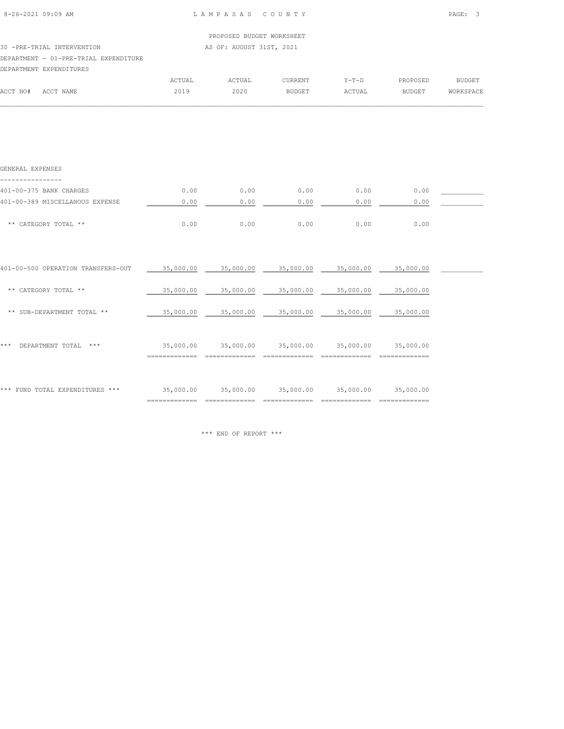| 8-26-2021 09:09 AM |  |
|--------------------|--|
|                    |  |

|                                       |                         | PROPOSED BUDGET WORKSHEET |                           |       |    |
|---------------------------------------|-------------------------|---------------------------|---------------------------|-------|----|
| 30 -PRE-TRIAL INTERVENTION            |                         | AS OF: AUGUST 31ST, 2021  |                           |       |    |
| DEPARTMENT - 01-PRE-TRIAL EXPENDITURE |                         |                           |                           |       |    |
| DEPARTMENT EXPENDITURES               |                         |                           |                           |       |    |
|                                       | $R$ $C$ $m$ $n$ $n$ $n$ | $R$ $C$ $m$ $n$ $n$ $n$   | $\cap$ TID DEM THE $\cap$ | v m n | вr |

|          |           | ACTUAL | ACTUAL | <b>CURRENT</b> | $Y - T - D$ | PROPOSED      | BUDGET    |
|----------|-----------|--------|--------|----------------|-------------|---------------|-----------|
| ACCT NO# | ACCT NAME | 2019   | 2020   | <b>BUDGET</b>  | ACTUAL      | <b>BUDGET</b> | WORKSPACE |
|          |           |        |        |                |             |               |           |

| GENERAL EXPENSES                   |                             |           |           |           |           |  |
|------------------------------------|-----------------------------|-----------|-----------|-----------|-----------|--|
| 401-00-375 BANK CHARGES            | 0.00                        | 0.00      | 0.00      | 0.00      | 0.00      |  |
| 401-00-389 MISCELLANOUS EXPENSE    | 0.00                        | 0.00      | 0.00      | 0.00      | 0.00      |  |
| ** CATEGORY TOTAL **               | 0.00                        | 0.00      | 0.00      | 0.00      | 0.00      |  |
| 401-00-500 OPERATION TRANSFERS-OUT | 35,000.00                   | 35,000.00 | 35,000.00 | 35,000.00 | 35,000.00 |  |
| ** CATEGORY TOTAL **               | 35,000.00                   | 35,000.00 | 35,000.00 | 35,000.00 | 35,000.00 |  |
| ** SUB-DEPARTMENT TOTAL **         | 35,000.00                   | 35,000.00 | 35,000.00 | 35,000.00 | 35,000.00 |  |
| DEPARTMENT TOTAL<br>***<br>* * *   | 35,000.00<br>============== | 35,000.00 | 35,000.00 | 35,000.00 | 35,000.00 |  |
| *** FUND TOTAL EXPENDITURES ***    | 35,000.00                   | 35,000.00 | 35,000.00 | 35,000.00 | 35,000.00 |  |

\*\*\* END OF REPORT \*\*\*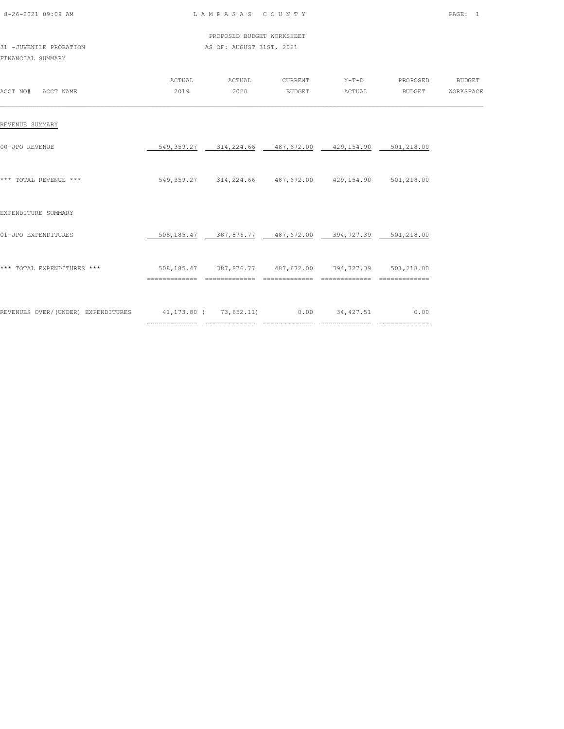| 8-26-2021 09:09 AM |  |
|--------------------|--|

PROPOSED BUDGET WORKSHEET

| 31 -JUVENILE PROBATION |  | AS OF: AUGUST 31ST, 2021 |  |
|------------------------|--|--------------------------|--|
| FINANCIAL SUMMARY      |  |                          |  |

|                                    | ACTUAL                                | ACTUAL                                                 |               |                | CURRENT Y-T-D PROPOSED BUDGET |  |
|------------------------------------|---------------------------------------|--------------------------------------------------------|---------------|----------------|-------------------------------|--|
| ACCT NO# ACCT NAME                 | 2019                                  | 2020                                                   | <b>BUDGET</b> | ACTUAL         | BUDGET WORKSPACE              |  |
| REVENUE SUMMARY                    |                                       |                                                        |               |                |                               |  |
| 00-JPO REVENUE                     |                                       | 549,359.27 314,224.66 487,672.00 429,154.90 501,218.00 |               |                |                               |  |
| *** TOTAL REVENUE ***              |                                       | 549,359.27 314,224.66 487,672.00 429,154.90 501,218.00 |               |                |                               |  |
| EXPENDITURE SUMMARY                |                                       |                                                        |               |                |                               |  |
| 01-JPO EXPENDITURES                |                                       | 508,185.47 387,876.77 487,672.00 394,727.39 501,218.00 |               |                |                               |  |
| *** TOTAL EXPENDITURES ***         |                                       | 508,185.47 387,876.77 487,672.00 394,727.39 501,218.00 | ============= | ============== |                               |  |
| REVENUES OVER/(UNDER) EXPENDITURES | 41,173.80 ( 73,652.11) 0.00 34,427.51 |                                                        |               |                | 0.00                          |  |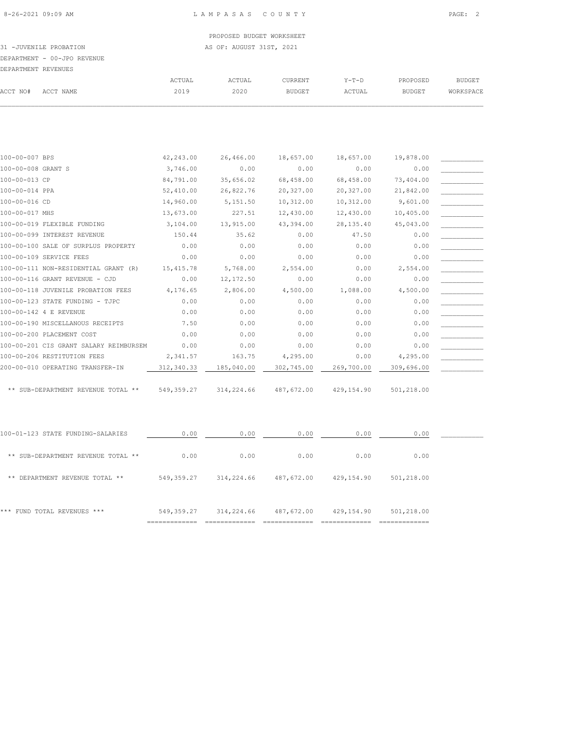31 -JUVENILE PROBATION AS OF: AUGUST 31ST, 2021

DEPARTMENT - 00-JPO REVENUE

| -------------       |        |        |               |         |               |           |
|---------------------|--------|--------|---------------|---------|---------------|-----------|
| DEPARTMENT REVENUES |        |        |               |         |               |           |
|                     | ACTUAL | ACTUAL | CURRENT       | $Y-T-D$ | PROPOSED      | BUDGET    |
| ACCT NAME           | 2019   | 2020   | <b>BUDGET</b> | ACTUAL  | <b>BUDGET</b> | WORKSPACE |
|                     |        |        |               |         |               |           |

| 100-00-007 BPS                         | 42,243.00  | 26,466.00  | 18,657.00  | 18,657.00  | 19,878.00  |  |
|----------------------------------------|------------|------------|------------|------------|------------|--|
| 100-00-008 GRANT S                     | 3,746.00   | 0.00       | 0.00       | 0.00       | 0.00       |  |
| 100-00-013 CP                          | 84,791.00  | 35,656.02  | 68,458.00  | 68,458.00  | 73,404.00  |  |
| 100-00-014 PPA                         | 52,410.00  | 26,822.76  | 20,327.00  | 20,327.00  | 21,842.00  |  |
| 100-00-016 CD                          | 14,960.00  | 5,151.50   | 10,312.00  | 10,312.00  | 9,601.00   |  |
| 100-00-017 MHS                         | 13,673.00  | 227.51     | 12,430.00  | 12,430.00  | 10,405.00  |  |
| 100-00-019 FLEXIBLE FUNDING            | 3,104.00   | 13,915.00  | 43,394.00  | 28, 135.40 | 45,043.00  |  |
| 100-00-099 INTEREST REVENUE            | 150.44     | 35.62      | 0.00       | 47.50      | 0.00       |  |
| 100-00-100 SALE OF SURPLUS PROPERTY    | 0.00       | 0.00       | 0.00       | 0.00       | 0.00       |  |
| 100-00-109 SERVICE FEES                | 0.00       | 0.00       | 0.00       | 0.00       | 0.00       |  |
| 100-00-111 NON-RESIDENTIAL GRANT (R)   | 15,415.78  | 5,768.00   | 2,554.00   | 0.00       | 2,554.00   |  |
| 100-00-116 GRANT REVENUE - CJD         | 0.00       | 12,172.50  | 0.00       | 0.00       | 0.00       |  |
| 100-00-118 JUVENILE PROBATION FEES     | 4,176.65   | 2,806.00   | 4,500.00   | 1,088.00   | 4,500.00   |  |
| 100-00-123 STATE FUNDING - TJPC        | 0.00       | 0.00       | 0.00       | 0.00       | 0.00       |  |
| 100-00-142 4 E REVENUE                 | 0.00       | 0.00       | 0.00       | 0.00       | 0.00       |  |
| 100-00-190 MISCELLANOUS RECEIPTS       | 7.50       | 0.00       | 0.00       | 0.00       | 0.00       |  |
| 100-00-200 PLACEMENT COST              | 0.00       | 0.00       | 0.00       | 0.00       | 0.00       |  |
| 100-00-201 CIS GRANT SALARY REIMBURSEM | 0.00       | 0.00       | 0.00       | 0.00       | 0.00       |  |
| 100-00-206 RESTITUTION FEES            | 2,341.57   | 163.75     | 4,295.00   | 0.00       | 4,295.00   |  |
| 200-00-010 OPERATING TRANSFER-IN       | 312,340.33 | 185,040.00 | 302,745.00 | 269,700.00 | 309,696.00 |  |
|                                        |            |            |            |            |            |  |
| ** SUB-DEPARTMENT REVENUE TOTAL **     | 549,359.27 | 314,224.66 | 487,672.00 | 429,154.90 | 501,218.00 |  |
|                                        |            |            |            |            |            |  |

| *** FUND TOTAL REVENUES ***        | 549, 359.27 | 314,224.66 | 487,672.00 | 429,154.90 | 501,218.00 |  |
|------------------------------------|-------------|------------|------------|------------|------------|--|
| ** DEPARTMENT REVENUE TOTAL **     | 549, 359.27 | 314,224.66 | 487,672.00 | 429,154.90 | 501,218.00 |  |
| ** SUB-DEPARTMENT REVENUE TOTAL ** | 0.00        | 0.00       | 0.00       | 0.00       | 0.00       |  |
| 100-01-123 STATE FUNDING-SALARIES  | 0.00        | 0.00       | 0.00       | 0.00       | 0.00       |  |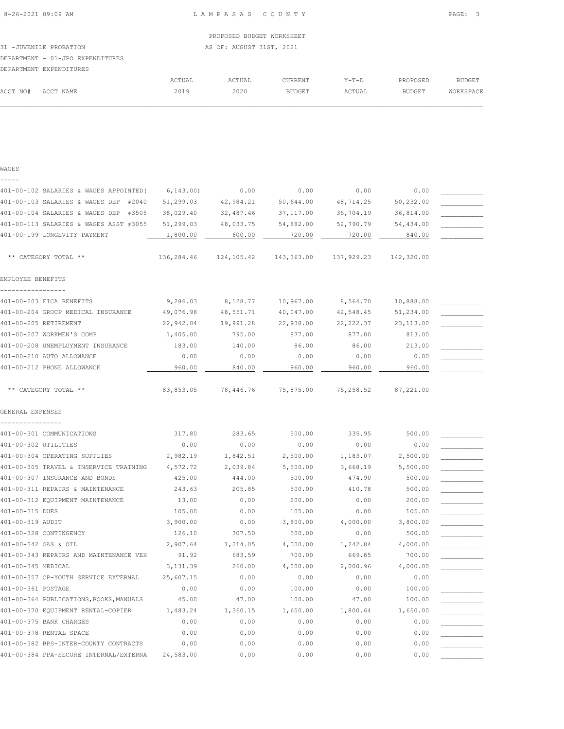PROPOSED BUDGET WORKSHEET 31 -JUVENILE PROBATION AS OF: AUGUST 31ST, 2021 DEPARTMENT - 01-JPO EXPENDITURES

|          | DEPARTMENT EXPENDITURES |        |        |               |         |               |           |
|----------|-------------------------|--------|--------|---------------|---------|---------------|-----------|
|          |                         | ACTUAL | ACTUAL | CURRENT       | $Y-T-D$ | PROPOSED      | BUDGET    |
| ACCT NO# | ACCT NAME               | 2019   | 2020   | <b>BUDGET</b> | ACTUAL  | <b>BUDGET</b> | WORKSPACE |
|          |                         |        |        |               |         |               |           |

|  | $\sim$ | ٠<br>۰, |  |
|--|--------|---------|--|
|  |        |         |  |

| 401-00-102 SALARIES & WAGES APPOINTED (                                         | 6, 143.00             | 0.00             | 0.00             | 0.00             | 0.00               |  |
|---------------------------------------------------------------------------------|-----------------------|------------------|------------------|------------------|--------------------|--|
| 401-00-103 SALARIES & WAGES DEP<br>#2040                                        | 51,299.03             | 42,984.21        | 50,644.00        | 48,714.25        | 50,232.00          |  |
| 401-00-104 SALARIES & WAGES DEP<br>#3505                                        | 38,029.40             | 32,487.46        | 37,117.00        | 35,704.19        | 36,814.00          |  |
| 401-00-113 SALARIES & WAGES ASST #3055                                          | 51,299.03             | 48,033.75        | 54,882.00        | 52,790.79        | 54,434.00          |  |
| 401-00-199 LONGEVITY PAYMENT                                                    | 1,800.00              | 600.00           | 720.00           | 720.00           | 840.00             |  |
| ** CATEGORY TOTAL **                                                            | 136,284.46            | 124,105.42       | 143,363.00       | 137,929.23       | 142,320.00         |  |
| EMPLOYEE BENEFITS                                                               |                       |                  |                  |                  |                    |  |
| 401-00-203 FICA BENEFITS                                                        | 9,286.03              | 8,128.77         | 10,967.00        | 8,564.70         | 10,888.00          |  |
| 401-00-204 GROUP MEDICAL INSURANCE                                              | 49,076.98             | 48,551.71        | 40,047.00        | 42,548.45        | 51,234.00          |  |
| 401-00-205 RETIREMENT                                                           | 22,942.04             | 19,991.28        | 22,938.00        | 22, 222.37       | 23, 113.00         |  |
| 401-00-207 WORKMEN'S COMP                                                       | 1,405.00              | 795.00           | 877.00           | 877.00           | 813.00             |  |
| 401-00-208 UNEMPLOYMENT INSURANCE                                               | 183.00                | 140.00           | 86.00            | 86.00            | 213.00             |  |
| 401-00-210 AUTO ALLOWANCE                                                       | 0.00                  | 0.00             | 0.00             | 0.00             | 0.00               |  |
| 401-00-212 PHONE ALLOWANCE                                                      | 960.00                | 840.00           | 960.00           | 960.00           | 960.00             |  |
| ** CATEGORY TOTAL **                                                            | 83,853.05             | 78,446.76        | 75,875.00        | 75,258.52        | 87,221.00          |  |
| GENERAL EXPENSES                                                                |                       |                  |                  |                  |                    |  |
|                                                                                 |                       |                  |                  |                  |                    |  |
| 401-00-301 COMMUNICATIONS                                                       | 317.80                | 283.65           | 500.00           | 335.95           | 500.00             |  |
| 401-00-302 UTILITIES                                                            | 0.00                  | 0.00             | 0.00             | 0.00             | 0.00               |  |
| 401-00-304 OPERATING SUPPLIES                                                   | 2,982.19              | 1,842.51         | 2,500.00         | 1,183.07         | 2,500.00           |  |
| 401-00-305 TRAVEL & INSERVICE TRAINING                                          | 4,572.72              | 2,039.84         | 5,500.00         | 3,668.19         | 5,500.00           |  |
| 401-00-307 INSURANCE AND BONDS                                                  | 425.00                | 444.00           | 500.00           | 474.90           | 500.00             |  |
| 401-00-311 REPAIRS & MAINTENANCE                                                | 243.63                | 205.85           | 500.00           | 410.78           | 500.00             |  |
| 401-00-312 EQUIPMENT MAINTENANCE                                                | 13.00                 | 0.00             | 200.00           | 0.00             | 200.00             |  |
| 401-00-315 DUES                                                                 | 105.00                | 0.00             | 105.00           | 0.00             | 105.00             |  |
| 401-00-319 AUDIT<br>401-00-328 CONTINGENCY                                      | 3,900.00              | 0.00<br>307.50   | 3,800.00         | 4,000.00         | 3,800.00           |  |
| 401-00-342 GAS & OIL                                                            | 126.10                |                  | 500.00           | 0.00             | 500.00<br>4,000.00 |  |
|                                                                                 | 2,907.64              | 1,214.05         | 4,000.00         | 1,242.84         |                    |  |
| 401-00-343 REPAIRS AND MAINTENANCE VEH<br>401-00-345 MEDICAL                    | 91.92                 | 683.59           | 700.00           | 669.85           | 700.00             |  |
| 401-00-357 CP-YOUTH SERVICE EXTERNAL                                            | 3,131.39<br>25,607.15 | 260.00<br>0.00   | 4,000.00<br>0.00 | 2,000.96<br>0.00 | 4,000.00<br>0.00   |  |
| 401-00-361 POSTAGE                                                              | 0.00                  | 0.00             | 100.00           | 0.00             | 100.00             |  |
|                                                                                 |                       |                  |                  |                  |                    |  |
| 401-00-364 PUBLICATIONS, BOOKS, MANUALS                                         | 45.00                 | 47.00            | 100.00           | 47.00            | 100.00             |  |
| 401-00-370 EQUIPMENT RENTAL-COPIER<br>401-00-375 BANK CHARGES                   | 1,483.24<br>0.00      | 1,360.15<br>0.00 | 1,650.00<br>0.00 | 1,800.64<br>0.00 | 1,650.00<br>0.00   |  |
| 401-00-378 RENTAL SPACE                                                         | 0.00                  | 0.00             | 0.00             | 0.00             | 0.00               |  |
|                                                                                 |                       |                  |                  |                  |                    |  |
| 401-00-382 BPS-INTER-COUNTY CONTRACTS<br>401-00-384 PPA-SECURE INTERNAL/EXTERNA | 0.00<br>24,583.00     | 0.00<br>0.00     | 0.00<br>0.00     | 0.00<br>0.00     | 0.00<br>0.00       |  |
|                                                                                 |                       |                  |                  |                  |                    |  |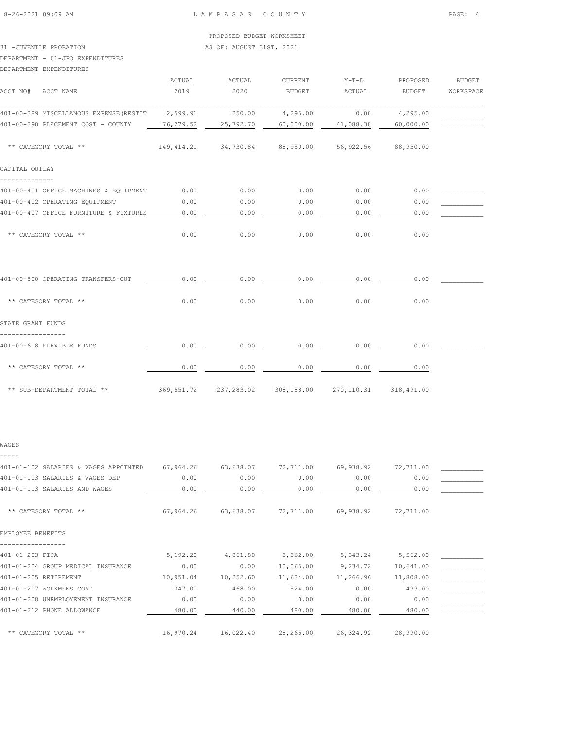# 31 -JUVENILE PROBATION AS OF: AUGUST 31ST, 2021

DEPARTMENT - 01-JPO EXPENDITURES

#### DEPARTMENT EXPENDITURES

| ACCT NO# ACCT NAME                      | ACTUAL<br>2019 | ACTUAL<br>2020 | CURRENT<br>BUDGET                                  | $Y-T-D$<br>ACTUAL | PROPOSED<br>BUDGET        | <b>BUDGET</b><br>WORKSPACE |
|-----------------------------------------|----------------|----------------|----------------------------------------------------|-------------------|---------------------------|----------------------------|
| 401-00-389 MISCELLANOUS EXPENSE (RESTIT | 2,599.91       | 250.00         | 4,295.00                                           | 0.00              | 4,295.00                  |                            |
| 401-00-390 PLACEMENT COST - COUNTY      | 76,279.52      | 25,792.70      | 60,000.00                                          | 41,088.38         | 60,000.00                 |                            |
| ** CATEGORY TOTAL **                    |                |                | 149,414.21 34,730.84 88,950.00 56,922.56 88,950.00 |                   |                           |                            |
| CAPITAL OUTLAY                          |                |                |                                                    |                   |                           |                            |
| 401-00-401 OFFICE MACHINES & EQUIPMENT  | 0.00           | 0.00           | 0.00                                               | 0.00              | 0.00                      |                            |
| 401-00-402 OPERATING EQUIPMENT          | 0.00           | 0.00           | 0.00                                               | 0.00              | 0.00                      |                            |
| 401-00-407 OFFICE FURNITURE & FIXTURES  | 0.00           | 0.00           | 0.00                                               | 0.00              | 0.00                      |                            |
| ** CATEGORY TOTAL **                    | 0.00           | 0.00           | 0.00                                               | 0.00              | 0.00                      |                            |
| 401-00-500 OPERATING TRANSFERS-OUT      | 0.00           | 0.00           | 0.00                                               | 0.00              | 0.00                      |                            |
| ** CATEGORY TOTAL **                    | 0.00           | 0.00           | 0.00                                               | 0.00              | 0.00                      |                            |
| STATE GRANT FUNDS                       |                |                |                                                    |                   |                           |                            |
| 401-00-618 FLEXIBLE FUNDS               | 0.00           | 0.00           | 0.00                                               | 0.00              | 0.00                      |                            |
| ** CATEGORY TOTAL **                    | 0.00           | 0.00           | 0.00                                               | 0.00              | 0.00                      |                            |
| ** SUB-DEPARTMENT TOTAL **              |                |                | 369,551.72 237,283.02 308,188.00                   |                   | 270, 110, 31 318, 491, 00 |                            |

#### WAGES -----

| 401-01-102 SALARIES & WAGES APPOINTED | 67,964.26 | 63,638.07 | 72,711.00 | 69,938.92 | 72,711.00 |  |
|---------------------------------------|-----------|-----------|-----------|-----------|-----------|--|
| 401-01-103 SALARIES & WAGES DEP       | 0.00      | 0.00      | 0.00      | 0.00      | 0.00      |  |
| 401-01-113 SALARIES AND WAGES         | 0.00      | 0.00      | 0.00      | 0.00      | 0.00      |  |
|                                       |           |           |           |           |           |  |
| ** CATEGORY TOTAL **                  | 67,964.26 | 63,638.07 | 72,711.00 | 69,938.92 | 72,711.00 |  |
|                                       |           |           |           |           |           |  |
| EMPLOYEE BENEFITS                     |           |           |           |           |           |  |
|                                       |           |           |           |           |           |  |
| 401-01-203 FICA                       | 5,192.20  | 4,861.80  | 5,562.00  | 5,343.24  | 5,562.00  |  |
| 401-01-204 GROUP MEDICAL INSURANCE    | 0.00      | 0.00      | 10,065.00 | 9,234.72  | 10,641.00 |  |
| 401-01-205 RETIREMENT                 | 10,951.04 | 10,252.60 | 11,634.00 | 11,266.96 | 11,808.00 |  |
| 401-01-207 WORKMENS COMP              | 347.00    | 468.00    | 524.00    | 0.00      | 499.00    |  |
| 401-01-208 UNEMPLOYEMENT INSURANCE    | 0.00      | 0.00      | 0.00      | 0.00      | 0.00      |  |
| 401-01-212 PHONE ALLOWANCE            | 480.00    | 440.00    | 480.00    | 480.00    | 480.00    |  |
|                                       |           |           |           |           |           |  |
| ** CATEGORY TOTAL **                  | 16,970.24 | 16,022.40 | 28,265.00 | 26,324.92 | 28,990.00 |  |
|                                       |           |           |           |           |           |  |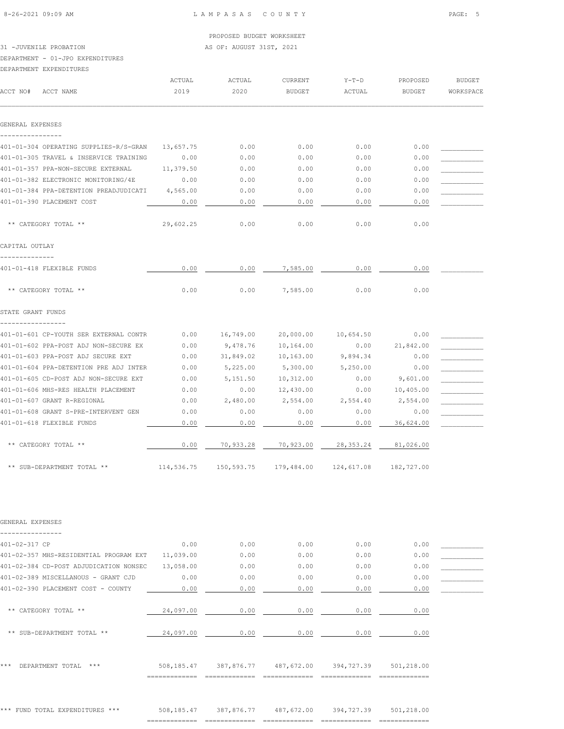31 -JUVENILE PROBATION AS OF: AUGUST 31ST, 2021

# DEPARTMENT - 01-JPO EXPENDITURES

|                   | DEPARTMENT EXPENDITURES                |                |                                             |                          |                   |                    |                            |
|-------------------|----------------------------------------|----------------|---------------------------------------------|--------------------------|-------------------|--------------------|----------------------------|
| ACCT NO#          | ACCT NAME                              | ACTUAL<br>2019 | ACTUAL<br>2020                              | CURRENT<br><b>BUDGET</b> | $Y-T-D$<br>ACTUAL | PROPOSED<br>BUDGET | <b>BUDGET</b><br>WORKSPACE |
| GENERAL EXPENSES  |                                        |                |                                             |                          |                   |                    |                            |
| ---------------   |                                        |                |                                             |                          |                   |                    |                            |
|                   | 401-01-304 OPERATING SUPPLIES-R/S-GRAN | 13,657.75      | 0.00                                        | 0.00                     | 0.00              | 0.00               |                            |
|                   | 401-01-305 TRAVEL & INSERVICE TRAINING | 0.00           | 0.00                                        | 0.00                     | 0.00              | 0.00               |                            |
|                   | 401-01-357 PPA-NON-SECURE EXTERNAL     | 11,379.50      | 0.00                                        | 0.00                     | 0.00              | 0.00               |                            |
|                   | 401-01-382 ELECTRONIC MONITORING/4E    | 0.00           | 0.00                                        | 0.00                     | 0.00              | 0.00               |                            |
|                   | 401-01-384 PPA-DETENTION PREADJUDICATI | 4,565.00       | 0.00                                        | 0.00                     | 0.00              | 0.00               |                            |
|                   | 401-01-390 PLACEMENT COST              | 0.00           | 0.00                                        | 0.00                     | 0.00              | 0.00               |                            |
|                   | ** CATEGORY TOTAL **                   | 29,602.25      | 0.00                                        | 0.00                     | 0.00              | 0.00               |                            |
| CAPITAL OUTLAY    |                                        |                |                                             |                          |                   |                    |                            |
| -----------       |                                        |                |                                             |                          |                   |                    |                            |
|                   | 401-01-418 FLEXIBLE FUNDS              | 0.00           | 0.00                                        | 7,585.00                 | 0.00              | 0.00               |                            |
|                   | ** CATEGORY TOTAL **                   | 0.00           | 0.00                                        | 7,585.00                 | 0.00              | 0.00               |                            |
| STATE GRANT FUNDS |                                        |                |                                             |                          |                   |                    |                            |
| ---------------   | 401-01-601 CP-YOUTH SER EXTERNAL CONTR | 0.00           | 16,749.00                                   | 20,000.00                | 10,654.50         | 0.00               |                            |
|                   | 401-01-602 PPA-POST ADJ NON-SECURE EX  | 0.00           | 9,478.76                                    | 10,164.00                | 0.00              | 21,842.00          |                            |
|                   | 401-01-603 PPA-POST ADJ SECURE EXT     | 0.00           | 31,849.02                                   | 10,163.00                | 9,894.34          | 0.00               |                            |
|                   | 401-01-604 PPA-DETENTION PRE ADJ INTER | 0.00           | 5,225.00                                    | 5,300.00                 | 5,250.00          | 0.00               |                            |
|                   | 401-01-605 CD-POST ADJ NON-SECURE EXT  | 0.00           | 5,151.50                                    | 10,312.00                | 0.00              | 9,601.00           |                            |
|                   | 401-01-606 MHS-RES HEALTH PLACEMENT    | 0.00           | 0.00                                        | 12,430.00                | 0.00              | 10,405.00          |                            |
|                   | 401-01-607 GRANT R-REGIONAL            | 0.00           | 2,480.00                                    | 2,554.00                 | 2,554.40          | 2,554.00           |                            |
|                   | 401-01-608 GRANT S-PRE-INTERVENT GEN   | 0.00           | 0.00                                        | 0.00                     | 0.00              | 0.00               |                            |
|                   | 401-01-618 FLEXIBLE FUNDS              | 0.00           | 0.00                                        | 0.00                     | 0.00              | 36,624.00          |                            |
|                   | ** CATEGORY TOTAL **                   | 0.00           | 70,933.28                                   | 70,923.00 28,353.24      |                   | 81,026.00          |                            |
|                   | ** SUB-DEPARTMENT TOTAL **             |                | 114,536.75 150,593.75 179,484.00 124,617.08 |                          |                   | 182,727.00         |                            |
|                   |                                        |                |                                             |                          |                   |                    |                            |
| GENERAL EXPENSES  |                                        |                |                                             |                          |                   |                    |                            |
| 401-02-317 CP     |                                        | 0.00           | 0.00                                        | 0.00                     | 0.00              | 0.00               |                            |
|                   | 401-02-357 MHS-RESIDENTIAL PROGRAM EXT | 11,039.00      | 0.00                                        | 0.00                     | 0.00              | 0.00               |                            |
|                   | 401-02-384 CD-POST ADJUDICATION NONSEC | 13,058.00      | 0.00                                        | 0.00                     | 0.00              | 0.00               |                            |
|                   | 401-02-389 MISCELLANOUS - GRANT CJD    | 0.00           | 0.00                                        | 0.00                     | 0.00              | 0.00               |                            |
|                   | 401-02-390 PLACEMENT COST - COUNTY     | 0.00           | 0.00                                        | 0.00                     | 0.00              | 0.00               |                            |
|                   | ** CATEGORY TOTAL **                   | 24,097.00      | 0.00                                        | 0.00                     | 0.00              | 0.00               |                            |
|                   | ** SUB-DEPARTMENT TOTAL **             | 24,097.00      | 0.00                                        | 0.00                     | 0.00              | 0.00               |                            |
|                   |                                        |                |                                             |                          |                   |                    |                            |
|                   |                                        |                |                                             |                          |                   |                    |                            |

\*\*\* DEPARTMENT TOTAL \*\*\* 508,185.47 387,876.77 487,672.00 394,727.39 501,218.00 ============= ============= ============= ============= =============

\*\*\* FUND TOTAL EXPENDITURES \*\*\* 508,185.47 387,876.77 487,672.00 394,727.39 501,218.00 ============= ============= ============= ============= =============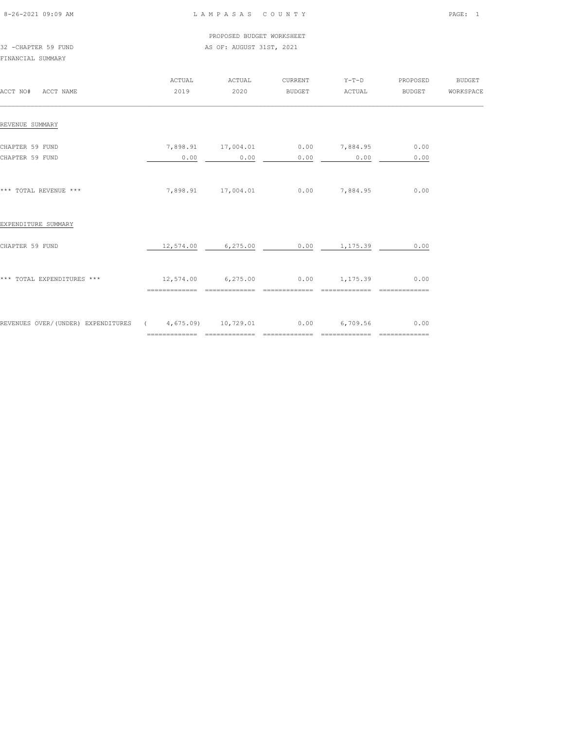| 8-26-2021 09:09 AM |  |
|--------------------|--|

PROPOSED BUDGET WORKSHEET

# 32 -CHAPTER 59 FUND AS OF: AUGUST 31ST, 2021 FINANCIAL SUMMARY

| ACCT NO# ACCT NAME                                           | ACTUAL<br>2019 | ACTUAL<br>2020             | CURRENT<br>BUDGET | $Y-T-D$<br>ACTUAL                              | PROPOSED<br><b>BUDGET</b>             | BUDGET<br>WORKSPACE |
|--------------------------------------------------------------|----------------|----------------------------|-------------------|------------------------------------------------|---------------------------------------|---------------------|
| REVENUE SUMMARY                                              |                |                            |                   |                                                |                                       |                     |
| CHAPTER 59 FUND<br>CHAPTER 59 FUND                           | 0.00           | 7,898.91 17,004.01<br>0.00 | 0.00              | $0.00$ 7,884.95<br>0.00                        | 0.00<br>0.00                          |                     |
| *** TOTAL REVENUE ***                                        |                | 7,898.91 17,004.01         |                   | $0.00$ 7,884.95                                | 0.00                                  |                     |
| EXPENDITURE SUMMARY                                          |                |                            |                   |                                                |                                       |                     |
| CHAPTER 59 FUND                                              |                |                            |                   | 12,574.00 6,275.00 0.00 1,175.39               | 0.00                                  |                     |
| *** TOTAL EXPENDITURES ***                                   |                | 12,574.00 6,275.00         | =============     | $0.00$ 1,175.39<br>==============              | 0.00<br>$=$ = = = = = = = = = = = = = |                     |
| REVENUES OVER/(UNDER) EXPENDITURES (4,675.09) 10,729.01 0.00 |                |                            |                   | 6,709.56<br>__________________________________ | 0.00                                  |                     |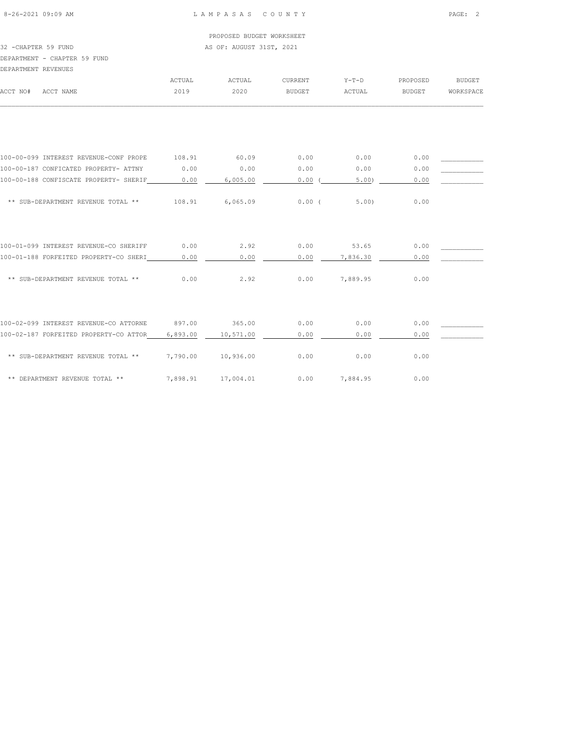PROPOSED BUDGET WORKSHEET 32 -CHAPTER 59 FUND AS OF: AUGUST 31ST, 2021

DEPARTMENT - CHAPTER 59 FUND

DEPARTMENT REVENUES

| DEFARTMENT KEVENUES                    |          |           |               |          |               |               |
|----------------------------------------|----------|-----------|---------------|----------|---------------|---------------|
|                                        | ACTUAL   | ACTUAL    | CURRENT       | $Y-T-D$  | PROPOSED      | <b>BUDGET</b> |
| ACCT NO#<br>ACCT NAME                  | 2019     | 2020      | <b>BUDGET</b> | ACTUAL   | <b>BUDGET</b> | WORKSPACE     |
|                                        |          |           |               |          |               |               |
|                                        |          |           |               |          |               |               |
| 100-00-099 INTEREST REVENUE-CONF PROPE | 108.91   | 60.09     | 0.00          | 0.00     | 0.00          |               |
| 100-00-187 CONFICATED PROPERTY- ATTNY  | 0.00     | 0.00      | 0.00          | 0.00     | 0.00          |               |
| 100-00-188 CONFISCATE PROPERTY- SHERIF | 0.00     | 6,005.00  | 0.00(         | 5.00)    | 0.00          |               |
| ** SUB-DEPARTMENT REVENUE TOTAL **     | 108.91   | 6,065.09  | $0.00$ (      | 5.00     | 0.00          |               |
| 100-01-099 INTEREST REVENUE-CO SHERIFF | 0.00     | 2.92      | 0.00          | 53.65    | 0.00          |               |
| 100-01-188 FORFEITED PROPERTY-CO SHERI | 0.00     | 0.00      | 0.00          | 7,836.30 | 0.00          |               |
| ** SUB-DEPARTMENT REVENUE TOTAL **     | 0.00     | 2.92      | 0.00          | 7,889.95 | 0.00          |               |
| 100-02-099 INTEREST REVENUE-CO ATTORNE | 897.00   | 365.00    | 0.00          | 0.00     | 0.00          |               |
| 100-02-187 FORFEITED PROPERTY-CO ATTOR | 6,893.00 | 10,571.00 | 0.00          | 0.00     | 0.00          |               |
| ** SUB-DEPARTMENT REVENUE TOTAL **     | 7,790.00 | 10,936.00 | 0.00          | 0.00     | 0.00          |               |
| ** DEPARTMENT REVENUE TOTAL **         | 7,898.91 | 17,004.01 | 0.00          | 7,884.95 | 0.00          |               |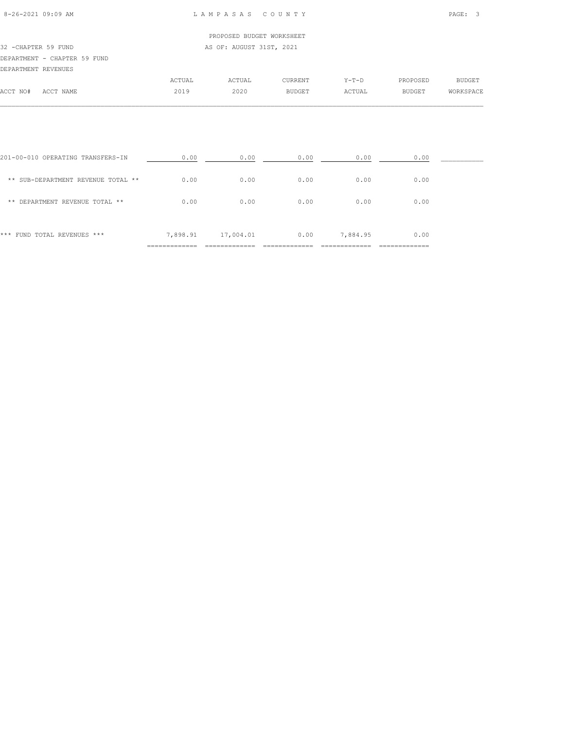| $8 - 26 - 2021$ 09:09 AM |  |  |  |
|--------------------------|--|--|--|

# PROPOSED BUDGET WORKSHEET 32 -CHAPTER 59 FUND AS OF: AUGUST 31ST, 2021 DEPARTMENT - CHAPTER 59 FUND DEPARTMENT REVENUES ACTUAL ACTUAL CURRENT Y-T-D PROPOSED BUDGET ACCT NO# ACCT NAME 2019 2020 BUDGET ACTUAL BUDGET WORKSPACE

| *** FUND TOTAL REVENUES ***        | 7,898.91 | 17,004.01 | 0.00 | 7,884.95 | 0.00 |  |
|------------------------------------|----------|-----------|------|----------|------|--|
| DEPARTMENT REVENUE TOTAL **<br>**  | 0.00     | 0.00      | 0.00 | 0.00     | 0.00 |  |
| ** SUB-DEPARTMENT REVENUE TOTAL ** | 0.00     | 0.00      | 0.00 | 0.00     | 0.00 |  |
| 201-00-010 OPERATING TRANSFERS-IN  | 0.00     | 0.00      | 0.00 | 0.00     | 0.00 |  |

 $\mathcal{L} = \{ \mathcal{L} = \{ \mathcal{L} = \{ \mathcal{L} = \{ \mathcal{L} = \{ \mathcal{L} = \{ \mathcal{L} = \{ \mathcal{L} = \{ \mathcal{L} = \{ \mathcal{L} = \{ \mathcal{L} = \{ \mathcal{L} = \{ \mathcal{L} = \{ \mathcal{L} = \{ \mathcal{L} = \{ \mathcal{L} = \{ \mathcal{L} = \{ \mathcal{L} = \{ \mathcal{L} = \{ \mathcal{L} = \{ \mathcal{L} = \{ \mathcal{L} = \{ \mathcal{L} = \{ \mathcal{L} = \{ \mathcal{$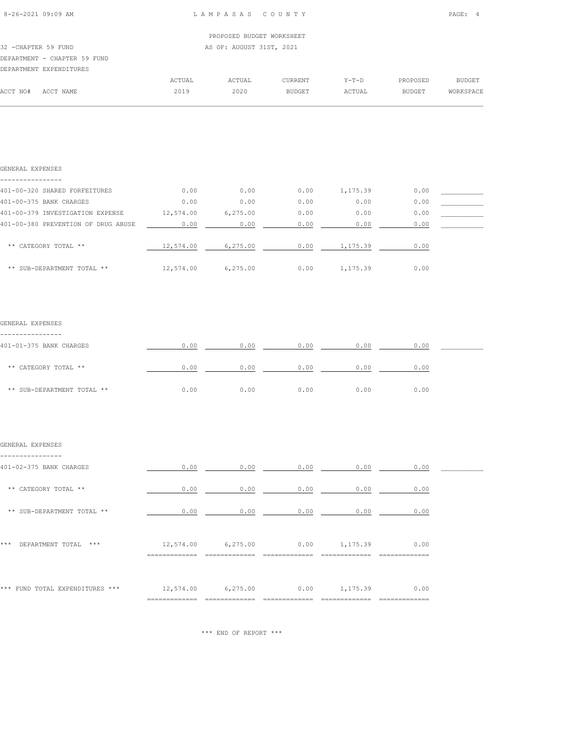|  | $8 - 26 - 2021$ 09:09 AM |  |
|--|--------------------------|--|
|  |                          |  |

|                      |                              |        | PROPOSED BUDGET WORKSHEET |                |         |               |           |
|----------------------|------------------------------|--------|---------------------------|----------------|---------|---------------|-----------|
| 32 - CHAPTER 59 FUND |                              |        | AS OF: AUGUST 31ST, 2021  |                |         |               |           |
|                      | DEPARTMENT - CHAPTER 59 FUND |        |                           |                |         |               |           |
|                      | DEPARTMENT EXPENDITURES      |        |                           |                |         |               |           |
|                      |                              | ACTUAL | ACTUAL                    | <b>CURRENT</b> | $Y-T-D$ | PROPOSED      | BUDGET    |
| ACCT NO#             | ACCT NAME                    | 2019   | 2020                      | <b>BUDGET</b>  | ACTUAL  | <b>BUDGET</b> | WORKSPACE |
|                      |                              |        |                           |                |         |               |           |

| GENERAL EXPENSES                    |           |          |      |          |      |  |
|-------------------------------------|-----------|----------|------|----------|------|--|
|                                     |           |          |      |          |      |  |
| 401-00-320 SHARED FORFEITURES       | 0.00      | 0.00     | 0.00 | 1,175.39 | 0.00 |  |
| 401-00-375 BANK CHARGES             | 0.00      | 0.00     | 0.00 | 0.00     | 0.00 |  |
| 401-00-379 INVESTIGATION EXPENSE    | 12,574.00 | 6,275.00 | 0.00 | 0.00     | 0.00 |  |
| 401-00-380 PREVENTION OF DRUG ABUSE | 0.00      | 0.00     | 0.00 | 0.00     | 0.00 |  |
|                                     |           |          |      |          |      |  |
| ** CATEGORY TOTAL **                | 12,574.00 | 6,275.00 | 0.00 | 1,175.39 | 0.00 |  |
|                                     |           |          |      |          |      |  |
| ** SUB-DEPARTMENT TOTAL **          | 12,574.00 | 6,275.00 | 0.00 | 1,175.39 | 0.00 |  |

#### GENERAL EXPENSES

| 401-01-375 BANK CHARGES    | 0.00 | 0.00 | 0.00 | 0.00 | 0.00 |  |
|----------------------------|------|------|------|------|------|--|
|                            |      |      |      |      |      |  |
| ** CATEGORY TOTAL **       | 0.00 | 0.00 | 0.00 | 0.00 | 0.00 |  |
|                            |      |      |      |      |      |  |
| ** SUB-DEPARTMENT TOTAL ** | 0.00 | 0.00 | 0.00 | 0.00 | 0.00 |  |

#### GENERAL EXPENSES

| 401-02-375 BANK CHARGES          | 0.00                       | 0.00      | 0.00 | 0.00     | 0.00 |  |
|----------------------------------|----------------------------|-----------|------|----------|------|--|
| CATEGORY TOTAL **<br>$* *$       | 0.00                       | 0.00      | 0.00 | 0.00     | 0.00 |  |
| ** SUB-DEPARTMENT TOTAL **       | 0.00                       | 0.00      | 0.00 | 0.00     | 0.00 |  |
| ***<br>DEPARTMENT TOTAL<br>$***$ | 12,574.00<br>------------- | 6, 275.00 | 0.00 | 1,175.39 | 0.00 |  |
| *** FUND TOTAL EXPENDITURES ***  | 12,574.00                  | 6, 275.00 | 0.00 | 1,175.39 | 0.00 |  |

\*\*\* END OF REPORT \*\*\*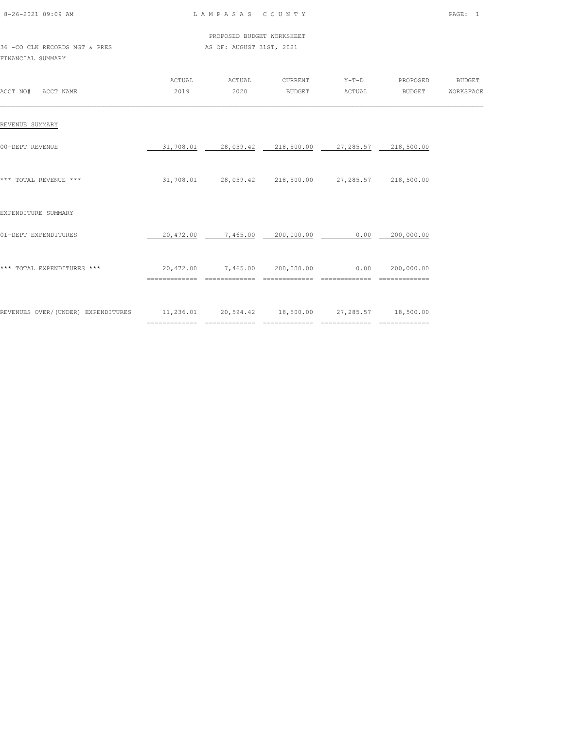| 8-26-2021 09:09 AM |  |
|--------------------|--|

 PROPOSED BUDGET WORKSHEET 36 -CO CLK RECORDS MGT & PRES AS OF: AUGUST 31ST, 2021

FINANCIAL SUMMARY

| ACCT NO#<br>ACCT NAME              | ACTUAL<br>2019 | ACTUAL<br>2020                   | CURRENT<br><b>BUDGET</b>               | $Y-T-D$<br>ACTUAL                          | PROPOSED<br><b>BUDGET</b>  | <b>BUDGET</b><br>WORKSPACE |
|------------------------------------|----------------|----------------------------------|----------------------------------------|--------------------------------------------|----------------------------|----------------------------|
| REVENUE SUMMARY                    |                |                                  |                                        |                                            |                            |                            |
| 00-DEPT REVENUE                    | 31,708.01      | 28,059.42                        | 218,500.00                             | 27,285.57                                  | 218,500.00                 |                            |
| *** TOTAL REVENUE ***              | 31,708.01      |                                  | 28,059.42 218,500.00                   | 27,285.57                                  | 218,500.00                 |                            |
| EXPENDITURE SUMMARY                |                |                                  |                                        |                                            |                            |                            |
| 01-DEPT EXPENDITURES               | 20,472.00      | 7,465.00                         | 200,000.00                             | 0.00                                       | 200,000.00                 |                            |
| *** TOTAL EXPENDITURES ***         | 20,472.00      | 7,465.00                         | 200,000.00                             | 0.00<br>==============                     | 200,000.00                 |                            |
| REVENUES OVER/(UNDER) EXPENDITURES | 11,236.01      | ================================ | 20,594.42 18,500.00<br>--------------- | 27,285.57<br>$=$ = = = = = = = = = = = = = | 18,500.00<br>============= |                            |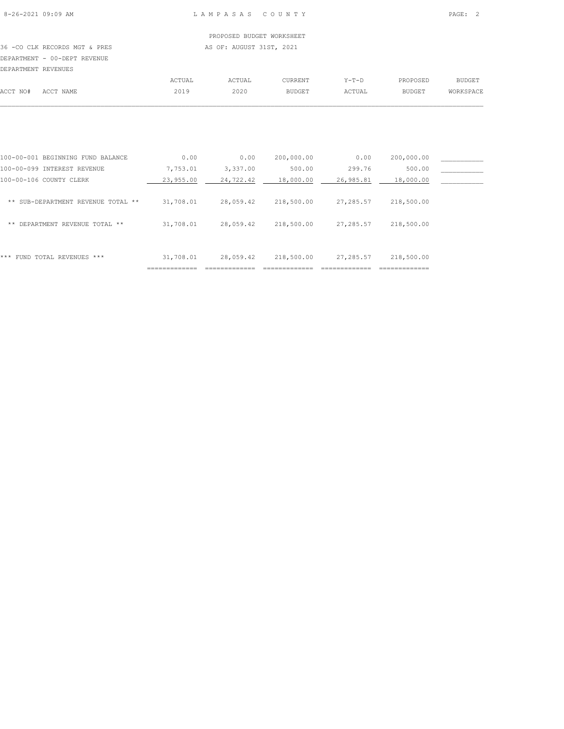36 -CO CLK RECORDS MGT & PRES AS OF: AUGUST 31ST, 2021 DEPARTMENT - 00-DEPT REVENUE DEPARTMENT REVENUES

|          | DEPARTMENT REVENUES |        |        |                |         |               |           |
|----------|---------------------|--------|--------|----------------|---------|---------------|-----------|
|          |                     | ACTUAL | ACTUAL | <b>CURRENT</b> | $Y-T-D$ | PROPOSED      | BUDGET    |
| ACCT NO# | ACCT NAME           | 2019   | 2020   | <b>BUDGET</b>  | ACTUAL  | <b>BUDGET</b> | WORKSPACE |
|          |                     |        |        |                |         |               |           |

| ***<br>FUND TOTAL REVENUES ***        | 31,708.01 | 28,059.42 | 218,500.00 | 27,285.57 | 218,500.00 |  |
|---------------------------------------|-----------|-----------|------------|-----------|------------|--|
| DEPARTMENT REVENUE TOTAL **<br>**     | 31,708.01 | 28,059.42 | 218,500.00 | 27,285.57 | 218,500.00 |  |
| SUB-DEPARTMENT REVENUE TOTAL **<br>** | 31,708.01 | 28,059.42 | 218,500.00 | 27,285.57 | 218,500.00 |  |
| 100-00-106 COUNTY CLERK               | 23,955.00 | 24,722.42 | 18,000.00  | 26,985.81 | 18,000.00  |  |
| 100-00-099 INTEREST REVENUE           | 7,753.01  | 3,337.00  | 500.00     | 299.76    | 500.00     |  |
| 100-00-001 BEGINNING FUND BALANCE     | 0.00      | 0.00      | 200,000.00 | 0.00      | 200,000.00 |  |
|                                       |           |           |            |           |            |  |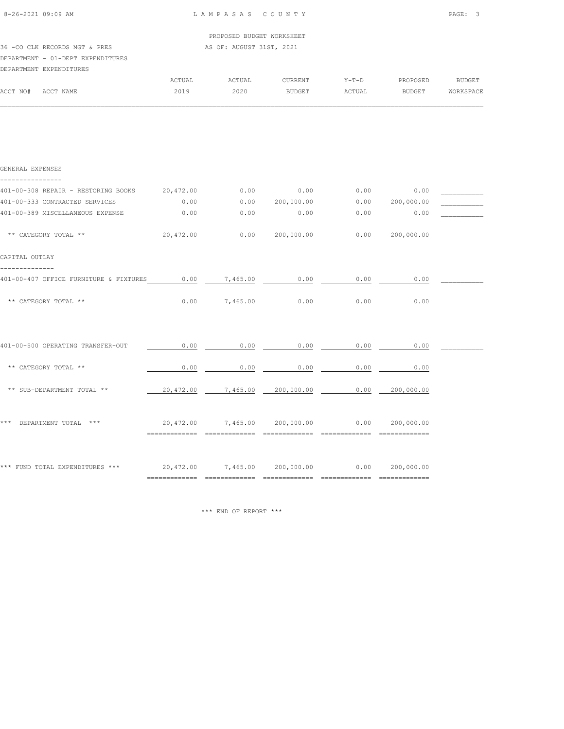|          |                                   |        | PROPOSED BUDGET WORKSHEET |                |         |          |           |
|----------|-----------------------------------|--------|---------------------------|----------------|---------|----------|-----------|
|          | 36 -CO CLK RECORDS MGT & PRES     |        | AS OF: AUGUST 31ST, 2021  |                |         |          |           |
|          | DEPARTMENT - 01-DEPT EXPENDITURES |        |                           |                |         |          |           |
|          | DEPARTMENT EXPENDITURES           |        |                           |                |         |          |           |
|          |                                   | ACTUAL | ACTUAL                    | <b>CURRENT</b> | $Y-T-D$ | PROPOSED | BUDGET    |
| ACCT NO# | ACCT NAME                         | 2019   | 2020                      | <b>BUDGET</b>  | ACTUAL  | BUDGET   | WORKSPACE |
|          |                                   |        |                           |                |         |          |           |

| GENERAL EXPENSES                                                                               |      |                      |             |                                                            |             |  |
|------------------------------------------------------------------------------------------------|------|----------------------|-------------|------------------------------------------------------------|-------------|--|
| 401-00-308 REPAIR - RESTORING BOOKS 20,472.00 0.00 0.00 0.00 0.00 0.00 0.00                    |      |                      |             |                                                            |             |  |
| 401-00-333 CONTRACTED SERVICES                                                                 | 0.00 |                      |             | $0.00$ $200,000.00$ $0.00$ $0.00$ $200,000.00$             |             |  |
| 401-00-389 MISCELLANEOUS EXPENSE                                                               | 0.00 |                      | $0.00$ 0.00 |                                                            | $0.00$ 0.00 |  |
| ** CATEGORY TOTAL **                                                                           |      |                      |             | $20,472.00$ $0.00$ $200,000.00$ $0.00$ $0.00$ $200,000.00$ |             |  |
| CAPITAL OUTLAY                                                                                 |      |                      |             |                                                            |             |  |
| 401-00-407 OFFICE FURNITURE & FIXTURES 0.00 7,465.00 0.00                                      |      |                      |             | 0.00                                                       | 0.00        |  |
| ** CATEGORY TOTAL **                                                                           |      | $0.00$ 7,465.00 0.00 |             | 0.00                                                       | 0.00        |  |
|                                                                                                |      |                      |             |                                                            |             |  |
| 401-00-500 OPERATING TRANSFER-OUT                                                              | 0.00 |                      | $0.00$ 0.00 | 0.00                                                       | 0.00        |  |
| ** CATEGORY TOTAL **                                                                           | 0.00 |                      | $0.00$ 0.00 | 0.00                                                       | 0.00        |  |
| ** SUB-DEPARTMENT TOTAL **                                                                     |      |                      |             | $20,472.00$ $7,465.00$ $200,000.00$ $0.00$ $200,000.00$    |             |  |
|                                                                                                |      |                      |             |                                                            |             |  |
| *** DEPARTMENT TOTAL ***                                                                       |      |                      |             | $20,472.00$ $7,465.00$ $200,000.00$ $0.00$ $200,000.00$    |             |  |
| *** FUND TOTAL EXPENDITURES *** $20,472.00$ $7,465.00$ $200,000.00$ $0.00$ $0.00$ $200,000.00$ |      |                      |             |                                                            |             |  |
|                                                                                                |      |                      |             |                                                            |             |  |

\*\*\* END OF REPORT \*\*\*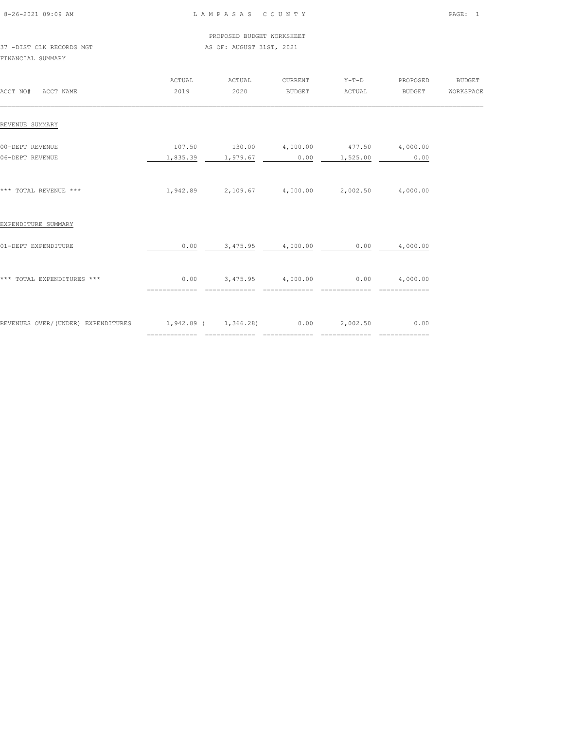| 8-26-2021 09:09 AM |  |
|--------------------|--|

L A M P A S A S C O U N T Y PAGE: 1

 PROPOSED BUDGET WORKSHEET 37 -DIST CLK RECORDS MGT AS OF: AUGUST 31ST, 2021

FINANCIAL SUMMARY

| ACCT NO# ACCT NAME                                          | ACTUAL<br>2019                 | ACTUAL<br>2020    | CURRENT<br>BUDGET | $Y-T-D$<br>ACTUAL                                                   | PROPOSED<br><b>BUDGET</b>     | <b>BUDGET</b><br>WORKSPACE |
|-------------------------------------------------------------|--------------------------------|-------------------|-------------------|---------------------------------------------------------------------|-------------------------------|----------------------------|
| REVENUE SUMMARY                                             |                                |                   |                   |                                                                     |                               |                            |
| 00-DEPT REVENUE<br>06-DEPT REVENUE                          |                                | 1,835.39 1,979.67 |                   | $107.50$ $130.00$ $4,000.00$ $477.50$ $4,000.00$<br>$0.00$ 1,525.00 | 0.00                          |                            |
| *** TOTAL REVENUE ***                                       |                                |                   |                   | $1,942.89$ $2,109.67$ $4,000.00$ $2,002.50$ $4,000.00$              |                               |                            |
| EXPENDITURE SUMMARY                                         |                                |                   |                   |                                                                     |                               |                            |
| 01-DEPT EXPENDITURE                                         | 0.00                           | 3,475.95          | 4,000.00          | 0.00                                                                | 4,000.00                      |                            |
| *** TOTAL EXPENDITURES ***                                  | 0.00<br>=============          | ==============    | ==============    | $3,475.95$ $4,000.00$ $0.00$ $4,000.00$<br>==============           | $=$ = = = = = = = = = = = = = |                            |
| REVENUES OVER/(UNDER) EXPENDITURES 1,942.89 (1,366.28) 0.00 | ============================== |                   | =========         | 2,002.50<br>=============                                           | 0.00                          |                            |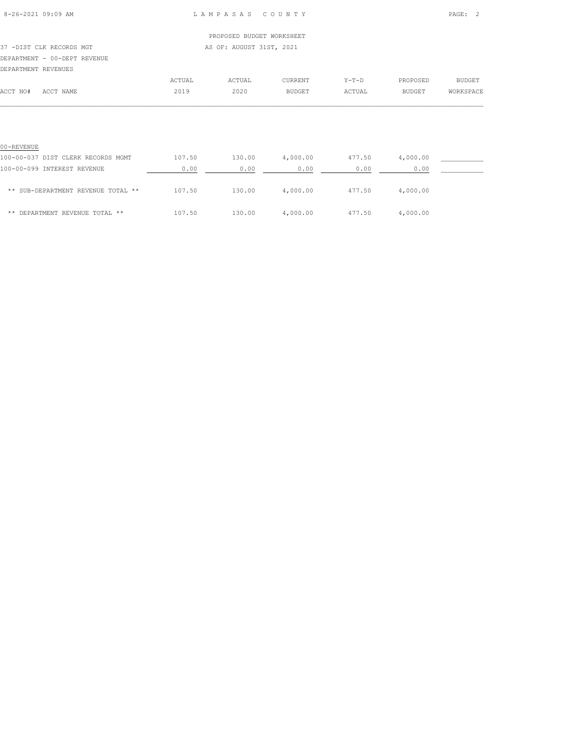| $8 - 26 - 2021$ 09:09 AM |  |  |  |
|--------------------------|--|--|--|

|                              |        | PROPOSED BUDGET WORKSHEET |               |         |          |               |
|------------------------------|--------|---------------------------|---------------|---------|----------|---------------|
| 37 -DIST CLK RECORDS MGT     |        | AS OF: AUGUST 31ST, 2021  |               |         |          |               |
| DEPARTMENT - 00-DEPT REVENUE |        |                           |               |         |          |               |
| DEPARTMENT REVENUES          |        |                           |               |         |          |               |
|                              | ACTUAL | ACTUAL                    | CURRENT       | $Y-T-D$ | PROPOSED | <b>BUDGET</b> |
| ACCT NO#<br>ACCT NAME        | 2019   | 2020                      | <b>BUDGET</b> | ACTUAL  | BUDGET   | WORKSPACE     |
|                              |        |                           |               |         |          |               |
|                              |        |                           |               |         |          |               |
|                              |        |                           |               |         |          |               |

| 00-REVENUE                         |        |        |          |        |          |  |
|------------------------------------|--------|--------|----------|--------|----------|--|
| 100-00-037 DIST CLERK RECORDS MGMT | 107.50 | 130.00 | 4,000.00 | 477.50 | 4,000.00 |  |
| 100-00-099 INTEREST REVENUE        | 0.00   | 0.00   | 0.00     | 0.00   | 0.00     |  |
| ** SUB-DEPARTMENT REVENUE TOTAL ** | 107.50 | 130.00 | 4,000.00 | 477.50 | 4,000.00 |  |
| ** DEPARTMENT REVENUE TOTAL **     | 107.50 | 130.00 | 4,000.00 | 477.50 | 4,000.00 |  |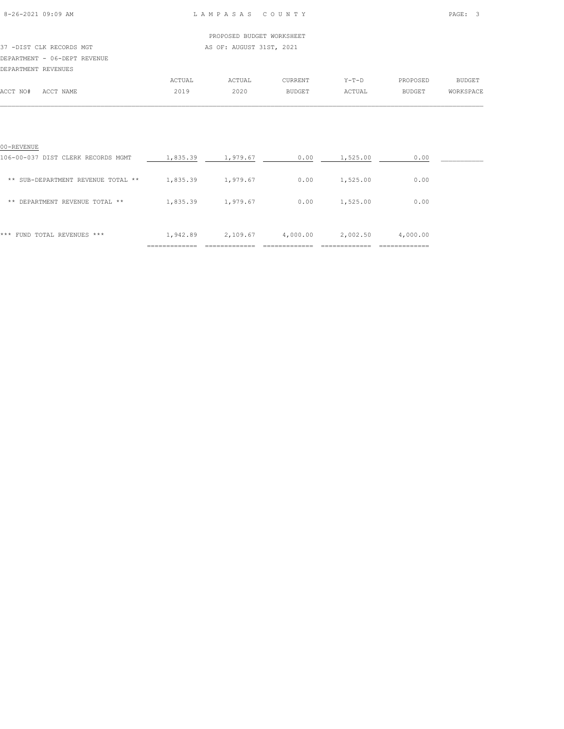# PROPOSED BUDGET WORKSHEET 37 -DIST CLK RECORDS MGT AS OF: AUGUST 31ST, 2021 DEPARTMENT - 06-DEPT REVENUE DEPARTMENT REVENUES ACTUAL ACTUAL CURRENT Y-T-D PROPOSED BUDGET

| *** FUND TOTAL REVENUES ***                      | 1,942.89 | 2,109.67 | 4,000.00 | 2,002.50 | 4,000.00 |  |
|--------------------------------------------------|----------|----------|----------|----------|----------|--|
| DEPARTMENT REVENUE TOTAL **<br>**                | 1,835.39 | 1,979.67 | 0.00     | 1,525.00 | 0.00     |  |
| ** SUB-DEPARTMENT REVENUE TOTAL **               | 1,835.39 | 1,979.67 | 0.00     | 1,525.00 | 0.00     |  |
| 00-REVENUE<br>106-00-037 DIST CLERK RECORDS MGMT | 1,835.39 | 1,979.67 | 0.00     | 1,525.00 | 0.00     |  |
|                                                  |          |          |          |          |          |  |

ACCT NO# ACCT NAME 2019 2020 BUDGET ACTUAL BUDGET WORKSPACE  $\mathcal{L} = \{ \mathcal{L} = \{ \mathcal{L} = \{ \mathcal{L} = \{ \mathcal{L} = \{ \mathcal{L} = \{ \mathcal{L} = \{ \mathcal{L} = \{ \mathcal{L} = \{ \mathcal{L} = \{ \mathcal{L} = \{ \mathcal{L} = \{ \mathcal{L} = \{ \mathcal{L} = \{ \mathcal{L} = \{ \mathcal{L} = \{ \mathcal{L} = \{ \mathcal{L} = \{ \mathcal{L} = \{ \mathcal{L} = \{ \mathcal{L} = \{ \mathcal{L} = \{ \mathcal{L} = \{ \mathcal{L} = \{ \mathcal{$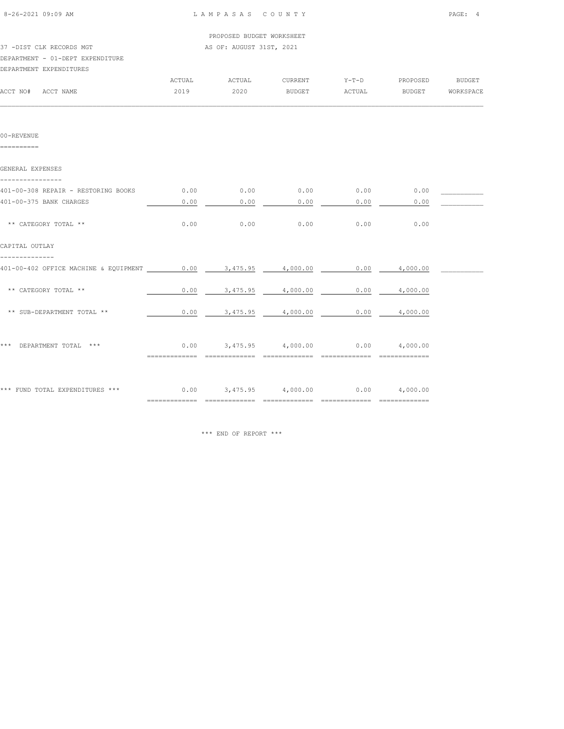| 8-26-2021 09:09 AM                            |        | LAMPASAS COUNTY              |                                                |         |                 | PAGE: 4       |
|-----------------------------------------------|--------|------------------------------|------------------------------------------------|---------|-----------------|---------------|
|                                               |        | PROPOSED BUDGET WORKSHEET    |                                                |         |                 |               |
| 37 -DIST CLK RECORDS MGT                      |        | AS OF: AUGUST 31ST, 2021     |                                                |         |                 |               |
| DEPARTMENT - 01-DEPT EXPENDITURE              |        |                              |                                                |         |                 |               |
| DEPARTMENT EXPENDITURES                       |        |                              |                                                |         |                 |               |
|                                               | ACTUAL | ACTUAL                       | CURRENT                                        | $Y-T-D$ | PROPOSED        | <b>BUDGET</b> |
| ACCT NO#<br>ACCT NAME                         | 2019   | 2020                         | BUDGET                                         | ACTUAL  | BUDGET          | WORKSPACE     |
|                                               |        |                              |                                                |         |                 |               |
| 00-REVENUE<br>==========                      |        |                              |                                                |         |                 |               |
| GENERAL EXPENSES<br>---------------           |        |                              |                                                |         |                 |               |
| 401-00-308 REPAIR - RESTORING BOOKS           | 0.00   | 0.00                         | 0.00                                           | 0.00    | 0.00            |               |
| 401-00-375 BANK CHARGES                       | 0.00   | 0.00                         | 0.00                                           | 0.00    | 0.00            |               |
| ** CATEGORY TOTAL **                          | 0.00   | 0.00                         | 0.00                                           | 0.00    | 0.00            |               |
| CAPITAL OUTLAY<br>. _ _ _ _ _ _ _ _ _ _ _ _ _ |        |                              |                                                |         |                 |               |
| 401-00-402 OFFICE MACHINE & EQUIPMENT 0.00    |        | 3,475.95                     | 4,000.00                                       | 0.00    | 4,000.00        |               |
| ** CATEGORY TOTAL **                          | 0.00   | 3,475.95                     | 4,000.00                                       | 0.00    | 4,000.00        |               |
| ** SUB-DEPARTMENT TOTAL **                    | 0.00   | 3,475.95                     | 4,000.00                                       | 0.00    | 4,000.00        |               |
| *** DEPARTMENT TOTAL ***                      |        | $0.00$ $3,475.95$ $4,000.00$ |                                                |         | $0.00$ 4,000.00 |               |
| *** FUND TOTAL EXPENDITURES ***               |        |                              | $0.00$ $3.475.95$ $4.000.00$ $0.00$ $4.000.00$ |         |                 |               |
|                                               |        |                              |                                                |         |                 |               |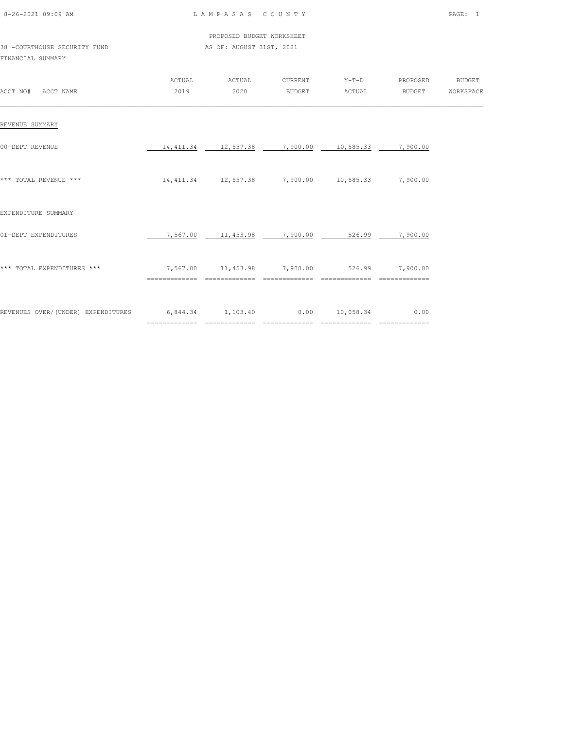| 8-26-2021 09:09 AM |  |
|--------------------|--|

|                              | PROPOSED BUDGET WORKSHEET |
|------------------------------|---------------------------|
| 38 -COURTHOUSE SECURITY FUND | AS OF: AUGUST 31ST, 2021  |

# FINANCIAL SUMMARY

| ACCT NO#<br>ACCT NAME              | ACTUAL<br>2019                     | ACTUAL<br>2020                                      | CURRENT<br>BUDGET     | $Y-T-D$<br>ACTUAL          | PROPOSED<br>BUDGET                      | <b>BUDGET</b><br>WORKSPACE |
|------------------------------------|------------------------------------|-----------------------------------------------------|-----------------------|----------------------------|-----------------------------------------|----------------------------|
| REVENUE SUMMARY                    |                                    |                                                     |                       |                            |                                         |                            |
| 00-DEPT REVENUE                    | 14,411.34                          | 12,557.38                                           | 7,900.00              | 10,585.33                  | 7,900.00                                |                            |
| *** TOTAL REVENUE ***              |                                    | 14,411.34  12,557.38  7,900.00  10,585.33  7,900.00 |                       |                            |                                         |                            |
| EXPENDITURE SUMMARY                |                                    |                                                     |                       |                            |                                         |                            |
| 01-DEPT EXPENDITURES               | 7,567.00                           | 11,453.98                                           | 7,900.00              | 526.99                     | 7,900.00                                |                            |
| *** TOTAL EXPENDITURES ***         | ==============                     | 7,567.00 11,453.98 7,900.00<br>==============       | ==============        | 526.99<br>==============   | 7,900.00                                |                            |
| REVENUES OVER/(UNDER) EXPENDITURES | 6,844.34 1,103.40<br>============= | =============                                       | 0.00<br>============= | 10,058.34<br>============= | 0.00<br>$=$ = = = = = = = = = = = = = = |                            |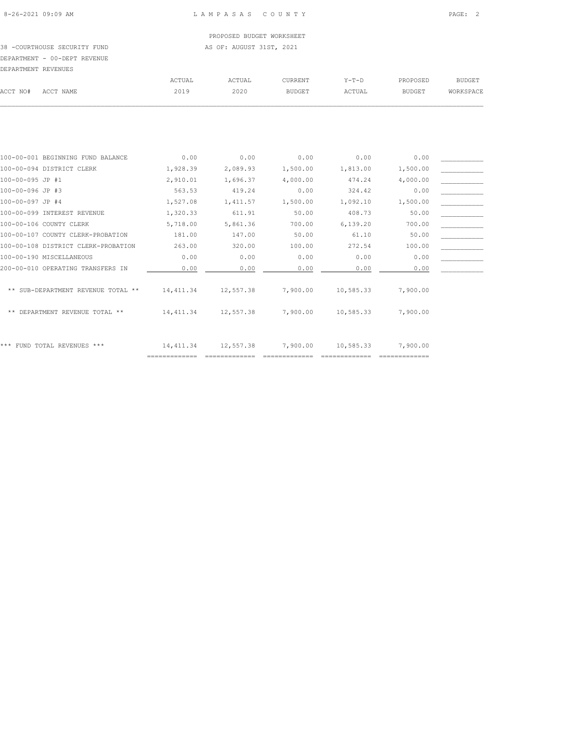PROPOSED BUDGET WORKSHEET

38 -COURTHOUSE SECURITY FUND AS OF: AUGUST 31ST, 2021 DEPARTMENT - 00-DEPT REVENUE

| DEPARTMENT REVENUES |           |        |        |                |        |               |           |
|---------------------|-----------|--------|--------|----------------|--------|---------------|-----------|
|                     |           | ACTUAL | ACTUAL | <b>CURRENT</b> | Y-T-D  | PROPOSED      | BUDGET    |
| ACCT NO#            | ACCT NAME | 2019   | 2020   | BUDGET         | ACTUAL | <b>BUDGET</b> | WORKSPACE |
|                     |           |        |        |                |        |               |           |

| 100-00-001 BEGINNING FUND BALANCE        | 0.00       | 0.00      | 0.00     | 0.00      | 0.00     |  |
|------------------------------------------|------------|-----------|----------|-----------|----------|--|
| 100-00-094 DISTRICT CLERK                | 1,928.39   | 2,089.93  | 1,500.00 | 1,813.00  | 1,500.00 |  |
| 100-00-095 JP #1                         | 2,910.01   | 1,696.37  | 4,000.00 | 474.24    | 4,000.00 |  |
| 100-00-096 JP #3                         | 563.53     | 419.24    | 0.00     | 324.42    | 0.00     |  |
| 100-00-097 JP #4                         | 1,527.08   | 1,411.57  | 1,500.00 | 1,092.10  | 1,500.00 |  |
| 100-00-099 INTEREST REVENUE              | 1,320.33   | 611.91    | 50.00    | 408.73    | 50.00    |  |
| 100-00-106 COUNTY CLERK                  | 5,718.00   | 5,861.36  | 700.00   | 6,139.20  | 700.00   |  |
| 100-00-107 COUNTY CLERK-PROBATION        | 181.00     | 147.00    | 50.00    | 61.10     | 50.00    |  |
| 100-00-108 DISTRICT CLERK-PROBATION      | 263.00     | 320.00    | 100.00   | 272.54    | 100.00   |  |
| 100-00-190 MISCELLANEOUS                 | 0.00       | 0.00      | 0.00     | 0.00      | 0.00     |  |
| 200-00-010 OPERATING TRANSFERS IN        | 0.00       | 0.00      | 0.00     | 0.00      | 0.00     |  |
|                                          |            |           |          |           |          |  |
| SUB-DEPARTMENT REVENUE TOTAL **<br>$* *$ | 14,411.34  | 12,557.38 | 7,900.00 | 10,585.33 | 7,900,00 |  |
|                                          |            |           |          |           |          |  |
| DEPARTMENT REVENUE TOTAL **<br>$* *$     | 14, 411.34 | 12,557.38 | 7,900.00 | 10,585.33 | 7,900.00 |  |
|                                          |            |           |          |           |          |  |
|                                          |            |           |          |           |          |  |
| * * *<br>FUND TOTAL REVENUES ***         | 14, 411.34 | 12,557.38 | 7,900.00 | 10,585.33 | 7,900.00 |  |
|                                          |            |           |          |           |          |  |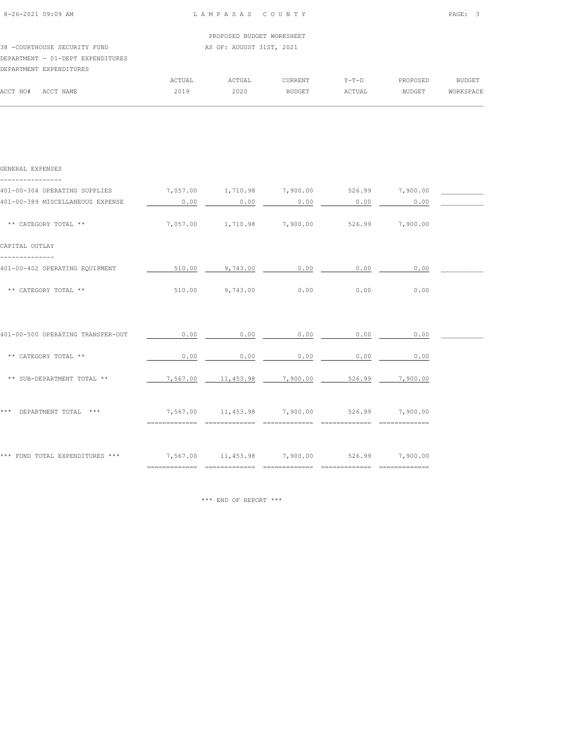| $8 - 26 - 2021$ 09:09 AM |  |
|--------------------------|--|

|                                   |  |  | PROPOSED BUDGET WORKSHEET |
|-----------------------------------|--|--|---------------------------|
| 38 -COURTHOUSE SECURITY FUND      |  |  | AS OF: AUGUST 31ST, 2021  |
| DEPARTMENT - 01-DEPT EXPENDITURES |  |  |                           |

# DEPARTMENT EXPENDITURES

|          | DEPARTMENT EXPENDITURES |        |        |                |         |               |           |
|----------|-------------------------|--------|--------|----------------|---------|---------------|-----------|
|          |                         | ACTUAL | ACTUAL | <b>CURRENT</b> | $Y-T-D$ | PROPOSED      | BUDGET    |
| ACCT NO# | ACCT NAME               | 2019   | 2020   | <b>BUDGET</b>  | ACTUAL  | <b>BUDGET</b> | WORKSPACE |
|          |                         |        |        |                |         |               |           |

| GENERAL EXPENSES                                                               |      |                                                 |                |                             |                                                      |  |
|--------------------------------------------------------------------------------|------|-------------------------------------------------|----------------|-----------------------------|------------------------------------------------------|--|
| 401-00-304 OPERATING SUPPLIES                                                  |      |                                                 |                |                             | $7,057.00$ $1,710.98$ $7,900.00$ $526.99$ $7,900.00$ |  |
| 401-00-389 MISCELLANEOUS EXPENSE                                               | 0.00 | 0.00                                            | 0.00           | 0.00                        | 0.00                                                 |  |
| ** CATEGORY TOTAL **                                                           |      | 7,057.00 1,710.98 7,900.00 526.99 7,900.00      |                |                             |                                                      |  |
| CAPITAL OUTLAY                                                                 |      |                                                 |                |                             |                                                      |  |
| 401-00-402 OPERATING EQUIPMENT                                                 |      | 510.00 9,743.00                                 | 0.00           | 0.00                        | 0.00                                                 |  |
| ** CATEGORY TOTAL **                                                           |      | 510.00 9.743.00 0.00                            |                | 0.00                        | 0.00                                                 |  |
|                                                                                |      |                                                 |                |                             |                                                      |  |
| 401-00-500 OPERATING TRANSFER-OUT                                              | 0.00 | 0.00                                            | 0.00           | 0.00                        | 0.00                                                 |  |
| ** CATEGORY TOTAL **                                                           | 0.00 | 0.00                                            | 0.00           | 0.00                        | 0.00                                                 |  |
| ** SUB-DEPARTMENT TOTAL **                                                     |      | 7,567.00  11,453.98  7,900.00  526.99  7,900.00 |                |                             |                                                      |  |
| *** DEPARTMENT TOTAL ***                                                       |      | 7,567.00  11,453.98  7,900.00  526.99  7,900.00 |                |                             |                                                      |  |
|                                                                                |      | ============================                    | ============== | =============               |                                                      |  |
| *** FUND TOTAL EXPENDITURES ***<br>7,567.00 11,453.98 7,900.00 526.99 7,900.00 |      |                                                 |                |                             |                                                      |  |
|                                                                                |      |                                                 |                | ============= ============= |                                                      |  |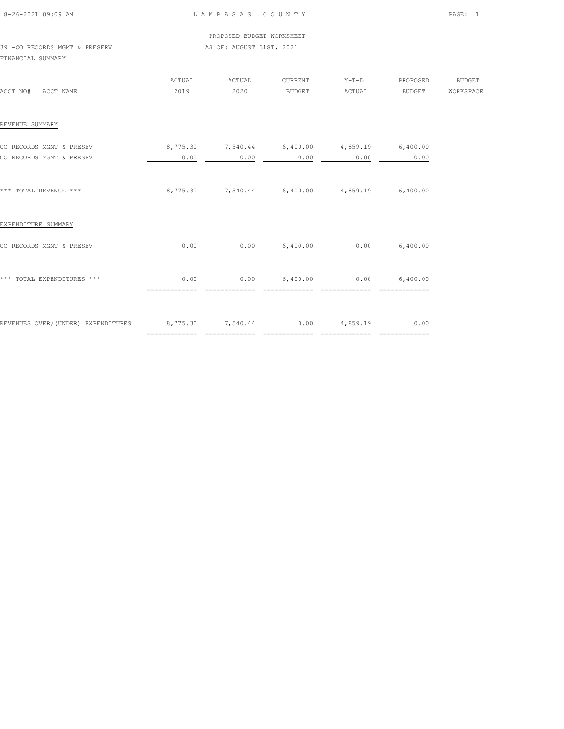| 8-26-2021 09:09 AM |  |  |
|--------------------|--|--|

PROPOSED BUDGET WORKSHEET

39 -CO RECORDS MGMT & PRESERV AS OF: AUGUST 31ST, 2021 FINANCIAL SUMMARY

 ACTUAL ACTUAL CURRENT Y-T-D PROPOSED BUDGET ACCT NO# ACCT NAME 2019 2020 BUDGET ACTUAL BUDGET WORKSPACE  $\mathcal{L} = \{ \mathcal{L} = \{ \mathcal{L} = \{ \mathcal{L} = \{ \mathcal{L} = \{ \mathcal{L} = \{ \mathcal{L} = \{ \mathcal{L} = \{ \mathcal{L} = \{ \mathcal{L} = \{ \mathcal{L} = \{ \mathcal{L} = \{ \mathcal{L} = \{ \mathcal{L} = \{ \mathcal{L} = \{ \mathcal{L} = \{ \mathcal{L} = \{ \mathcal{L} = \{ \mathcal{L} = \{ \mathcal{L} = \{ \mathcal{L} = \{ \mathcal{L} = \{ \mathcal{L} = \{ \mathcal{L} = \{ \mathcal{$ REVENUE SUMMARY CO RECORDS MGMT & PRESEV  $8,775.30$   $7,540.44$   $6,400.00$   $4,859.19$   $6,400.00$ <br>CO RECORDS MGMT & PRESEV  $0.00$   $0.00$   $0.00$   $0.00$   $0.00$   $0.00$   $0.00$ CO RECORDS MGMT & PRESEV 0.00 0.00 0.00 0.00 0.00 \*\*\* TOTAL REVENUE \*\*\* 8,775.30 7,540.44 6,400.00 4,859.19 6,400.00 EXPENDITURE SUMMARY CO RECORDS MGMT & PRESEV  $0.00$   $0.00$   $6,400.00$   $0.00$   $0.00$   $0.00$   $0.00$   $6,400.00$ \*\*\* TOTAL EXPENDITURES \*\*\* 0.00 0.00 6,400.00 0.00 6,400.00 ============= ============= ============= ============= ============= REVENUES OVER/(UNDER) EXPENDITURES 8,775.30 7,540.44 0.00 4,859.19 0.00 ============= ============= ============= ============= =============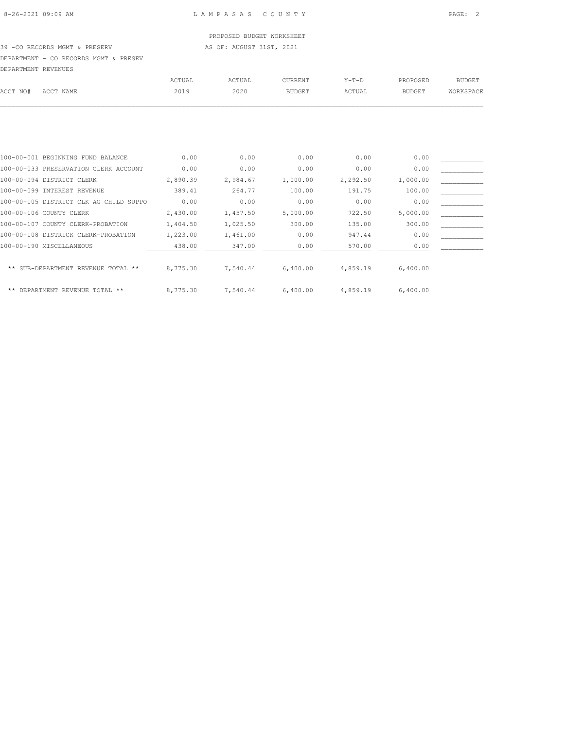PROPOSED BUDGET WORKSHEET 39 -CO RECORDS MGMT & PRESERV AS OF: AUGUST 31ST, 2021

DEPARTMENT - CO RECORDS MGMT & PRESEV

| DEPARTMENT REVENUES |                                        |          |          |               |          |               |               |
|---------------------|----------------------------------------|----------|----------|---------------|----------|---------------|---------------|
|                     |                                        | ACTUAL   | ACTUAL   | CURRENT       | $Y-T-D$  | PROPOSED      | <b>BUDGET</b> |
| ACCT NO#            | ACCT NAME                              | 2019     | 2020     | <b>BUDGET</b> | ACTUAL   | <b>BUDGET</b> | WORKSPACE     |
|                     |                                        |          |          |               |          |               |               |
|                     |                                        |          |          |               |          |               |               |
|                     | 100-00-001 BEGINNING FUND BALANCE      | 0.00     | 0.00     | 0.00          | 0.00     | 0.00          |               |
|                     | 100-00-033 PRESERVATION CLERK ACCOUNT  | 0.00     | 0.00     | 0.00          | 0.00     | 0.00          |               |
|                     | 100-00-094 DISTRICT CLERK              | 2,890.39 | 2,984.67 | 1,000.00      | 2,292.50 | 1,000.00      |               |
|                     | 100-00-099 INTEREST REVENUE            | 389.41   | 264.77   | 100.00        | 191.75   | 100.00        |               |
|                     | 100-00-105 DISTRICT CLK AG CHILD SUPPO | 0.00     | 0.00     | 0.00          | 0.00     | 0.00          |               |
|                     | 100-00-106 COUNTY CLERK                | 2,430.00 | 1,457.50 | 5,000.00      | 722.50   | 5,000.00      |               |
|                     | 100-00-107 COUNTY CLERK-PROBATION      | 1,404.50 | 1,025.50 | 300.00        | 135.00   | 300.00        |               |

| 100-00-108 DISTRICK CLERK-PROBATION | 1,223.00 | 1,461.00 | 0.00     | 947.44   | 0.00     |  |
|-------------------------------------|----------|----------|----------|----------|----------|--|
| 100-00-190 MISCELLANEOUS            | 438.00   | 347.00   | 0.00     | 570.00   | 0.00     |  |
| ** SUB-DEPARTMENT REVENUE TOTAL **  | 8,775.30 | 7,540.44 | 6,400.00 | 4,859.19 | 6,400.00 |  |
| ** DEPARTMENT REVENUE TOTAL **      | 8,775.30 | 7.540.44 | 6,400.00 | 4,859.19 | 6,400.00 |  |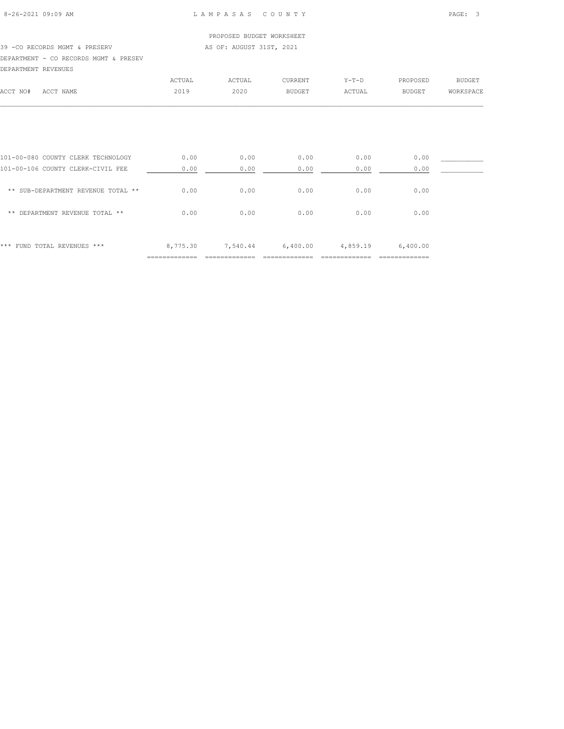|                                       |        | PROPOSED BUDGET WORKSHEET |               |         |               |           |
|---------------------------------------|--------|---------------------------|---------------|---------|---------------|-----------|
| 39 -CO RECORDS MGMT & PRESERV         |        | AS OF: AUGUST 31ST, 2021  |               |         |               |           |
| DEPARTMENT - CO RECORDS MGMT & PRESEV |        |                           |               |         |               |           |
| DEPARTMENT REVENUES                   |        |                           |               |         |               |           |
|                                       | ACTUAL | ACTUAL                    | CURRENT       | $Y-T-D$ | PROPOSED      | BUDGET    |
| ACCT NO#<br>ACCT NAME                 | 2019   | 2020                      | <b>BUDGET</b> | ACTUAL  | <b>BUDGET</b> | WORKSPACE |
|                                       |        |                           |               |         |               |           |

| *** FUND TOTAL REVENUES ***        | 8,775.30 | 7,540.44 | 6,400.00 | 4,859.19 | 6,400.00 |  |
|------------------------------------|----------|----------|----------|----------|----------|--|
| DEPARTMENT REVENUE TOTAL **<br>**  | 0.00     | 0.00     | 0.00     | 0.00     | 0.00     |  |
| ** SUB-DEPARTMENT REVENUE TOTAL ** | 0.00     | 0.00     | 0.00     | 0.00     | 0.00     |  |
| 101-00-106 COUNTY CLERK-CIVIL FEE  | 0.00     | 0.00     | 0.00     | 0.00     | 0.00     |  |
| 101-00-080 COUNTY CLERK TECHNOLOGY | 0.00     | 0.00     | 0.00     | 0.00     | 0.00     |  |
|                                    |          |          |          |          |          |  |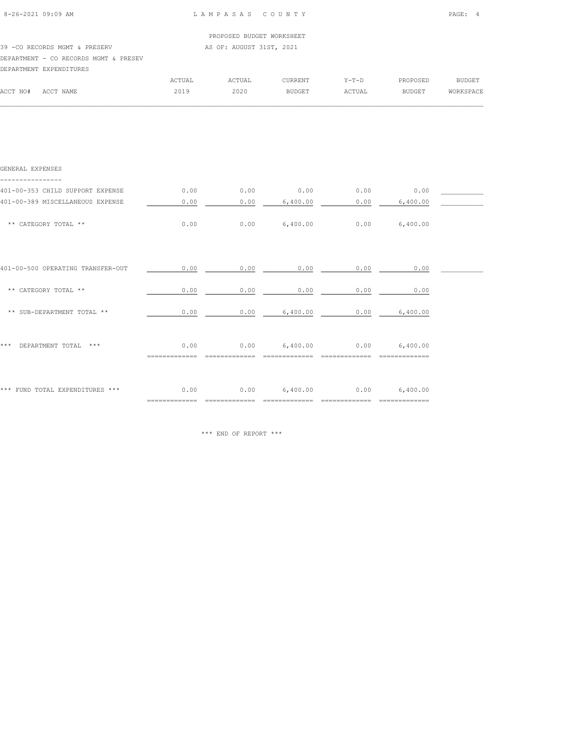| $8 - 26 - 2021$ $09.09$ AM |  |  |
|----------------------------|--|--|

|                                       | PROPOSED BUDGET WORKSHEET |
|---------------------------------------|---------------------------|
| 39 -CO RECORDS MGMT & PRESERV         | AS OF: AUGUST 31ST, 2021  |
| DEPARTMENT - CO RECORDS MGMT & PRESEV |                           |

|          | DEPARTMENT EXPENDITURES |        |        |               |         |               |           |
|----------|-------------------------|--------|--------|---------------|---------|---------------|-----------|
|          |                         | ACTUAL | ACTUAL | CURRENT       | $Y-T-D$ | PROPOSED      | BUDGET    |
| ACCT NO# | ACCT NAME               | 2019   | 2020   | <b>BUDGET</b> | ACTUAL  | <b>BUDGET</b> | WORKSPACE |
|          |                         |        |        |               |         |               |           |

| GENERAL EXPENSES                   |                        |      |                 |                 |          |  |
|------------------------------------|------------------------|------|-----------------|-----------------|----------|--|
| 401-00-353 CHILD SUPPORT EXPENSE   | 0.00                   | 0.00 | 0.00            | 0.00            | 0.00     |  |
| 401-00-389 MISCELLANEOUS EXPENSE   | 0.00                   | 0.00 | 6,400.00        | 0.00            | 6,400.00 |  |
| ** CATEGORY TOTAL **               | 0.00                   | 0.00 | 6,400.00        | 0.00            | 6,400.00 |  |
| 401-00-500 OPERATING TRANSFER-OUT  | 0.00                   | 0.00 | 0.00            | 0.00            | 0.00     |  |
| ** CATEGORY TOTAL **               | 0.00                   | 0.00 | 0.00            | 0.00            | 0.00     |  |
| ** SUB-DEPARTMENT TOTAL **         | 0.00                   | 0.00 | 6,400.00        | 0.00            | 6,400.00 |  |
| DEPARTMENT TOTAL<br>* * *<br>$***$ | 0.00                   |      | $0.00$ 6,400.00 | $0.00$ 6,400.00 |          |  |
| *** FUND TOTAL EXPENDITURES ***    | 0.00<br>============== |      | $0.00$ 6,400.00 | 0.00            | 6,400.00 |  |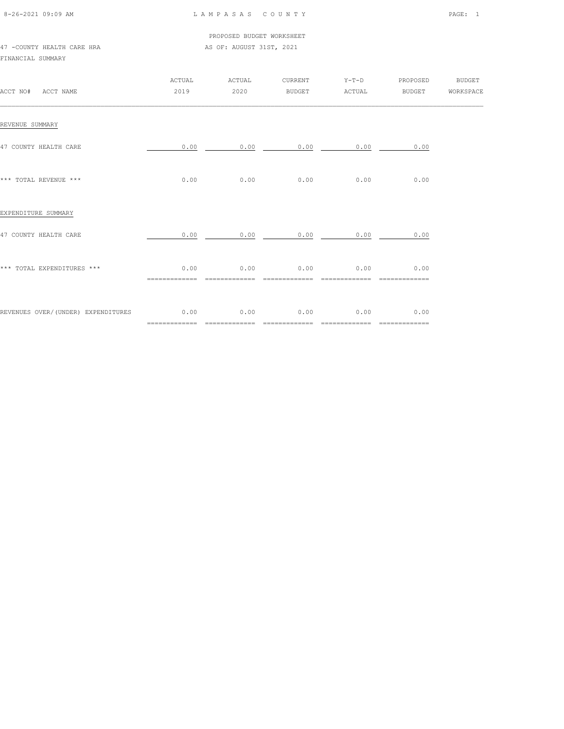| 8-26-2021 09:09 AM |  |
|--------------------|--|

PROPOSED BUDGET WORKSHEET

47 -COUNTY HEALTH CARE HRA **AS OF: AUGUST 31ST, 2021** 

#### FINANCIAL SUMMARY

| ACCT NO# ACCT NAME                 | ACTUAL<br>2019        | ACTUAL<br>2020                                   | CURRENT<br>BUDGET                            | ACTUAL                 | Y-T-D PROPOSED BUDGET<br>BUDGET WORKSPACE |  |
|------------------------------------|-----------------------|--------------------------------------------------|----------------------------------------------|------------------------|-------------------------------------------|--|
| REVENUE SUMMARY                    |                       |                                                  |                                              |                        |                                           |  |
| 47 COUNTY HEALTH CARE              | 0.00                  | 0.00                                             |                                              | 0.00<br>0.00           | 0.00                                      |  |
| *** TOTAL REVENUE ***              |                       | $0.00$ 0.00                                      |                                              | $0.00$ 0.00            | 0.00                                      |  |
| EXPENDITURE SUMMARY                |                       |                                                  |                                              |                        |                                           |  |
| 47 COUNTY HEALTH CARE              |                       | $0.00$ $0.00$ $0.00$ $0.00$ $0.00$ $0.00$ $0.00$ |                                              |                        |                                           |  |
| *** TOTAL EXPENDITURES ***         | 0.00                  |                                                  | $0.00$ 0.00 0.00 0.00 0.00<br>============== |                        | ==============                            |  |
| REVENUES OVER/(UNDER) EXPENDITURES | 0.00<br>============= | 0.00<br>=============                            | 0.00<br>==============                       | 0.00<br>============== | 0.00<br>=============                     |  |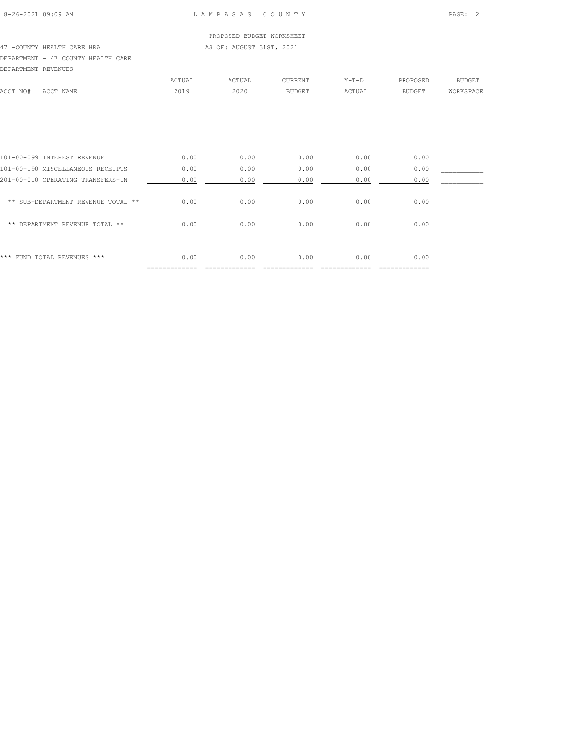### PROPOSED BUDGET WORKSHEET 47 -COUNTY HEALTH CARE HRA **AS OF: AUGUST 31ST, 2021** DEPARTMENT - 47 COUNTY HEALTH CARE

| DEPARTMENT REVENUES                |        |        |               |         |               |               |
|------------------------------------|--------|--------|---------------|---------|---------------|---------------|
|                                    | ACTUAL | ACTUAL | CURRENT       | $Y-T-D$ | PROPOSED      | <b>BUDGET</b> |
| ACCT NAME                          | 2019   | 2020   | <b>BUDGET</b> | ACTUAL  | <b>BUDGET</b> | WORKSPACE     |
|                                    |        |        |               |         |               |               |
|                                    |        |        |               |         |               |               |
| 101-00-099 INTEREST REVENUE        | 0.00   | 0.00   | 0.00          | 0.00    | 0.00          |               |
| 101-00-190 MISCELLANEOUS RECEIPTS  | 0.00   | 0.00   | 0.00          | 0.00    | 0.00          |               |
| 201-00-010 OPERATING TRANSFERS-IN  | 0.00   | 0.00   | 0.00          | 0.00    | 0.00          |               |
| ** SUB-DEPARTMENT REVENUE TOTAL ** | 0.00   | 0.00   | 0.00          | 0.00    | 0.00          |               |
| DEPARTMENT REVENUE TOTAL **        | 0.00   | 0.00   | 0.00          | 0.00    | 0.00          |               |
|                                    |        |        |               |         |               |               |
|                                    |        |        |               |         |               |               |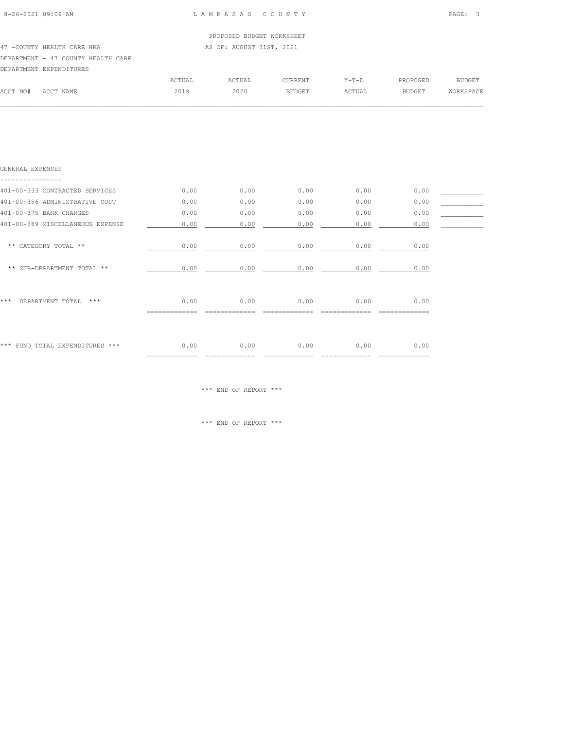$\mathcal{L} = \{ \mathcal{L} = \{ \mathcal{L} = \{ \mathcal{L} = \{ \mathcal{L} = \{ \mathcal{L} = \{ \mathcal{L} = \{ \mathcal{L} = \{ \mathcal{L} = \{ \mathcal{L} = \{ \mathcal{L} = \{ \mathcal{L} = \{ \mathcal{L} = \{ \mathcal{L} = \{ \mathcal{L} = \{ \mathcal{L} = \{ \mathcal{L} = \{ \mathcal{L} = \{ \mathcal{L} = \{ \mathcal{L} = \{ \mathcal{L} = \{ \mathcal{L} = \{ \mathcal{L} = \{ \mathcal{L} = \{ \mathcal{$ 

|          |                                    |        | PROPOSED BUDGET WORKSHEET |         |         |               |           |
|----------|------------------------------------|--------|---------------------------|---------|---------|---------------|-----------|
|          | 47 - COUNTY HEALTH CARE HRA        |        | AS OF: AUGUST 31ST, 2021  |         |         |               |           |
|          | DEPARTMENT - 47 COUNTY HEALTH CARE |        |                           |         |         |               |           |
|          | DEPARTMENT EXPENDITURES            |        |                           |         |         |               |           |
|          |                                    | ACTUAL | ACTUAL                    | CURRENT | $Y-T-D$ | PROPOSED      | BUDGET    |
| ACCT NO# | ACCT NAME                          | 2019   | 2020                      | BUDGET  | ACTUAL  | <b>BUDGET</b> | WORKSPACE |

| GENERAL EXPENSES                 |      |      |      |      |                 |  |
|----------------------------------|------|------|------|------|-----------------|--|
| 401-00-333 CONTRACTED SERVICES   | 0.00 | 0.00 | 0.00 | 0.00 | 0.00            |  |
| 401-00-356 ADMINISTRATIVE COST   | 0.00 | 0.00 | 0.00 | 0.00 | 0.00            |  |
| 401-00-375 BANK CHARGES          | 0.00 | 0.00 | 0.00 | 0.00 | 0.00            |  |
| 401-00-389 MISCELLANEOUS EXPENSE | 0.00 | 0.00 | 0.00 | 0.00 | 0.00            |  |
| ** CATEGORY TOTAL **             | 0.00 | 0.00 | 0.00 | 0.00 | 0.00            |  |
| ** SUB-DEPARTMENT TOTAL **       | 0.00 | 0.00 | 0.00 | 0.00 | 0.00            |  |
| ***<br>DEPARTMENT TOTAL<br>$***$ | 0.00 | 0.00 | 0.00 | 0.00 | 0.00            |  |
| *** FUND TOTAL EXPENDITURES ***  | 0.00 | 0.00 | 0.00 | 0.00 | 0.00<br>======= |  |

\*\*\* END OF REPORT \*\*\*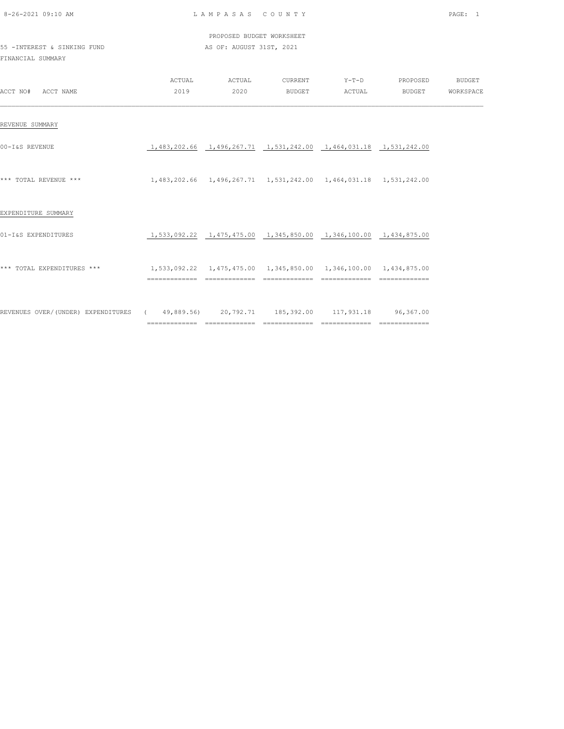| 8-26-2021 09:10 AM                                                                       |                                                                      | LAMPASAS COUNTY           |                                                                      |        |                                                                 | PAGE: 1 |
|------------------------------------------------------------------------------------------|----------------------------------------------------------------------|---------------------------|----------------------------------------------------------------------|--------|-----------------------------------------------------------------|---------|
|                                                                                          |                                                                      | PROPOSED BUDGET WORKSHEET |                                                                      |        |                                                                 |         |
| 55 - INTEREST & SINKING FUND<br>FINANCIAL SUMMARY                                        |                                                                      | AS OF: AUGUST 31ST, 2021  |                                                                      |        |                                                                 |         |
| ACCT NO# ACCT NAME                                                                       |                                                                      | 2019 2020                 | <b>BUDGET</b>                                                        | ACTUAL | ACTUAL ACTUAL CURRENT Y-T-D PROPOSED BUDGET<br>BUDGET WORKSPACE |         |
| REVENUE SUMMARY                                                                          |                                                                      |                           |                                                                      |        |                                                                 |         |
| 00-I&S REVENUE                                                                           |                                                                      |                           | 1,483,202.66  1,496,267.71  1,531,242.00  1,464,031.18  1,531,242.00 |        |                                                                 |         |
| *** TOTAL REVENUE ***                                                                    | 1,483,202.66 1,496,267.71 1,531,242.00 1,464,031.18 1,531,242.00     |                           |                                                                      |        |                                                                 |         |
| EXPENDITURE SUMMARY                                                                      |                                                                      |                           |                                                                      |        |                                                                 |         |
| 01-I&S EXPENDITURES                                                                      |                                                                      |                           | 1,533,092.22  1,475,475.00  1,345,850.00  1,346,100.00  1,434,875.00 |        |                                                                 |         |
| *** TOTAL EXPENDITURES ***                                                               | 1,533,092.22  1,475,475.00  1,345,850.00  1,346,100.00  1,434,875.00 |                           |                                                                      |        |                                                                 |         |
| REVENUES OVER/(UNDER) EXPENDITURES (49,889.56) 20,792.71 185,392.00 117,931.18 96,367.00 |                                                                      |                           |                                                                      |        |                                                                 |         |

============= ============= ============= ============= =============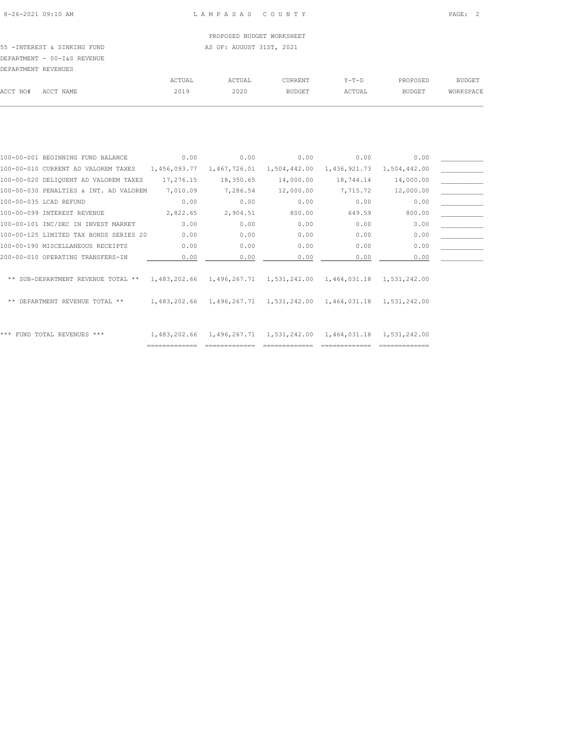PROPOSED BUDGET WORKSHEET

55 -INTEREST & SINKING FUND **AS OF: AUGUST 31ST, 2021** DEPARTMENT - 00-I&S REVENUE

| DEPARTMENT REVENUES |           |        |        |                |         |               |           |
|---------------------|-----------|--------|--------|----------------|---------|---------------|-----------|
|                     |           | ACTUAL | ACTUAL | <b>CURRENT</b> | $Y-T-D$ | PROPOSED      | BUDGET    |
| ACCT NO#            | ACCT NAME | 2019   | 2020   | <b>BUDGET</b>  | ACTUAL  | <b>BUDGET</b> | WORKSPACE |
|                     |           |        |        |                |         |               |           |

| 100-00-001 BEGINNING FUND BALANCE                 | 0.00         | 0.00         | 0.00                      | 0.00                      | 0.00                      |  |
|---------------------------------------------------|--------------|--------------|---------------------------|---------------------------|---------------------------|--|
| 100-00-010 CURRENT AD VALOREM TAXES               | 1,456,093.77 | 1,467,726.01 | 1,504,442.00              | 1,436,921.73              | 1,504,442.00              |  |
| 100-00-020 DELIQUENT AD VALOREM TAXES             | 17,276.15    | 18,350.65    | 14,000.00                 | 18,744.14                 | 14,000.00                 |  |
| 100-00-030 PENALTIES & INT. AD VALOREM            | 7,010.09     | 7,286.54     | 12,000.00                 | 7,715.72                  | 12,000.00                 |  |
| 100-00-035 LCAD REFUND                            | 0.00         | 0.00         | 0.00                      | 0.00                      | 0.00                      |  |
| 100-00-099 INTEREST REVENUE                       | 2,822.65     | 2,904.51     | 800.00                    | 649.59                    | 800.00                    |  |
| 100-00-101 INC/DEC IN INVEST MARKET               | 0.00         | 0.00         | 0.00                      | 0.00                      | 0.00                      |  |
| 100-00-125 LIMITED TAX BONDS SERIES 20            | 0.00         | 0.00         | 0.00                      | 0.00                      | 0.00                      |  |
| 100-00-190 MISCELLANEOUS RECEIPTS                 | 0.00         | 0.00         | 0.00                      | 0.00                      | 0.00                      |  |
| 200-00-010 OPERATING TRANSFERS-IN                 | 0.00         | 0.00         | 0.00                      | 0.00                      | 0.00                      |  |
|                                                   |              |              |                           |                           |                           |  |
| ** SUB-DEPARTMENT REVENUE TOTAL ** $1,483,202.66$ |              |              | 1,496,267.71 1,531,242.00 |                           | 1,464,031.18 1,531,242.00 |  |
|                                                   |              |              |                           |                           |                           |  |
| DEPARTMENT REVENUE TOTAL **                       | 1,483,202.66 |              | 1,496,267.71 1,531,242.00 | 1,464,031.18 1,531,242.00 |                           |  |
|                                                   |              |              |                           |                           |                           |  |
|                                                   |              |              |                           |                           |                           |  |
| *** FUND TOTAL REVENUES ***                       | 1,483,202.66 |              | 1,496,267.71 1,531,242.00 | 1,464,031.18              | 1,531,242.00              |  |
|                                                   |              |              |                           |                           |                           |  |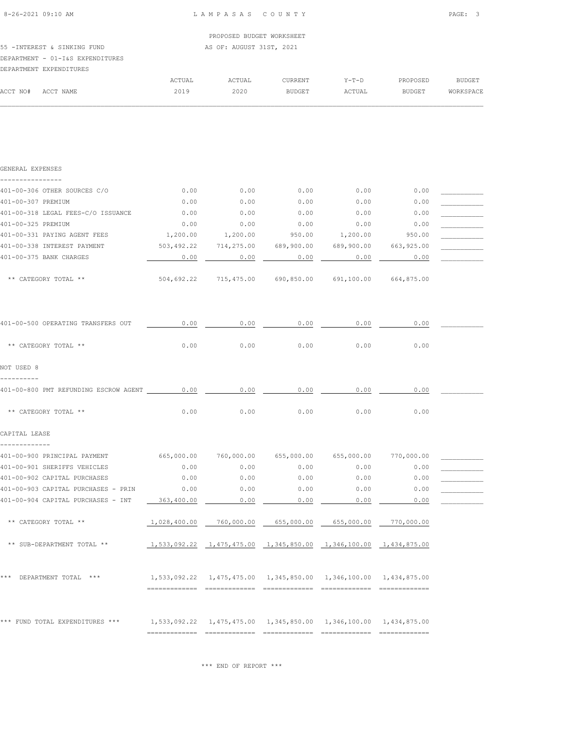| PROPOSED BUDGET WORKSHEET |
|---------------------------|
| AS OF: AUGUST 31ST, 2021  |
|                           |
|                           |
|                           |

|          | DBLANINENI BALBNDIIONBO |        |        |               |         |               |           |
|----------|-------------------------|--------|--------|---------------|---------|---------------|-----------|
|          |                         | ACTUAL | ACTUAL | CURRENT       | $Y-T-D$ | PROPOSED      | BUDGET    |
| ACCT NO# | ACCT NAME               | 2019   | 2020   | <b>BUDGET</b> | ACTUAL  | <b>BUDGET</b> | WORKSPACE |
|          |                         |        |        |               |         |               |           |

| GENERAL EXPENSES                                                                    |            |                                                                      |                 |      |                 |  |
|-------------------------------------------------------------------------------------|------------|----------------------------------------------------------------------|-----------------|------|-----------------|--|
| 401-00-306 OTHER SOURCES C/O                                                        | 0.00       | 0.00                                                                 | 0.00            | 0.00 | 0.00            |  |
| 401-00-307 PREMIUM                                                                  | 0.00       | 0.00                                                                 | 0.00            | 0.00 | 0.00            |  |
| 401-00-318 LEGAL FEES-C/O ISSUANCE                                                  | 0.00       | 0.00                                                                 | 0.00            | 0.00 | 0.00            |  |
| 401-00-325 PREMIUM                                                                  | 0.00       | 0.00                                                                 | 0.00            | 0.00 | 0.00            |  |
| 401-00-331 PAYING AGENT FEES                                                        | 1,200.00   |                                                                      | 1,200.00 950.00 |      | 1,200.00 950.00 |  |
| 401-00-338 INTEREST PAYMENT                                                         |            | 503,492.22 714,275.00 689,900.00 689,900.00 663,925.00               |                 |      |                 |  |
| 401-00-375 BANK CHARGES                                                             | 0.00       | 0.00                                                                 | 0.00            | 0.00 | 0.00            |  |
| ** CATEGORY TOTAL **                                                                |            | 504,692.22 715,475.00 690,850.00 691,100.00 664,875.00               |                 |      |                 |  |
| 401-00-500 OPERATING TRANSFERS OUT                                                  | 0.00       | 0.00                                                                 | 0.00            | 0.00 | 0.00            |  |
| ** CATEGORY TOTAL **                                                                | 0.00       | 0.00                                                                 | 0.00            | 0.00 | 0.00            |  |
| NOT USED 8                                                                          |            |                                                                      |                 |      |                 |  |
| 401-00-800 PMT REFUNDING ESCROW AGENT 0.00                                          |            | 0.00                                                                 | 0.00            | 0.00 | 0.00            |  |
| ** CATEGORY TOTAL **                                                                | 0.00       | 0.00                                                                 | 0.00            | 0.00 | 0.00            |  |
| CAPITAL LEASE                                                                       |            |                                                                      |                 |      |                 |  |
| 401-00-900 PRINCIPAL PAYMENT 665,000.00 760,000.00 655,000.00 655,000.00 770,000.00 |            |                                                                      |                 |      |                 |  |
| 401-00-901 SHERIFFS VEHICLES                                                        | 0.00       | 0.00                                                                 | 0.00            | 0.00 | 0.00            |  |
| 401-00-902 CAPITAL PURCHASES                                                        | 0.00       | 0.00                                                                 | 0.00            | 0.00 | 0.00            |  |
| 401-00-903 CAPITAL PURCHASES - PRIN                                                 | 0.00       | 0.00                                                                 | 0.00            | 0.00 | 0.00            |  |
| 401-00-904 CAPITAL PURCHASES - INT                                                  | 363,400.00 | 0.00                                                                 | 0.00            | 0.00 | 0.00            |  |
| ** CATEGORY TOTAL **                                                                |            | $1,028,400.00$ $760,000.00$ $655,000.00$ $655,000.00$ $770,000.00$   |                 |      |                 |  |
| ** SUB-DEPARTMENT TOTAL **                                                          |            | 1,533,092.22  1,475,475.00  1,345,850.00  1,346,100.00  1,434,875.00 |                 |      |                 |  |

| *** | DEPARTMENT TOTAL                | *** |  | 1,533,092.22  1,475,475.00  1,345,850.00  1,346,100.00  1,434,875.00 |              |
|-----|---------------------------------|-----|--|----------------------------------------------------------------------|--------------|
|     | *** FUND TOTAL EXPENDITURES *** |     |  | 1,533,092.22  1,475,475.00  1,345,850.00  1,346,100.00  1,434,875.00 | ------------ |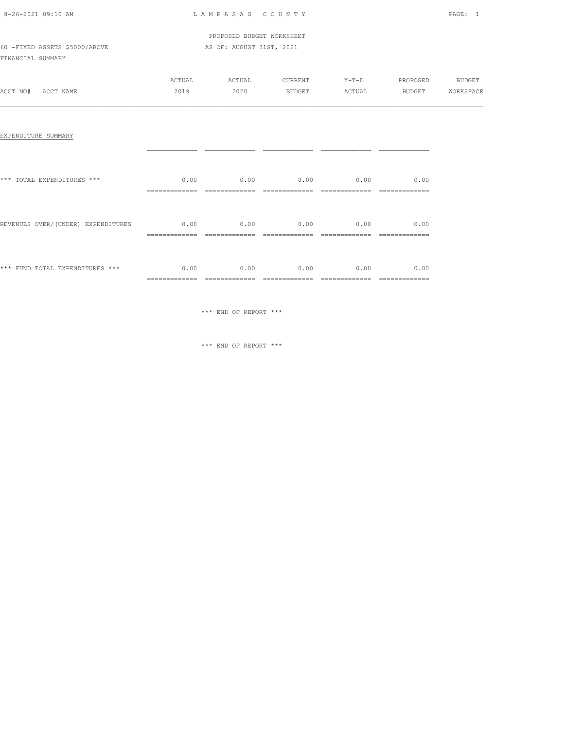| 8-26-2021 09:10 AM |  |
|--------------------|--|

# LAM PASAS COUNTY PAGE: 1

|                               | PROPOSED BUDGET WORKSHEET |
|-------------------------------|---------------------------|
| 60 -FIXED ASSETS \$5000/ABOVE | AS OF: AUGUST 31ST, 2021  |

FINANCIAL SUMMARY

|          |           | ACTUAL | ACTUAL | CURRENT       | $Y-T-D$ | PROPOSED      | <b>BUDGET</b> |
|----------|-----------|--------|--------|---------------|---------|---------------|---------------|
| ACCT NO# | ACCT NAME | 2019   | 2020   | <b>BUDGET</b> | ACTUAL  | <b>BUDGET</b> | WORKSPACE     |
|          |           |        |        |               |         |               |               |

# EXPENDITURE SUMMARY

| *** TOTAL EXPENDITURES ***          | 0.00<br>_____________  | 0.00                                  | 0.00                                | 0.00                             | 0.00<br>____________  |
|-------------------------------------|------------------------|---------------------------------------|-------------------------------------|----------------------------------|-----------------------|
| REVENUES OVER/ (UNDER) EXPENDITURES | 0.00<br>=============  | 0.00<br>=============                 | 0.00<br>--------------              | 0.00<br>=============            | 0.00<br>============= |
| *** FUND TOTAL EXPENDITURES ***     | 0.00<br>============== | 0.00<br>_____________<br>------------ | 0.00<br>--------------<br>========= | 0.00<br>__________<br>---------- | 0.00<br>============= |

\*\*\* END OF REPORT \*\*\*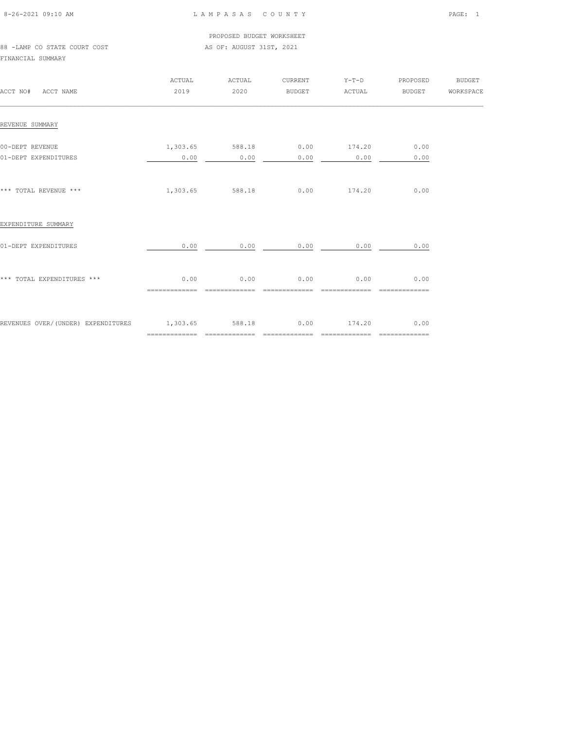| 8-26-2021 09:10 AM |  |
|--------------------|--|

|                              |  |  |  |  | PROPOSED BUDGET WORKSHEET |
|------------------------------|--|--|--|--|---------------------------|
| 88 -LAMP CO STATE COURT COST |  |  |  |  | AS OF: AUGUST 31ST, 2021  |

FINANCIAL SUMMARY

| ACCT NO# ACCT NAME                                             | ACTUAL<br>2019        | ACTUAL<br>2020                             |               | CURRENT Y-T-D<br>BUDGET ACTUAL | PROPOSED<br><b>BUDGET</b> | <b>BUDGET</b><br>WORKSPACE |
|----------------------------------------------------------------|-----------------------|--------------------------------------------|---------------|--------------------------------|---------------------------|----------------------------|
| REVENUE SUMMARY                                                |                       |                                            |               |                                |                           |                            |
| 00-DEPT REVENUE<br>01-DEPT EXPENDITURES                        | 0.00                  | $1,303.65$ 588.18 0.00 174.20 0.00<br>0.00 | 0.00          | 0.00                           | 0.00                      |                            |
| *** TOTAL REVENUE ***                                          |                       | 1,303.65 588.18 0.00 174.20                |               |                                | 0.00                      |                            |
| EXPENDITURE SUMMARY                                            |                       |                                            |               |                                |                           |                            |
| 01-DEPT EXPENDITURES                                           | 0.00                  | 0.00                                       | 0.00          | 0.00                           | 0.00                      |                            |
| *** TOTAL EXPENDITURES ***                                     | 0.00<br>============= | 0.00<br>==============                     | ============= | $0.00$ 0.00<br>=============   | 0.00                      |                            |
| REVENUES OVER/(UNDER) EXPENDITURES 1,303.65 588.18 0.00 174.20 |                       |                                            |               |                                | 0.00                      |                            |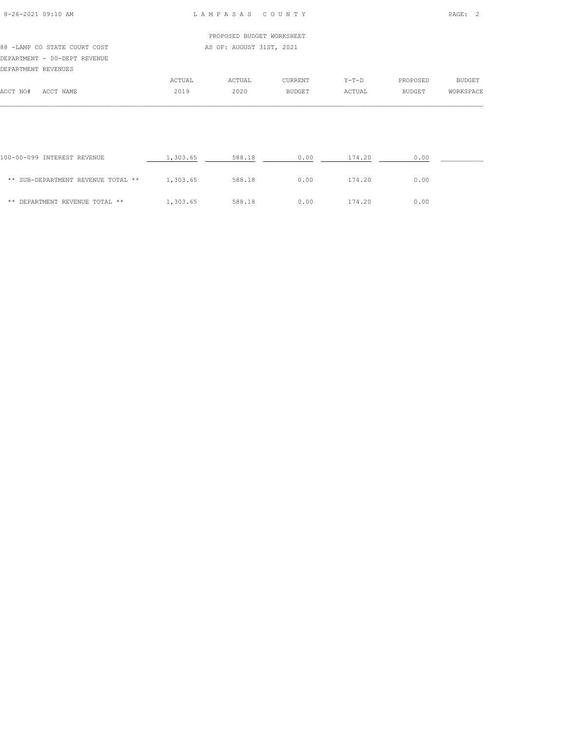# PROPOSED BUDGET WORKSHEET 88 -LAMP CO STATE COURT COST AS OF: AUGUST 31ST, 2021 DEPARTMENT - 00-DEPT REVENUE DEPARTMENT REVENUES

|          |           | ACTUAL | ACTUAL | <b>CURRENT</b> | $Y - T - D$ | PROPOSED | BUDGET    |
|----------|-----------|--------|--------|----------------|-------------|----------|-----------|
| ACCT NO# | ACCT NAME | 2019   | 2020   | <b>BUDGET</b>  | ACTUAL      | BUDGET   | WORKSPACE |
|          |           |        |        |                |             |          |           |

| 100-00-099 INTEREST REVENUE        | 1,303.65 | 588.18 | 0.00 | 174.20 | 0.00 |  |
|------------------------------------|----------|--------|------|--------|------|--|
| ** SUB-DEPARTMENT REVENUE TOTAL ** | 1,303.65 | 588.18 | 0.00 | 174.20 | 0.00 |  |
| ** DEPARTMENT REVENUE TOTAL **     | 1,303.65 | 588.18 | 0.00 | 174.20 | 0.00 |  |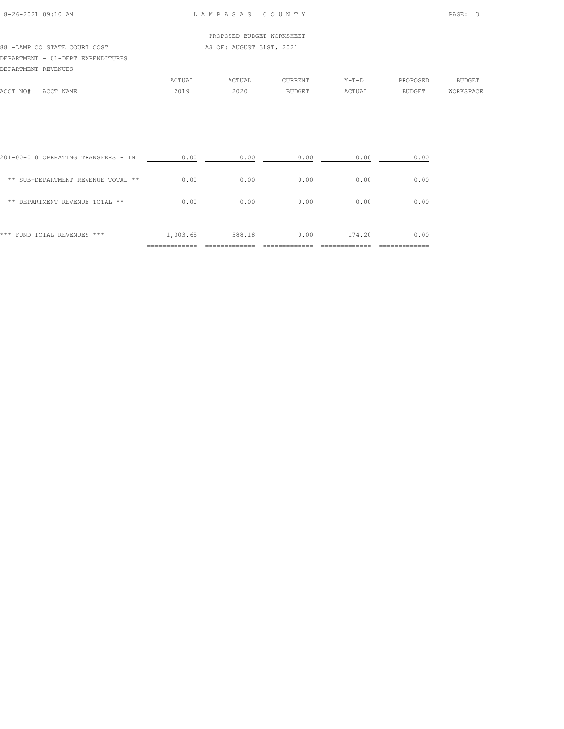### PROPOSED BUDGET WORKSHEET

#### 88 -LAMP CO STATE COURT COST AS OF: AUGUST 31ST, 2021 DEPARTMENT - 01-DEPT EXPENDITURES

|          | DEPARTMENT REVENUES |        |        |               |         |               |               |
|----------|---------------------|--------|--------|---------------|---------|---------------|---------------|
|          |                     | ACTUAL | ACTUAL | CURRENT       | $Y-T-D$ | PROPOSED      | <b>BUDGET</b> |
| ACCT NO# | ACCT NAME           | 2019   | 2020   | <b>BUDGET</b> | ACTUAL  | <b>BUDGET</b> | WORKSPACE     |
|          |                     |        |        |               |         |               |               |

| *** FUND TOTAL REVENUES ***         | 1,303.65 | 588.18 | 0.00 | 174.20 | 0.00 |  |
|-------------------------------------|----------|--------|------|--------|------|--|
| DEPARTMENT REVENUE TOTAL **<br>**   | 0.00     | 0.00   | 0.00 | 0.00   | 0.00 |  |
| ** SUB-DEPARTMENT REVENUE TOTAL **  | 0.00     | 0.00   | 0.00 | 0.00   | 0.00 |  |
| 201-00-010 OPERATING TRANSFERS - IN | 0.00     | 0.00   | 0.00 | 0.00   | 0.00 |  |